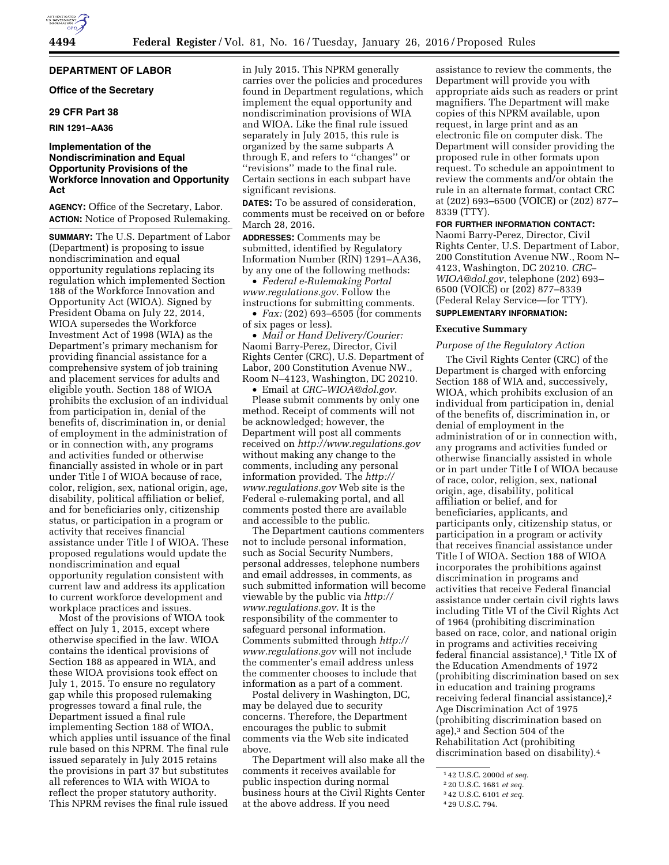## **DEPARTMENT OF LABOR**

### **Office of the Secretary**

## **29 CFR Part 38**

### **RIN 1291–AA36**

## **Implementation of the Nondiscrimination and Equal Opportunity Provisions of the Workforce Innovation and Opportunity Act**

**AGENCY:** Office of the Secretary, Labor. **ACTION:** Notice of Proposed Rulemaking.

**SUMMARY:** The U.S. Department of Labor (Department) is proposing to issue nondiscrimination and equal opportunity regulations replacing its regulation which implemented Section 188 of the Workforce Innovation and Opportunity Act (WIOA). Signed by President Obama on July 22, 2014, WIOA supersedes the Workforce Investment Act of 1998 (WIA) as the Department's primary mechanism for providing financial assistance for a comprehensive system of job training and placement services for adults and eligible youth. Section 188 of WIOA prohibits the exclusion of an individual from participation in, denial of the benefits of, discrimination in, or denial of employment in the administration of or in connection with, any programs and activities funded or otherwise financially assisted in whole or in part under Title I of WIOA because of race, color, religion, sex, national origin, age, disability, political affiliation or belief, and for beneficiaries only, citizenship status, or participation in a program or activity that receives financial assistance under Title I of WIOA. These proposed regulations would update the nondiscrimination and equal opportunity regulation consistent with current law and address its application to current workforce development and workplace practices and issues.

Most of the provisions of WIOA took effect on July 1, 2015, except where otherwise specified in the law. WIOA contains the identical provisions of Section 188 as appeared in WIA, and these WIOA provisions took effect on July 1, 2015. To ensure no regulatory gap while this proposed rulemaking progresses toward a final rule, the Department issued a final rule implementing Section 188 of WIOA, which applies until issuance of the final rule based on this NPRM. The final rule issued separately in July 2015 retains the provisions in part 37 but substitutes all references to WIA with WIOA to reflect the proper statutory authority. This NPRM revises the final rule issued

in July 2015. This NPRM generally carries over the policies and procedures found in Department regulations, which implement the equal opportunity and nondiscrimination provisions of WIA and WIOA. Like the final rule issued separately in July 2015, this rule is organized by the same subparts A through E, and refers to ''changes'' or ''revisions'' made to the final rule. Certain sections in each subpart have significant revisions.

**DATES:** To be assured of consideration, comments must be received on or before March 28, 2016.

**ADDRESSES:** Comments may be submitted, identified by Regulatory Information Number (RIN) 1291–AA36, by any one of the following methods:

• *Federal e-Rulemaking Portal [www.regulations.gov](http://www.regulations.gov)*. Follow the instructions for submitting comments.

• *Fax:* (202) 693–6505 (for comments of six pages or less).

• *Mail or Hand Delivery/Courier:*  Naomi Barry-Perez, Director, Civil Rights Center (CRC), U.S. Department of Labor, 200 Constitution Avenue NW., Room N–4123, Washington, DC 20210. • Email at *[CRC–WIOA@dol.gov](mailto:CRC-WIOA@dol.gov)*.

Please submit comments by only one method. Receipt of comments will not be acknowledged; however, the Department will post all comments received on *<http://www.regulations.gov>* without making any change to the comments, including any personal information provided. The *[http://](http://www.regulations.gov) [www.regulations.gov](http://www.regulations.gov)* Web site is the Federal e-rulemaking portal, and all comments posted there are available and accessible to the public.

The Department cautions commenters not to include personal information, such as Social Security Numbers, personal addresses, telephone numbers and email addresses, in comments, as such submitted information will become viewable by the public via *[http://](http://www.regulations.gov) [www.regulations.gov](http://www.regulations.gov)*. It is the responsibility of the commenter to safeguard personal information. Comments submitted through *[http://](http://www.regulations.gov) [www.regulations.gov](http://www.regulations.gov)* will not include the commenter's email address unless the commenter chooses to include that information as a part of a comment.

Postal delivery in Washington, DC, may be delayed due to security concerns. Therefore, the Department encourages the public to submit comments via the Web site indicated above.

The Department will also make all the comments it receives available for public inspection during normal business hours at the Civil Rights Center at the above address. If you need

assistance to review the comments, the Department will provide you with appropriate aids such as readers or print magnifiers. The Department will make copies of this NPRM available, upon request, in large print and as an electronic file on computer disk. The Department will consider providing the proposed rule in other formats upon request. To schedule an appointment to review the comments and/or obtain the rule in an alternate format, contact CRC at (202) 693–6500 (VOICE) or (202) 877– 8339 (TTY).

#### **FOR FURTHER INFORMATION CONTACT:**

Naomi Barry-Perez, Director, Civil Rights Center, U.S. Department of Labor, 200 Constitution Avenue NW., Room N– 4123, Washington, DC 20210. *[CRC–](mailto:CRC-WIOA@dol.gov)  [WIOA@dol.gov](mailto:CRC-WIOA@dol.gov)*, telephone (202) 693– 6500 (VOICE) or (202) 877–8339 (Federal Relay Service—for TTY). **SUPPLEMENTARY INFORMATION:** 

# **Executive Summary**

#### *Purpose of the Regulatory Action*

The Civil Rights Center (CRC) of the Department is charged with enforcing Section 188 of WIA and, successively, WIOA, which prohibits exclusion of an individual from participation in, denial of the benefits of, discrimination in, or denial of employment in the administration of or in connection with, any programs and activities funded or otherwise financially assisted in whole or in part under Title I of WIOA because of race, color, religion, sex, national origin, age, disability, political affiliation or belief, and for beneficiaries, applicants, and participants only, citizenship status, or participation in a program or activity that receives financial assistance under Title I of WIOA. Section 188 of WIOA incorporates the prohibitions against discrimination in programs and activities that receive Federal financial assistance under certain civil rights laws including Title VI of the Civil Rights Act of 1964 (prohibiting discrimination based on race, color, and national origin in programs and activities receiving federal financial assistance),<sup>1</sup> Title IX of the Education Amendments of 1972 (prohibiting discrimination based on sex in education and training programs receiving federal financial assistance),2 Age Discrimination Act of 1975 (prohibiting discrimination based on age),3 and Section 504 of the Rehabilitation Act (prohibiting discrimination based on disability).4

<sup>1</sup> 42 U.S.C. 2000d *et seq.* 

<sup>2</sup> 20 U.S.C. 1681 *et seq.* 

<sup>3</sup> 42 U.S.C. 6101 *et seq.* 

<sup>4</sup> 29 U.S.C. 794.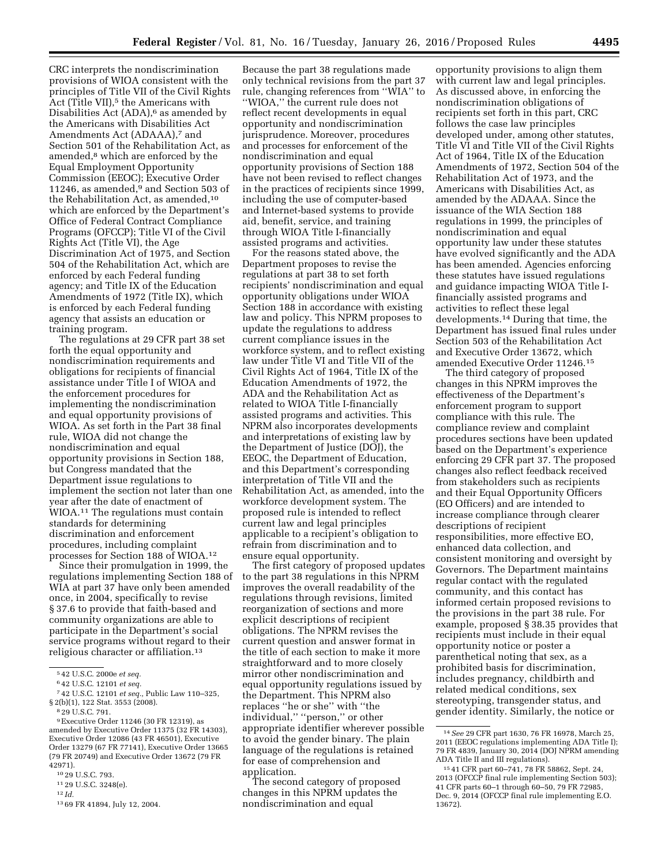CRC interprets the nondiscrimination provisions of WIOA consistent with the principles of Title VII of the Civil Rights Act (Title VII),<sup>5</sup> the Americans with Disabilities Act  $(ADA)$ ,  $6$  as amended by the Americans with Disabilities Act Amendments Act (ADAAA),<sup>7</sup> and Section 501 of the Rehabilitation Act, as amended,8 which are enforced by the Equal Employment Opportunity Commission (EEOC); Executive Order 11246, as amended,<sup>9</sup> and Section 503 of the Rehabilitation Act, as amended,10 which are enforced by the Department's Office of Federal Contract Compliance Programs (OFCCP); Title VI of the Civil Rights Act (Title VI), the Age Discrimination Act of 1975, and Section 504 of the Rehabilitation Act, which are enforced by each Federal funding agency; and Title IX of the Education Amendments of 1972 (Title IX), which is enforced by each Federal funding agency that assists an education or training program.

The regulations at 29 CFR part 38 set forth the equal opportunity and nondiscrimination requirements and obligations for recipients of financial assistance under Title I of WIOA and the enforcement procedures for implementing the nondiscrimination and equal opportunity provisions of WIOA. As set forth in the Part 38 final rule, WIOA did not change the nondiscrimination and equal opportunity provisions in Section 188, but Congress mandated that the Department issue regulations to implement the section not later than one year after the date of enactment of WIOA.<sup>11</sup> The regulations must contain standards for determining discrimination and enforcement procedures, including complaint processes for Section 188 of WIOA.12

Since their promulgation in 1999, the regulations implementing Section 188 of WIA at part 37 have only been amended once, in 2004, specifically to revise § 37.6 to provide that faith-based and community organizations are able to participate in the Department's social service programs without regard to their religious character or affiliation.13

12 *Id.* 

Because the part 38 regulations made only technical revisions from the part 37 rule, changing references from ''WIA'' to ''WIOA,'' the current rule does not reflect recent developments in equal opportunity and nondiscrimination jurisprudence. Moreover, procedures and processes for enforcement of the nondiscrimination and equal opportunity provisions of Section 188 have not been revised to reflect changes in the practices of recipients since 1999, including the use of computer-based and Internet-based systems to provide aid, benefit, service, and training through WIOA Title I-financially assisted programs and activities.

For the reasons stated above, the Department proposes to revise the regulations at part 38 to set forth recipients' nondiscrimination and equal opportunity obligations under WIOA Section 188 in accordance with existing law and policy. This NPRM proposes to update the regulations to address current compliance issues in the workforce system, and to reflect existing law under Title VI and Title VII of the Civil Rights Act of 1964, Title IX of the Education Amendments of 1972, the ADA and the Rehabilitation Act as related to WIOA Title I-financially assisted programs and activities. This NPRM also incorporates developments and interpretations of existing law by the Department of Justice (DOJ), the EEOC, the Department of Education, and this Department's corresponding interpretation of Title VII and the Rehabilitation Act, as amended, into the workforce development system. The proposed rule is intended to reflect current law and legal principles applicable to a recipient's obligation to refrain from discrimination and to ensure equal opportunity.

The first category of proposed updates to the part 38 regulations in this NPRM improves the overall readability of the regulations through revisions, limited reorganization of sections and more explicit descriptions of recipient obligations. The NPRM revises the current question and answer format in the title of each section to make it more straightforward and to more closely mirror other nondiscrimination and equal opportunity regulations issued by the Department. This NPRM also replaces ''he or she'' with ''the individual,'' ''person,'' or other appropriate identifier wherever possible to avoid the gender binary. The plain language of the regulations is retained for ease of comprehension and application.

The second category of proposed changes in this NPRM updates the nondiscrimination and equal

opportunity provisions to align them with current law and legal principles. As discussed above, in enforcing the nondiscrimination obligations of recipients set forth in this part, CRC follows the case law principles developed under, among other statutes, Title VI and Title VII of the Civil Rights Act of 1964, Title IX of the Education Amendments of 1972, Section 504 of the Rehabilitation Act of 1973, and the Americans with Disabilities Act, as amended by the ADAAA. Since the issuance of the WIA Section 188 regulations in 1999, the principles of nondiscrimination and equal opportunity law under these statutes have evolved significantly and the ADA has been amended. Agencies enforcing these statutes have issued regulations and guidance impacting WIOA Title Ifinancially assisted programs and activities to reflect these legal developments.14 During that time, the Department has issued final rules under Section 503 of the Rehabilitation Act and Executive Order 13672, which amended Executive Order 11246.15

The third category of proposed changes in this NPRM improves the effectiveness of the Department's enforcement program to support compliance with this rule. The compliance review and complaint procedures sections have been updated based on the Department's experience enforcing 29 CFR part 37. The proposed changes also reflect feedback received from stakeholders such as recipients and their Equal Opportunity Officers (EO Officers) and are intended to increase compliance through clearer descriptions of recipient responsibilities, more effective EO, enhanced data collection, and consistent monitoring and oversight by Governors. The Department maintains regular contact with the regulated community, and this contact has informed certain proposed revisions to the provisions in the part 38 rule. For example, proposed § 38.35 provides that recipients must include in their equal opportunity notice or poster a parenthetical noting that sex, as a prohibited basis for discrimination, includes pregnancy, childbirth and related medical conditions, sex stereotyping, transgender status, and gender identity. Similarly, the notice or

<sup>5</sup> 42 U.S.C. 2000e *et seq.* 

<sup>6</sup> 42 U.S.C. 12101 *et seq.* 

<sup>7</sup> 42 U.S.C. 12101 *et seq.,* Public Law 110–325, § 2(b)(1), 122 Stat. 3553 (2008).

<sup>8</sup> 29 U.S.C. 791.

<sup>9</sup>Executive Order 11246 (30 FR 12319), as amended by Executive Order 11375 (32 FR 14303), Executive Order 12086 (43 FR 46501), Executive Order 13279 (67 FR 77141), Executive Order 13665 (79 FR 20749) and Executive Order 13672 (79 FR 42971).

<sup>10</sup> 29 U.S.C. 793.

<sup>11</sup> 29 U.S.C. 3248(e).

<sup>13</sup> 69 FR 41894, July 12, 2004.

<sup>14</sup>*See* 29 CFR part 1630, 76 FR 16978, March 25, 2011 (EEOC regulations implementing ADA Title I); 79 FR 4839, January 30, 2014 (DOJ NPRM amending ADA Title II and III regulations).

<sup>15</sup> 41 CFR part 60–741, 78 FR 58862, Sept. 24, 2013 (OFCCP final rule implementing Section 503); 41 CFR parts 60–1 through 60–50, 79 FR 72985, Dec. 9, 2014 (OFCCP final rule implementing E.O. 13672).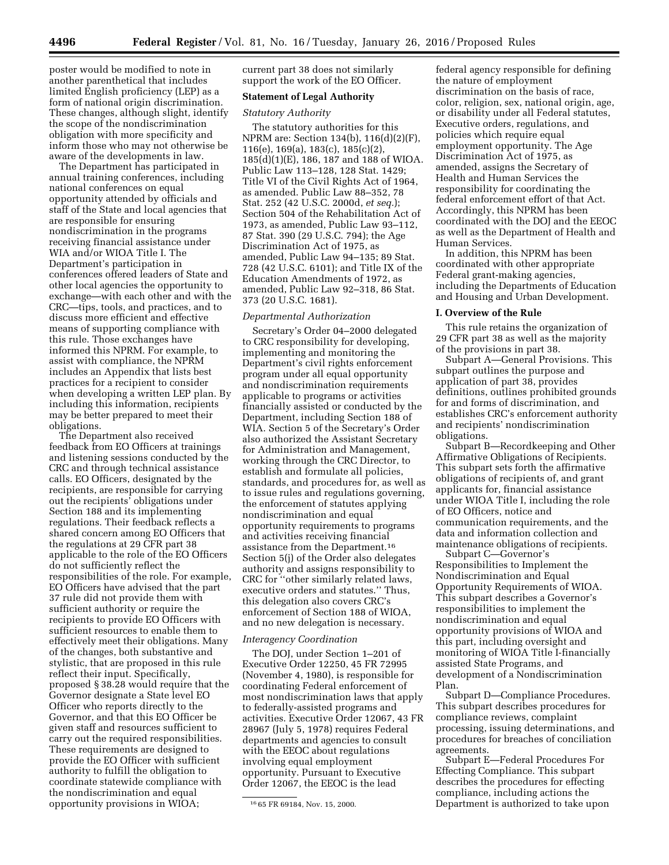poster would be modified to note in another parenthetical that includes limited English proficiency (LEP) as a form of national origin discrimination. These changes, although slight, identify the scope of the nondiscrimination obligation with more specificity and inform those who may not otherwise be aware of the developments in law.

The Department has participated in annual training conferences, including national conferences on equal opportunity attended by officials and staff of the State and local agencies that are responsible for ensuring nondiscrimination in the programs receiving financial assistance under WIA and/or WIOA Title I. The Department's participation in conferences offered leaders of State and other local agencies the opportunity to exchange—with each other and with the CRC—tips, tools, and practices, and to discuss more efficient and effective means of supporting compliance with this rule. Those exchanges have informed this NPRM. For example, to assist with compliance, the NPRM includes an Appendix that lists best practices for a recipient to consider when developing a written LEP plan. By including this information, recipients may be better prepared to meet their obligations.

The Department also received feedback from EO Officers at trainings and listening sessions conducted by the CRC and through technical assistance calls. EO Officers, designated by the recipients, are responsible for carrying out the recipients' obligations under Section 188 and its implementing regulations. Their feedback reflects a shared concern among EO Officers that the regulations at 29 CFR part 38 applicable to the role of the EO Officers do not sufficiently reflect the responsibilities of the role. For example, EO Officers have advised that the part 37 rule did not provide them with sufficient authority or require the recipients to provide EO Officers with sufficient resources to enable them to effectively meet their obligations. Many of the changes, both substantive and stylistic, that are proposed in this rule reflect their input. Specifically, proposed § 38.28 would require that the Governor designate a State level EO Officer who reports directly to the Governor, and that this EO Officer be given staff and resources sufficient to carry out the required responsibilities. These requirements are designed to provide the EO Officer with sufficient authority to fulfill the obligation to coordinate statewide compliance with the nondiscrimination and equal opportunity provisions in WIOA;

current part 38 does not similarly support the work of the EO Officer.

### **Statement of Legal Authority**

### *Statutory Authority*

The statutory authorities for this NPRM are: Section 134(b), 116(d)(2)(F), 116(e), 169(a), 183(c), 185(c)(2), 185(d)(1)(E), 186, 187 and 188 of WIOA. Public Law 113–128, 128 Stat. 1429; Title VI of the Civil Rights Act of 1964, as amended. Public Law 88–352, 78 Stat. 252 (42 U.S.C. 2000d, *et seq.*); Section 504 of the Rehabilitation Act of 1973, as amended, Public Law 93–112, 87 Stat. 390 (29 U.S.C. 794); the Age Discrimination Act of 1975, as amended, Public Law 94–135; 89 Stat. 728 (42 U.S.C. 6101); and Title IX of the Education Amendments of 1972, as amended, Public Law 92–318, 86 Stat. 373 (20 U.S.C. 1681).

#### *Departmental Authorization*

Secretary's Order 04–2000 delegated to CRC responsibility for developing, implementing and monitoring the Department's civil rights enforcement program under all equal opportunity and nondiscrimination requirements applicable to programs or activities financially assisted or conducted by the Department, including Section 188 of WIA. Section 5 of the Secretary's Order also authorized the Assistant Secretary for Administration and Management, working through the CRC Director, to establish and formulate all policies, standards, and procedures for, as well as to issue rules and regulations governing, the enforcement of statutes applying nondiscrimination and equal opportunity requirements to programs and activities receiving financial assistance from the Department.16 Section 5(j) of the Order also delegates authority and assigns responsibility to CRC for ''other similarly related laws, executive orders and statutes.'' Thus, this delegation also covers CRC's enforcement of Section 188 of WIOA, and no new delegation is necessary.

#### *Interagency Coordination*

The DOJ, under Section 1–201 of Executive Order 12250, 45 FR 72995 (November 4, 1980), is responsible for coordinating Federal enforcement of most nondiscrimination laws that apply to federally-assisted programs and activities. Executive Order 12067, 43 FR 28967 (July 5, 1978) requires Federal departments and agencies to consult with the EEOC about regulations involving equal employment opportunity. Pursuant to Executive Order 12067, the EEOC is the lead

federal agency responsible for defining the nature of employment discrimination on the basis of race, color, religion, sex, national origin, age, or disability under all Federal statutes, Executive orders, regulations, and policies which require equal employment opportunity. The Age Discrimination Act of 1975, as amended, assigns the Secretary of Health and Human Services the responsibility for coordinating the federal enforcement effort of that Act. Accordingly, this NPRM has been coordinated with the DOJ and the EEOC as well as the Department of Health and Human Services.

In addition, this NPRM has been coordinated with other appropriate Federal grant-making agencies, including the Departments of Education and Housing and Urban Development.

#### **I. Overview of the Rule**

This rule retains the organization of 29 CFR part 38 as well as the majority of the provisions in part 38.

Subpart A—General Provisions. This subpart outlines the purpose and application of part 38, provides definitions, outlines prohibited grounds for and forms of discrimination, and establishes CRC's enforcement authority and recipients' nondiscrimination obligations.

Subpart B—Recordkeeping and Other Affirmative Obligations of Recipients. This subpart sets forth the affirmative obligations of recipients of, and grant applicants for, financial assistance under WIOA Title I, including the role of EO Officers, notice and communication requirements, and the data and information collection and maintenance obligations of recipients.

Subpart C—Governor's Responsibilities to Implement the Nondiscrimination and Equal Opportunity Requirements of WIOA. This subpart describes a Governor's responsibilities to implement the nondiscrimination and equal opportunity provisions of WIOA and this part, including oversight and monitoring of WIOA Title I-financially assisted State Programs, and development of a Nondiscrimination Plan.

Subpart D—Compliance Procedures. This subpart describes procedures for compliance reviews, complaint processing, issuing determinations, and procedures for breaches of conciliation agreements.

Subpart E—Federal Procedures For Effecting Compliance. This subpart describes the procedures for effecting compliance, including actions the Department is authorized to take upon

<sup>16</sup> 65 FR 69184, Nov. 15, 2000.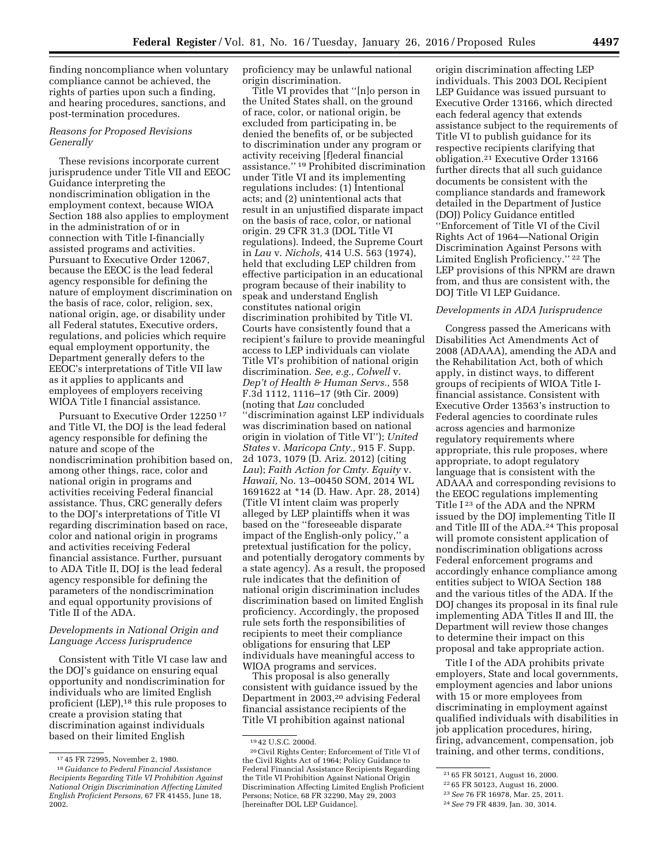finding noncompliance when voluntary compliance cannot be achieved, the rights of parties upon such a finding, and hearing procedures, sanctions, and post-termination procedures.

# *Reasons for Proposed Revisions Generally*

These revisions incorporate current jurisprudence under Title VII and EEOC Guidance interpreting the nondiscrimination obligation in the employment context, because WIOA Section 188 also applies to employment in the administration of or in connection with Title I-financially assisted programs and activities. Pursuant to Executive Order 12067, because the EEOC is the lead federal agency responsible for defining the nature of employment discrimination on the basis of race, color, religion, sex, national origin, age, or disability under all Federal statutes, Executive orders, regulations, and policies which require equal employment opportunity, the Department generally defers to the EEOC's interpretations of Title VII law as it applies to applicants and employees of employers receiving WIOA Title I financial assistance.

Pursuant to Executive Order 12250 17 and Title VI, the DOJ is the lead federal agency responsible for defining the nature and scope of the nondiscrimination prohibition based on, among other things, race, color and national origin in programs and activities receiving Federal financial assistance. Thus, CRC generally defers to the DOJ's interpretations of Title VI regarding discrimination based on race, color and national origin in programs and activities receiving Federal financial assistance. Further, pursuant to ADA Title II, DOJ is the lead federal agency responsible for defining the parameters of the nondiscrimination and equal opportunity provisions of Title II of the ADA.

## *Developments in National Origin and Language Access Jurisprudence*

Consistent with Title VI case law and the DOJ's guidance on ensuring equal opportunity and nondiscrimination for individuals who are limited English proficient (LEP),18 this rule proposes to create a provision stating that discrimination against individuals based on their limited English

proficiency may be unlawful national origin discrimination.

Title VI provides that ''[n]o person in the United States shall, on the ground of race, color, or national origin, be excluded from participating in, be denied the benefits of, or be subjected to discrimination under any program or activity receiving [f]ederal financial assistance.'' 19 Prohibited discrimination under Title VI and its implementing regulations includes: (1) Intentional acts; and (2) unintentional acts that result in an unjustified disparate impact on the basis of race, color, or national origin. 29 CFR 31.3 (DOL Title VI regulations). Indeed, the Supreme Court in *Lau* v. *Nichols,* 414 U.S. 563 (1974), held that excluding LEP children from effective participation in an educational program because of their inability to speak and understand English constitutes national origin discrimination prohibited by Title VI. Courts have consistently found that a recipient's failure to provide meaningful access to LEP individuals can violate Title VI's prohibition of national origin discrimination. *See, e.g., Colwell* v. *Dep't of Health & Human Servs.,* 558 F.3d 1112, 1116–17 (9th Cir. 2009) (noting that *Lau* concluded ''discrimination against LEP individuals was discrimination based on national origin in violation of Title VI''); *United States* v. *Maricopa Cnty.,* 915 F. Supp. 2d 1073, 1079 (D. Ariz. 2012) (citing *Lau*); *Faith Action for Cmty. Equity* v. *Hawaii,* No. 13–00450 SOM, 2014 WL 1691622 at \*14 (D. Haw. Apr. 28, 2014) (Title VI intent claim was properly alleged by LEP plaintiffs when it was based on the ''foreseeable disparate impact of the English-only policy,'' a pretextual justification for the policy, and potentially derogatory comments by a state agency). As a result, the proposed rule indicates that the definition of national origin discrimination includes discrimination based on limited English proficiency. Accordingly, the proposed rule sets forth the responsibilities of recipients to meet their compliance obligations for ensuring that LEP individuals have meaningful access to WIOA programs and services.

This proposal is also generally consistent with guidance issued by the Department in 2003,20 advising Federal financial assistance recipients of the Title VI prohibition against national

origin discrimination affecting LEP individuals. This 2003 DOL Recipient LEP Guidance was issued pursuant to Executive Order 13166, which directed each federal agency that extends assistance subject to the requirements of Title VI to publish guidance for its respective recipients clarifying that obligation.21 Executive Order 13166 further directs that all such guidance documents be consistent with the compliance standards and framework detailed in the Department of Justice (DOJ) Policy Guidance entitled ''Enforcement of Title VI of the Civil Rights Act of 1964—National Origin Discrimination Against Persons with Limited English Proficiency.'' 22 The LEP provisions of this NPRM are drawn from, and thus are consistent with, the DOJ Title VI LEP Guidance.

### *Developments in ADA Jurisprudence*

Congress passed the Americans with Disabilities Act Amendments Act of 2008 (ADAAA), amending the ADA and the Rehabilitation Act, both of which apply, in distinct ways, to different groups of recipients of WIOA Title Ifinancial assistance. Consistent with Executive Order 13563's instruction to Federal agencies to coordinate rules across agencies and harmonize regulatory requirements where appropriate, this rule proposes, where appropriate, to adopt regulatory language that is consistent with the ADAAA and corresponding revisions to the EEOC regulations implementing Title I 23 of the ADA and the NPRM issued by the DOJ implementing Title II and Title III of the ADA.24 This proposal will promote consistent application of nondiscrimination obligations across Federal enforcement programs and accordingly enhance compliance among entities subject to WIOA Section 188 and the various titles of the ADA. If the DOJ changes its proposal in its final rule implementing ADA Titles II and III, the Department will review those changes to determine their impact on this proposal and take appropriate action.

Title I of the ADA prohibits private employers, State and local governments, employment agencies and labor unions with 15 or more employees from discriminating in employment against qualified individuals with disabilities in job application procedures, hiring, firing, advancement, compensation, job training, and other terms, conditions,

<sup>17</sup> 45 FR 72995, November 2, 1980.

<sup>18</sup> *Guidance to Federal Financial Assistance Recipients Regarding Title VI Prohibition Against National Origin Discrimination Affecting Limited English Proficient Persons,* 67 FR 41455, June 18, 2002.

<sup>19</sup> 42 U.S.C. 2000d.

<sup>20</sup>Civil Rights Center; Enforcement of Title VI of the Civil Rights Act of 1964; Policy Guidance to Federal Financial Assistance Recipients Regarding the Title VI Prohibition Against National Origin Discrimination Affecting Limited English Proficient Persons; Notice, 68 FR 32290, May 29, 2003 [hereinafter DOL LEP Guidance].

<sup>21</sup> 65 FR 50121, August 16, 2000.

<sup>22</sup> 65 FR 50123, August 16, 2000.

<sup>23</sup>*See* 76 FR 16978, Mar. 25, 2011.

<sup>24</sup>*See* 79 FR 4839, Jan. 30, 3014.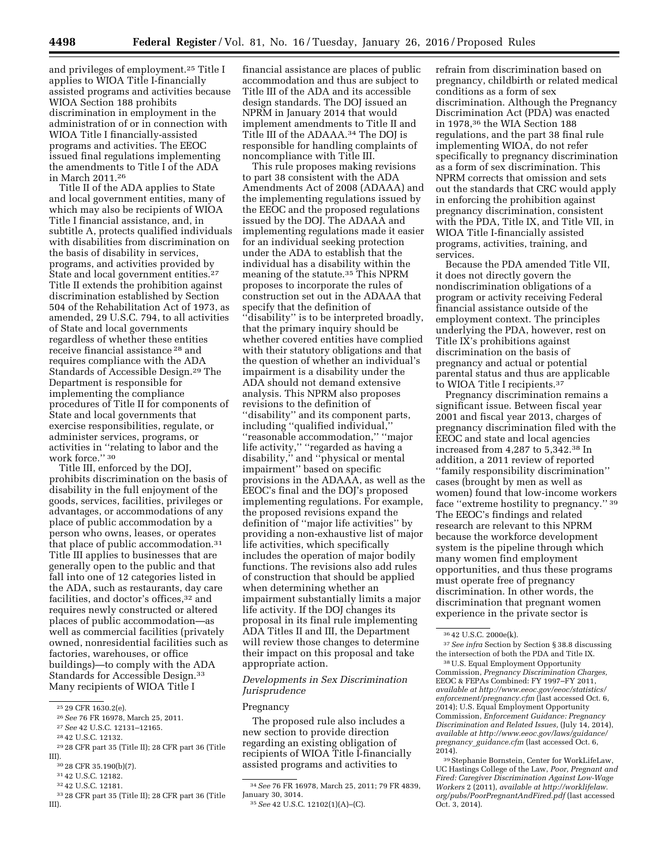and privileges of employment.25 Title I applies to WIOA Title I-financially assisted programs and activities because WIOA Section 188 prohibits discrimination in employment in the administration of or in connection with WIOA Title I financially-assisted programs and activities. The EEOC issued final regulations implementing the amendments to Title I of the ADA in March 2011.26

Title II of the ADA applies to State and local government entities, many of which may also be recipients of WIOA Title I financial assistance, and, in subtitle A, protects qualified individuals with disabilities from discrimination on the basis of disability in services, programs, and activities provided by State and local government entities.27 Title II extends the prohibition against discrimination established by Section 504 of the Rehabilitation Act of 1973, as amended, 29 U.S.C. 794, to all activities of State and local governments regardless of whether these entities receive financial assistance 28 and requires compliance with the ADA Standards of Accessible Design.29 The Department is responsible for implementing the compliance procedures of Title II for components of State and local governments that exercise responsibilities, regulate, or administer services, programs, or activities in ''relating to labor and the work force.'' 30

Title III, enforced by the DOJ, prohibits discrimination on the basis of disability in the full enjoyment of the goods, services, facilities, privileges or advantages, or accommodations of any place of public accommodation by a person who owns, leases, or operates that place of public accommodation.<sup>31</sup> Title III applies to businesses that are generally open to the public and that fall into one of 12 categories listed in the ADA, such as restaurants, day care facilities, and doctor's offices,<sup>32</sup> and requires newly constructed or altered places of public accommodation—as well as commercial facilities (privately owned, nonresidential facilities such as factories, warehouses, or office buildings)—to comply with the ADA Standards for Accessible Design.33 Many recipients of WIOA Title I

- 29 28 CFR part 35 (Title II); 28 CFR part 36 (Title III).
- 30 28 CFR 35.190(b)(7).

32 42 U.S.C. 12181.

financial assistance are places of public accommodation and thus are subject to Title III of the ADA and its accessible design standards. The DOJ issued an NPRM in January 2014 that would implement amendments to Title II and Title III of the ADAAA.34 The DOJ is responsible for handling complaints of noncompliance with Title III.

This rule proposes making revisions to part 38 consistent with the ADA Amendments Act of 2008 (ADAAA) and the implementing regulations issued by the EEOC and the proposed regulations issued by the DOJ. The ADAAA and implementing regulations made it easier for an individual seeking protection under the ADA to establish that the individual has a disability within the meaning of the statute.35 This NPRM proposes to incorporate the rules of construction set out in the ADAAA that specify that the definition of ''disability'' is to be interpreted broadly, that the primary inquiry should be whether covered entities have complied with their statutory obligations and that the question of whether an individual's impairment is a disability under the ADA should not demand extensive analysis. This NPRM also proposes revisions to the definition of ''disability'' and its component parts, including ''qualified individual,'' ''reasonable accommodation,'' ''major life activity,'' ''regarded as having a disability," and "physical or mental impairment'' based on specific provisions in the ADAAA, as well as the EEOC's final and the DOJ's proposed implementing regulations. For example, the proposed revisions expand the definition of ''major life activities'' by providing a non-exhaustive list of major life activities, which specifically includes the operation of major bodily functions. The revisions also add rules of construction that should be applied when determining whether an impairment substantially limits a major life activity. If the DOJ changes its proposal in its final rule implementing ADA Titles II and III, the Department will review those changes to determine their impact on this proposal and take appropriate action.

### *Developments in Sex Discrimination Jurisprudence*

### Pregnancy

The proposed rule also includes a new section to provide direction regarding an existing obligation of recipients of WIOA Title I-financially assisted programs and activities to

refrain from discrimination based on pregnancy, childbirth or related medical conditions as a form of sex discrimination. Although the Pregnancy Discrimination Act (PDA) was enacted in 1978,36 the WIA Section 188 regulations, and the part 38 final rule implementing WIOA, do not refer specifically to pregnancy discrimination as a form of sex discrimination. This NPRM corrects that omission and sets out the standards that CRC would apply in enforcing the prohibition against pregnancy discrimination, consistent with the PDA, Title IX, and Title VII, in WIOA Title I-financially assisted programs, activities, training, and services.

Because the PDA amended Title VII, it does not directly govern the nondiscrimination obligations of a program or activity receiving Federal financial assistance outside of the employment context. The principles underlying the PDA, however, rest on Title IX's prohibitions against discrimination on the basis of pregnancy and actual or potential parental status and thus are applicable to WIOA Title I recipients.37

Pregnancy discrimination remains a significant issue. Between fiscal year 2001 and fiscal year 2013, charges of pregnancy discrimination filed with the EEOC and state and local agencies increased from 4,287 to 5,342.38 In addition, a 2011 review of reported ''family responsibility discrimination'' cases (brought by men as well as women) found that low-income workers face ''extreme hostility to pregnancy.'' 39 The EEOC's findings and related research are relevant to this NPRM because the workforce development system is the pipeline through which many women find employment opportunities, and thus these programs must operate free of pregnancy discrimination. In other words, the discrimination that pregnant women experience in the private sector is

<sup>25</sup> 29 CFR 1630.2(e).

<sup>26</sup>*See* 76 FR 16978, March 25, 2011.

<sup>27</sup>*See* 42 U.S.C. 12131–12165.

<sup>28</sup> 42 U.S.C. 12132.

<sup>31</sup> 42 U.S.C. 12182.

<sup>33</sup> 28 CFR part 35 (Title II); 28 CFR part 36 (Title III).

<sup>34</sup>*See* 76 FR 16978, March 25, 2011; 79 FR 4839,

<sup>35</sup> See 42 U.S.C. 12102(1)(A)–(C).

<sup>36</sup> 42 U.S.C. 2000e(k).

<sup>37</sup>*See infra* Section by Section § 38.8 discussing the intersection of both the PDA and Title IX.

<sup>38</sup>U.S. Equal Employment Opportunity Commission, *Pregnancy Discrimination Charges,*  EEOC & FEPAs Combined: FY 1997–FY 2011, *available at [http://www.eeoc.gov/eeoc/statistics/](http://www.eeoc.gov/eeoc/statistics/enforcement/pregnancy.cfm) [enforcement/pregnancy.cfm](http://www.eeoc.gov/eeoc/statistics/enforcement/pregnancy.cfm)* (last accessed Oct. 6, 2014); U.S. Equal Employment Opportunity Commission, *Enforcement Guidance: Pregnancy Discrimination and Related Issues,* (July 14, 2014), *available at [http://www.eeoc.gov/laws/guidance/](http://www.eeoc.gov/laws/guidance/pregnancy_guidance.cfm) pregnancy*\_*[guidance.cfm](http://www.eeoc.gov/laws/guidance/pregnancy_guidance.cfm)* (last accessed Oct. 6, 2014).

<sup>39</sup>Stephanie Bornstein, Center for WorkLifeLaw, UC Hastings College of the Law, *Poor, Pregnant and Fired: Caregiver Discrimination Against Low-Wage Workers* 2 (2011), *available at [http://worklifelaw.](http://worklifelaw.org/pubs/PoorPregnantAndFired.pdf) [org/pubs/PoorPregnantAndFired.pdf](http://worklifelaw.org/pubs/PoorPregnantAndFired.pdf)* (last accessed Oct. 3, 2014).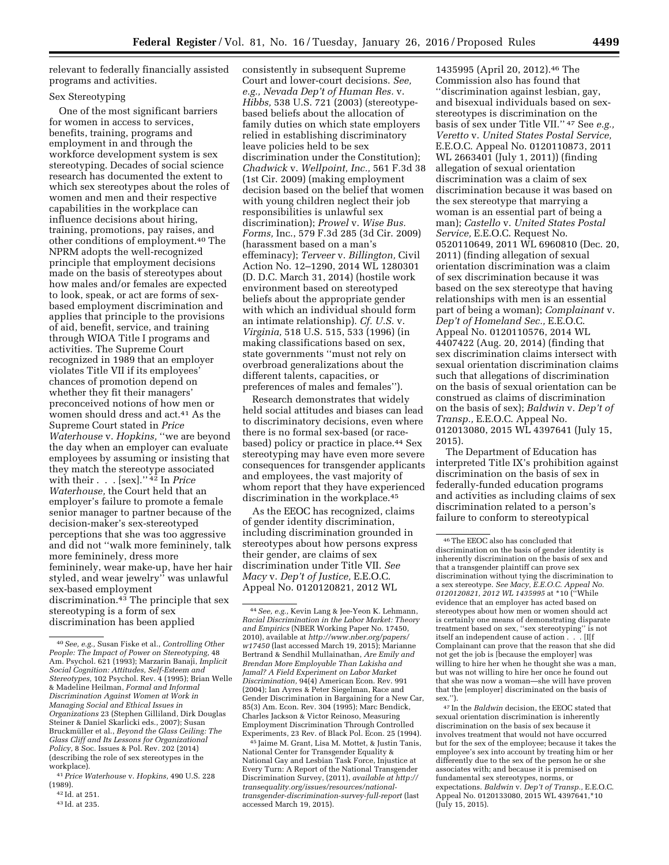relevant to federally financially assisted programs and activities.

### Sex Stereotyping

One of the most significant barriers for women in access to services, benefits, training, programs and employment in and through the workforce development system is sex stereotyping. Decades of social science research has documented the extent to which sex stereotypes about the roles of women and men and their respective capabilities in the workplace can influence decisions about hiring, training, promotions, pay raises, and other conditions of employment.40 The NPRM adopts the well-recognized principle that employment decisions made on the basis of stereotypes about how males and/or females are expected to look, speak, or act are forms of sexbased employment discrimination and applies that principle to the provisions of aid, benefit, service, and training through WIOA Title I programs and activities. The Supreme Court recognized in 1989 that an employer violates Title VII if its employees' chances of promotion depend on whether they fit their managers' preconceived notions of how men or women should dress and act.41 As the Supreme Court stated in *Price Waterhouse* v. *Hopkins,* ''we are beyond the day when an employer can evaluate employees by assuming or insisting that they match the stereotype associated with their . . . [sex].'' 42 In *Price Waterhouse,* the Court held that an employer's failure to promote a female senior manager to partner because of the decision-maker's sex-stereotyped perceptions that she was too aggressive and did not ''walk more femininely, talk more femininely, dress more femininely, wear make-up, have her hair styled, and wear jewelry'' was unlawful sex-based employment discrimination.43 The principle that sex stereotyping is a form of sex discrimination has been applied

consistently in subsequent Supreme Court and lower-court decisions. *See, e.g., Nevada Dep't of Human Res.* v. *Hibbs,* 538 U.S. 721 (2003) (stereotypebased beliefs about the allocation of family duties on which state employers relied in establishing discriminatory leave policies held to be sex discrimination under the Constitution); *Chadwick* v. *Wellpoint, Inc.,* 561 F.3d 38 (1st Cir. 2009) (making employment decision based on the belief that women with young children neglect their job responsibilities is unlawful sex discrimination); *Prowel* v. *Wise Bus. Forms,* Inc., 579 F.3d 285 (3d Cir. 2009) (harassment based on a man's effeminacy); *Terveer* v. *Billington,* Civil Action No. 12–1290, 2014 WL 1280301 (D. D.C. March 31, 2014) (hostile work environment based on stereotyped beliefs about the appropriate gender with which an individual should form an intimate relationship). *Cf. U.S.* v. *Virginia,* 518 U.S. 515, 533 (1996) (in making classifications based on sex, state governments ''must not rely on overbroad generalizations about the different talents, capacities, or preferences of males and females'').

Research demonstrates that widely held social attitudes and biases can lead to discriminatory decisions, even where there is no formal sex-based (or racebased) policy or practice in place.<sup>44</sup> Sex stereotyping may have even more severe consequences for transgender applicants and employees, the vast majority of whom report that they have experienced discrimination in the workplace.45

As the EEOC has recognized, claims of gender identity discrimination, including discrimination grounded in stereotypes about how persons express their gender, are claims of sex discrimination under Title VII. *See Macy* v. *Dep't of Justice,* E.E.O.C. Appeal No. 0120120821, 2012 WL

45 Jaime M. Grant, Lisa M. Mottet, & Justin Tanis, National Center for Transgender Equality & National Gay and Lesbian Task Force, Injustice at Every Turn: A Report of the National Transgender Discrimination Survey, (2011), *available at [http://](http://transequality.org/issues/resources/national-transgender-discrimination-survey-full-report)  [transequality.org/issues/resources/national](http://transequality.org/issues/resources/national-transgender-discrimination-survey-full-report)[transgender-discrimination-survey-full-report](http://transequality.org/issues/resources/national-transgender-discrimination-survey-full-report)* (last accessed March 19, 2015).

1435995 (April 20, 2012).46 The Commission also has found that ''discrimination against lesbian, gay, and bisexual individuals based on sexstereotypes is discrimination on the basis of sex under Title VII.'' 47 See *e.g., Veretto* v. *United States Postal Service,*  E.E.O.C. Appeal No. 0120110873, 2011 WL 2663401 (July 1, 2011)) (finding allegation of sexual orientation discrimination was a claim of sex discrimination because it was based on the sex stereotype that marrying a woman is an essential part of being a man); *Castello* v. *United States Postal Service,* E.E.O.C. Request No. 0520110649, 2011 WL 6960810 (Dec. 20, 2011) (finding allegation of sexual orientation discrimination was a claim of sex discrimination because it was based on the sex stereotype that having relationships with men is an essential part of being a woman); *Complainant* v. *Dep't of Homeland Sec.,* E.E.O.C. Appeal No. 0120110576, 2014 WL 4407422 (Aug. 20, 2014) (finding that sex discrimination claims intersect with sexual orientation discrimination claims such that allegations of discrimination on the basis of sexual orientation can be construed as claims of discrimination on the basis of sex); *Baldwin* v. *Dep't of Transp.,* E.E.O.C. Appeal No. 012013080, 2015 WL 4397641 (July 15, 2015).

The Department of Education has interpreted Title IX's prohibition against discrimination on the basis of sex in federally-funded education programs and activities as including claims of sex discrimination related to a person's failure to conform to stereotypical

 $\,$   $^{47}$  In the  $Baldwin$  decision, the EEOC stated that sexual orientation discrimination is inherently discrimination on the basis of sex because it involves treatment that would not have occurred but for the sex of the employee; because it takes the employee's sex into account by treating him or her differently due to the sex of the person he or she associates with; and because it is premised on fundamental sex stereotypes, norms, or expectations. *Baldwin* v. *Dep't of Transp.,* E.E.O.C. Appeal No. 0120133080, 2015 WL 4397641,\*10 (July 15, 2015).

<sup>40</sup>*See, e.g.,* Susan Fiske et al., *Controlling Other People: The Impact of Power on Stereotyping,* 48 Am. Psychol. 621 (1993); Marzarin Banaji, *Implicit Social Cognition: Attitudes, Self-Esteem and Stereotypes,* 102 Psychol. Rev. 4 (1995); Brian Welle & Madeline Heilman, *Formal and Informal Discrimination Against Women at Work in Managing Social and Ethical Issues in Organizations* 23 (Stephen Gilliland, Dirk Douglas Steiner & Daniel Skarlicki eds., 2007); Susan Bruckmüller et al., *Beyond the Glass Ceiling: The Glass Cliff and Its Lessons for Organizational Policy,* 8 Soc. Issues & Pol. Rev. 202 (2014) (describing the role of sex stereotypes in the workplace).

<sup>41</sup>*Price Waterhouse* v. *Hopkins,* 490 U.S. 228 (1989). 42 Id. at 251.

<sup>43</sup> Id. at 235.

<sup>44</sup>*See, e.g.,* Kevin Lang & Jee-Yeon K. Lehmann, *Racial Discrimination in the Labor Market: Theory and Empirics* (NBER Working Paper No. 17450, 2010), available at *[http://www.nber.org/papers/](http://www.nber.org/papers/w17450) [w17450](http://www.nber.org/papers/w17450)* (last accessed March 19, 2015); Marianne Bertrand & Sendhil Mullainathan, *Are Emily and Brendan More Employable Than Lakisha and Jamal? A Field Experiment on Labor Market Discrimination,* 94(4) American Econ. Rev. 991 (2004); Ian Ayres & Peter Siegelman, Race and Gender Discrimination in Bargaining for a New Car, 85(3) Am. Econ. Rev. 304 (1995); Marc Bendick, Charles Jackson & Victor Reinoso, Measuring Employment Discrimination Through Controlled Experiments, 23 Rev. of Black Pol. Econ. 25 (1994).

<sup>46</sup>The EEOC also has concluded that discrimination on the basis of gender identity is inherently discrimination on the basis of sex and that a transgender plaintiff can prove sex discrimination without tying the discrimination to a sex stereotype. *See Macy, E.E.O.C. Appeal No. 0120120821, 2012 WL 1435995* at \*10 (''While evidence that an employer has acted based on stereotypes about how men or women should act is certainly one means of demonstrating disparate treatment based on sex, ''sex stereotyping'' is not itself an independent cause of action . . . [I[f Complainant can prove that the reason that she did not get the job is [because the employer] was willing to hire her when he thought she was a man, but was not willing to hire her once he found out that she was now a woman—she will have proven that the [employer] discriminated on the basis of sex.'').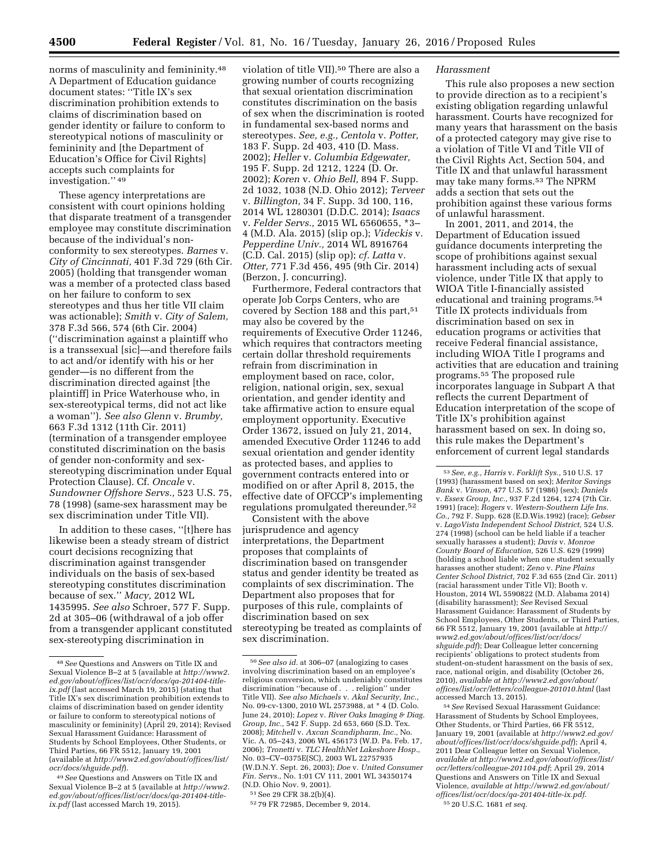norms of masculinity and femininity.48 A Department of Education guidance document states: ''Title IX's sex discrimination prohibition extends to claims of discrimination based on gender identity or failure to conform to stereotypical notions of masculinity or femininity and [the Department of Education's Office for Civil Rights] accepts such complaints for investigation.'' 49

These agency interpretations are consistent with court opinions holding that disparate treatment of a transgender employee may constitute discrimination because of the individual's nonconformity to sex stereotypes. *Barnes* v. *City of Cincinnati,* 401 F.3d 729 (6th Cir. 2005) (holding that transgender woman was a member of a protected class based on her failure to conform to sex stereotypes and thus her title VII claim was actionable); *Smith* v. *City of Salem,*  378 F.3d 566, 574 (6th Cir. 2004) (''discrimination against a plaintiff who is a transsexual [sic]—and therefore fails to act and/or identify with his or her gender—is no different from the discrimination directed against [the plaintiff] in Price Waterhouse who, in sex-stereotypical terms, did not act like a woman''). *See also Glenn* v. *Brumby,*  663 F.3d 1312 (11th Cir. 2011) (termination of a transgender employee constituted discrimination on the basis of gender non-conformity and sexstereotyping discrimination under Equal Protection Clause). Cf. *Oncale* v. *Sundowner Offshore Servs.,* 523 U.S. 75, 78 (1998) (same-sex harassment may be sex discrimination under Title VII).

In addition to these cases, ''[t]here has likewise been a steady stream of district court decisions recognizing that discrimination against transgender individuals on the basis of sex-based stereotyping constitutes discrimination because of sex.'' *Macy,* 2012 WL 1435995. *See also* Schroer, 577 F. Supp. 2d at 305–06 (withdrawal of a job offer from a transgender applicant constituted sex-stereotyping discrimination in

violation of title VII).50 There are also a growing number of courts recognizing that sexual orientation discrimination constitutes discrimination on the basis of sex when the discrimination is rooted in fundamental sex-based norms and stereotypes. *See, e.g., Centola* v. *Potter,*  183 F. Supp. 2d 403, 410 (D. Mass. 2002); *Heller* v. *Columbia Edgewater,*  195 F. Supp. 2d 1212, 1224 (D. Or. 2002); *Koren* v. *Ohio Bell,* 894 F. Supp. 2d 1032, 1038 (N.D. Ohio 2012); *Terveer*  v. *Billington,* 34 F. Supp. 3d 100, 116, 2014 WL 1280301 (D.D.C. 2014); *Isaacs*  v. *Felder Servs.,* 2015 WL 6560655, \*3– 4 (M.D. Ala. 2015) (slip op.); *Videckis* v. *Pepperdine Univ.,* 2014 WL 8916764 (C.D. Cal. 2015) (slip op); *cf. Latta* v. *Otter,* 771 F.3d 456, 495 (9th Cir. 2014) (Berzon, J. concurring).

Furthermore, Federal contractors that operate Job Corps Centers, who are covered by Section 188 and this part,<sup>51</sup> may also be covered by the requirements of Executive Order 11246, which requires that contractors meeting certain dollar threshold requirements refrain from discrimination in employment based on race, color, religion, national origin, sex, sexual orientation, and gender identity and take affirmative action to ensure equal employment opportunity. Executive Order 13672, issued on July 21, 2014, amended Executive Order 11246 to add sexual orientation and gender identity as protected bases, and applies to government contracts entered into or modified on or after April 8, 2015, the effective date of OFCCP's implementing regulations promulgated thereunder.52

Consistent with the above jurisprudence and agency interpretations, the Department proposes that complaints of discrimination based on transgender status and gender identity be treated as complaints of sex discrimination. The Department also proposes that for purposes of this rule, complaints of discrimination based on sex stereotyping be treated as complaints of sex discrimination.

#### *Harassment*

This rule also proposes a new section to provide direction as to a recipient's existing obligation regarding unlawful harassment. Courts have recognized for many years that harassment on the basis of a protected category may give rise to a violation of Title VI and Title VII of the Civil Rights Act, Section 504, and Title IX and that unlawful harassment may take many forms.53 The NPRM adds a section that sets out the prohibition against these various forms of unlawful harassment.

In 2001, 2011, and 2014, the Department of Education issued guidance documents interpreting the scope of prohibitions against sexual harassment including acts of sexual violence, under Title IX that apply to WIOA Title I-financially assisted educational and training programs.54 Title IX protects individuals from discrimination based on sex in education programs or activities that receive Federal financial assistance, including WIOA Title I programs and activities that are education and training programs.55 The proposed rule incorporates language in Subpart A that reflects the current Department of Education interpretation of the scope of Title IX's prohibition against harassment based on sex. In doing so, this rule makes the Department's enforcement of current legal standards

54*See* Revised Sexual Harassment Guidance: Harassment of Students by School Employees, Other Students, or Third Parties, 66 FR 5512, January 19, 2001 (available at *[http://www2.ed.gov/](http://www2.ed.gov/about/offices/list/ocr/docs/shguide.pdf) [about/offices/list/ocr/docs/shguide.pdf](http://www2.ed.gov/about/offices/list/ocr/docs/shguide.pdf)*); April 4, 2011 Dear Colleague letter on Sexual Violence, *available at [http://www2.ed.gov/about/offices/list/](http://www2.ed.gov/about/offices/list/ocr/letters/colleague-201104.pdf) [ocr/letters/colleague-201104.pdf](http://www2.ed.gov/about/offices/list/ocr/letters/colleague-201104.pdf)*; April 29, 2014 Questions and Answers on Title IX and Sexual Violence, *available at [http://www2.ed.gov/about/](http://www2.ed.gov/about/offices/list/ocr/docs/qa-201404-title-ix.pdf) [offices/list/ocr/docs/qa-201404-title-ix.pdf](http://www2.ed.gov/about/offices/list/ocr/docs/qa-201404-title-ix.pdf)*. 55 20 U.S.C. 1681 *et seq.* 

<sup>48</sup>*See* Questions and Answers on Title IX and Sexual Violence B–2 at 5 (available at *[http://www2.](http://www2.ed.gov/about/offices/list/ocr/docs/qa-201404-title-ix.pdf) [ed.gov/about/offices/list/ocr/docs/qa-201404-title](http://www2.ed.gov/about/offices/list/ocr/docs/qa-201404-title-ix.pdf)[ix.pdf](http://www2.ed.gov/about/offices/list/ocr/docs/qa-201404-title-ix.pdf)* (last accessed March 19, 2015) (stating that Title IX's sex discrimination prohibition extends to claims of discrimination based on gender identity or failure to conform to stereotypical notions of masculinity or femininity) (April 29, 2014); Revised Sexual Harassment Guidance: Harassment of Students by School Employees, Other Students, or Third Parties, 66 FR 5512, January 19, 2001 (available at *[http://www2.ed.gov/about/offices/list/](http://www2.ed.gov/about/offices/list/ocr/docs/shguide.pdf) [ocr/docs/shguide.pdf](http://www2.ed.gov/about/offices/list/ocr/docs/shguide.pdf)*).

<sup>49</sup>*See* Questions and Answers on Title IX and Sexual Violence B–2 at 5 (available at *[http://www2.](http://www2.ed.gov/about/offices/list/ocr/docs/qa-201404-title-ix.pdf) [ed.gov/about/offices/list/ocr/docs/qa-201404-title](http://www2.ed.gov/about/offices/list/ocr/docs/qa-201404-title-ix.pdf)[ix.pdf](http://www2.ed.gov/about/offices/list/ocr/docs/qa-201404-title-ix.pdf)* (last accessed March 19, 2015).

<sup>50</sup>*See also id.* at 306–07 (analogizing to cases involving discrimination based on an employee's religious conversion, which undeniably constitutes discrimination ''because of . . . religion'' under Title VII). *See also Michaels* v. *Akal Security, Inc.,*  No. 09-cv-1300, 2010 WL 2573988, at \* 4 (D. Colo. June 24, 2010); *Lopez* v. *River Oaks Imaging & Diag. Group, Inc.,* 542 F. Supp. 2d 653, 660 (S.D. Tex. 2008); *Mitchell* v. *Axcan Scandipharm, Inc.,* No. Vic. A. 05–243, 2006 WL 456173 (W.D. Pa. Feb. 17, 2006); *Tronetti* v. *TLC HealthNet Lakeshore Hosp.,*  No. 03–CV–0375E(SC), 2003 WL 22757935 (W.D.N.Y. Sept. 26, 2003); *Doe* v. *United Consumer Fin. Servs.,* No. 1:01 CV 111, 2001 WL 34350174 (N.D. Ohio Nov. 9, 2001).

<sup>51</sup>See 29 CFR 38.2(b)(4).

<sup>52</sup> 79 FR 72985, December 9, 2014.

<sup>53</sup>*See, e.g., Harris* v. *Forklift Sys.,* 510 U.S. 17 (1993) (harassment based on sex); *Meritor Savings Bank* v. *Vinson,* 477 U.S. 57 (1986) (sex); *Daniels*  v. *Essex Group, Inc.,* 937 F.2d 1264, 1274 (7th Cir. 1991) (race); *Rogers* v. *Western-Southern Life Ins. Co.,* 792 F. Supp. 628 (E.D.Wis.1992) (race); *Gebser*  v. *LagoVista Independent School District,* 524 U.S. 274 (1998) (school can be held liable if a teacher sexually harasses a student); *Davis* v. *Monroe County Board of Education,* 526 U.S. 629 (1999) (holding a school liable when one student sexually harasses another student; *Zeno* v. *Pine Plains Center School District,* 702 F.3d 655 (2nd Cir. 2011) (racial harassment under Title VI); Booth v. Houston, 2014 WL 5590822 (M.D. Alabama 2014) (disability harassment); *See* Revised Sexual Harassment Guidance: Harassment of Students by School Employees, Other Students, or Third Parties, 66 FR 5512, January 19, 2001 (available at *[http://](http://www2.ed.gov/about/offices/list/ocr/docs/shguide.pdf)  [www2.ed.gov/about/offices/list/ocr/docs/](http://www2.ed.gov/about/offices/list/ocr/docs/shguide.pdf) [shguide.pdf](http://www2.ed.gov/about/offices/list/ocr/docs/shguide.pdf)*); Dear Colleague letter concerning recipients' obligations to protect students from student-on-student harassment on the basis of sex, race, national origin, and disability (October 26, 2010), *available at [http://www2.ed.gov/about/](http://www2.ed.gov/about/offices/list/ocr/letters/colleague-201010.html) [offices/list/ocr/letters/colleague-201010.html](http://www2.ed.gov/about/offices/list/ocr/letters/colleague-201010.html)* (last accessed March 13, 2015).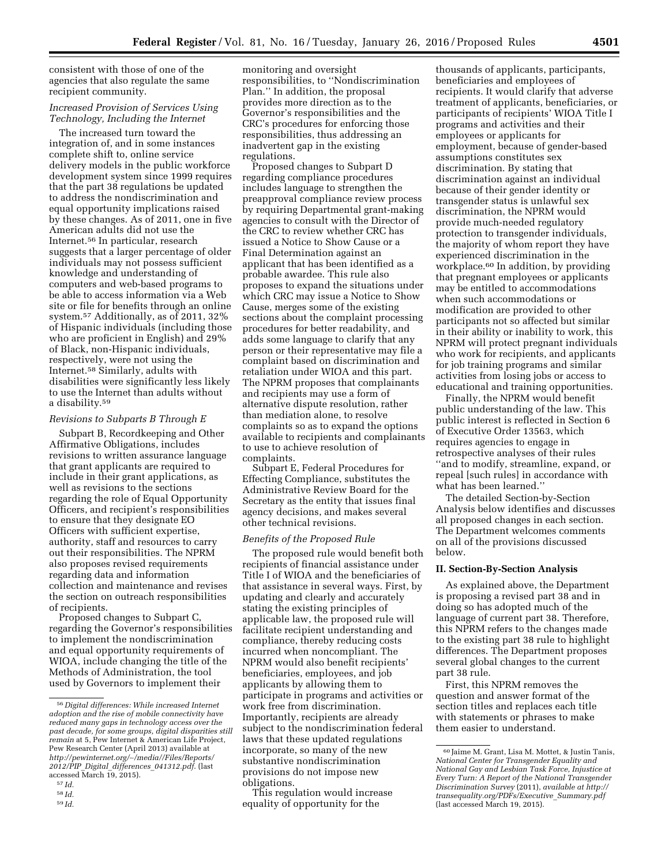consistent with those of one of the agencies that also regulate the same recipient community.

# *Increased Provision of Services Using Technology, Including the Internet*

The increased turn toward the integration of, and in some instances complete shift to, online service delivery models in the public workforce development system since 1999 requires that the part 38 regulations be updated to address the nondiscrimination and equal opportunity implications raised by these changes. As of 2011, one in five American adults did not use the Internet.56 In particular, research suggests that a larger percentage of older individuals may not possess sufficient knowledge and understanding of computers and web-based programs to be able to access information via a Web site or file for benefits through an online system.57 Additionally, as of 2011, 32% of Hispanic individuals (including those who are proficient in English) and 29% of Black, non-Hispanic individuals, respectively, were not using the Internet.58 Similarly, adults with disabilities were significantly less likely to use the Internet than adults without a disability.59

#### *Revisions to Subparts B Through E*

Subpart B, Recordkeeping and Other Affirmative Obligations, includes revisions to written assurance language that grant applicants are required to include in their grant applications, as well as revisions to the sections regarding the role of Equal Opportunity Officers, and recipient's responsibilities to ensure that they designate EO Officers with sufficient expertise, authority, staff and resources to carry out their responsibilities. The NPRM also proposes revised requirements regarding data and information collection and maintenance and revises the section on outreach responsibilities of recipients.

Proposed changes to Subpart C, regarding the Governor's responsibilities to implement the nondiscrimination and equal opportunity requirements of WIOA, include changing the title of the Methods of Administration, the tool used by Governors to implement their

59 *Id.* 

monitoring and oversight responsibilities, to ''Nondiscrimination Plan.'' In addition, the proposal provides more direction as to the Governor's responsibilities and the CRC's procedures for enforcing those responsibilities, thus addressing an inadvertent gap in the existing regulations.

Proposed changes to Subpart D regarding compliance procedures includes language to strengthen the preapproval compliance review process by requiring Departmental grant-making agencies to consult with the Director of the CRC to review whether CRC has issued a Notice to Show Cause or a Final Determination against an applicant that has been identified as a probable awardee. This rule also proposes to expand the situations under which CRC may issue a Notice to Show Cause, merges some of the existing sections about the complaint processing procedures for better readability, and adds some language to clarify that any person or their representative may file a complaint based on discrimination and retaliation under WIOA and this part. The NPRM proposes that complainants and recipients may use a form of alternative dispute resolution, rather than mediation alone, to resolve complaints so as to expand the options available to recipients and complainants to use to achieve resolution of complaints.

Subpart E, Federal Procedures for Effecting Compliance, substitutes the Administrative Review Board for the Secretary as the entity that issues final agency decisions, and makes several other technical revisions.

#### *Benefits of the Proposed Rule*

The proposed rule would benefit both recipients of financial assistance under Title I of WIOA and the beneficiaries of that assistance in several ways. First, by updating and clearly and accurately stating the existing principles of applicable law, the proposed rule will facilitate recipient understanding and compliance, thereby reducing costs incurred when noncompliant. The NPRM would also benefit recipients' beneficiaries, employees, and job applicants by allowing them to participate in programs and activities or work free from discrimination. Importantly, recipients are already subject to the nondiscrimination federal laws that these updated regulations incorporate, so many of the new substantive nondiscrimination provisions do not impose new obligations.

This regulation would increase equality of opportunity for the

thousands of applicants, participants, beneficiaries and employees of recipients. It would clarify that adverse treatment of applicants, beneficiaries, or participants of recipients' WIOA Title I programs and activities and their employees or applicants for employment, because of gender-based assumptions constitutes sex discrimination. By stating that discrimination against an individual because of their gender identity or transgender status is unlawful sex discrimination, the NPRM would provide much-needed regulatory protection to transgender individuals, the majority of whom report they have experienced discrimination in the workplace.60 In addition, by providing that pregnant employees or applicants may be entitled to accommodations when such accommodations or modification are provided to other participants not so affected but similar in their ability or inability to work, this NPRM will protect pregnant individuals who work for recipients, and applicants for job training programs and similar activities from losing jobs or access to educational and training opportunities.

Finally, the NPRM would benefit public understanding of the law. This public interest is reflected in Section 6 of Executive Order 13563, which requires agencies to engage in retrospective analyses of their rules ''and to modify, streamline, expand, or repeal [such rules] in accordance with what has been learned.''

The detailed Section-by-Section Analysis below identifies and discusses all proposed changes in each section. The Department welcomes comments on all of the provisions discussed below.

#### **II. Section-By-Section Analysis**

As explained above, the Department is proposing a revised part 38 and in doing so has adopted much of the language of current part 38. Therefore, this NPRM refers to the changes made to the existing part 38 rule to highlight differences. The Department proposes several global changes to the current part 38 rule.

First, this NPRM removes the question and answer format of the section titles and replaces each title with statements or phrases to make them easier to understand.

<sup>56</sup> *Digital differences: While increased Internet adoption and the rise of mobile connectivity have reduced many gaps in technology access over the past decade, for some groups, digital disparities still remain* at 5, Pew Internet & American Life Project, Pew Research Center (April 2013) available at *[http://pewinternet.org/](http://pewinternet.org/~/media//Files/Reports/2012/PIP_Digital_differences_041312.pdf)*∼*/media//Files/Reports/ 2012/PIP*\_*Digital*\_*differences*\_*[041312.pdf](http://pewinternet.org/~/media//Files/Reports/2012/PIP_Digital_differences_041312.pdf)*. (last accessed March 19, 2015).

<sup>57</sup> *Id.* 

<sup>58</sup> *Id.* 

<sup>60</sup> Jaime M. Grant, Lisa M. Mottet, & Justin Tanis, *National Center for Transgender Equality and National Gay and Lesbian Task Force, Injustice at Every Turn: A Report of the National Transgender Discrimination Survey* (2011), *available at [http://](http://transequality.org/PDFs/Executive_Summary.pdf) [transequality.org/PDFs/Executive](http://transequality.org/PDFs/Executive_Summary.pdf)*\_*Summary.pdf*  (last accessed March 19, 2015).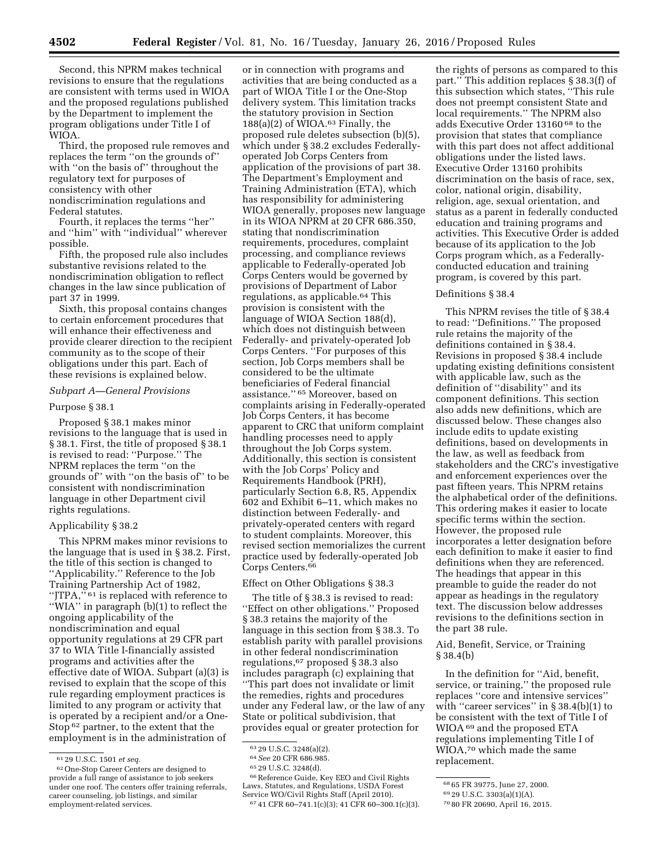Second, this NPRM makes technical revisions to ensure that the regulations are consistent with terms used in WIOA and the proposed regulations published by the Department to implement the program obligations under Title I of WIOA.

Third, the proposed rule removes and replaces the term ''on the grounds of'' with ''on the basis of'' throughout the regulatory text for purposes of consistency with other nondiscrimination regulations and Federal statutes.

Fourth, it replaces the terms ''her'' and ''him'' with ''individual'' wherever possible.

Fifth, the proposed rule also includes substantive revisions related to the nondiscrimination obligation to reflect changes in the law since publication of part 37 in 1999.

Sixth, this proposal contains changes to certain enforcement procedures that will enhance their effectiveness and provide clearer direction to the recipient community as to the scope of their obligations under this part. Each of these revisions is explained below.

### *Subpart A—General Provisions*

#### Purpose § 38.1

Proposed § 38.1 makes minor revisions to the language that is used in § 38.1. First, the title of proposed § 38.1 is revised to read: ''Purpose.'' The NPRM replaces the term ''on the grounds of'' with ''on the basis of'' to be consistent with nondiscrimination language in other Department civil rights regulations.

#### Applicability § 38.2

This NPRM makes minor revisions to the language that is used in § 38.2. First, the title of this section is changed to ''Applicability.'' Reference to the Job Training Partnership Act of 1982, ''JTPA,'' 61 is replaced with reference to ''WIA'' in paragraph (b)(1) to reflect the ongoing applicability of the nondiscrimination and equal opportunity regulations at 29 CFR part 37 to WIA Title I-financially assisted programs and activities after the effective date of WIOA. Subpart (a)(3) is revised to explain that the scope of this rule regarding employment practices is limited to any program or activity that is operated by a recipient and/or a One-Stop 62 partner, to the extent that the employment is in the administration of

or in connection with programs and activities that are being conducted as a part of WIOA Title I or the One-Stop delivery system. This limitation tracks the statutory provision in Section  $188(a)(2)$  of WIOA.<sup>63</sup> Finally, the proposed rule deletes subsection (b)(5), which under § 38.2 excludes Federallyoperated Job Corps Centers from application of the provisions of part 38. The Department's Employment and Training Administration (ETA), which has responsibility for administering WIOA generally, proposes new language in its WIOA NPRM at 20 CFR 686.350, stating that nondiscrimination requirements, procedures, complaint processing, and compliance reviews applicable to Federally-operated Job Corps Centers would be governed by provisions of Department of Labor regulations, as applicable.64 This provision is consistent with the language of WIOA Section 188(d), which does not distinguish between Federally- and privately-operated Job Corps Centers. ''For purposes of this section, Job Corps members shall be considered to be the ultimate beneficiaries of Federal financial assistance.'' 65 Moreover, based on complaints arising in Federally-operated Job Corps Centers, it has become apparent to CRC that uniform complaint handling processes need to apply throughout the Job Corps system. Additionally, this section is consistent with the Job Corps' Policy and Requirements Handbook (PRH), particularly Section 6.8, R5, Appendix 602 and Exhibit 6–11, which makes no distinction between Federally- and privately-operated centers with regard to student complaints. Moreover, this revised section memorializes the current practice used by federally-operated Job Corps Centers.66

Effect on Other Obligations § 38.3

The title of § 38.3 is revised to read: ''Effect on other obligations.'' Proposed § 38.3 retains the majority of the language in this section from § 38.3. To establish parity with parallel provisions in other federal nondiscrimination regulations,67 proposed § 38.3 also includes paragraph (c) explaining that ''This part does not invalidate or limit the remedies, rights and procedures under any Federal law, or the law of any State or political subdivision, that provides equal or greater protection for

<sup>63</sup> 29 U.S.C. 3248(a)(2).<br><sup>64</sup> *See* 20 CFR 686.985.<br><sup>65</sup> 29 U.S.C. 3248(d).<br><sup>66</sup> Reference Guide, Key EEO and Civil Rights Laws, Statutes, and Regulations, USDA Forest

the rights of persons as compared to this part.'' This addition replaces § 38.3(f) of this subsection which states, ''This rule does not preempt consistent State and local requirements.'' The NPRM also adds Executive Order 13160 68 to the provision that states that compliance with this part does not affect additional obligations under the listed laws. Executive Order 13160 prohibits discrimination on the basis of race, sex, color, national origin, disability, religion, age, sexual orientation, and status as a parent in federally conducted education and training programs and activities. This Executive Order is added because of its application to the Job Corps program which, as a Federallyconducted education and training

program, is covered by this part.

#### Definitions § 38.4

This NPRM revises the title of § 38.4 to read: ''Definitions.'' The proposed rule retains the majority of the definitions contained in § 38.4. Revisions in proposed § 38.4 include updating existing definitions consistent with applicable law, such as the definition of ''disability'' and its component definitions. This section also adds new definitions, which are discussed below. These changes also include edits to update existing definitions, based on developments in the law, as well as feedback from stakeholders and the CRC's investigative and enforcement experiences over the past fifteen years. This NPRM retains the alphabetical order of the definitions. This ordering makes it easier to locate specific terms within the section. However, the proposed rule incorporates a letter designation before each definition to make it easier to find definitions when they are referenced. The headings that appear in this preamble to guide the reader do not appear as headings in the regulatory text. The discussion below addresses revisions to the definitions section in the part 38 rule.

Aid, Benefit, Service, or Training § 38.4(b)

In the definition for ''Aid, benefit, service, or training,'' the proposed rule replaces ''core and intensive services'' with "career services" in § 38.4(b)(1) to be consistent with the text of Title I of WIOA 69 and the proposed ETA regulations implementing Title I of WIOA,70 which made the same replacement.

67 41 CFR 60-741.1(c)(3); 41 CFR 60-300.1(c)(3).

<sup>61</sup> 29 U.S.C. 1501 *et seq.* 

<sup>62</sup>One-Stop Career Centers are designed to provide a full range of assistance to job seekers under one roof. The centers offer training referrals, career counseling, job listings, and similar employment-related services.

<sup>68</sup> 65 FR 39775, June 27, 2000.

<sup>69</sup> 29 U.S.C. 3303(a)(1)(A).

<sup>70</sup> 80 FR 20690, April 16, 2015.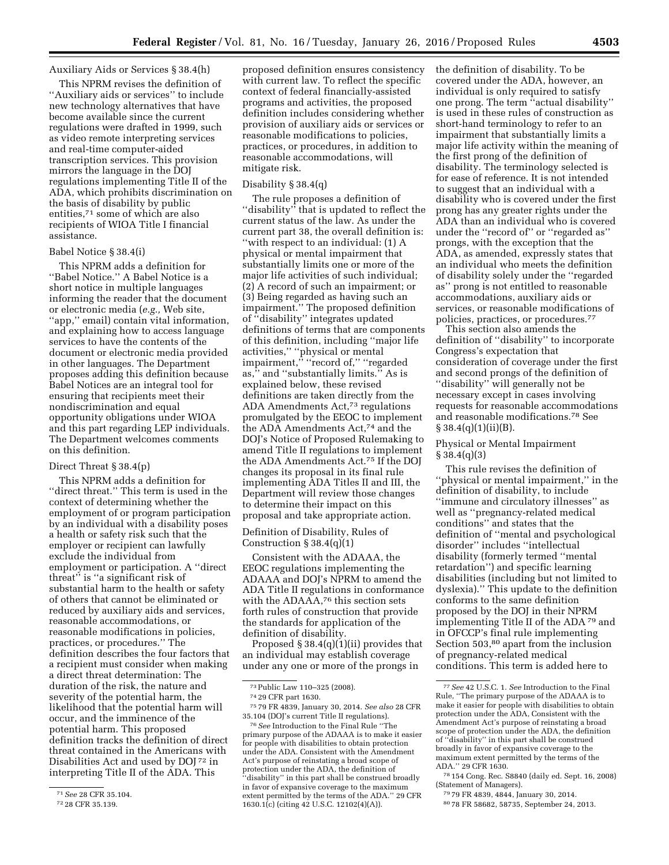## Auxiliary Aids or Services § 38.4(h)

This NPRM revises the definition of ''Auxiliary aids or services'' to include new technology alternatives that have become available since the current regulations were drafted in 1999, such as video remote interpreting services and real-time computer-aided transcription services. This provision mirrors the language in the DOJ regulations implementing Title II of the ADA, which prohibits discrimination on the basis of disability by public entities,71 some of which are also recipients of WIOA Title I financial assistance.

### Babel Notice § 38.4(i)

This NPRM adds a definition for ''Babel Notice.'' A Babel Notice is a short notice in multiple languages informing the reader that the document or electronic media (*e.g.,* Web site, ''app,'' email) contain vital information, and explaining how to access language services to have the contents of the document or electronic media provided in other languages. The Department proposes adding this definition because Babel Notices are an integral tool for ensuring that recipients meet their nondiscrimination and equal opportunity obligations under WIOA and this part regarding LEP individuals. The Department welcomes comments on this definition.

# Direct Threat § 38.4(p)

This NPRM adds a definition for ''direct threat.'' This term is used in the context of determining whether the employment of or program participation by an individual with a disability poses a health or safety risk such that the employer or recipient can lawfully exclude the individual from employment or participation. A ''direct threat'' is ''a significant risk of substantial harm to the health or safety of others that cannot be eliminated or reduced by auxiliary aids and services, reasonable accommodations, or reasonable modifications in policies, practices, or procedures.'' The definition describes the four factors that a recipient must consider when making a direct threat determination: The duration of the risk, the nature and severity of the potential harm, the likelihood that the potential harm will occur, and the imminence of the potential harm. This proposed definition tracks the definition of direct threat contained in the Americans with Disabilities Act and used by DOJ 72 in interpreting Title II of the ADA. This

proposed definition ensures consistency with current law. To reflect the specific context of federal financially-assisted programs and activities, the proposed definition includes considering whether provision of auxiliary aids or services or reasonable modifications to policies, practices, or procedures, in addition to reasonable accommodations, will mitigate risk.

### Disability § 38.4(q)

The rule proposes a definition of "disability" that is updated to reflect the current status of the law. As under the current part 38, the overall definition is: ''with respect to an individual: (1) A physical or mental impairment that substantially limits one or more of the major life activities of such individual; (2) A record of such an impairment; or (3) Being regarded as having such an impairment.'' The proposed definition of ''disability'' integrates updated definitions of terms that are components of this definition, including ''major life activities,'' ''physical or mental impairment,'' ''record of,'' ''regarded as,'' and ''substantially limits.'' As is explained below, these revised definitions are taken directly from the ADA Amendments Act,73 regulations promulgated by the EEOC to implement the ADA Amendments Act,74 and the DOJ's Notice of Proposed Rulemaking to amend Title II regulations to implement the ADA Amendments Act.75 If the DOJ changes its proposal in its final rule implementing ADA Titles II and III, the Department will review those changes to determine their impact on this proposal and take appropriate action.

Definition of Disability, Rules of Construction  $\S 38.4(q)(1)$ 

Consistent with the ADAAA, the EEOC regulations implementing the ADAAA and DOJ's NPRM to amend the ADA Title II regulations in conformance with the ADAAA,76 this section sets forth rules of construction that provide the standards for application of the definition of disability.

Proposed  $\S 38.4(q)(1)(ii)$  provides that an individual may establish coverage under any one or more of the prongs in

the definition of disability. To be covered under the ADA, however, an individual is only required to satisfy one prong. The term ''actual disability'' is used in these rules of construction as short-hand terminology to refer to an impairment that substantially limits a major life activity within the meaning of the first prong of the definition of disability. The terminology selected is for ease of reference. It is not intended to suggest that an individual with a disability who is covered under the first prong has any greater rights under the ADA than an individual who is covered under the ''record of'' or ''regarded as'' prongs, with the exception that the ADA, as amended, expressly states that an individual who meets the definition of disability solely under the ''regarded as'' prong is not entitled to reasonable accommodations, auxiliary aids or services, or reasonable modifications of policies, practices, or procedures.77

This section also amends the definition of ''disability'' to incorporate Congress's expectation that consideration of coverage under the first and second prongs of the definition of ''disability'' will generally not be necessary except in cases involving requests for reasonable accommodations and reasonable modifications.78 See  $§ 38.4(q)(1)(ii)(B).$ 

# Physical or Mental Impairment § 38.4(q)(3)

This rule revises the definition of ''physical or mental impairment,'' in the definition of disability, to include ''immune and circulatory illnesses'' as well as ''pregnancy-related medical conditions'' and states that the definition of ''mental and psychological disorder'' includes ''intellectual disability (formerly termed ''mental retardation'') and specific learning disabilities (including but not limited to dyslexia).'' This update to the definition conforms to the same definition proposed by the DOJ in their NPRM implementing Title II of the ADA 79 and in OFCCP's final rule implementing Section 503,80 apart from the inclusion of pregnancy-related medical conditions. This term is added here to

78 154 Cong. Rec. S8840 (daily ed. Sept. 16, 2008) (Statement of Managers).

<sup>71</sup>*See* 28 CFR 35.104.

<sup>72</sup> 28 CFR 35.139.

<sup>73</sup>Public Law 110–325 (2008).

<sup>74</sup> 29 CFR part 1630.

<sup>75</sup> 79 FR 4839, January 30, 2014. *See also* 28 CFR 35.104 (DOJ's current Title II regulations).

<sup>76</sup>*See* Introduction to the Final Rule ''The primary purpose of the ADAAA is to make it easier for people with disabilities to obtain protection under the ADA. Consistent with the Amendment Act's purpose of reinstating a broad scope of protection under the ADA, the definition of ''disability'' in this part shall be construed broadly in favor of expansive coverage to the maximum extent permitted by the terms of the ADA.'' 29 CFR 1630.1(c) (citing 42 U.S.C. 12102(4)(A)).

<sup>77</sup>*See* 42 U.S.C. 1. *See* Introduction to the Final Rule, ''The primary purpose of the ADAAA is to make it easier for people with disabilities to obtain protection under the ADA, Consistent with the Amendment Act's purpose of reinstating a broad scope of protection under the ADA, the definition of ''disability'' in this part shall be construed broadly in favor of expansive coverage to the maximum extent permitted by the terms of the ADA.'' 29 CFR 1630.

<sup>79</sup> 79 FR 4839, 4844, January 30, 2014.

<sup>80</sup> 78 FR 58682, 58735, September 24, 2013.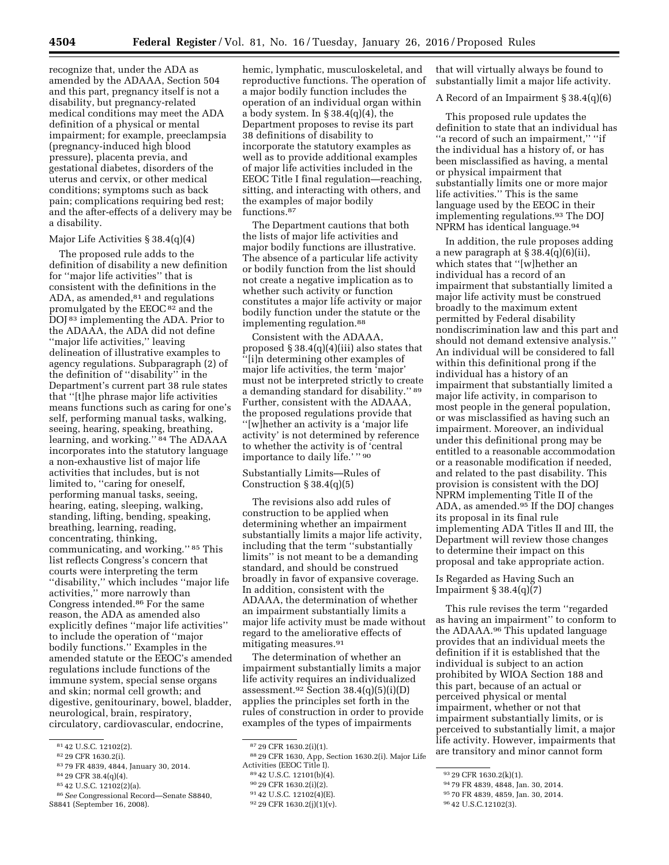recognize that, under the ADA as amended by the ADAAA, Section 504 and this part, pregnancy itself is not a disability, but pregnancy-related medical conditions may meet the ADA definition of a physical or mental impairment; for example, preeclampsia (pregnancy-induced high blood pressure), placenta previa, and gestational diabetes, disorders of the uterus and cervix, or other medical conditions; symptoms such as back pain; complications requiring bed rest; and the after-effects of a delivery may be a disability.

### Major Life Activities § 38.4(q)(4)

The proposed rule adds to the definition of disability a new definition for ''major life activities'' that is consistent with the definitions in the ADA, as amended, $81$  and regulations promulgated by the EEOC<sup>82</sup> and the DOJ 83 implementing the ADA. Prior to the ADAAA, the ADA did not define ''major life activities,'' leaving delineation of illustrative examples to agency regulations. Subparagraph (2) of the definition of ''disability'' in the Department's current part 38 rule states that ''[t]he phrase major life activities means functions such as caring for one's self, performing manual tasks, walking, seeing, hearing, speaking, breathing, learning, and working.'' 84 The ADAAA incorporates into the statutory language a non-exhaustive list of major life activities that includes, but is not limited to, "caring for oneself, performing manual tasks, seeing, hearing, eating, sleeping, walking, standing, lifting, bending, speaking, breathing, learning, reading, concentrating, thinking, communicating, and working.'' 85 This list reflects Congress's concern that courts were interpreting the term ''disability,'' which includes ''major life activities,'' more narrowly than Congress intended.86 For the same reason, the ADA as amended also explicitly defines ''major life activities'' to include the operation of ''major bodily functions.'' Examples in the amended statute or the EEOC's amended regulations include functions of the immune system, special sense organs and skin; normal cell growth; and digestive, genitourinary, bowel, bladder, neurological, brain, respiratory, circulatory, cardiovascular, endocrine,

- 82 29 CFR 1630.2(i).
- 83 79 FR 4839, 4844, January 30, 2014.
- 84 29 CFR 38.4(q)(4).
- 85 42 U.S.C. 12102(2)(a).

hemic, lymphatic, musculoskeletal, and reproductive functions. The operation of a major bodily function includes the operation of an individual organ within a body system. In  $\S 38.4(q)(4)$ , the Department proposes to revise its part 38 definitions of disability to incorporate the statutory examples as well as to provide additional examples of major life activities included in the EEOC Title I final regulation—reaching, sitting, and interacting with others, and the examples of major bodily functions.87

The Department cautions that both the lists of major life activities and major bodily functions are illustrative. The absence of a particular life activity or bodily function from the list should not create a negative implication as to whether such activity or function constitutes a major life activity or major bodily function under the statute or the implementing regulation.<sup>88</sup>

Consistent with the ADAAA, proposed  $\S 38.4(q)(4)(iii)$  also states that ''[i]n determining other examples of major life activities, the term 'major' must not be interpreted strictly to create a demanding standard for disability.'' 89 Further, consistent with the ADAAA, the proposed regulations provide that ''[w]hether an activity is a 'major life activity' is not determined by reference to whether the activity is of 'central importance to daily life.'" 90

# Substantially Limits—Rules of Construction § 38.4(q)(5)

The revisions also add rules of construction to be applied when determining whether an impairment substantially limits a major life activity, including that the term ''substantially limits'' is not meant to be a demanding standard, and should be construed broadly in favor of expansive coverage. In addition, consistent with the ADAAA, the determination of whether an impairment substantially limits a major life activity must be made without regard to the ameliorative effects of mitigating measures.91

The determination of whether an impairment substantially limits a major life activity requires an individualized assessment.<sup>92</sup> Section  $38.4(q)(5)(i)(D)$ applies the principles set forth in the rules of construction in order to provide examples of the types of impairments

- 90 29 CFR 1630.2(i)(2).
- 91 42 U.S.C. 12102(4)(E).

that will virtually always be found to substantially limit a major life activity.

#### A Record of an Impairment § 38.4(q)(6)

This proposed rule updates the definition to state that an individual has ''a record of such an impairment,'' ''if the individual has a history of, or has been misclassified as having, a mental or physical impairment that substantially limits one or more major life activities.'' This is the same language used by the EEOC in their implementing regulations.93 The DOJ NPRM has identical language.94

In addition, the rule proposes adding a new paragraph at  $\S 38.4(q)(6)(ii)$ , which states that ''[w]hether an individual has a record of an impairment that substantially limited a major life activity must be construed broadly to the maximum extent permitted by Federal disability nondiscrimination law and this part and should not demand extensive analysis.'' An individual will be considered to fall within this definitional prong if the individual has a history of an impairment that substantially limited a major life activity, in comparison to most people in the general population, or was misclassified as having such an impairment. Moreover, an individual under this definitional prong may be entitled to a reasonable accommodation or a reasonable modification if needed, and related to the past disability. This provision is consistent with the DOJ NPRM implementing Title II of the ADA, as amended.95 If the DOJ changes its proposal in its final rule implementing ADA Titles II and III, the Department will review those changes to determine their impact on this proposal and take appropriate action.

Is Regarded as Having Such an Impairment  $\S 38.4(q)(7)$ 

This rule revises the term ''regarded as having an impairment'' to conform to the ADAAA.96 This updated language provides that an individual meets the definition if it is established that the individual is subject to an action prohibited by WIOA Section 188 and this part, because of an actual or perceived physical or mental impairment, whether or not that impairment substantially limits, or is perceived to substantially limit, a major life activity. However, impairments that are transitory and minor cannot form

<sup>81</sup> 42 U.S.C. 12102(2).

<sup>86</sup>*See* Congressional Record—Senate S8840, S8841 (September 16, 2008).

<sup>87</sup> 29 CFR 1630.2(i)(1).

<sup>88</sup> 29 CFR 1630, App, Section 1630.2(i). Major Life Activities (EEOC Title I).

<sup>89</sup> 42 U.S.C. 12101(b)(4).

<sup>92</sup> 29 CFR 1630.2(j)(1)(v).

<sup>93</sup> 29 CFR 1630.2(k)(1).

<sup>94</sup> 79 FR 4839, 4848, Jan. 30, 2014.

<sup>95</sup> 70 FR 4839, 4859, Jan. 30, 2014.

<sup>96</sup> 42 U.S.C.12102(3).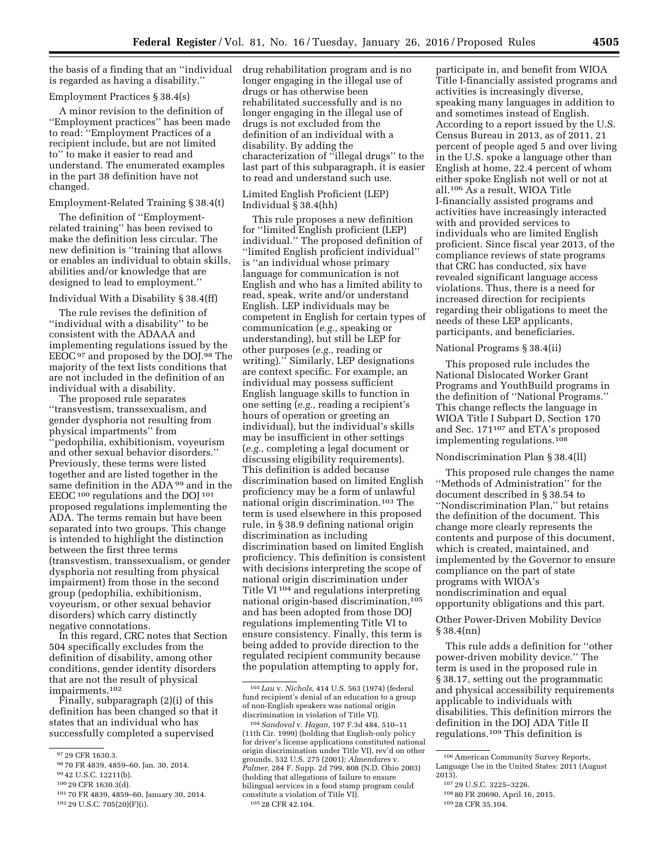the basis of a finding that an ''individual is regarded as having a disability.''

### Employment Practices § 38.4(s)

A minor revision to the definition of ''Employment practices'' has been made to read: ''Employment Practices of a recipient include, but are not limited to'' to make it easier to read and understand. The enumerated examples in the part 38 definition have not changed.

#### Employment-Related Training § 38.4(t)

The definition of ''Employmentrelated training'' has been revised to make the definition less circular. The new definition is ''training that allows or enables an individual to obtain skills, abilities and/or knowledge that are designed to lead to employment.''

### Individual With a Disability § 38.4(ff)

The rule revises the definition of ''individual with a disability'' to be consistent with the ADAAA and implementing regulations issued by the EEOC97 and proposed by the DOJ.98 The majority of the text lists conditions that are not included in the definition of an individual with a disability.

The proposed rule separates ''transvestism, transsexualism, and gender dysphoria not resulting from physical impartments'' from

''pedophilia, exhibitionism, voyeurism and other sexual behavior disorders.'' Previously, these terms were listed together and are listed together in the same definition in the ADA<sup>99</sup> and in the EEOC 100 regulations and the DOJ 101 proposed regulations implementing the ADA. The terms remain but have been separated into two groups. This change is intended to highlight the distinction between the first three terms (transvestism, transsexualism, or gender dysphoria not resulting from physical impairment) from those in the second group (pedophilia, exhibitionism, voyeurism, or other sexual behavior disorders) which carry distinctly negative connotations.

In this regard, CRC notes that Section 504 specifically excludes from the definition of disability, among other conditions, gender identity disorders that are not the result of physical impairments.102

Finally, subparagraph (2)(i) of this definition has been changed so that it states that an individual who has successfully completed a supervised

drug rehabilitation program and is no longer engaging in the illegal use of drugs or has otherwise been rehabilitated successfully and is no longer engaging in the illegal use of drugs is not excluded from the definition of an individual with a disability. By adding the characterization of ''illegal drugs'' to the last part of this subparagraph, it is easier to read and understand such use.

### Limited English Proficient (LEP) Individual § 38.4(hh)

This rule proposes a new definition for ''limited English proficient (LEP) individual.'' The proposed definition of ''limited English proficient individual'' is ''an individual whose primary language for communication is not English and who has a limited ability to read, speak, write and/or understand English. LEP individuals may be competent in English for certain types of communication (*e.g.,* speaking or understanding), but still be LEP for other purposes (*e.g.,* reading or writing).'' Similarly, LEP designations are context specific. For example, an individual may possess sufficient English language skills to function in one setting (*e.g.,* reading a recipient's hours of operation or greeting an individual), but the individual's skills may be insufficient in other settings (*e.g.,* completing a legal document or discussing eligibility requirements). This definition is added because discrimination based on limited English proficiency may be a form of unlawful national origin discrimination.103 The term is used elsewhere in this proposed rule, in § 38.9 defining national origin discrimination as including discrimination based on limited English proficiency. This definition is consistent with decisions interpreting the scope of national origin discrimination under Title VI 104 and regulations interpreting national origin-based discrimination,105 and has been adopted from those DOJ regulations implementing Title VI to ensure consistency. Finally, this term is being added to provide direction to the regulated recipient community because the population attempting to apply for,

participate in, and benefit from WIOA Title I-financially assisted programs and activities is increasingly diverse, speaking many languages in addition to and sometimes instead of English. According to a report issued by the U.S. Census Bureau in 2013, as of 2011, 21 percent of people aged 5 and over living in the U.S. spoke a language other than English at home, 22.4 percent of whom either spoke English not well or not at all.106 As a result, WIOA Title I-financially assisted programs and activities have increasingly interacted with and provided services to individuals who are limited English proficient. Since fiscal year 2013, of the compliance reviews of state programs that CRC has conducted, six have revealed significant language access violations. Thus, there is a need for increased direction for recipients regarding their obligations to meet the needs of these LEP applicants, participants, and beneficiaries.

#### National Programs § 38.4(ii)

This proposed rule includes the National Dislocated Worker Grant Programs and YouthBuild programs in the definition of ''National Programs.'' This change reflects the language in WIOA Title I Subpart D, Section 170 and Sec. 171107 and ETA's proposed implementing regulations.108

#### Nondiscrimination Plan § 38.4(ll)

This proposed rule changes the name ''Methods of Administration'' for the document described in § 38.54 to ''Nondiscrimination Plan,'' but retains the definition of the document. This change more clearly represents the contents and purpose of this document, which is created, maintained, and implemented by the Governor to ensure compliance on the part of state programs with WIOA's nondiscrimination and equal opportunity obligations and this part.

Other Power-Driven Mobility Device § 38.4(nn)

This rule adds a definition for ''other power-driven mobility device.'' The term is used in the proposed rule in § 38.17, setting out the programmatic and physical accessibility requirements applicable to individuals with disabilities. This definition mirrors the definition in the DOJ ADA Title II regulations.109 This definition is

<sup>97</sup> 29 CFR 1630.3.

<sup>98</sup> 70 FR 4839, 4859–60, Jan. 30, 2014.

<sup>99</sup> 42 U.S.C. 12211(b).

<sup>100</sup> 29 CFR 1630.3(d).

<sup>101</sup> 70 FR 4839, 4859–60, January 30, 2014. 102 29 U.S.C. 705(20)(F)(i).

<sup>103</sup> *Lau* v. *Nichols,* 414 U.S. 563 (1974) (federal fund recipient's denial of an education to a group of non-English speakers was national origin discrimination in violation of Title VI).

<sup>104</sup>*Sandoval* v. *Hagan,* 197 F.3d 484, 510–11 (11th Cir. 1999) (holding that English-only policy for driver's license applications constituted national origin discrimination under Title VI), rev'd on other grounds, 532 U.S. 275 (2001); *Almendares* v. *Palmer,* 284 F. Supp. 2d 799, 808 (N.D. Ohio 2003) (holding that allegations of failure to ensure bilingual services in a food stamp program could constitute a violation of Title VI). 105 28 CFR 42.104.

<sup>106</sup>American Community Survey Reports, Language Use in the United States: 2011 (August 2013).

<sup>107</sup> 29 U.S.C. 3225–3226.

<sup>108</sup> 80 FR 20690, April 16, 2015.

<sup>109</sup> 28 CFR 35.104.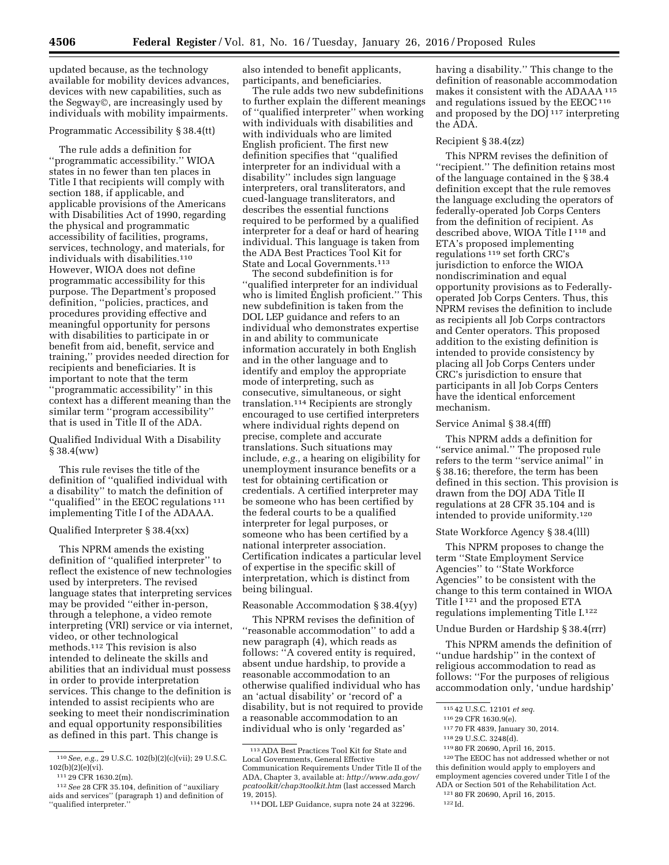updated because, as the technology available for mobility devices advances, devices with new capabilities, such as the Segway©, are increasingly used by individuals with mobility impairments.

## Programmatic Accessibility § 38.4(tt)

The rule adds a definition for ''programmatic accessibility.'' WIOA states in no fewer than ten places in Title I that recipients will comply with section 188, if applicable, and applicable provisions of the Americans with Disabilities Act of 1990, regarding the physical and programmatic accessibility of facilities, programs, services, technology, and materials, for individuals with disabilities.<sup>110</sup> However, WIOA does not define programmatic accessibility for this purpose. The Department's proposed definition, ''policies, practices, and procedures providing effective and meaningful opportunity for persons with disabilities to participate in or benefit from aid, benefit, service and training,'' provides needed direction for recipients and beneficiaries. It is important to note that the term ''programmatic accessibility'' in this context has a different meaning than the similar term ''program accessibility'' that is used in Title II of the ADA.

### Qualified Individual With a Disability § 38.4(ww)

This rule revises the title of the definition of ''qualified individual with a disability'' to match the definition of ''qualified'' in the EEOC regulations 111 implementing Title I of the ADAAA.

#### Qualified Interpreter § 38.4(xx)

This NPRM amends the existing definition of ''qualified interpreter'' to reflect the existence of new technologies used by interpreters. The revised language states that interpreting services may be provided ''either in-person, through a telephone, a video remote interpreting (VRI) service or via internet, video, or other technological methods.112 This revision is also intended to delineate the skills and abilities that an individual must possess in order to provide interpretation services. This change to the definition is intended to assist recipients who are seeking to meet their nondiscrimination and equal opportunity responsibilities as defined in this part. This change is

also intended to benefit applicants, participants, and beneficiaries.

The rule adds two new subdefinitions to further explain the different meanings of ''qualified interpreter'' when working with individuals with disabilities and with individuals who are limited English proficient. The first new definition specifies that ''qualified interpreter for an individual with a disability'' includes sign language interpreters, oral transliterators, and cued-language transliterators, and describes the essential functions required to be performed by a qualified interpreter for a deaf or hard of hearing individual. This language is taken from the ADA Best Practices Tool Kit for State and Local Governments.113

The second subdefinition is for ''qualified interpreter for an individual who is limited English proficient.'' This new subdefinition is taken from the DOL LEP guidance and refers to an individual who demonstrates expertise in and ability to communicate information accurately in both English and in the other language and to identify and employ the appropriate mode of interpreting, such as consecutive, simultaneous, or sight translation.114 Recipients are strongly encouraged to use certified interpreters where individual rights depend on precise, complete and accurate translations. Such situations may include, *e.g.,* a hearing on eligibility for unemployment insurance benefits or a test for obtaining certification or credentials. A certified interpreter may be someone who has been certified by the federal courts to be a qualified interpreter for legal purposes, or someone who has been certified by a national interpreter association. Certification indicates a particular level of expertise in the specific skill of interpretation, which is distinct from being bilingual.

## Reasonable Accommodation § 38.4(yy)

This NPRM revises the definition of ''reasonable accommodation'' to add a new paragraph (4), which reads as follows: ''A covered entity is required, absent undue hardship, to provide a reasonable accommodation to an otherwise qualified individual who has an 'actual disability' or 'record of' a disability, but is not required to provide a reasonable accommodation to an individual who is only 'regarded as'

having a disability.'' This change to the definition of reasonable accommodation makes it consistent with the ADAAA 115 and regulations issued by the EEOC $116$ and proposed by the DOJ 117 interpreting the ADA.

### Recipient § 38.4(zz)

This NPRM revises the definition of ''recipient.'' The definition retains most of the language contained in the § 38.4 definition except that the rule removes the language excluding the operators of federally-operated Job Corps Centers from the definition of recipient. As described above, WIOA Title I 118 and ETA's proposed implementing regulations 119 set forth CRC's jurisdiction to enforce the WIOA nondiscrimination and equal opportunity provisions as to Federallyoperated Job Corps Centers. Thus, this NPRM revises the definition to include as recipients all Job Corps contractors and Center operators. This proposed addition to the existing definition is intended to provide consistency by placing all Job Corps Centers under CRC's jurisdiction to ensure that participants in all Job Corps Centers have the identical enforcement mechanism.

#### Service Animal § 38.4(fff)

This NPRM adds a definition for ''service animal.'' The proposed rule refers to the term ''service animal'' in § 38.16; therefore, the term has been defined in this section. This provision is drawn from the DOJ ADA Title II regulations at 28 CFR 35.104 and is intended to provide uniformity.120

#### State Workforce Agency § 38.4(lll)

This NPRM proposes to change the term ''State Employment Service Agencies'' to ''State Workforce Agencies'' to be consistent with the change to this term contained in WIOA Title I 121 and the proposed ETA regulations implementing Title I.122

### Undue Burden or Hardship § 38.4(rrr)

This NPRM amends the definition of ''undue hardship'' in the context of religious accommodation to read as follows: ''For the purposes of religious accommodation only, 'undue hardship'

120The EEOC has not addressed whether or not this definition would apply to employers and employment agencies covered under Title I of the ADA or Section 501 of the Rehabilitation Act.

121 80 FR 20690, April 16, 2015.

<sup>110</sup>*See, e.g.,* 29 U.S.C. 102(b)(2)(c)(vii); 29 U.S.C.  $102(b)(2)(e)(vi)$ .

<sup>111</sup> 29 CFR 1630.2(m).

<sup>112</sup>*See* 28 CFR 35.104, definition of ''auxiliary aids and services'' (paragraph 1) and definition of ''qualified interpreter.''

<sup>113</sup>ADA Best Practices Tool Kit for State and Local Governments, General Effective Communication Requirements Under Title II of the ADA, Chapter 3, available at: *[http://www.ada.gov/](http://www.ada.gov/pcatoolkit/chap3toolkit.htm) [pcatoolkit/chap3toolkit.htm](http://www.ada.gov/pcatoolkit/chap3toolkit.htm)* (last accessed March 19, 2015).

<sup>114</sup> DOL LEP Guidance, supra note 24 at 32296.

<sup>115</sup> 42 U.S.C. 12101 *et seq.* 

<sup>116</sup> 29 CFR 1630.9(e).

<sup>117</sup> 70 FR 4839, January 30, 2014.

<sup>118</sup> 29 U.S.C. 3248(d).

<sup>119</sup> 80 FR 20690, April 16, 2015.

<sup>122</sup> Id.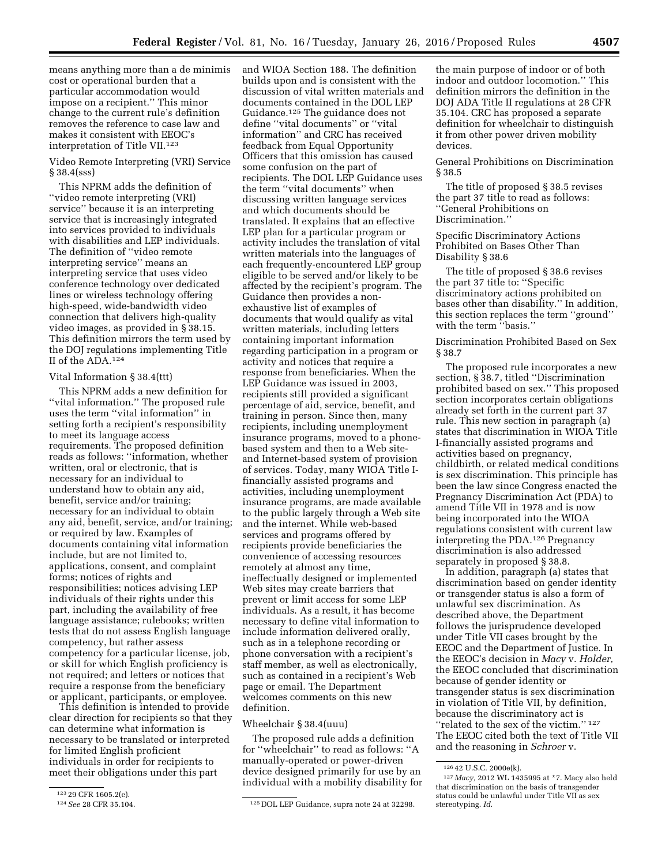means anything more than a de minimis cost or operational burden that a particular accommodation would impose on a recipient.'' This minor change to the current rule's definition removes the reference to case law and makes it consistent with EEOC's interpretation of Title VII.123

Video Remote Interpreting (VRI) Service § 38.4(sss)

This NPRM adds the definition of ''video remote interpreting (VRI) service'' because it is an interpreting service that is increasingly integrated into services provided to individuals with disabilities and LEP individuals. The definition of ''video remote interpreting service'' means an interpreting service that uses video conference technology over dedicated lines or wireless technology offering high-speed, wide-bandwidth video connection that delivers high-quality video images, as provided in § 38.15. This definition mirrors the term used by the DOJ regulations implementing Title II of the ADA.124

### Vital Information § 38.4(ttt)

This NPRM adds a new definition for ''vital information.'' The proposed rule uses the term ''vital information'' in setting forth a recipient's responsibility to meet its language access requirements. The proposed definition reads as follows: ''information, whether written, oral or electronic, that is necessary for an individual to understand how to obtain any aid, benefit, service and/or training; necessary for an individual to obtain any aid, benefit, service, and/or training; or required by law. Examples of documents containing vital information include, but are not limited to, applications, consent, and complaint forms; notices of rights and responsibilities; notices advising LEP individuals of their rights under this part, including the availability of free language assistance; rulebooks; written tests that do not assess English language competency, but rather assess competency for a particular license, job, or skill for which English proficiency is not required; and letters or notices that require a response from the beneficiary or applicant, participants, or employee.

This definition is intended to provide clear direction for recipients so that they can determine what information is necessary to be translated or interpreted for limited English proficient individuals in order for recipients to meet their obligations under this part

and WIOA Section 188. The definition builds upon and is consistent with the discussion of vital written materials and documents contained in the DOL LEP Guidance.125 The guidance does not define ''vital documents'' or ''vital information'' and CRC has received feedback from Equal Opportunity Officers that this omission has caused some confusion on the part of recipients. The DOL LEP Guidance uses the term ''vital documents'' when discussing written language services and which documents should be translated. It explains that an effective LEP plan for a particular program or activity includes the translation of vital written materials into the languages of each frequently-encountered LEP group eligible to be served and/or likely to be affected by the recipient's program. The Guidance then provides a nonexhaustive list of examples of documents that would qualify as vital written materials, including letters containing important information regarding participation in a program or activity and notices that require a response from beneficiaries. When the LEP Guidance was issued in 2003, recipients still provided a significant percentage of aid, service, benefit, and training in person. Since then, many recipients, including unemployment insurance programs, moved to a phonebased system and then to a Web siteand Internet-based system of provision of services. Today, many WIOA Title Ifinancially assisted programs and activities, including unemployment insurance programs, are made available to the public largely through a Web site and the internet. While web-based services and programs offered by recipients provide beneficiaries the convenience of accessing resources remotely at almost any time, ineffectually designed or implemented Web sites may create barriers that prevent or limit access for some LEP individuals. As a result, it has become necessary to define vital information to include information delivered orally, such as in a telephone recording or phone conversation with a recipient's staff member, as well as electronically, such as contained in a recipient's Web page or email. The Department welcomes comments on this new definition.

### Wheelchair § 38.4(uuu)

The proposed rule adds a definition for ''wheelchair'' to read as follows: ''A manually-operated or power-driven device designed primarily for use by an individual with a mobility disability for

the main purpose of indoor or of both indoor and outdoor locomotion.'' This definition mirrors the definition in the DOJ ADA Title II regulations at 28 CFR 35.104. CRC has proposed a separate definition for wheelchair to distinguish it from other power driven mobility devices.

General Prohibitions on Discrimination § 38.5

The title of proposed § 38.5 revises the part 37 title to read as follows: ''General Prohibitions on Discrimination.''

Specific Discriminatory Actions Prohibited on Bases Other Than Disability § 38.6

The title of proposed § 38.6 revises the part 37 title to: ''Specific discriminatory actions prohibited on bases other than disability.'' In addition, this section replaces the term ''ground'' with the term "basis."

Discrimination Prohibited Based on Sex § 38.7

The proposed rule incorporates a new section, § 38.7, titled ''Discrimination prohibited based on sex.'' This proposed section incorporates certain obligations already set forth in the current part 37 rule. This new section in paragraph (a) states that discrimination in WIOA Title I-financially assisted programs and activities based on pregnancy, childbirth, or related medical conditions is sex discrimination. This principle has been the law since Congress enacted the Pregnancy Discrimination Act (PDA) to amend Title VII in 1978 and is now being incorporated into the WIOA regulations consistent with current law interpreting the PDA.126 Pregnancy discrimination is also addressed separately in proposed § 38.8.

In addition, paragraph (a) states that discrimination based on gender identity or transgender status is also a form of unlawful sex discrimination. As described above, the Department follows the jurisprudence developed under Title VII cases brought by the EEOC and the Department of Justice. In the EEOC's decision in *Macy* v. *Holder,*  the EEOC concluded that discrimination because of gender identity or transgender status is sex discrimination in violation of Title VII, by definition, because the discriminatory act is "related to the sex of the victim."<sup>127</sup> The EEOC cited both the text of Title VII and the reasoning in *Schroer* v.

<sup>123 29</sup> CFR 1605.2(e).<br>124 See 28 CFR 35.104.

<sup>&</sup>lt;sup>125</sup> DOL LEP Guidance, supra note 24 at 32298.

<sup>126</sup> 42 U.S.C. 2000e(k).

<sup>127</sup> *Macy,* 2012 WL 1435995 at \*7. Macy also held that discrimination on the basis of transgender status could be unlawful under Title VII as sex stereotyping. *Id.*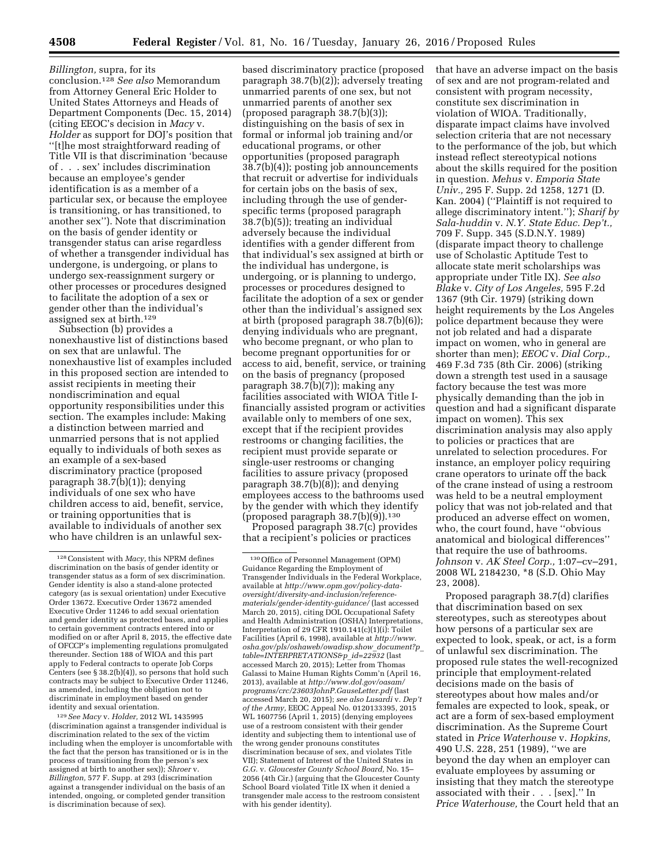*Billington,* supra, for its conclusion.128 *See also* Memorandum from Attorney General Eric Holder to United States Attorneys and Heads of Department Components (Dec. 15, 2014) (citing EEOC's decision in *Macy* v. *Holder* as support for DOJ's position that ''[t]he most straightforward reading of Title VII is that discrimination 'because of . . . sex' includes discrimination because an employee's gender identification is as a member of a particular sex, or because the employee is transitioning, or has transitioned, to another sex''). Note that discrimination on the basis of gender identity or transgender status can arise regardless of whether a transgender individual has undergone, is undergoing, or plans to undergo sex-reassignment surgery or other processes or procedures designed to facilitate the adoption of a sex or gender other than the individual's assigned sex at birth.129

Subsection (b) provides a nonexhaustive list of distinctions based on sex that are unlawful. The nonexhaustive list of examples included in this proposed section are intended to assist recipients in meeting their nondiscrimination and equal opportunity responsibilities under this section. The examples include: Making a distinction between married and unmarried persons that is not applied equally to individuals of both sexes as an example of a sex-based discriminatory practice (proposed paragraph 38.7(b)(1)); denying individuals of one sex who have children access to aid, benefit, service, or training opportunities that is available to individuals of another sex who have children is an unlawful sex-

129*See Macy* v. *Holder,* 2012 WL 1435995 (discrimination against a transgender individual is discrimination related to the sex of the victim including when the employer is uncomfortable with the fact that the person has transitioned or is in the process of transitioning from the person's sex assigned at birth to another sex)); *Shroer* v. *Billington,* 577 F. Supp. at 293 (discrimination against a transgender individual on the basis of an intended, ongoing, or completed gender transition is discrimination because of sex).

based discriminatory practice (proposed paragraph 38.7(b)(2)); adversely treating unmarried parents of one sex, but not unmarried parents of another sex (proposed paragraph 38.7(b)(3)); distinguishing on the basis of sex in formal or informal job training and/or educational programs, or other opportunities (proposed paragraph 38.7(b)(4)); posting job announcements that recruit or advertise for individuals for certain jobs on the basis of sex, including through the use of genderspecific terms (proposed paragraph 38.7(b)(5)); treating an individual adversely because the individual identifies with a gender different from that individual's sex assigned at birth or the individual has undergone, is undergoing, or is planning to undergo, processes or procedures designed to facilitate the adoption of a sex or gender other than the individual's assigned sex at birth (proposed paragraph 38.7(b)(6)); denying individuals who are pregnant, who become pregnant, or who plan to become pregnant opportunities for or access to aid, benefit, service, or training on the basis of pregnancy (proposed paragraph 38.7(b)(7)); making any facilities associated with WIOA Title Ifinancially assisted program or activities available only to members of one sex, except that if the recipient provides restrooms or changing facilities, the recipient must provide separate or single-user restrooms or changing facilities to assure privacy (proposed paragraph 38.7(b)(8)); and denying employees access to the bathrooms used by the gender with which they identify (proposed paragraph  $38.7(b)(9)$ ).<sup>130</sup>

Proposed paragraph 38.7(c) provides that a recipient's policies or practices

that have an adverse impact on the basis of sex and are not program-related and consistent with program necessity, constitute sex discrimination in violation of WIOA. Traditionally, disparate impact claims have involved selection criteria that are not necessary to the performance of the job, but which instead reflect stereotypical notions about the skills required for the position in question. *Mehus* v. *Emporia State Univ.,* 295 F. Supp. 2d 1258, 1271 (D. Kan. 2004) (''Plaintiff is not required to allege discriminatory intent.''); *Sharif by Sala-huddin* v. *N.Y. State Educ. Dep't.,*  709 F. Supp. 345 (S.D.N.Y. 1989) (disparate impact theory to challenge use of Scholastic Aptitude Test to allocate state merit scholarships was appropriate under Title IX). *See also Blake* v. *City of Los Angeles,* 595 F.2d 1367 (9th Cir. 1979) (striking down height requirements by the Los Angeles police department because they were not job related and had a disparate impact on women, who in general are shorter than men); *EEOC* v. *Dial Corp.,*  469 F.3d 735 (8th Cir. 2006) (striking down a strength test used in a sausage factory because the test was more physically demanding than the job in question and had a significant disparate impact on women). This sex discrimination analysis may also apply to policies or practices that are unrelated to selection procedures. For instance, an employer policy requiring crane operators to urinate off the back of the crane instead of using a restroom was held to be a neutral employment policy that was not job-related and that produced an adverse effect on women, who, the court found, have ''obvious anatomical and biological differences'' that require the use of bathrooms. *Johnson* v. *AK Steel Corp.,* 1:07–cv–291, 2008 WL 2184230, \*8 (S.D. Ohio May 23, 2008).

Proposed paragraph 38.7(d) clarifies that discrimination based on sex stereotypes, such as stereotypes about how persons of a particular sex are expected to look, speak, or act, is a form of unlawful sex discrimination. The proposed rule states the well-recognized principle that employment-related decisions made on the basis of stereotypes about how males and/or females are expected to look, speak, or act are a form of sex-based employment discrimination. As the Supreme Court stated in *Price Waterhouse* v. *Hopkins,*  490 U.S. 228, 251 (1989), ''we are beyond the day when an employer can evaluate employees by assuming or insisting that they match the stereotype associated with their . . . [sex].'' In *Price Waterhouse,* the Court held that an

<sup>128</sup>Consistent with *Macy,* this NPRM defines discrimination on the basis of gender identity or transgender status as a form of sex discrimination. Gender identity is also a stand-alone protected category (as is sexual orientation) under Executive Order 13672. Executive Order 13672 amended Executive Order 11246 to add sexual orientation and gender identity as protected bases, and applies to certain government contracts entered into or modified on or after April 8, 2015, the effective date of OFCCP's implementing regulations promulgated thereunder. Section 188 of WIOA and this part apply to Federal contracts to operate Job Corps Centers (see § 38.2(b)(4)), so persons that hold such contracts may be subject to Executive Order 11246, as amended, including the obligation not to discriminate in employment based on gender identity and sexual orientation.

<sup>130</sup>Office of Personnel Management (OPM) Guidance Regarding the Employment of Transgender Individuals in the Federal Workplace, available at *[http://www.opm.gov/policy-data](http://www.opm.gov/policy-data-oversight/diversity-and-inclusion/reference-materials/gender-identity-guidance/)[oversight/diversity-and-inclusion/reference](http://www.opm.gov/policy-data-oversight/diversity-and-inclusion/reference-materials/gender-identity-guidance/)[materials/gender-identity-guidance/](http://www.opm.gov/policy-data-oversight/diversity-and-inclusion/reference-materials/gender-identity-guidance/)* (last accessed March 20, 2015), citing DOL Occupational Safety and Health Administration (OSHA) Interpretations, Interpretation of 29 CFR 1910.141(c)(1)(i): Toilet Facilities (April 6, 1998), available at *[http://www.](http://www.osha.gov/pls/oshaweb/owadisp.show_document?p_table=INTERPRETATIONS&p_id=22932) [osha.gov/pls/oshaweb/owadisp.show](http://www.osha.gov/pls/oshaweb/owadisp.show_document?p_table=INTERPRETATIONS&p_id=22932)*\_*document?p*\_ *[table=INTERPRETATIONS&p](http://www.osha.gov/pls/oshaweb/owadisp.show_document?p_table=INTERPRETATIONS&p_id=22932)*\_*id=22932* (last accessed March 20, 2015); Letter from Thomas Galassi to Maine Human Rights Comm'n (April 16, 2013), available at *[http://www.dol.gov/oasam/](http://www.dol.gov/oasam/programs/crc/23603JohnP.GauseLetter.pdf) [programs/crc/23603JohnP.GauseLetter.pdf](http://www.dol.gov/oasam/programs/crc/23603JohnP.GauseLetter.pdf)* (last accessed March 20, 2015); *see also Lusardi* v. *Dep't of the Army,* EEOC Appeal No. 0120133395, 2015 WL 1607756 (April 1, 2015) (denying employees use of a restroom consistent with their gender identity and subjecting them to intentional use of the wrong gender pronouns constitutes discrimination because of sex, and violates Title VII); Statement of Interest of the United States in *G.G.* v. *Gloucester County School Board,* No. 15– 2056 (4th Cir.) (arguing that the Gloucester County School Board violated Title IX when it denied a transgender male access to the restroom consistent with his gender identity).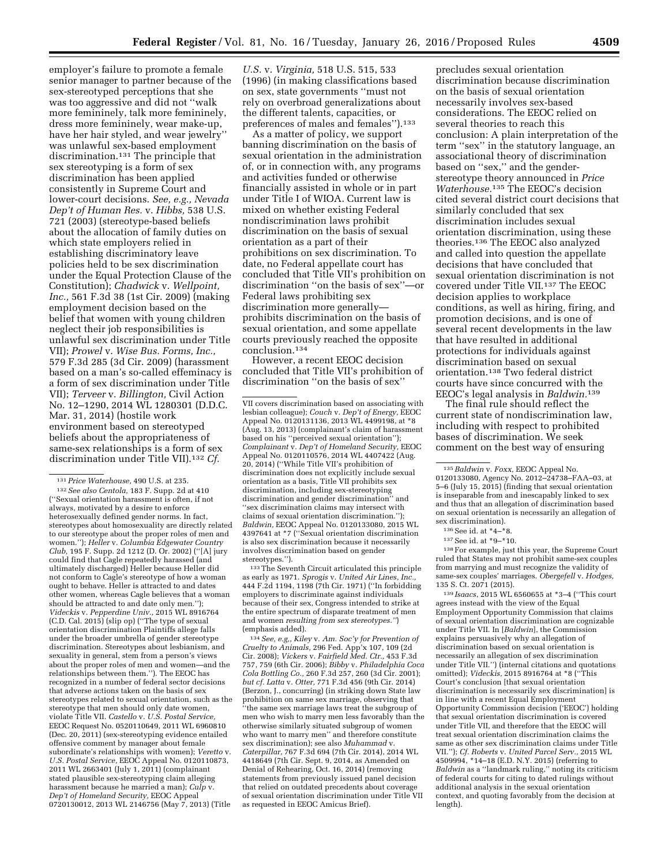employer's failure to promote a female senior manager to partner because of the sex-stereotyped perceptions that she was too aggressive and did not ''walk more femininely, talk more femininely, dress more femininely, wear make-up, have her hair styled, and wear jewelry'' was unlawful sex-based employment discrimination.131 The principle that sex stereotyping is a form of sex discrimination has been applied consistently in Supreme Court and lower-court decisions. *See, e.g., Nevada Dep't of Human Res.* v. *Hibbs,* 538 U.S. 721 (2003) (stereotype-based beliefs about the allocation of family duties on which state employers relied in establishing discriminatory leave policies held to be sex discrimination under the Equal Protection Clause of the Constitution); *Chadwick* v. *Wellpoint, Inc.,* 561 F.3d 38 (1st Cir. 2009) (making employment decision based on the belief that women with young children neglect their job responsibilities is unlawful sex discrimination under Title VII); *Prowel* v. *Wise Bus. Forms, Inc.,*  579 F.3d 285 (3d Cir. 2009) (harassment based on a man's so-called effeminacy is a form of sex discrimination under Title VII); *Terveer* v. *Billington,* Civil Action No. 12–1290, 2014 WL 1280301 (D.D.C. Mar. 31, 2014) (hostile work environment based on stereotyped beliefs about the appropriateness of same-sex relationships is a form of sex discrimination under Title VII).132 *Cf.* 

131*Price Waterhouse,* 490 U.S. at 235. 132*See also Centola,* 183 F. Supp. 2d at 410 (''Sexual orientation harassment is often, if not always, motivated by a desire to enforce heterosexually defined gender norms. In fact, stereotypes about homosexuality are directly related to our stereotype about the proper roles of men and women.''); *Heller* v. *Columbia Edgewater Country Club,* 195 F. Supp. 2d 1212 (D. Or. 2002) (''[A] jury could find that Cagle repeatedly harassed (and ultimately discharged) Heller because Heller did not conform to Cagle's stereotype of how a woman ought to behave. Heller is attracted to and dates other women, whereas Cagle believes that a woman should be attracted to and date only men.''); *Videckis* v. *Pepperdine Univ.,* 2015 WL 8916764 (C.D. Cal. 2015) (slip op) (''The type of sexual orientation discrimination Plaintiffs allege falls under the broader umbrella of gender stereotype discrimination. Stereotypes about lesbianism, and sexuality in general, stem from a person's views about the proper roles of men and women—and the relationships between them.''). The EEOC has recognized in a number of federal sector decisions that adverse actions taken on the basis of sex stereotypes related to sexual orientation, such as the stereotype that men should only date women, violate Title VII. *Castello* v. *U.S. Postal Service,*  EEOC Request No. 0520110649, 2011 WL 6960810 (Dec. 20, 2011) (sex-stereotyping evidence entailed offensive comment by manager about female subordinate's relationships with women); *Veretto* v. *U.S. Postal Service,* EEOC Appeal No. 0120110873, 2011 WL 2663401 (July 1, 2011) (complainant stated plausible sex-stereotyping claim alleging harassment because he married a man); *Culp* v. *Dep't of Homeland Security,* EEOC Appeal 0720130012, 2013 WL 2146756 (May 7, 2013) (Title

*U.S.* v. *Virginia,* 518 U.S. 515, 533 (1996) (in making classifications based on sex, state governments ''must not rely on overbroad generalizations about the different talents, capacities, or preferences of males and females").<sup>133</sup>

As a matter of policy, we support banning discrimination on the basis of sexual orientation in the administration of, or in connection with, any programs and activities funded or otherwise financially assisted in whole or in part under Title I of WIOA. Current law is mixed on whether existing Federal nondiscrimination laws prohibit discrimination on the basis of sexual orientation as a part of their prohibitions on sex discrimination. To date, no Federal appellate court has concluded that Title VII's prohibition on discrimination ''on the basis of sex''—or Federal laws prohibiting sex discrimination more generally prohibits discrimination on the basis of sexual orientation, and some appellate courts previously reached the opposite conclusion.134

However, a recent EEOC decision concluded that Title VII's prohibition of discrimination ''on the basis of sex''

133The Seventh Circuit articulated this principle as early as 1971. *Sprogis* v. *United Air Lines, Inc.,*  444 F.2d 1194, 1198 (7th Cir. 1971) (''In forbidding employers to discriminate against individuals because of their sex, Congress intended to strike at the entire spectrum of disparate treatment of men and women *resulting from sex stereotypes.''*) (emphasis added).

134*See, e.g,, Kiley* v. *Am. Soc'y for Prevention of Cruelty to Animals,* 296 Fed. App'x 107, 109 (2d Cir. 2008); *Vickers* v. *Fairfield Med. Ctr.,* 453 F.3d 757, 759 (6th Cir. 2006); *Bibby* v. *Philadelphia Coca Cola Bottling Co.,* 260 F.3d 257, 260 (3d Cir. 2001); *but cf. Latta* v. *Otter,* 771 F.3d 456 (9th Cir. 2014) (Berzon, J., concurring) (in striking down State law prohibition on same sex marriage, observing that ''the same sex marriage laws treat the subgroup of men who wish to marry men less favorably than the otherwise similarly situated subgroup of women who want to marry men'' and therefore constitute sex discrimination); see also *Muhammad* v. *Caterpillar,* 767 F.3d 694 (7th Cir. 2014), 2014 WL 4418649 (7th Cir. Sept. 9, 2014, as Amended on Denial of Rehearing, Oct. 16, 2014) (removing statements from previously issued panel decision that relied on outdated precedents about coverage of sexual orientation discrimination under Title VII as requested in EEOC Amicus Brief).

precludes sexual orientation discrimination because discrimination on the basis of sexual orientation necessarily involves sex-based considerations. The EEOC relied on several theories to reach this conclusion: A plain interpretation of the term ''sex'' in the statutory language, an associational theory of discrimination based on ''sex,'' and the genderstereotype theory announced in *Price Waterhouse.*135 The EEOC's decision cited several district court decisions that similarly concluded that sex discrimination includes sexual orientation discrimination, using these theories.136 The EEOC also analyzed and called into question the appellate decisions that have concluded that sexual orientation discrimination is not covered under Title VII.137 The EEOC decision applies to workplace conditions, as well as hiring, firing, and promotion decisions, and is one of several recent developments in the law that have resulted in additional protections for individuals against discrimination based on sexual orientation.138 Two federal district courts have since concurred with the EEOC's legal analysis in *Baldwin.*139

The final rule should reflect the current state of nondiscrimination law, including with respect to prohibited bases of discrimination. We seek comment on the best way of ensuring

138For example, just this year, the Supreme Court ruled that States may not prohibit same-sex couples from marrying and must recognize the validity of same-sex couples' marriages. *Obergefell* v. *Hodges,*  135 S. Ct. 2071 (2015).

139 *Isaacs*, 2015 WL 6560655 at \*3–4 (''This court agrees instead with the view of the Equal Employment Opportunity Commission that claims of sexual orientation discrimination are cognizable under Title VII. In [*Baldwin*], the Commission explains persuasively why an allegation of discrimination based on sexual orientation is necessarily an allegation of sex discrimination under Title VII.'') (internal citations and quotations omitted); *Videckis,* 2015 8916764 at \*8 (''This Court's conclusion [that sexual orientation discrimination is necessarily sex discrimination] is in line with a recent Equal Employment Opportunity Commission decision ('EEOC') holding that sexual orientation discrimination is covered under Title VII, and therefore that the EEOC will treat sexual orientation discrimination claims the same as other sex discrimination claims under Title VII.''); *Cf. Roberts* v. *United Parcel Serv.,* 2015 WL 4509994, \*14–18 (E.D. N.Y. 2015) (referring to *Baldwin* as a ''landmark ruling,'' noting its criticism of federal courts for citing to dated rulings without additional analysis in the sexual orientation context, and quoting favorably from the decision at length).

VII covers discrimination based on associating with lesbian colleague); *Couch* v. *Dep't of Energy,* EEOC Appeal No. 0120131136, 2013 WL 4499198, at \*8 (Aug. 13, 2013) (complainant's claim of harassment based on his ''perceived sexual orientation''); *Complainant* v. *Dep't of Homeland Security,* EEOC Appeal No. 0120110576, 2014 WL 4407422 (Aug. 20, 2014) (''While Title VII's prohibition of discrimination does not explicitly include sexual orientation as a basis, Title VII prohibits sex discrimination, including sex-stereotyping discrimination and gender discrimination'' and ''sex discrimination claims may intersect with claims of sexual orientation discrimination.''); *Baldwin,* EEOC Appeal No. 0120133080, 2015 WL 4397641 at \*7 (''Sexual orientation discrimination is also sex discrimination because it necessarily involves discrimination based on gender stereotypes.'').

<sup>135</sup>*Baldwin* v. *Foxx,* EEOC Appeal No. 0120133080, Agency No. 2012–24738–FAA–03, at 5–6 (July 15, 2015) (finding that sexual orientation is inseparable from and inescapably linked to sex and thus that an allegation of discrimination based on sexual orientation is necessarily an allegation of sex discrimination).

<sup>136</sup> See id. at \*4-\*8.

<sup>137</sup>See id. at \*9–\*10.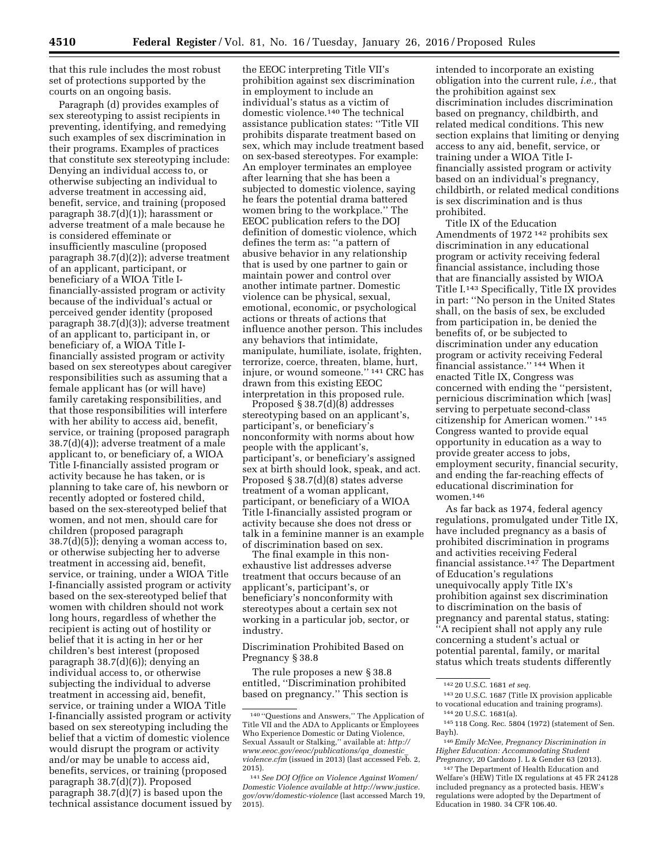that this rule includes the most robust set of protections supported by the courts on an ongoing basis.

Paragraph (d) provides examples of sex stereotyping to assist recipients in preventing, identifying, and remedying such examples of sex discrimination in their programs. Examples of practices that constitute sex stereotyping include: Denying an individual access to, or otherwise subjecting an individual to adverse treatment in accessing aid, benefit, service, and training (proposed paragraph 38.7(d)(1)); harassment or adverse treatment of a male because he is considered effeminate or insufficiently masculine (proposed paragraph 38.7(d)(2)); adverse treatment of an applicant, participant, or beneficiary of a WIOA Title Ifinancially-assisted program or activity because of the individual's actual or perceived gender identity (proposed paragraph 38.7(d)(3)); adverse treatment of an applicant to, participant in, or beneficiary of, a WIOA Title Ifinancially assisted program or activity based on sex stereotypes about caregiver responsibilities such as assuming that a female applicant has (or will have) family caretaking responsibilities, and that those responsibilities will interfere with her ability to access aid, benefit, service, or training (proposed paragraph 38.7(d)(4)); adverse treatment of a male applicant to, or beneficiary of, a WIOA Title I-financially assisted program or activity because he has taken, or is planning to take care of, his newborn or recently adopted or fostered child, based on the sex-stereotyped belief that women, and not men, should care for children (proposed paragraph 38.7(d)(5)); denying a woman access to, or otherwise subjecting her to adverse treatment in accessing aid, benefit, service, or training, under a WIOA Title I-financially assisted program or activity based on the sex-stereotyped belief that women with children should not work long hours, regardless of whether the recipient is acting out of hostility or belief that it is acting in her or her children's best interest (proposed paragraph 38.7(d)(6)); denying an individual access to, or otherwise subjecting the individual to adverse treatment in accessing aid, benefit, service, or training under a WIOA Title I-financially assisted program or activity based on sex stereotyping including the belief that a victim of domestic violence would disrupt the program or activity and/or may be unable to access aid, benefits, services, or training (proposed paragraph 38.7(d)(7)). Proposed paragraph 38.7(d)(7) is based upon the technical assistance document issued by

the EEOC interpreting Title VII's prohibition against sex discrimination in employment to include an individual's status as a victim of domestic violence.140 The technical assistance publication states: ''Title VII prohibits disparate treatment based on sex, which may include treatment based on sex-based stereotypes. For example: An employer terminates an employee after learning that she has been a subjected to domestic violence, saying he fears the potential drama battered women bring to the workplace.'' The EEOC publication refers to the DOJ definition of domestic violence, which defines the term as: ''a pattern of abusive behavior in any relationship that is used by one partner to gain or maintain power and control over another intimate partner. Domestic violence can be physical, sexual, emotional, economic, or psychological actions or threats of actions that influence another person. This includes any behaviors that intimidate, manipulate, humiliate, isolate, frighten, terrorize, coerce, threaten, blame, hurt, injure, or wound someone.'' 141 CRC has drawn from this existing EEOC interpretation in this proposed rule.

Proposed § 38.7(d)(8) addresses stereotyping based on an applicant's, participant's, or beneficiary's nonconformity with norms about how people with the applicant's, participant's, or beneficiary's assigned sex at birth should look, speak, and act. Proposed § 38.7(d)(8) states adverse treatment of a woman applicant, participant, or beneficiary of a WIOA Title I-financially assisted program or activity because she does not dress or talk in a feminine manner is an example of discrimination based on sex.

The final example in this nonexhaustive list addresses adverse treatment that occurs because of an applicant's, participant's, or beneficiary's nonconformity with stereotypes about a certain sex not working in a particular job, sector, or industry.

Discrimination Prohibited Based on Pregnancy § 38.8

The rule proposes a new § 38.8 entitled, ''Discrimination prohibited based on pregnancy.'' This section is intended to incorporate an existing obligation into the current rule, *i.e.,* that the prohibition against sex discrimination includes discrimination based on pregnancy, childbirth, and related medical conditions. This new section explains that limiting or denying access to any aid, benefit, service, or training under a WIOA Title Ifinancially assisted program or activity based on an individual's pregnancy, childbirth, or related medical conditions is sex discrimination and is thus prohibited.

Title IX of the Education Amendments of 1972 142 prohibits sex discrimination in any educational program or activity receiving federal financial assistance, including those that are financially assisted by WIOA Title I.143 Specifically, Title IX provides in part: ''No person in the United States shall, on the basis of sex, be excluded from participation in, be denied the benefits of, or be subjected to discrimination under any education program or activity receiving Federal financial assistance.'' 144 When it enacted Title IX, Congress was concerned with ending the ''persistent, pernicious discrimination which [was] serving to perpetuate second-class citizenship for American women.'' 145 Congress wanted to provide equal opportunity in education as a way to provide greater access to jobs, employment security, financial security, and ending the far-reaching effects of educational discrimination for women.146

As far back as 1974, federal agency regulations, promulgated under Title IX, have included pregnancy as a basis of prohibited discrimination in programs and activities receiving Federal financial assistance.147 The Department of Education's regulations unequivocally apply Title IX's prohibition against sex discrimination to discrimination on the basis of pregnancy and parental status, stating: ''A recipient shall not apply any rule concerning a student's actual or potential parental, family, or marital status which treats students differently

<sup>140</sup> ''Questions and Answers,'' The Application of Title VII and the ADA to Applicants or Employees Who Experience Domestic or Dating Violence, Sexual Assault or Stalking,'' available at: *[http://](http://www.eeoc.gov/eeoc/publications/qa_domestic_violence.cfm) [www.eeoc.gov/eeoc/publications/qa](http://www.eeoc.gov/eeoc/publications/qa_domestic_violence.cfm)*\_*domestic*\_ *[violence.cfm](http://www.eeoc.gov/eeoc/publications/qa_domestic_violence.cfm)* (issued in 2013) (last accessed Feb. 2, 2015).

<sup>141</sup>*See DOJ Office on Violence Against Women/ Domestic Violence available at [http://www.justice.](http://www.justice.gov/ovw/domestic-violence) [gov/ovw/domestic-violence](http://www.justice.gov/ovw/domestic-violence)* (last accessed March 19,  $2015$ ).

<sup>142</sup> 20 U.S.C. 1681 *et seq.* 

<sup>143</sup> 20 U.S.C. 1687 (Title IX provision applicable to vocational education and training programs). 144 20 U.S.C. 1681(a).

<sup>145</sup> 118 Cong. Rec. 5804 (1972) (statement of Sen. Bayh).

<sup>146</sup>*Emily McNee, Pregnancy Discrimination in Higher Education: Accommodating Student Pregnancy,* 20 Cardozo J. L & Gender 63 (2013).

<sup>147</sup>The Department of Health Education and Welfare's (HEW) Title IX regulations at 45 FR 24128 included pregnancy as a protected basis. HEW's regulations were adopted by the Department of Education in 1980. 34 CFR 106.40.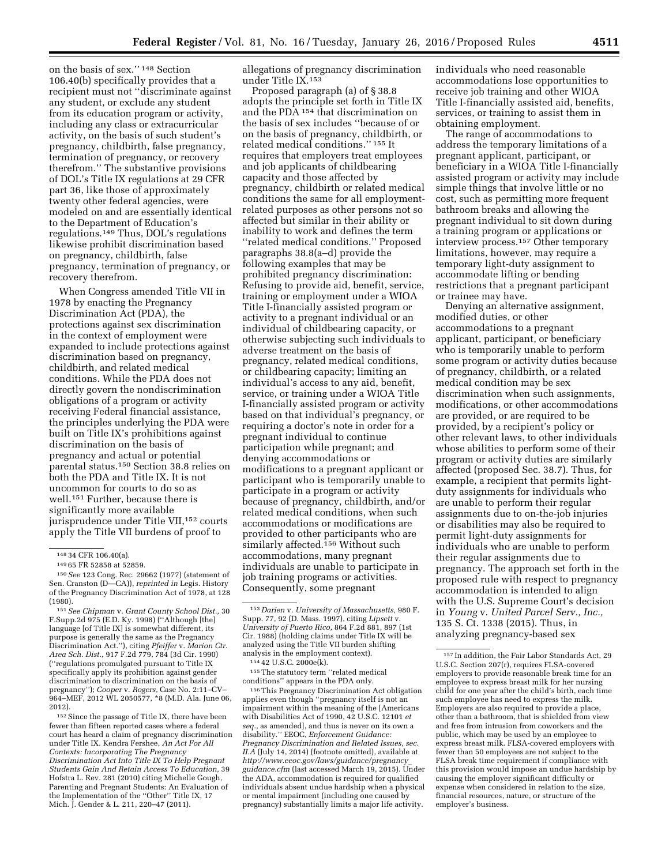on the basis of sex.'' 148 Section 106.40(b) specifically provides that a recipient must not ''discriminate against any student, or exclude any student from its education program or activity, including any class or extracurricular activity, on the basis of such student's pregnancy, childbirth, false pregnancy, termination of pregnancy, or recovery therefrom.'' The substantive provisions of DOL's Title IX regulations at 29 CFR part 36, like those of approximately twenty other federal agencies, were modeled on and are essentially identical to the Department of Education's regulations.149 Thus, DOL's regulations likewise prohibit discrimination based on pregnancy, childbirth, false pregnancy, termination of pregnancy, or recovery therefrom.

When Congress amended Title VII in 1978 by enacting the Pregnancy Discrimination Act (PDA), the protections against sex discrimination in the context of employment were expanded to include protections against discrimination based on pregnancy, childbirth, and related medical conditions. While the PDA does not directly govern the nondiscrimination obligations of a program or activity receiving Federal financial assistance, the principles underlying the PDA were built on Title IX's prohibitions against discrimination on the basis of pregnancy and actual or potential parental status.150 Section 38.8 relies on both the PDA and Title IX. It is not uncommon for courts to do so as well.151 Further, because there is significantly more available jurisprudence under Title VII,<sup>152</sup> courts apply the Title VII burdens of proof to

152 Since the passage of Title IX, there have been fewer than fifteen reported cases where a federal court has heard a claim of pregnancy discrimination under Title IX. Kendra Fershee, *An Act For All Contexts: Incorporating The Pregnancy Discrimination Act Into Title IX To Help Pregnant Students Gain And Retain Access To Education,* 39 Hofstra L. Rev. 281 (2010) citing Michelle Gough, Parenting and Pregnant Students: An Evaluation of the Implementation of the "Other" Title IX, 17 Mich. J. Gender & L. 211, 220–47 (2011).

allegations of pregnancy discrimination under Title IX.153

Proposed paragraph (a) of § 38.8 adopts the principle set forth in Title IX and the PDA 154 that discrimination on the basis of sex includes ''because of or on the basis of pregnancy, childbirth, or related medical conditions.'' 155 It requires that employers treat employees and job applicants of childbearing capacity and those affected by pregnancy, childbirth or related medical conditions the same for all employmentrelated purposes as other persons not so affected but similar in their ability or inability to work and defines the term ''related medical conditions.'' Proposed paragraphs 38.8(a–d) provide the following examples that may be prohibited pregnancy discrimination: Refusing to provide aid, benefit, service, training or employment under a WIOA Title I-financially assisted program or activity to a pregnant individual or an individual of childbearing capacity, or otherwise subjecting such individuals to adverse treatment on the basis of pregnancy, related medical conditions, or childbearing capacity; limiting an individual's access to any aid, benefit, service, or training under a WIOA Title I-financially assisted program or activity based on that individual's pregnancy, or requiring a doctor's note in order for a pregnant individual to continue participation while pregnant; and denying accommodations or modifications to a pregnant applicant or participant who is temporarily unable to participate in a program or activity because of pregnancy, childbirth, and/or related medical conditions, when such accommodations or modifications are provided to other participants who are similarly affected.<sup>156</sup> Without such accommodations, many pregnant individuals are unable to participate in job training programs or activities. Consequently, some pregnant

155The statutory term ''related medical

conditions'' appears in the PDA only. 156This Pregnancy Discrimination Act obligation applies even though ''pregnancy itself is not an impairment within the meaning of the [Americans with Disabilities Act of 1990, 42 U.S.C. 12101 *et seq.,* as amended], and thus is never on its own a disability.'' EEOC, *Enforcement Guidance: Pregnancy Discrimination and Related Issues, sec. II.A* (July 14, 2014) (footnote omitted), available at *[http://www.eeoc.gov/laws/guidance/pregnancy](http://www.eeoc.gov/laws/guidance/pregnancy_guidance.cfm)*\_ *[guidance.cfm](http://www.eeoc.gov/laws/guidance/pregnancy_guidance.cfm)* (last accessed March 19, 2015). Under the ADA, accommodation is required for qualified individuals absent undue hardship when a physical or mental impairment (including one caused by pregnancy) substantially limits a major life activity.

individuals who need reasonable accommodations lose opportunities to receive job training and other WIOA Title I-financially assisted aid, benefits, services, or training to assist them in obtaining employment.

The range of accommodations to address the temporary limitations of a pregnant applicant, participant, or beneficiary in a WIOA Title I-financially assisted program or activity may include simple things that involve little or no cost, such as permitting more frequent bathroom breaks and allowing the pregnant individual to sit down during a training program or applications or interview process.157 Other temporary limitations, however, may require a temporary light-duty assignment to accommodate lifting or bending restrictions that a pregnant participant or trainee may have.

Denying an alternative assignment, modified duties, or other accommodations to a pregnant applicant, participant, or beneficiary who is temporarily unable to perform some program or activity duties because of pregnancy, childbirth, or a related medical condition may be sex discrimination when such assignments, modifications, or other accommodations are provided, or are required to be provided, by a recipient's policy or other relevant laws, to other individuals whose abilities to perform some of their program or activity duties are similarly affected (proposed Sec. 38.7). Thus, for example, a recipient that permits lightduty assignments for individuals who are unable to perform their regular assignments due to on-the-job injuries or disabilities may also be required to permit light-duty assignments for individuals who are unable to perform their regular assignments due to pregnancy. The approach set forth in the proposed rule with respect to pregnancy accommodation is intended to align with the U.S. Supreme Court's decision in *Young* v. *United Parcel Serv., Inc.,*  135 S. Ct. 1338 (2015). Thus, in analyzing pregnancy-based sex

<sup>148</sup> 34 CFR 106.40(a).

<sup>149</sup> 65 FR 52858 at 52859.

<sup>150</sup>*See* 123 Cong. Rec. 29662 (1977) (statement of Sen. Cranston (D—CA)), *reprinted in* Legis. History of the Pregnancy Discrimination Act of 1978, at 128 (1980).

<sup>151</sup>*See Chipman* v. *Grant County School Dist.,* 30 F.Supp.2d 975 (E.D. Ky. 1998) (''Although [the] language [of Title IX] is somewhat different, its purpose is generally the same as the Pregnancy Discrimination Act.''), citing *Pfeiffer* v. *Marion Ctr. Area Sch. Dist.,* 917 F.2d 779, 784 (3d Cir. 1990) (''regulations promulgated pursuant to Title IX specifically apply its prohibition against gender discrimination to discrimination on the basis of pregnancy''); *Cooper* v. *Rogers,* Case No. 2:11–CV– 964–MEF, 2012 WL 2050577, \*8 (M.D. Ala. June 06, 2012).

<sup>153</sup> *Darien* v. *University of Massachusetts,* 980 F. Supp. 77, 92 (D. Mass. 1997), citing *Lipsett* v. *University of Puerto Rico,* 864 F.2d 881, 897 (1st Cir. 1988) (holding claims under Title IX will be analyzed using the Title VII burden shifting analysis in the employment context). 154 42 U.S.C. 2000e(k).

<sup>157</sup> In addition, the Fair Labor Standards Act, 29 U.S.C. Section 207(r), requires FLSA-covered employers to provide reasonable break time for an employee to express breast milk for her nursing child for one year after the child's birth, each time such employee has need to express the milk. Employers are also required to provide a place, other than a bathroom, that is shielded from view and free from intrusion from coworkers and the public, which may be used by an employee to express breast milk. FLSA-covered employers with fewer than 50 employees are not subject to the FLSA break time requirement if compliance with this provision would impose an undue hardship by causing the employer significant difficulty or expense when considered in relation to the size, financial resources, nature, or structure of the employer's business.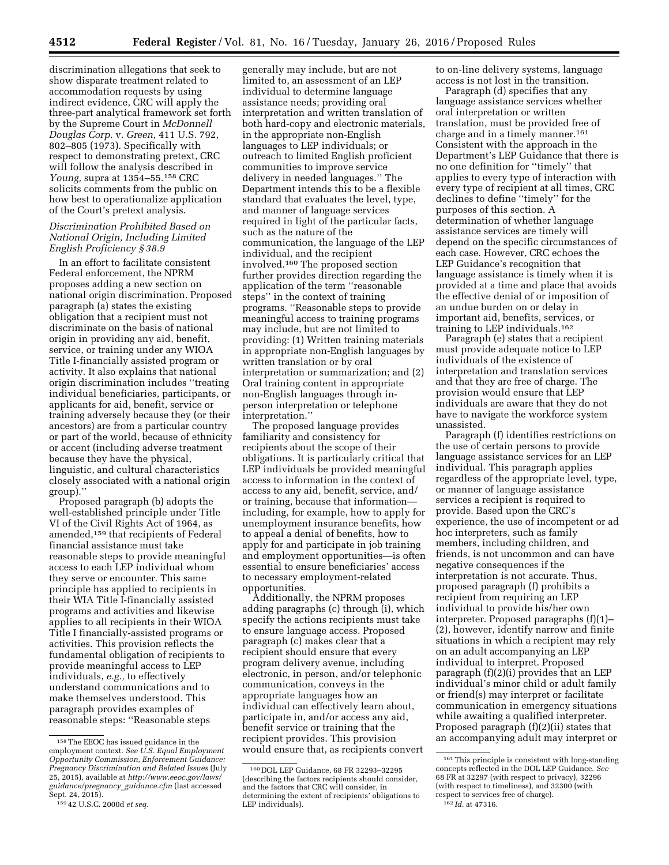discrimination allegations that seek to show disparate treatment related to accommodation requests by using indirect evidence, CRC will apply the three-part analytical framework set forth by the Supreme Court in *McDonnell Douglas Corp.* v. *Green,* 411 U.S. 792, 802–805 (1973). Specifically with respect to demonstrating pretext, CRC will follow the analysis described in *Young,* supra at 1354–55.158 CRC solicits comments from the public on how best to operationalize application of the Court's pretext analysis.

### *Discrimination Prohibited Based on National Origin, Including Limited English Proficiency § 38.9*

In an effort to facilitate consistent Federal enforcement, the NPRM proposes adding a new section on national origin discrimination. Proposed paragraph (a) states the existing obligation that a recipient must not discriminate on the basis of national origin in providing any aid, benefit, service, or training under any WIOA Title I-financially assisted program or activity. It also explains that national origin discrimination includes ''treating individual beneficiaries, participants, or applicants for aid, benefit, service or training adversely because they (or their ancestors) are from a particular country or part of the world, because of ethnicity or accent (including adverse treatment because they have the physical, linguistic, and cultural characteristics closely associated with a national origin group).''

Proposed paragraph (b) adopts the well-established principle under Title VI of the Civil Rights Act of 1964, as amended,159 that recipients of Federal financial assistance must take reasonable steps to provide meaningful access to each LEP individual whom they serve or encounter. This same principle has applied to recipients in their WIA Title I-financially assisted programs and activities and likewise applies to all recipients in their WIOA Title I financially-assisted programs or activities. This provision reflects the fundamental obligation of recipients to provide meaningful access to LEP individuals, *e.g.,* to effectively understand communications and to make themselves understood. This paragraph provides examples of reasonable steps: ''Reasonable steps

generally may include, but are not limited to, an assessment of an LEP individual to determine language assistance needs; providing oral interpretation and written translation of both hard-copy and electronic materials, in the appropriate non-English languages to LEP individuals; or outreach to limited English proficient communities to improve service delivery in needed languages.'' The Department intends this to be a flexible standard that evaluates the level, type, and manner of language services required in light of the particular facts, such as the nature of the communication, the language of the LEP individual, and the recipient involved.160 The proposed section further provides direction regarding the application of the term ''reasonable steps'' in the context of training programs. ''Reasonable steps to provide meaningful access to training programs may include, but are not limited to providing: (1) Written training materials in appropriate non-English languages by written translation or by oral interpretation or summarization; and (2) Oral training content in appropriate non-English languages through inperson interpretation or telephone interpretation.''

The proposed language provides familiarity and consistency for recipients about the scope of their obligations. It is particularly critical that LEP individuals be provided meaningful access to information in the context of access to any aid, benefit, service, and/ or training, because that information including, for example, how to apply for unemployment insurance benefits, how to appeal a denial of benefits, how to apply for and participate in job training and employment opportunities—is often essential to ensure beneficiaries' access to necessary employment-related opportunities.

Additionally, the NPRM proposes adding paragraphs (c) through (i), which specify the actions recipients must take to ensure language access. Proposed paragraph (c) makes clear that a recipient should ensure that every program delivery avenue, including electronic, in person, and/or telephonic communication, conveys in the appropriate languages how an individual can effectively learn about, participate in, and/or access any aid, benefit service or training that the recipient provides. This provision would ensure that, as recipients convert

to on-line delivery systems, language access is not lost in the transition.

Paragraph (d) specifies that any language assistance services whether oral interpretation or written translation, must be provided free of charge and in a timely manner.161 Consistent with the approach in the Department's LEP Guidance that there is no one definition for ''timely'' that applies to every type of interaction with every type of recipient at all times, CRC declines to define ''timely'' for the purposes of this section. A determination of whether language assistance services are timely will depend on the specific circumstances of each case. However, CRC echoes the LEP Guidance's recognition that language assistance is timely when it is provided at a time and place that avoids the effective denial of or imposition of an undue burden on or delay in important aid, benefits, services, or training to LEP individuals.162

Paragraph (e) states that a recipient must provide adequate notice to LEP individuals of the existence of interpretation and translation services and that they are free of charge. The provision would ensure that LEP individuals are aware that they do not have to navigate the workforce system unassisted.

Paragraph (f) identifies restrictions on the use of certain persons to provide language assistance services for an LEP individual. This paragraph applies regardless of the appropriate level, type, or manner of language assistance services a recipient is required to provide. Based upon the CRC's experience, the use of incompetent or ad hoc interpreters, such as family members, including children, and friends, is not uncommon and can have negative consequences if the interpretation is not accurate. Thus, proposed paragraph (f) prohibits a recipient from requiring an LEP individual to provide his/her own interpreter. Proposed paragraphs (f)(1)– (2), however, identify narrow and finite situations in which a recipient may rely on an adult accompanying an LEP individual to interpret. Proposed paragraph (f)(2)(i) provides that an LEP individual's minor child or adult family or friend(s) may interpret or facilitate communication in emergency situations while awaiting a qualified interpreter. Proposed paragraph (f)(2)(ii) states that an accompanying adult may interpret or

<sup>158</sup>The EEOC has issued guidance in the employment context. *See U.S. Equal Employment Opportunity Commission, Enforcement Guidance: Pregnancy Discrimination and Related Issues* (July 25, 2015), available at *[http://www.eeoc.gov/laws/](http://www.eeoc.gov/laws/guidance/pregnancy_guidance.cfm) [guidance/pregnancy](http://www.eeoc.gov/laws/guidance/pregnancy_guidance.cfm)*\_*guidance.cfm* (last accessed Sept. 24, 2015).

<sup>159</sup> 42 U.S.C. 2000d *et seq.* 

<sup>160</sup> DOL LEP Guidance, 68 FR 32293–32295 (describing the factors recipients should consider, and the factors that CRC will consider, in determining the extent of recipients' obligations to LEP individuals).

 $^{\rm 161}$  This principle is consistent with long-standing concepts reflected in the DOL LEP Guidance. *See*  68 FR at 32297 (with respect to privacy), 32296 (with respect to timeliness), and 32300 (with respect to services free of charge). 162 *Id.* at 47316.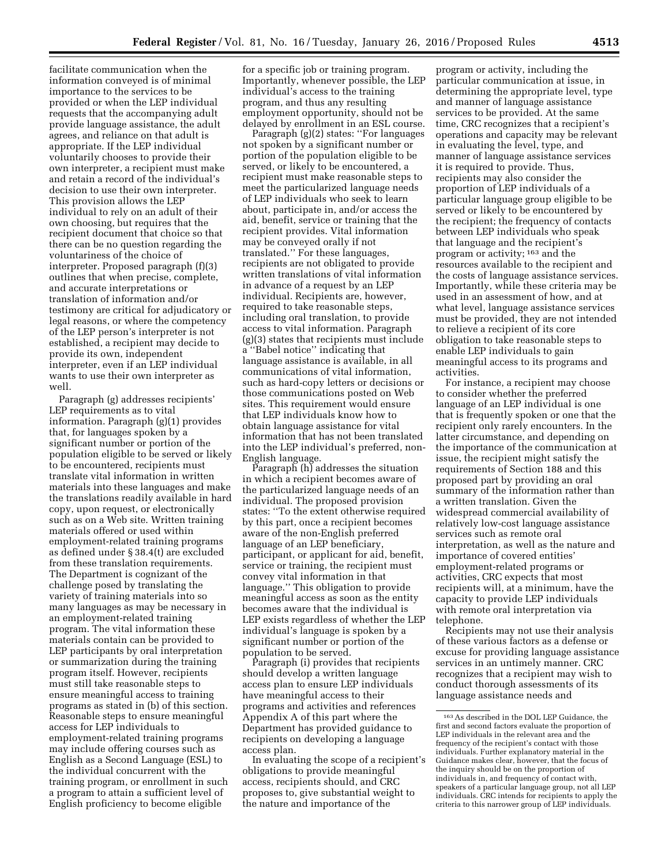facilitate communication when the information conveyed is of minimal importance to the services to be provided or when the LEP individual requests that the accompanying adult provide language assistance, the adult agrees, and reliance on that adult is appropriate. If the LEP individual voluntarily chooses to provide their own interpreter, a recipient must make and retain a record of the individual's decision to use their own interpreter. This provision allows the LEP individual to rely on an adult of their own choosing, but requires that the recipient document that choice so that there can be no question regarding the voluntariness of the choice of interpreter. Proposed paragraph (f)(3) outlines that when precise, complete, and accurate interpretations or translation of information and/or testimony are critical for adjudicatory or legal reasons, or where the competency of the LEP person's interpreter is not established, a recipient may decide to provide its own, independent interpreter, even if an LEP individual wants to use their own interpreter as well.

Paragraph (g) addresses recipients' LEP requirements as to vital information. Paragraph (g)(1) provides that, for languages spoken by a significant number or portion of the population eligible to be served or likely to be encountered, recipients must translate vital information in written materials into these languages and make the translations readily available in hard copy, upon request, or electronically such as on a Web site. Written training materials offered or used within employment-related training programs as defined under § 38.4(t) are excluded from these translation requirements. The Department is cognizant of the challenge posed by translating the variety of training materials into so many languages as may be necessary in an employment-related training program. The vital information these materials contain can be provided to LEP participants by oral interpretation or summarization during the training program itself. However, recipients must still take reasonable steps to ensure meaningful access to training programs as stated in (b) of this section. Reasonable steps to ensure meaningful access for LEP individuals to employment-related training programs may include offering courses such as English as a Second Language (ESL) to the individual concurrent with the training program, or enrollment in such a program to attain a sufficient level of English proficiency to become eligible

for a specific job or training program. Importantly, whenever possible, the LEP individual's access to the training program, and thus any resulting employment opportunity, should not be delayed by enrollment in an ESL course.

Paragraph (g)(2) states: ''For languages not spoken by a significant number or portion of the population eligible to be served, or likely to be encountered, a recipient must make reasonable steps to meet the particularized language needs of LEP individuals who seek to learn about, participate in, and/or access the aid, benefit, service or training that the recipient provides. Vital information may be conveyed orally if not translated.'' For these languages, recipients are not obligated to provide written translations of vital information in advance of a request by an LEP individual. Recipients are, however, required to take reasonable steps, including oral translation, to provide access to vital information. Paragraph (g)(3) states that recipients must include a ''Babel notice'' indicating that language assistance is available, in all communications of vital information, such as hard-copy letters or decisions or those communications posted on Web sites. This requirement would ensure that LEP individuals know how to obtain language assistance for vital information that has not been translated into the LEP individual's preferred, non-English language.

Paragraph (h) addresses the situation in which a recipient becomes aware of the particularized language needs of an individual. The proposed provision states: ''To the extent otherwise required by this part, once a recipient becomes aware of the non-English preferred language of an LEP beneficiary, participant, or applicant for aid, benefit, service or training, the recipient must convey vital information in that language.'' This obligation to provide meaningful access as soon as the entity becomes aware that the individual is LEP exists regardless of whether the LEP individual's language is spoken by a significant number or portion of the population to be served.

Paragraph (i) provides that recipients should develop a written language access plan to ensure LEP individuals have meaningful access to their programs and activities and references Appendix A of this part where the Department has provided guidance to recipients on developing a language access plan.

In evaluating the scope of a recipient's obligations to provide meaningful access, recipients should, and CRC proposes to, give substantial weight to the nature and importance of the

program or activity, including the particular communication at issue, in determining the appropriate level, type and manner of language assistance services to be provided. At the same time, CRC recognizes that a recipient's operations and capacity may be relevant in evaluating the level, type, and manner of language assistance services it is required to provide. Thus, recipients may also consider the proportion of LEP individuals of a particular language group eligible to be served or likely to be encountered by the recipient; the frequency of contacts between LEP individuals who speak that language and the recipient's program or activity; 163 and the resources available to the recipient and the costs of language assistance services. Importantly, while these criteria may be used in an assessment of how, and at what level, language assistance services must be provided, they are not intended to relieve a recipient of its core obligation to take reasonable steps to enable LEP individuals to gain meaningful access to its programs and activities.

For instance, a recipient may choose to consider whether the preferred language of an LEP individual is one that is frequently spoken or one that the recipient only rarely encounters. In the latter circumstance, and depending on the importance of the communication at issue, the recipient might satisfy the requirements of Section 188 and this proposed part by providing an oral summary of the information rather than a written translation. Given the widespread commercial availability of relatively low-cost language assistance services such as remote oral interpretation, as well as the nature and importance of covered entities' employment-related programs or activities, CRC expects that most recipients will, at a minimum, have the capacity to provide LEP individuals with remote oral interpretation via telephone.

Recipients may not use their analysis of these various factors as a defense or excuse for providing language assistance services in an untimely manner. CRC recognizes that a recipient may wish to conduct thorough assessments of its language assistance needs and

<sup>163</sup>As described in the DOL LEP Guidance, the first and second factors evaluate the proportion of LEP individuals in the relevant area and the frequency of the recipient's contact with those individuals. Further explanatory material in the Guidance makes clear, however, that the focus of the inquiry should be on the proportion of individuals in, and frequency of contact with, speakers of a particular language group, not all LEP individuals. CRC intends for recipients to apply the criteria to this narrower group of LEP individuals.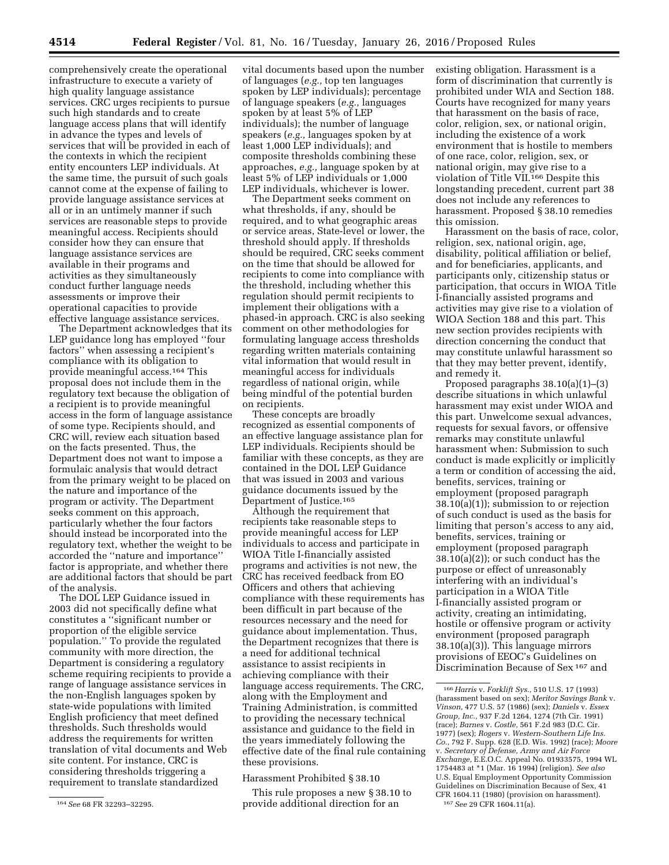comprehensively create the operational infrastructure to execute a variety of high quality language assistance services. CRC urges recipients to pursue such high standards and to create language access plans that will identify in advance the types and levels of services that will be provided in each of the contexts in which the recipient entity encounters LEP individuals. At the same time, the pursuit of such goals cannot come at the expense of failing to provide language assistance services at all or in an untimely manner if such services are reasonable steps to provide meaningful access. Recipients should consider how they can ensure that language assistance services are available in their programs and activities as they simultaneously conduct further language needs assessments or improve their operational capacities to provide effective language assistance services.

The Department acknowledges that its LEP guidance long has employed ''four factors'' when assessing a recipient's compliance with its obligation to provide meaningful access.164 This proposal does not include them in the regulatory text because the obligation of a recipient is to provide meaningful access in the form of language assistance of some type. Recipients should, and CRC will, review each situation based on the facts presented. Thus, the Department does not want to impose a formulaic analysis that would detract from the primary weight to be placed on the nature and importance of the program or activity. The Department seeks comment on this approach, particularly whether the four factors should instead be incorporated into the regulatory text, whether the weight to be accorded the ''nature and importance'' factor is appropriate, and whether there are additional factors that should be part of the analysis.

The DOL LEP Guidance issued in 2003 did not specifically define what constitutes a ''significant number or proportion of the eligible service population.'' To provide the regulated community with more direction, the Department is considering a regulatory scheme requiring recipients to provide a range of language assistance services in the non-English languages spoken by state-wide populations with limited English proficiency that meet defined thresholds. Such thresholds would address the requirements for written translation of vital documents and Web site content. For instance, CRC is considering thresholds triggering a requirement to translate standardized

vital documents based upon the number of languages (*e.g.,* top ten languages spoken by LEP individuals); percentage of language speakers (*e.g.,* languages spoken by at least 5% of LEP individuals); the number of language speakers (*e.g.,* languages spoken by at least 1,000 LEP individuals); and composite thresholds combining these approaches, *e.g.,* language spoken by at least 5% of LEP individuals or 1,000 LEP individuals, whichever is lower.

The Department seeks comment on what thresholds, if any, should be required, and to what geographic areas or service areas, State-level or lower, the threshold should apply. If thresholds should be required, CRC seeks comment on the time that should be allowed for recipients to come into compliance with the threshold, including whether this regulation should permit recipients to implement their obligations with a phased-in approach. CRC is also seeking comment on other methodologies for formulating language access thresholds regarding written materials containing vital information that would result in meaningful access for individuals regardless of national origin, while being mindful of the potential burden on recipients.

These concepts are broadly recognized as essential components of an effective language assistance plan for LEP individuals. Recipients should be familiar with these concepts, as they are contained in the DOL LEP Guidance that was issued in 2003 and various guidance documents issued by the Department of Justice.165

Although the requirement that recipients take reasonable steps to provide meaningful access for LEP individuals to access and participate in WIOA Title I-financially assisted programs and activities is not new, the CRC has received feedback from EO Officers and others that achieving compliance with these requirements has been difficult in part because of the resources necessary and the need for guidance about implementation. Thus, the Department recognizes that there is a need for additional technical assistance to assist recipients in achieving compliance with their language access requirements. The CRC, along with the Employment and Training Administration, is committed to providing the necessary technical assistance and guidance to the field in the years immediately following the effective date of the final rule containing these provisions.

### Harassment Prohibited § 38.10

This rule proposes a new § 38.10 to provide additional direction for an

existing obligation. Harassment is a form of discrimination that currently is prohibited under WIA and Section 188. Courts have recognized for many years that harassment on the basis of race, color, religion, sex, or national origin, including the existence of a work environment that is hostile to members of one race, color, religion, sex, or national origin, may give rise to a violation of Title VII.166 Despite this longstanding precedent, current part 38 does not include any references to harassment. Proposed § 38.10 remedies this omission.

Harassment on the basis of race, color, religion, sex, national origin, age, disability, political affiliation or belief, and for beneficiaries, applicants, and participants only, citizenship status or participation, that occurs in WIOA Title I-financially assisted programs and activities may give rise to a violation of WIOA Section 188 and this part. This new section provides recipients with direction concerning the conduct that may constitute unlawful harassment so that they may better prevent, identify, and remedy it.

Proposed paragraphs 38.10(a)(1)–(3) describe situations in which unlawful harassment may exist under WIOA and this part. Unwelcome sexual advances, requests for sexual favors, or offensive remarks may constitute unlawful harassment when: Submission to such conduct is made explicitly or implicitly a term or condition of accessing the aid, benefits, services, training or employment (proposed paragraph 38.10(a)(1)); submission to or rejection of such conduct is used as the basis for limiting that person's access to any aid, benefits, services, training or employment (proposed paragraph  $38.10(a)(2)$ ; or such conduct has the purpose or effect of unreasonably interfering with an individual's participation in a WIOA Title I-financially assisted program or activity, creating an intimidating, hostile or offensive program or activity environment (proposed paragraph 38.10(a)(3)). This language mirrors provisions of EEOC's Guidelines on Discrimination Because of Sex 167 and

<sup>164</sup>*See* 68 FR 32293–32295.

<sup>166</sup>*Harris* v. *Forklift Sys.,* 510 U.S. 17 (1993) (harassment based on sex); *Meritor Savings Bank* v. *Vinson,* 477 U.S. 57 (1986) (sex); *Daniels* v. *Essex Group, Inc.,* 937 F.2d 1264, 1274 (7th Cir. 1991) (race); *Barnes* v. *Costle,* 561 F.2d 983 (D.C. Cir. 1977) (sex); *Rogers* v. *Western-Southern Life Ins. Co.,* 792 F. Supp. 628 (E.D. Wis. 1992) (race); *Moore*  v. *Secretary of Defense, Army and Air Force Exchange,* E.E.O.C. Appeal No. 01933575, 1994 WL 1754483 at \*1 (Mar. 16 1994) (religion). *See also*  U.S. Equal Employment Opportunity Commission Guidelines on Discrimination Because of Sex, 41 CFR 1604.11 (1980) (provision on harassment). 167*See* 29 CFR 1604.11(a).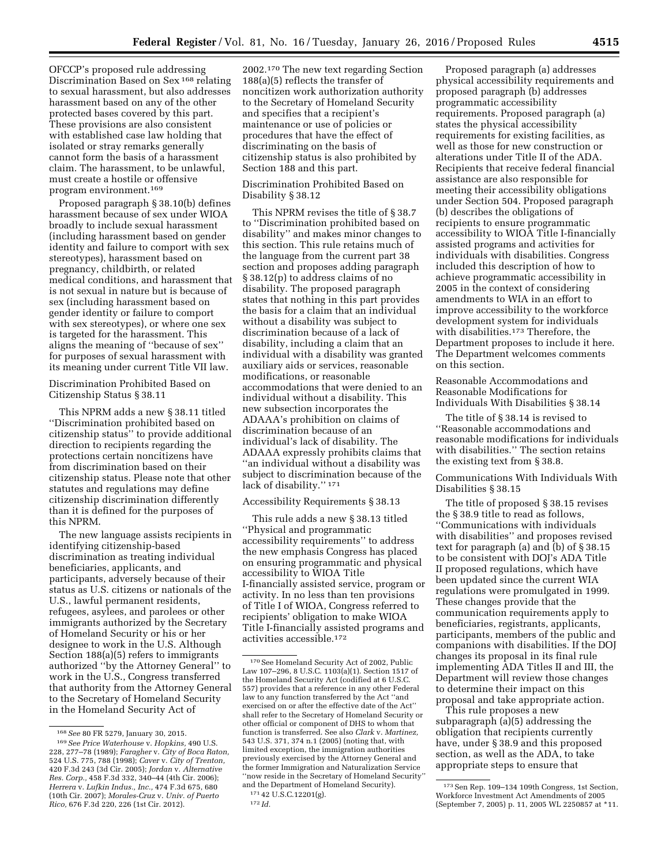OFCCP's proposed rule addressing Discrimination Based on Sex 168 relating to sexual harassment, but also addresses harassment based on any of the other protected bases covered by this part. These provisions are also consistent with established case law holding that isolated or stray remarks generally cannot form the basis of a harassment claim. The harassment, to be unlawful, must create a hostile or offensive program environment.169

Proposed paragraph § 38.10(b) defines harassment because of sex under WIOA broadly to include sexual harassment (including harassment based on gender identity and failure to comport with sex stereotypes), harassment based on pregnancy, childbirth, or related medical conditions, and harassment that is not sexual in nature but is because of sex (including harassment based on gender identity or failure to comport with sex stereotypes), or where one sex is targeted for the harassment. This aligns the meaning of ''because of sex'' for purposes of sexual harassment with its meaning under current Title VII law.

Discrimination Prohibited Based on Citizenship Status § 38.11

This NPRM adds a new § 38.11 titled ''Discrimination prohibited based on citizenship status'' to provide additional direction to recipients regarding the protections certain noncitizens have from discrimination based on their citizenship status. Please note that other statutes and regulations may define citizenship discrimination differently than it is defined for the purposes of this NPRM.

The new language assists recipients in identifying citizenship-based discrimination as treating individual beneficiaries, applicants, and participants, adversely because of their status as U.S. citizens or nationals of the U.S., lawful permanent residents, refugees, asylees, and parolees or other immigrants authorized by the Secretary of Homeland Security or his or her designee to work in the U.S. Although Section 188(a)(5) refers to immigrants authorized ''by the Attorney General'' to work in the U.S., Congress transferred that authority from the Attorney General to the Secretary of Homeland Security in the Homeland Security Act of

2002.170 The new text regarding Section 188(a)(5) reflects the transfer of noncitizen work authorization authority to the Secretary of Homeland Security and specifies that a recipient's maintenance or use of policies or procedures that have the effect of discriminating on the basis of citizenship status is also prohibited by Section 188 and this part.

Discrimination Prohibited Based on Disability § 38.12

This NPRM revises the title of § 38.7 to ''Discrimination prohibited based on disability'' and makes minor changes to this section. This rule retains much of the language from the current part 38 section and proposes adding paragraph § 38.12(p) to address claims of no disability. The proposed paragraph states that nothing in this part provides the basis for a claim that an individual without a disability was subject to discrimination because of a lack of disability, including a claim that an individual with a disability was granted auxiliary aids or services, reasonable modifications, or reasonable accommodations that were denied to an individual without a disability. This new subsection incorporates the ADAAA's prohibition on claims of discrimination because of an individual's lack of disability. The ADAAA expressly prohibits claims that ''an individual without a disability was subject to discrimination because of the lack of disability.'' 171

# Accessibility Requirements § 38.13

This rule adds a new § 38.13 titled ''Physical and programmatic accessibility requirements'' to address the new emphasis Congress has placed on ensuring programmatic and physical accessibility to WIOA Title I-financially assisted service, program or activity. In no less than ten provisions of Title I of WIOA, Congress referred to recipients' obligation to make WIOA Title I-financially assisted programs and activities accessible.172

Proposed paragraph (a) addresses physical accessibility requirements and proposed paragraph (b) addresses programmatic accessibility requirements. Proposed paragraph (a) states the physical accessibility requirements for existing facilities, as well as those for new construction or alterations under Title II of the ADA. Recipients that receive federal financial assistance are also responsible for meeting their accessibility obligations under Section 504. Proposed paragraph (b) describes the obligations of recipients to ensure programmatic accessibility to WIOA Title I-financially assisted programs and activities for individuals with disabilities. Congress included this description of how to achieve programmatic accessibility in 2005 in the context of considering amendments to WIA in an effort to improve accessibility to the workforce development system for individuals with disabilities.<sup>173</sup> Therefore, the Department proposes to include it here. The Department welcomes comments on this section.

Reasonable Accommodations and Reasonable Modifications for Individuals With Disabilities § 38.14

The title of § 38.14 is revised to ''Reasonable accommodations and reasonable modifications for individuals with disabilities.'' The section retains the existing text from § 38.8.

Communications With Individuals With Disabilities § 38.15

The title of proposed § 38.15 revises the § 38.9 title to read as follows, ''Communications with individuals with disabilities'' and proposes revised text for paragraph (a) and (b) of § 38.15 to be consistent with DOJ's ADA Title II proposed regulations, which have been updated since the current WIA regulations were promulgated in 1999. These changes provide that the communication requirements apply to beneficiaries, registrants, applicants, participants, members of the public and companions with disabilities. If the DOJ changes its proposal in its final rule implementing ADA Titles II and III, the Department will review those changes to determine their impact on this proposal and take appropriate action.

This rule proposes a new subparagraph (a)(5) addressing the obligation that recipients currently have, under § 38.9 and this proposed section, as well as the ADA, to take appropriate steps to ensure that

<sup>168</sup>*See* 80 FR 5279, January 30, 2015.

<sup>169</sup>*See Price Waterhouse* v. *Hopkins,* 490 U.S. 228, 277–78 (1989); *Faragher* v. *City of Boca Raton,*  524 U.S. 775, 788 (1998); *Caver* v. *City of Trenton,*  420 F.3d 243 (3d Cir. 2005); *Jordan* v. *Alternative Res. Corp.,* 458 F.3d 332, 340–44 (4th Cir. 2006); *Herrera* v. *Lufkin Indus., Inc.,* 474 F.3d 675, 680 (10th Cir. 2007); *Morales-Cruz* v. *Univ. of Puerto Rico,* 676 F.3d 220, 226 (1st Cir. 2012).

<sup>170</sup>See Homeland Security Act of 2002, Public Law 107–296, 8 U.S.C. 1103(a)(1). Section 1517 of the Homeland Security Act (codified at 6 U.S.C. 557) provides that a reference in any other Federal law to any function transferred by the Act ''and exercised on or after the effective date of the Act'' shall refer to the Secretary of Homeland Security or other official or component of DHS to whom that function is transferred. See also *Clark* v. *Martinez,*  543 U.S. 371, 374 n.1 (2005) (noting that, with limited exception, the immigration authorities previously exercised by the Attorney General and the former Immigration and Naturalization Service ''now reside in the Secretary of Homeland Security'' and the Department of Homeland Security).

<sup>171</sup> 42 U.S.C.12201(g). 172 *Id.* 

<sup>173</sup>Sen Rep. 109–134 109th Congress, 1st Section, Workforce Investment Act Amendments of 2005 (September 7, 2005) p. 11, 2005 WL 2250857 at \*11.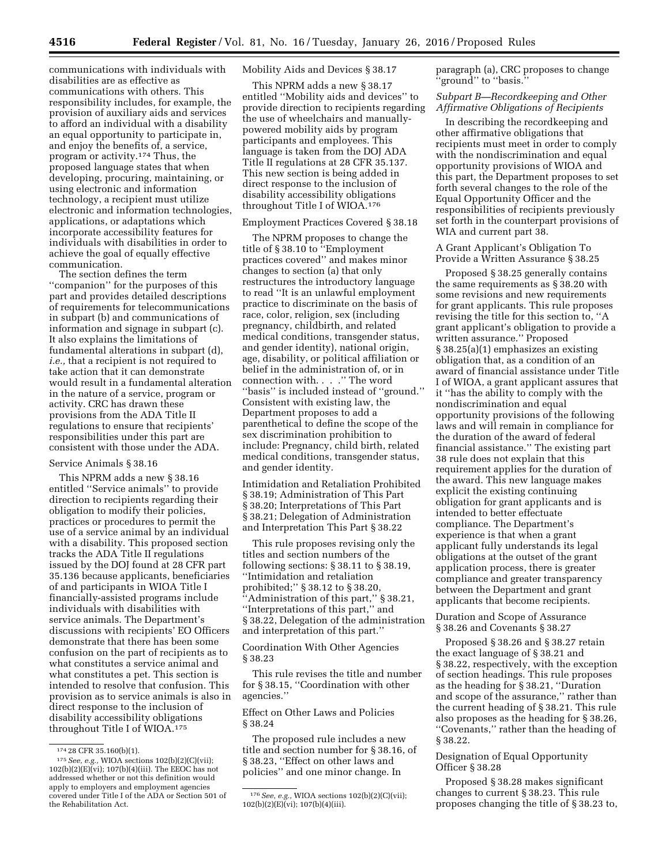communications with individuals with disabilities are as effective as communications with others. This responsibility includes, for example, the provision of auxiliary aids and services to afford an individual with a disability an equal opportunity to participate in, and enjoy the benefits of, a service, program or activity.174 Thus, the proposed language states that when developing, procuring, maintaining, or using electronic and information technology, a recipient must utilize electronic and information technologies, applications, or adaptations which incorporate accessibility features for individuals with disabilities in order to achieve the goal of equally effective communication.

The section defines the term ''companion'' for the purposes of this part and provides detailed descriptions of requirements for telecommunications in subpart (b) and communications of information and signage in subpart (c). It also explains the limitations of fundamental alterations in subpart (d), *i.e.,* that a recipient is not required to take action that it can demonstrate would result in a fundamental alteration in the nature of a service, program or activity. CRC has drawn these provisions from the ADA Title II regulations to ensure that recipients' responsibilities under this part are consistent with those under the ADA.

#### Service Animals § 38.16

This NPRM adds a new § 38.16 entitled ''Service animals'' to provide direction to recipients regarding their obligation to modify their policies, practices or procedures to permit the use of a service animal by an individual with a disability. This proposed section tracks the ADA Title II regulations issued by the DOJ found at 28 CFR part 35.136 because applicants, beneficiaries of and participants in WIOA Title I financially-assisted programs include individuals with disabilities with service animals. The Department's discussions with recipients' EO Officers demonstrate that there has been some confusion on the part of recipients as to what constitutes a service animal and what constitutes a pet. This section is intended to resolve that confusion. This provision as to service animals is also in direct response to the inclusion of disability accessibility obligations throughout Title I of WIOA.175

# Mobility Aids and Devices § 38.17

This NPRM adds a new § 38.17 entitled ''Mobility aids and devices'' to provide direction to recipients regarding the use of wheelchairs and manuallypowered mobility aids by program participants and employees. This language is taken from the DOJ ADA Title II regulations at 28 CFR 35.137. This new section is being added in direct response to the inclusion of disability accessibility obligations throughout Title I of WIOA.176

### Employment Practices Covered § 38.18

The NPRM proposes to change the title of § 38.10 to ''Employment practices covered'' and makes minor changes to section (a) that only restructures the introductory language to read ''It is an unlawful employment practice to discriminate on the basis of race, color, religion, sex (including pregnancy, childbirth, and related medical conditions, transgender status, and gender identity), national origin, age, disability, or political affiliation or belief in the administration of, or in connection with. . . .'' The word ''basis'' is included instead of ''ground.'' Consistent with existing law, the Department proposes to add a parenthetical to define the scope of the sex discrimination prohibition to include: Pregnancy, child birth, related medical conditions, transgender status, and gender identity.

Intimidation and Retaliation Prohibited § 38.19; Administration of This Part § 38.20; Interpretations of This Part § 38.21; Delegation of Administration and Interpretation This Part § 38.22

This rule proposes revising only the titles and section numbers of the following sections: § 38.11 to § 38.19, ''Intimidation and retaliation prohibited;'' § 38.12 to § 38.20, 'Administration of this part," § 38.21, ''Interpretations of this part,'' and § 38.22, Delegation of the administration and interpretation of this part.''

Coordination With Other Agencies § 38.23

This rule revises the title and number for § 38.15, ''Coordination with other agencies.''

### Effect on Other Laws and Policies § 38.24

The proposed rule includes a new title and section number for § 38.16, of § 38.23, ''Effect on other laws and policies'' and one minor change. In

paragraph (a), CRC proposes to change ''ground'' to ''basis.''

## *Subpart B—Recordkeeping and Other Affirmative Obligations of Recipients*

In describing the recordkeeping and other affirmative obligations that recipients must meet in order to comply with the nondiscrimination and equal opportunity provisions of WIOA and this part, the Department proposes to set forth several changes to the role of the Equal Opportunity Officer and the responsibilities of recipients previously set forth in the counterpart provisions of WIA and current part 38.

A Grant Applicant's Obligation To Provide a Written Assurance § 38.25

Proposed § 38.25 generally contains the same requirements as § 38.20 with some revisions and new requirements for grant applicants. This rule proposes revising the title for this section to, ''A grant applicant's obligation to provide a written assurance.'' Proposed § 38.25(a)(1) emphasizes an existing obligation that, as a condition of an award of financial assistance under Title I of WIOA, a grant applicant assures that it ''has the ability to comply with the nondiscrimination and equal opportunity provisions of the following laws and will remain in compliance for the duration of the award of federal financial assistance.'' The existing part 38 rule does not explain that this requirement applies for the duration of the award. This new language makes explicit the existing continuing obligation for grant applicants and is intended to better effectuate compliance. The Department's experience is that when a grant applicant fully understands its legal obligations at the outset of the grant application process, there is greater compliance and greater transparency between the Department and grant applicants that become recipients.

Duration and Scope of Assurance § 38.26 and Covenants § 38.27

Proposed § 38.26 and § 38.27 retain the exact language of § 38.21 and § 38.22, respectively, with the exception of section headings. This rule proposes as the heading for § 38.21, ''Duration and scope of the assurance,'' rather than the current heading of § 38.21. This rule also proposes as the heading for § 38.26, ''Covenants,'' rather than the heading of § 38.22.

### Designation of Equal Opportunity Officer § 38.28

Proposed § 38.28 makes significant changes to current § 38.23. This rule proposes changing the title of § 38.23 to,

<sup>174</sup> 28 CFR 35.160(b)(1).

<sup>175</sup>*See, e.g.,* WIOA sections 102(b)(2)(C)(vii); 102(b)(2)(E)(vi); 107(b)(4)(iii). The EEOC has not addressed whether or not this definition would apply to employers and employment agencies covered under Title I of the ADA or Section 501 of the Rehabilitation Act.

<sup>176</sup>*See, e.g.,* WIOA sections 102(b)(2)(C)(vii); 102(b)(2)(E)(vi); 107(b)(4)(iii).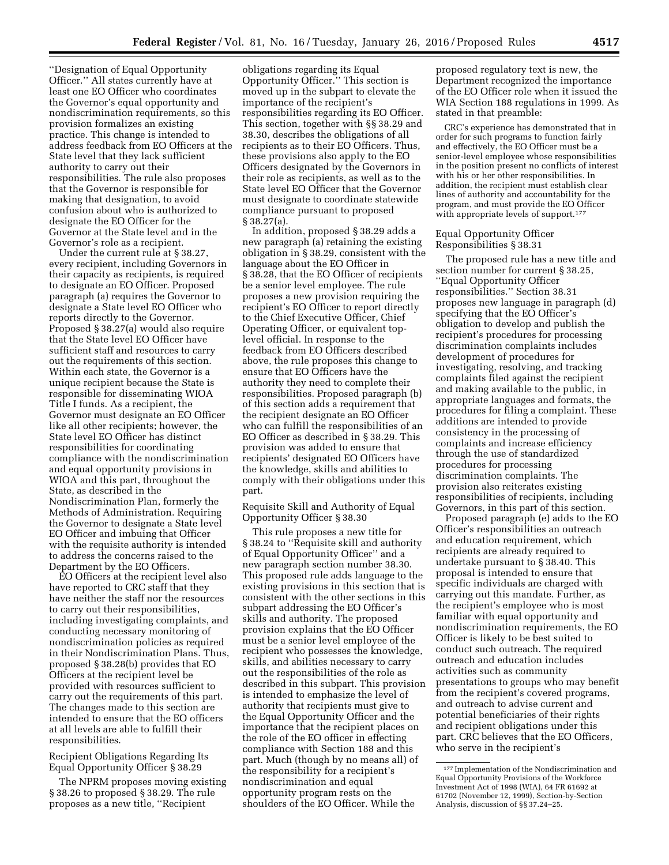''Designation of Equal Opportunity Officer.'' All states currently have at least one EO Officer who coordinates the Governor's equal opportunity and nondiscrimination requirements, so this provision formalizes an existing practice. This change is intended to address feedback from EO Officers at the State level that they lack sufficient authority to carry out their responsibilities. The rule also proposes that the Governor is responsible for making that designation, to avoid confusion about who is authorized to designate the EO Officer for the Governor at the State level and in the Governor's role as a recipient.

Under the current rule at § 38.27, every recipient, including Governors in their capacity as recipients, is required to designate an EO Officer. Proposed paragraph (a) requires the Governor to designate a State level EO Officer who reports directly to the Governor. Proposed § 38.27(a) would also require that the State level EO Officer have sufficient staff and resources to carry out the requirements of this section. Within each state, the Governor is a unique recipient because the State is responsible for disseminating WIOA Title I funds. As a recipient, the Governor must designate an EO Officer like all other recipients; however, the State level EO Officer has distinct responsibilities for coordinating compliance with the nondiscrimination and equal opportunity provisions in WIOA and this part, throughout the State, as described in the Nondiscrimination Plan, formerly the Methods of Administration. Requiring the Governor to designate a State level EO Officer and imbuing that Officer with the requisite authority is intended to address the concerns raised to the Department by the EO Officers.

EO Officers at the recipient level also have reported to CRC staff that they have neither the staff nor the resources to carry out their responsibilities, including investigating complaints, and conducting necessary monitoring of nondiscrimination policies as required in their Nondiscrimination Plans. Thus, proposed § 38.28(b) provides that EO Officers at the recipient level be provided with resources sufficient to carry out the requirements of this part. The changes made to this section are intended to ensure that the EO officers at all levels are able to fulfill their responsibilities.

Recipient Obligations Regarding Its Equal Opportunity Officer § 38.29

The NPRM proposes moving existing § 38.26 to proposed § 38.29. The rule proposes as a new title, ''Recipient

obligations regarding its Equal Opportunity Officer.'' This section is moved up in the subpart to elevate the importance of the recipient's responsibilities regarding its EO Officer. This section, together with §§ 38.29 and 38.30, describes the obligations of all recipients as to their EO Officers. Thus, these provisions also apply to the EO Officers designated by the Governors in their role as recipients, as well as to the State level EO Officer that the Governor must designate to coordinate statewide compliance pursuant to proposed § 38.27(a).

In addition, proposed § 38.29 adds a new paragraph (a) retaining the existing obligation in § 38.29, consistent with the language about the EO Officer in § 38.28, that the EO Officer of recipients be a senior level employee. The rule proposes a new provision requiring the recipient's EO Officer to report directly to the Chief Executive Officer, Chief Operating Officer, or equivalent toplevel official. In response to the feedback from EO Officers described above, the rule proposes this change to ensure that EO Officers have the authority they need to complete their responsibilities. Proposed paragraph (b) of this section adds a requirement that the recipient designate an EO Officer who can fulfill the responsibilities of an EO Officer as described in § 38.29. This provision was added to ensure that recipients' designated EO Officers have the knowledge, skills and abilities to comply with their obligations under this part.

Requisite Skill and Authority of Equal Opportunity Officer § 38.30

This rule proposes a new title for § 38.24 to ''Requisite skill and authority of Equal Opportunity Officer'' and a new paragraph section number 38.30. This proposed rule adds language to the existing provisions in this section that is consistent with the other sections in this subpart addressing the EO Officer's skills and authority. The proposed provision explains that the EO Officer must be a senior level employee of the recipient who possesses the knowledge, skills, and abilities necessary to carry out the responsibilities of the role as described in this subpart. This provision is intended to emphasize the level of authority that recipients must give to the Equal Opportunity Officer and the importance that the recipient places on the role of the EO officer in effecting compliance with Section 188 and this part. Much (though by no means all) of the responsibility for a recipient's nondiscrimination and equal opportunity program rests on the shoulders of the EO Officer. While the

proposed regulatory text is new, the Department recognized the importance of the EO Officer role when it issued the WIA Section 188 regulations in 1999. As stated in that preamble:

CRC's experience has demonstrated that in order for such programs to function fairly and effectively, the EO Officer must be a senior-level employee whose responsibilities in the position present no conflicts of interest with his or her other responsibilities. In addition, the recipient must establish clear lines of authority and accountability for the program, and must provide the EO Officer with appropriate levels of support.<sup>177</sup>

### Equal Opportunity Officer Responsibilities § 38.31

The proposed rule has a new title and section number for current § 38.25, ''Equal Opportunity Officer responsibilities.'' Section 38.31 proposes new language in paragraph (d) specifying that the EO Officer's obligation to develop and publish the recipient's procedures for processing discrimination complaints includes development of procedures for investigating, resolving, and tracking complaints filed against the recipient and making available to the public, in appropriate languages and formats, the procedures for filing a complaint. These additions are intended to provide consistency in the processing of complaints and increase efficiency through the use of standardized procedures for processing discrimination complaints. The provision also reiterates existing responsibilities of recipients, including Governors, in this part of this section.

Proposed paragraph (e) adds to the EO Officer's responsibilities an outreach and education requirement, which recipients are already required to undertake pursuant to § 38.40. This proposal is intended to ensure that specific individuals are charged with carrying out this mandate. Further, as the recipient's employee who is most familiar with equal opportunity and nondiscrimination requirements, the EO Officer is likely to be best suited to conduct such outreach. The required outreach and education includes activities such as community presentations to groups who may benefit from the recipient's covered programs, and outreach to advise current and potential beneficiaries of their rights and recipient obligations under this part. CRC believes that the EO Officers, who serve in the recipient's

<sup>177</sup> Implementation of the Nondiscrimination and Equal Opportunity Provisions of the Workforce Investment Act of 1998 (WIA), 64 FR 61692 at 61702 (November 12, 1999), Section-by-Section Analysis, discussion of §§ 37.24–25.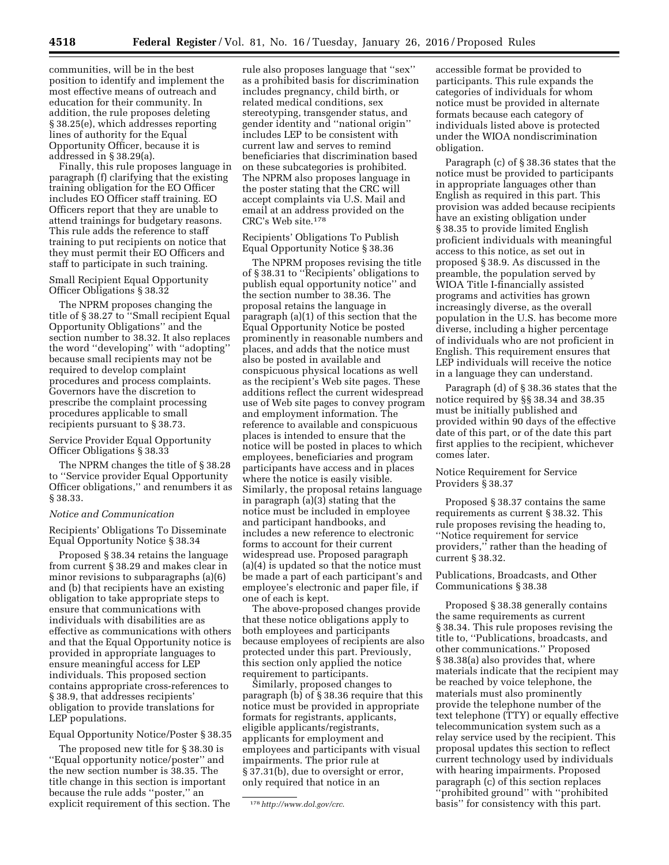communities, will be in the best position to identify and implement the most effective means of outreach and education for their community. In addition, the rule proposes deleting § 38.25(e), which addresses reporting lines of authority for the Equal Opportunity Officer, because it is addressed in § 38.29(a).

Finally, this rule proposes language in paragraph (f) clarifying that the existing training obligation for the EO Officer includes EO Officer staff training. EO Officers report that they are unable to attend trainings for budgetary reasons. This rule adds the reference to staff training to put recipients on notice that they must permit their EO Officers and staff to participate in such training.

Small Recipient Equal Opportunity Officer Obligations § 38.32

The NPRM proposes changing the title of § 38.27 to ''Small recipient Equal Opportunity Obligations'' and the section number to 38.32. It also replaces the word ''developing'' with ''adopting'' because small recipients may not be required to develop complaint procedures and process complaints. Governors have the discretion to prescribe the complaint processing procedures applicable to small recipients pursuant to § 38.73.

Service Provider Equal Opportunity Officer Obligations § 38.33

The NPRM changes the title of § 38.28 to ''Service provider Equal Opportunity Officer obligations,'' and renumbers it as § 38.33.

#### *Notice and Communication*

Recipients' Obligations To Disseminate Equal Opportunity Notice § 38.34

Proposed § 38.34 retains the language from current § 38.29 and makes clear in minor revisions to subparagraphs (a)(6) and (b) that recipients have an existing obligation to take appropriate steps to ensure that communications with individuals with disabilities are as effective as communications with others and that the Equal Opportunity notice is provided in appropriate languages to ensure meaningful access for LEP individuals. This proposed section contains appropriate cross-references to § 38.9, that addresses recipients' obligation to provide translations for LEP populations.

### Equal Opportunity Notice/Poster § 38.35

The proposed new title for § 38.30 is ''Equal opportunity notice/poster'' and the new section number is 38.35. The title change in this section is important because the rule adds ''poster,'' an explicit requirement of this section. The

rule also proposes language that ''sex'' as a prohibited basis for discrimination includes pregnancy, child birth, or related medical conditions, sex stereotyping, transgender status, and gender identity and ''national origin'' includes LEP to be consistent with current law and serves to remind beneficiaries that discrimination based on these subcategories is prohibited. The NPRM also proposes language in the poster stating that the CRC will accept complaints via U.S. Mail and email at an address provided on the CRC's Web site.178

Recipients' Obligations To Publish Equal Opportunity Notice § 38.36

The NPRM proposes revising the title of § 38.31 to ''Recipients' obligations to publish equal opportunity notice'' and the section number to 38.36. The proposal retains the language in paragraph (a)(1) of this section that the Equal Opportunity Notice be posted prominently in reasonable numbers and places, and adds that the notice must also be posted in available and conspicuous physical locations as well as the recipient's Web site pages. These additions reflect the current widespread use of Web site pages to convey program and employment information. The reference to available and conspicuous places is intended to ensure that the notice will be posted in places to which employees, beneficiaries and program participants have access and in places where the notice is easily visible. Similarly, the proposal retains language in paragraph (a)(3) stating that the notice must be included in employee and participant handbooks, and includes a new reference to electronic forms to account for their current widespread use. Proposed paragraph (a)(4) is updated so that the notice must be made a part of each participant's and employee's electronic and paper file, if one of each is kept.

The above-proposed changes provide that these notice obligations apply to both employees and participants because employees of recipients are also protected under this part. Previously, this section only applied the notice requirement to participants.

Similarly, proposed changes to paragraph (b) of § 38.36 require that this notice must be provided in appropriate formats for registrants, applicants, eligible applicants/registrants, applicants for employment and employees and participants with visual impairments. The prior rule at § 37.31(b), due to oversight or error, only required that notice in an

accessible format be provided to participants. This rule expands the categories of individuals for whom notice must be provided in alternate formats because each category of individuals listed above is protected under the WIOA nondiscrimination obligation.

Paragraph (c) of § 38.36 states that the notice must be provided to participants in appropriate languages other than English as required in this part. This provision was added because recipients have an existing obligation under § 38.35 to provide limited English proficient individuals with meaningful access to this notice, as set out in proposed § 38.9. As discussed in the preamble, the population served by WIOA Title I-financially assisted programs and activities has grown increasingly diverse, as the overall population in the U.S. has become more diverse, including a higher percentage of individuals who are not proficient in English. This requirement ensures that LEP individuals will receive the notice in a language they can understand.

Paragraph (d) of § 38.36 states that the notice required by §§ 38.34 and 38.35 must be initially published and provided within 90 days of the effective date of this part, or of the date this part first applies to the recipient, whichever comes later.

Notice Requirement for Service Providers § 38.37

Proposed § 38.37 contains the same requirements as current § 38.32. This rule proposes revising the heading to, ''Notice requirement for service providers,'' rather than the heading of current § 38.32.

Publications, Broadcasts, and Other Communications § 38.38

Proposed § 38.38 generally contains the same requirements as current § 38.34. This rule proposes revising the title to, ''Publications, broadcasts, and other communications.'' Proposed § 38.38(a) also provides that, where materials indicate that the recipient may be reached by voice telephone, the materials must also prominently provide the telephone number of the text telephone (TTY) or equally effective telecommunication system such as a relay service used by the recipient. This proposal updates this section to reflect current technology used by individuals with hearing impairments. Proposed paragraph (c) of this section replaces ''prohibited ground'' with ''prohibited basis'' for consistency with this part.

<sup>178</sup>*<http://www.dol.gov/crc>*.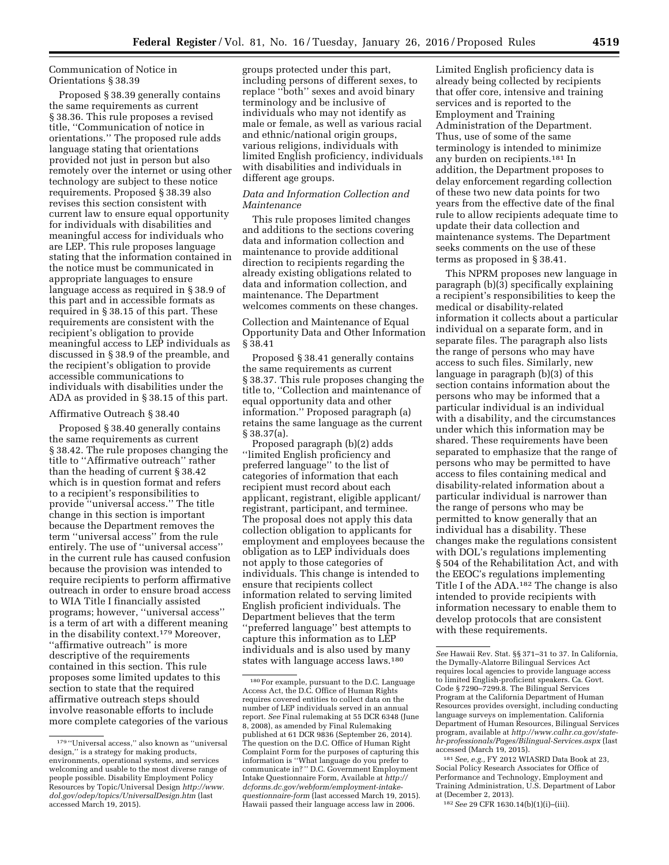# Communication of Notice in Orientations § 38.39

Proposed § 38.39 generally contains the same requirements as current § 38.36. This rule proposes a revised title, ''Communication of notice in orientations.'' The proposed rule adds language stating that orientations provided not just in person but also remotely over the internet or using other technology are subject to these notice requirements. Proposed § 38.39 also revises this section consistent with current law to ensure equal opportunity for individuals with disabilities and meaningful access for individuals who are LEP. This rule proposes language stating that the information contained in the notice must be communicated in appropriate languages to ensure language access as required in § 38.9 of this part and in accessible formats as required in § 38.15 of this part. These requirements are consistent with the recipient's obligation to provide meaningful access to LEP individuals as discussed in § 38.9 of the preamble, and the recipient's obligation to provide accessible communications to individuals with disabilities under the ADA as provided in § 38.15 of this part.

### Affirmative Outreach § 38.40

Proposed § 38.40 generally contains the same requirements as current § 38.42. The rule proposes changing the title to ''Affirmative outreach'' rather than the heading of current § 38.42 which is in question format and refers to a recipient's responsibilities to provide ''universal access.'' The title change in this section is important because the Department removes the term ''universal access'' from the rule entirely. The use of ''universal access'' in the current rule has caused confusion because the provision was intended to require recipients to perform affirmative outreach in order to ensure broad access to WIA Title I financially assisted programs; however, ''universal access'' is a term of art with a different meaning in the disability context.179 Moreover, ''affirmative outreach'' is more descriptive of the requirements contained in this section. This rule proposes some limited updates to this section to state that the required affirmative outreach steps should involve reasonable efforts to include more complete categories of the various

groups protected under this part, including persons of different sexes, to replace ''both'' sexes and avoid binary terminology and be inclusive of individuals who may not identify as male or female, as well as various racial and ethnic/national origin groups, various religions, individuals with limited English proficiency, individuals with disabilities and individuals in different age groups.

# *Data and Information Collection and Maintenance*

This rule proposes limited changes and additions to the sections covering data and information collection and maintenance to provide additional direction to recipients regarding the already existing obligations related to data and information collection, and maintenance. The Department welcomes comments on these changes.

Collection and Maintenance of Equal Opportunity Data and Other Information § 38.41

Proposed § 38.41 generally contains the same requirements as current § 38.37. This rule proposes changing the title to, ''Collection and maintenance of equal opportunity data and other information.'' Proposed paragraph (a) retains the same language as the current § 38.37(a).

Proposed paragraph (b)(2) adds ''limited English proficiency and preferred language'' to the list of categories of information that each recipient must record about each applicant, registrant, eligible applicant/ registrant, participant, and terminee. The proposal does not apply this data collection obligation to applicants for employment and employees because the obligation as to LEP individuals does not apply to those categories of individuals. This change is intended to ensure that recipients collect information related to serving limited English proficient individuals. The Department believes that the term ''preferred language'' best attempts to capture this information as to LEP individuals and is also used by many states with language access laws.180

Limited English proficiency data is already being collected by recipients that offer core, intensive and training services and is reported to the Employment and Training Administration of the Department. Thus, use of some of the same terminology is intended to minimize any burden on recipients.181 In addition, the Department proposes to delay enforcement regarding collection of these two new data points for two years from the effective date of the final rule to allow recipients adequate time to update their data collection and maintenance systems. The Department seeks comments on the use of these terms as proposed in § 38.41.

This NPRM proposes new language in paragraph (b)(3) specifically explaining a recipient's responsibilities to keep the medical or disability-related information it collects about a particular individual on a separate form, and in separate files. The paragraph also lists the range of persons who may have access to such files. Similarly, new language in paragraph (b)(3) of this section contains information about the persons who may be informed that a particular individual is an individual with a disability, and the circumstances under which this information may be shared. These requirements have been separated to emphasize that the range of persons who may be permitted to have access to files containing medical and disability-related information about a particular individual is narrower than the range of persons who may be permitted to know generally that an individual has a disability. These changes make the regulations consistent with DOL's regulations implementing § 504 of the Rehabilitation Act, and with the EEOC's regulations implementing Title I of the ADA.182 The change is also intended to provide recipients with information necessary to enable them to develop protocols that are consistent with these requirements.

181*See, e.g.,* FY 2012 WIASRD Data Book at 23, Social Policy Research Associates for Office of Performance and Technology, Employment and Training Administration, U.S. Department of Labor at (December 2, 2013).

182*See* 29 CFR 1630.14(b)(1)(i)–(iii).

 $^{179\,\textrm{''}}$ Universal access,'' also known as ''universal design,'' is a strategy for making products, environments, operational systems, and services welcoming and usable to the most diverse range of people possible. Disability Employment Policy Resources by Topic/Universal Design *[http://www.](http://www.dol.gov/odep/topics/UniversalDesign.htm) [dol.gov/odep/topics/UniversalDesign.htm](http://www.dol.gov/odep/topics/UniversalDesign.htm)* (last accessed March 19, 2015).

<sup>180</sup>For example, pursuant to the D.C. Language Access Act, the D.C. Office of Human Rights requires covered entities to collect data on the number of LEP individuals served in an annual report. *See* Final rulemaking at 55 DCR 6348 (June 8, 2008), as amended by Final Rulemaking published at 61 DCR 9836 (September 26, 2014). The question on the D.C. Office of Human Right Complaint Form for the purposes of capturing this information is ''What language do you prefer to communicate in? '' D.C. Government Employment Intake Questionnaire Form, Available at *[http://](http://dcforms.dc.gov/webform/employment-intake-questionnaire-form) [dcforms.dc.gov/webform/employment-intake](http://dcforms.dc.gov/webform/employment-intake-questionnaire-form)[questionnaire-form](http://dcforms.dc.gov/webform/employment-intake-questionnaire-form)* (last accessed March 19, 2015). Hawaii passed their language access law in 2006.

*See* Hawaii Rev. Stat. §§ 371–31 to 37. In California, the Dymally-Alatorre Bilingual Services Act requires local agencies to provide language access to limited English-proficient speakers. Ca. Govt. Code § 7290–7299.8. The Bilingual Services Program at the California Department of Human Resources provides oversight, including conducting language surveys on implementation. California Department of Human Resources, Bilingual Services program, available at *[http://www.calhr.ca.gov/state](http://www.calhr.ca.gov/state-hr-professionals/Pages/Bilingual-Services.aspx)[hr-professionals/Pages/Bilingual-Services.aspx](http://www.calhr.ca.gov/state-hr-professionals/Pages/Bilingual-Services.aspx)* (last accessed (March 19, 2015).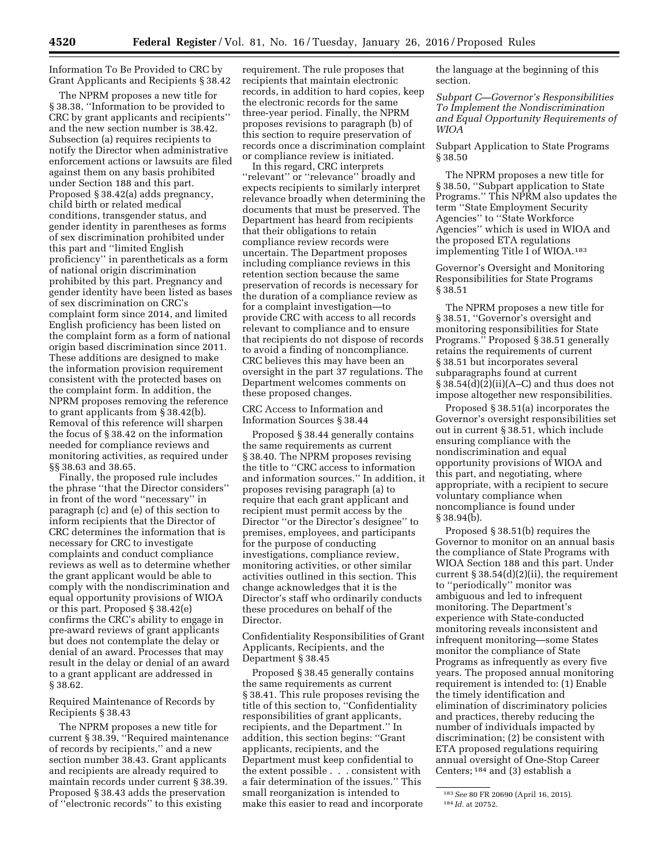Information To Be Provided to CRC by Grant Applicants and Recipients § 38.42

The NPRM proposes a new title for § 38.38, ''Information to be provided to CRC by grant applicants and recipients'' and the new section number is 38.42. Subsection (a) requires recipients to notify the Director when administrative enforcement actions or lawsuits are filed against them on any basis prohibited under Section 188 and this part. Proposed § 38.42(a) adds pregnancy, child birth or related medical conditions, transgender status, and gender identity in parentheses as forms of sex discrimination prohibited under this part and ''limited English proficiency'' in parentheticals as a form of national origin discrimination prohibited by this part. Pregnancy and gender identity have been listed as bases of sex discrimination on CRC's complaint form since 2014, and limited English proficiency has been listed on the complaint form as a form of national origin based discrimination since 2011. These additions are designed to make the information provision requirement consistent with the protected bases on the complaint form. In addition, the NPRM proposes removing the reference to grant applicants from § 38.42(b). Removal of this reference will sharpen the focus of § 38.42 on the information needed for compliance reviews and monitoring activities, as required under §§ 38.63 and 38.65.

Finally, the proposed rule includes the phrase ''that the Director considers'' in front of the word ''necessary'' in paragraph (c) and (e) of this section to inform recipients that the Director of CRC determines the information that is necessary for CRC to investigate complaints and conduct compliance reviews as well as to determine whether the grant applicant would be able to comply with the nondiscrimination and equal opportunity provisions of WIOA or this part. Proposed § 38.42(e) confirms the CRC's ability to engage in pre-award reviews of grant applicants but does not contemplate the delay or denial of an award. Processes that may result in the delay or denial of an award to a grant applicant are addressed in § 38.62.

Required Maintenance of Records by Recipients § 38.43

The NPRM proposes a new title for current § 38.39, ''Required maintenance of records by recipients,'' and a new section number 38.43. Grant applicants and recipients are already required to maintain records under current § 38.39. Proposed § 38.43 adds the preservation of ''electronic records'' to this existing

requirement. The rule proposes that recipients that maintain electronic records, in addition to hard copies, keep the electronic records for the same three-year period. Finally, the NPRM proposes revisions to paragraph (b) of this section to require preservation of records once a discrimination complaint or compliance review is initiated.

In this regard, CRC interprets ''relevant'' or ''relevance'' broadly and expects recipients to similarly interpret relevance broadly when determining the documents that must be preserved. The Department has heard from recipients that their obligations to retain compliance review records were uncertain. The Department proposes including compliance reviews in this retention section because the same preservation of records is necessary for the duration of a compliance review as for a complaint investigation—to provide CRC with access to all records relevant to compliance and to ensure that recipients do not dispose of records to avoid a finding of noncompliance. CRC believes this may have been an oversight in the part 37 regulations. The Department welcomes comments on these proposed changes.

CRC Access to Information and Information Sources § 38.44

Proposed § 38.44 generally contains the same requirements as current § 38.40. The NPRM proposes revising the title to ''CRC access to information and information sources.'' In addition, it proposes revising paragraph (a) to require that each grant applicant and recipient must permit access by the Director ''or the Director's designee'' to premises, employees, and participants for the purpose of conducting investigations, compliance review, monitoring activities, or other similar activities outlined in this section. This change acknowledges that it is the Director's staff who ordinarily conducts these procedures on behalf of the Director.

Confidentiality Responsibilities of Grant Applicants, Recipients, and the Department § 38.45

Proposed § 38.45 generally contains the same requirements as current § 38.41. This rule proposes revising the title of this section to, ''Confidentiality responsibilities of grant applicants, recipients, and the Department.'' In addition, this section begins: ''Grant applicants, recipients, and the Department must keep confidential to the extent possible . . . consistent with a fair determination of the issues.'' This small reorganization is intended to make this easier to read and incorporate the language at the beginning of this section.

*Subpart C—Governor's Responsibilities To Implement the Nondiscrimination and Equal Opportunity Requirements of WIOA* 

Subpart Application to State Programs § 38.50

The NPRM proposes a new title for § 38.50, ''Subpart application to State Programs.'' This NPRM also updates the term ''State Employment Security Agencies'' to ''State Workforce Agencies'' which is used in WIOA and the proposed ETA regulations implementing Title I of WIOA.183

Governor's Oversight and Monitoring Responsibilities for State Programs § 38.51

The NPRM proposes a new title for § 38.51, ''Governor's oversight and monitoring responsibilities for State Programs.'' Proposed § 38.51 generally retains the requirements of current § 38.51 but incorporates several subparagraphs found at current  $\S 38.54(d)(2)(ii)(A-C)$  and thus does not impose altogether new responsibilities.

Proposed § 38.51(a) incorporates the Governor's oversight responsibilities set out in current § 38.51, which include ensuring compliance with the nondiscrimination and equal opportunity provisions of WIOA and this part, and negotiating, where appropriate, with a recipient to secure voluntary compliance when noncompliance is found under § 38.94(b).

Proposed § 38.51(b) requires the Governor to monitor on an annual basis the compliance of State Programs with WIOA Section 188 and this part. Under current  $\S 38.54(d)(2)(ii)$ , the requirement to ''periodically'' monitor was ambiguous and led to infrequent monitoring. The Department's experience with State-conducted monitoring reveals inconsistent and infrequent monitoring—some States monitor the compliance of State Programs as infrequently as every five years. The proposed annual monitoring requirement is intended to: (1) Enable the timely identification and elimination of discriminatory policies and practices, thereby reducing the number of individuals impacted by discrimination; (2) be consistent with ETA proposed regulations requiring annual oversight of One-Stop Career Centers; 184 and (3) establish a

<sup>183</sup>*See* 80 FR 20690 (April 16, 2015). 184 *Id.* at 20752.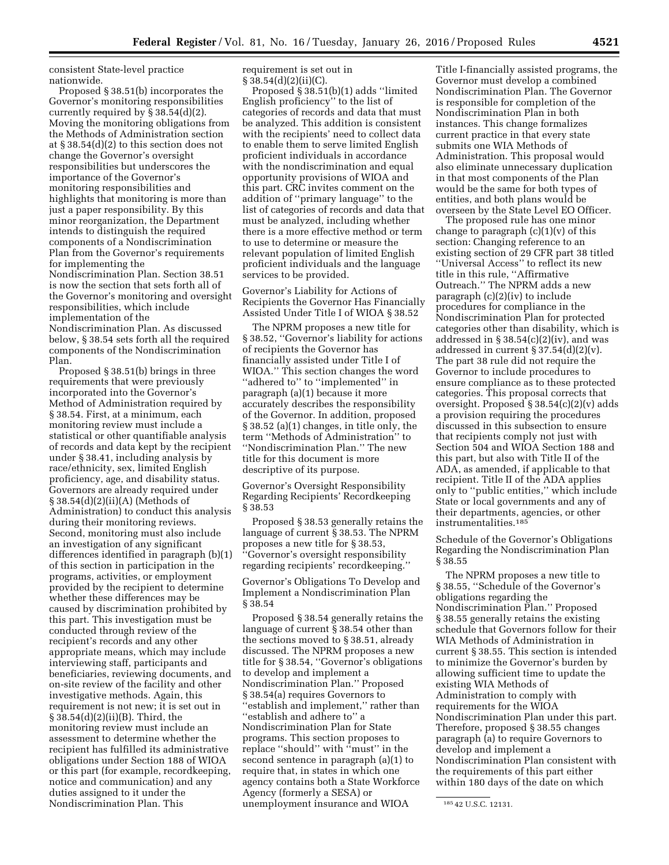consistent State-level practice nationwide.

Proposed § 38.51(b) incorporates the Governor's monitoring responsibilities currently required by § 38.54(d)(2). Moving the monitoring obligations from the Methods of Administration section at § 38.54(d)(2) to this section does not change the Governor's oversight responsibilities but underscores the importance of the Governor's monitoring responsibilities and highlights that monitoring is more than just a paper responsibility. By this minor reorganization, the Department intends to distinguish the required components of a Nondiscrimination Plan from the Governor's requirements for implementing the Nondiscrimination Plan. Section 38.51 is now the section that sets forth all of the Governor's monitoring and oversight responsibilities, which include implementation of the Nondiscrimination Plan. As discussed below, § 38.54 sets forth all the required components of the Nondiscrimination Plan.

Proposed § 38.51(b) brings in three requirements that were previously incorporated into the Governor's Method of Administration required by § 38.54. First, at a minimum, each monitoring review must include a statistical or other quantifiable analysis of records and data kept by the recipient under § 38.41, including analysis by race/ethnicity, sex, limited English proficiency, age, and disability status. Governors are already required under § 38.54(d)(2)(ii)(A) (Methods of Administration) to conduct this analysis during their monitoring reviews. Second, monitoring must also include an investigation of any significant differences identified in paragraph (b)(1) of this section in participation in the programs, activities, or employment provided by the recipient to determine whether these differences may be caused by discrimination prohibited by this part. This investigation must be conducted through review of the recipient's records and any other appropriate means, which may include interviewing staff, participants and beneficiaries, reviewing documents, and on-site review of the facility and other investigative methods. Again, this requirement is not new; it is set out in § 38.54(d)(2)(ii)(B). Third, the monitoring review must include an assessment to determine whether the recipient has fulfilled its administrative obligations under Section 188 of WIOA or this part (for example, recordkeeping, notice and communication) and any duties assigned to it under the Nondiscrimination Plan. This

requirement is set out in  $§ 38.54(d)(2)(ii)(C).$ 

Proposed § 38.51(b)(1) adds ''limited English proficiency'' to the list of categories of records and data that must be analyzed. This addition is consistent with the recipients' need to collect data to enable them to serve limited English proficient individuals in accordance with the nondiscrimination and equal opportunity provisions of WIOA and this part. CRC invites comment on the addition of ''primary language'' to the list of categories of records and data that must be analyzed, including whether there is a more effective method or term to use to determine or measure the relevant population of limited English proficient individuals and the language services to be provided.

Governor's Liability for Actions of Recipients the Governor Has Financially Assisted Under Title I of WIOA § 38.52

The NPRM proposes a new title for § 38.52, ''Governor's liability for actions of recipients the Governor has financially assisted under Title I of WIOA.'' This section changes the word ''adhered to'' to ''implemented'' in paragraph (a)(1) because it more accurately describes the responsibility of the Governor. In addition, proposed § 38.52 (a)(1) changes, in title only, the term ''Methods of Administration'' to ''Nondiscrimination Plan.'' The new title for this document is more descriptive of its purpose.

Governor's Oversight Responsibility Regarding Recipients' Recordkeeping § 38.53

Proposed § 38.53 generally retains the language of current § 38.53. The NPRM proposes a new title for § 38.53, ''Governor's oversight responsibility regarding recipients' recordkeeping.''

Governor's Obligations To Develop and Implement a Nondiscrimination Plan § 38.54

Proposed § 38.54 generally retains the language of current § 38.54 other than the sections moved to § 38.51, already discussed. The NPRM proposes a new title for § 38.54, ''Governor's obligations to develop and implement a Nondiscrimination Plan.'' Proposed § 38.54(a) requires Governors to ''establish and implement,'' rather than ''establish and adhere to'' a Nondiscrimination Plan for State programs. This section proposes to replace ''should'' with ''must'' in the second sentence in paragraph (a)(1) to require that, in states in which one agency contains both a State Workforce Agency (formerly a SESA) or unemployment insurance and WIOA

Title I-financially assisted programs, the Governor must develop a combined Nondiscrimination Plan. The Governor is responsible for completion of the Nondiscrimination Plan in both instances. This change formalizes current practice in that every state submits one WIA Methods of Administration. This proposal would also eliminate unnecessary duplication in that most components of the Plan would be the same for both types of entities, and both plans would be overseen by the State Level EO Officer.

The proposed rule has one minor change to paragraph  $(c)(1)(v)$  of this section: Changing reference to an existing section of 29 CFR part 38 titled ''Universal Access'' to reflect its new title in this rule, ''Affirmative Outreach.'' The NPRM adds a new paragraph (c)(2)(iv) to include procedures for compliance in the Nondiscrimination Plan for protected categories other than disability, which is addressed in  $\S 38.54(c)(2)(iv)$ , and was addressed in current § 37.54(d)(2)(v). The part 38 rule did not require the Governor to include procedures to ensure compliance as to these protected categories. This proposal corrects that oversight. Proposed § 38.54(c)(2)(v) adds a provision requiring the procedures discussed in this subsection to ensure that recipients comply not just with Section 504 and WIOA Section 188 and this part, but also with Title II of the ADA, as amended, if applicable to that recipient. Title II of the ADA applies only to ''public entities,'' which include State or local governments and any of their departments, agencies, or other instrumentalities.185

Schedule of the Governor's Obligations Regarding the Nondiscrimination Plan § 38.55

The NPRM proposes a new title to § 38.55, ''Schedule of the Governor's obligations regarding the Nondiscrimination Plan.'' Proposed § 38.55 generally retains the existing schedule that Governors follow for their WIA Methods of Administration in current § 38.55. This section is intended to minimize the Governor's burden by allowing sufficient time to update the existing WIA Methods of Administration to comply with requirements for the WIOA Nondiscrimination Plan under this part. Therefore, proposed § 38.55 changes paragraph (a) to require Governors to develop and implement a Nondiscrimination Plan consistent with the requirements of this part either within 180 days of the date on which

<sup>185</sup> 42 U.S.C. 12131.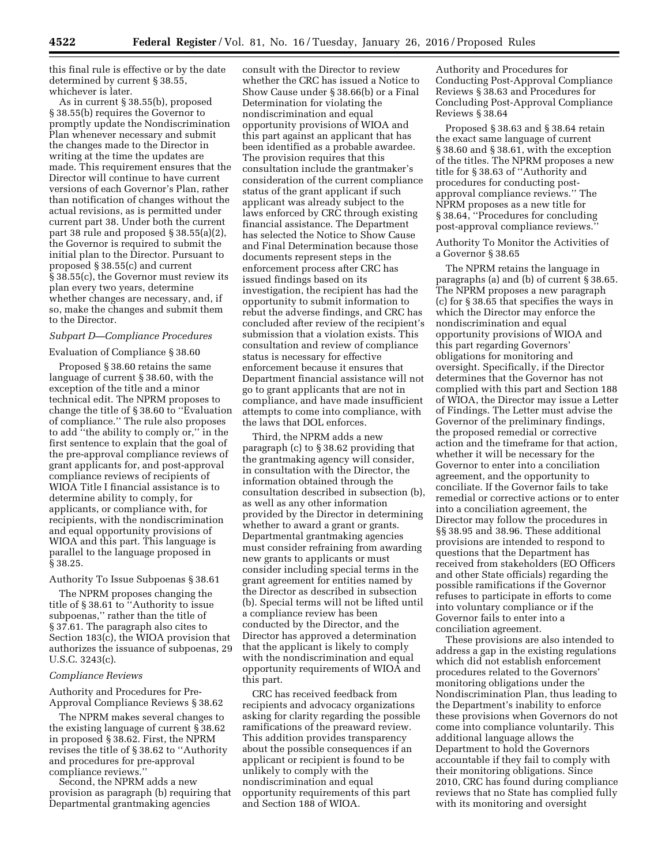this final rule is effective or by the date determined by current § 38.55, whichever is later.

As in current § 38.55(b), proposed § 38.55(b) requires the Governor to promptly update the Nondiscrimination Plan whenever necessary and submit the changes made to the Director in writing at the time the updates are made. This requirement ensures that the Director will continue to have current versions of each Governor's Plan, rather than notification of changes without the actual revisions, as is permitted under current part 38. Under both the current part 38 rule and proposed § 38.55(a)(2), the Governor is required to submit the initial plan to the Director. Pursuant to proposed § 38.55(c) and current § 38.55(c), the Governor must review its plan every two years, determine whether changes are necessary, and, if so, make the changes and submit them to the Director.

# *Subpart D—Compliance Procedures*

#### Evaluation of Compliance § 38.60

Proposed § 38.60 retains the same language of current § 38.60, with the exception of the title and a minor technical edit. The NPRM proposes to change the title of § 38.60 to ''Evaluation of compliance.'' The rule also proposes to add ''the ability to comply or,'' in the first sentence to explain that the goal of the pre-approval compliance reviews of grant applicants for, and post-approval compliance reviews of recipients of WIOA Title I financial assistance is to determine ability to comply, for applicants, or compliance with, for recipients, with the nondiscrimination and equal opportunity provisions of WIOA and this part. This language is parallel to the language proposed in § 38.25.

### Authority To Issue Subpoenas § 38.61

The NPRM proposes changing the title of § 38.61 to ''Authority to issue subpoenas,'' rather than the title of § 37.61. The paragraph also cites to Section 183(c), the WIOA provision that authorizes the issuance of subpoenas, 29 U.S.C. 3243(c).

#### *Compliance Reviews*

Authority and Procedures for Pre-Approval Compliance Reviews § 38.62

The NPRM makes several changes to the existing language of current § 38.62 in proposed § 38.62. First, the NPRM revises the title of § 38.62 to ''Authority and procedures for pre-approval compliance reviews.''

Second, the NPRM adds a new provision as paragraph (b) requiring that Departmental grantmaking agencies

consult with the Director to review whether the CRC has issued a Notice to Show Cause under § 38.66(b) or a Final Determination for violating the nondiscrimination and equal opportunity provisions of WIOA and this part against an applicant that has been identified as a probable awardee. The provision requires that this consultation include the grantmaker's consideration of the current compliance status of the grant applicant if such applicant was already subject to the laws enforced by CRC through existing financial assistance. The Department has selected the Notice to Show Cause and Final Determination because those documents represent steps in the enforcement process after CRC has issued findings based on its investigation, the recipient has had the opportunity to submit information to rebut the adverse findings, and CRC has concluded after review of the recipient's submission that a violation exists. This consultation and review of compliance status is necessary for effective enforcement because it ensures that Department financial assistance will not go to grant applicants that are not in compliance, and have made insufficient attempts to come into compliance, with the laws that DOL enforces.

Third, the NPRM adds a new paragraph (c) to § 38.62 providing that the grantmaking agency will consider, in consultation with the Director, the information obtained through the consultation described in subsection (b), as well as any other information provided by the Director in determining whether to award a grant or grants. Departmental grantmaking agencies must consider refraining from awarding new grants to applicants or must consider including special terms in the grant agreement for entities named by the Director as described in subsection (b). Special terms will not be lifted until a compliance review has been conducted by the Director, and the Director has approved a determination that the applicant is likely to comply with the nondiscrimination and equal opportunity requirements of WIOA and this part.

CRC has received feedback from recipients and advocacy organizations asking for clarity regarding the possible ramifications of the preaward review. This addition provides transparency about the possible consequences if an applicant or recipient is found to be unlikely to comply with the nondiscrimination and equal opportunity requirements of this part and Section 188 of WIOA.

Authority and Procedures for Conducting Post-Approval Compliance Reviews § 38.63 and Procedures for Concluding Post-Approval Compliance Reviews § 38.64

Proposed § 38.63 and § 38.64 retain the exact same language of current § 38.60 and § 38.61, with the exception of the titles. The NPRM proposes a new title for § 38.63 of ''Authority and procedures for conducting postapproval compliance reviews.'' The NPRM proposes as a new title for § 38.64, ''Procedures for concluding post-approval compliance reviews.''

Authority To Monitor the Activities of a Governor § 38.65

The NPRM retains the language in paragraphs (a) and (b) of current § 38.65. The NPRM proposes a new paragraph (c) for § 38.65 that specifies the ways in which the Director may enforce the nondiscrimination and equal opportunity provisions of WIOA and this part regarding Governors' obligations for monitoring and oversight. Specifically, if the Director determines that the Governor has not complied with this part and Section 188 of WIOA, the Director may issue a Letter of Findings. The Letter must advise the Governor of the preliminary findings, the proposed remedial or corrective action and the timeframe for that action, whether it will be necessary for the Governor to enter into a conciliation agreement, and the opportunity to conciliate. If the Governor fails to take remedial or corrective actions or to enter into a conciliation agreement, the Director may follow the procedures in §§ 38.95 and 38.96. These additional provisions are intended to respond to questions that the Department has received from stakeholders (EO Officers and other State officials) regarding the possible ramifications if the Governor refuses to participate in efforts to come into voluntary compliance or if the Governor fails to enter into a conciliation agreement.

These provisions are also intended to address a gap in the existing regulations which did not establish enforcement procedures related to the Governors' monitoring obligations under the Nondiscrimination Plan, thus leading to the Department's inability to enforce these provisions when Governors do not come into compliance voluntarily. This additional language allows the Department to hold the Governors accountable if they fail to comply with their monitoring obligations. Since 2010, CRC has found during compliance reviews that no State has complied fully with its monitoring and oversight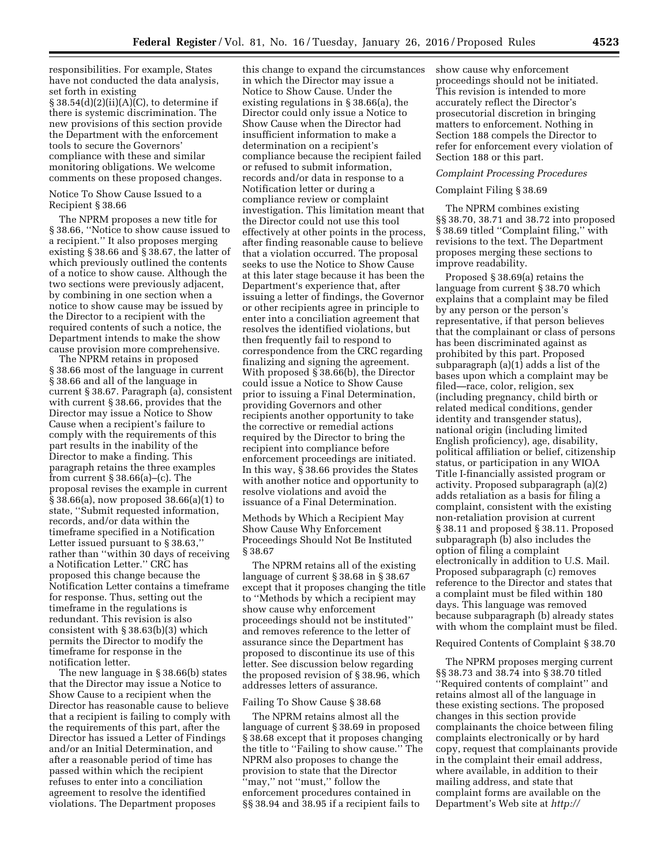responsibilities. For example, States have not conducted the data analysis, set forth in existing  $§ 38.54(d)(2)(ii)(A)(C)$ , to determine if there is systemic discrimination. The new provisions of this section provide the Department with the enforcement tools to secure the Governors' compliance with these and similar monitoring obligations. We welcome comments on these proposed changes.

#### Notice To Show Cause Issued to a Recipient § 38.66

The NPRM proposes a new title for § 38.66, ''Notice to show cause issued to a recipient.'' It also proposes merging existing § 38.66 and § 38.67, the latter of which previously outlined the contents of a notice to show cause. Although the two sections were previously adjacent, by combining in one section when a notice to show cause may be issued by the Director to a recipient with the required contents of such a notice, the Department intends to make the show cause provision more comprehensive.

The NPRM retains in proposed § 38.66 most of the language in current § 38.66 and all of the language in current § 38.67. Paragraph (a), consistent with current § 38.66, provides that the Director may issue a Notice to Show Cause when a recipient's failure to comply with the requirements of this part results in the inability of the Director to make a finding. This paragraph retains the three examples from current § 38.66(a)–(c). The proposal revises the example in current § 38.66(a), now proposed 38.66(a)(1) to state, ''Submit requested information, records, and/or data within the timeframe specified in a Notification Letter issued pursuant to § 38.63,'' rather than ''within 30 days of receiving a Notification Letter.'' CRC has proposed this change because the Notification Letter contains a timeframe for response. Thus, setting out the timeframe in the regulations is redundant. This revision is also consistent with § 38.63(b)(3) which permits the Director to modify the timeframe for response in the notification letter.

The new language in § 38.66(b) states that the Director may issue a Notice to Show Cause to a recipient when the Director has reasonable cause to believe that a recipient is failing to comply with the requirements of this part, after the Director has issued a Letter of Findings and/or an Initial Determination, and after a reasonable period of time has passed within which the recipient refuses to enter into a conciliation agreement to resolve the identified violations. The Department proposes

this change to expand the circumstances in which the Director may issue a Notice to Show Cause. Under the existing regulations in § 38.66(a), the Director could only issue a Notice to Show Cause when the Director had insufficient information to make a determination on a recipient's compliance because the recipient failed or refused to submit information, records and/or data in response to a Notification letter or during a compliance review or complaint investigation. This limitation meant that the Director could not use this tool effectively at other points in the process, after finding reasonable cause to believe that a violation occurred. The proposal seeks to use the Notice to Show Cause at this later stage because it has been the Department's experience that, after issuing a letter of findings, the Governor or other recipients agree in principle to enter into a conciliation agreement that resolves the identified violations, but then frequently fail to respond to correspondence from the CRC regarding finalizing and signing the agreement. With proposed § 38.66(b), the Director could issue a Notice to Show Cause prior to issuing a Final Determination, providing Governors and other recipients another opportunity to take the corrective or remedial actions required by the Director to bring the recipient into compliance before enforcement proceedings are initiated. In this way, § 38.66 provides the States with another notice and opportunity to resolve violations and avoid the issuance of a Final Determination.

Methods by Which a Recipient May Show Cause Why Enforcement Proceedings Should Not Be Instituted § 38.67

The NPRM retains all of the existing language of current § 38.68 in § 38.67 except that it proposes changing the title to ''Methods by which a recipient may show cause why enforcement proceedings should not be instituted'' and removes reference to the letter of assurance since the Department has proposed to discontinue its use of this letter. See discussion below regarding the proposed revision of § 38.96, which addresses letters of assurance.

#### Failing To Show Cause § 38.68

The NPRM retains almost all the language of current § 38.69 in proposed § 38.68 except that it proposes changing the title to ''Failing to show cause.'' The NPRM also proposes to change the provision to state that the Director ''may,'' not ''must,'' follow the enforcement procedures contained in §§ 38.94 and 38.95 if a recipient fails to

show cause why enforcement proceedings should not be initiated. This revision is intended to more accurately reflect the Director's prosecutorial discretion in bringing matters to enforcement. Nothing in Section 188 compels the Director to refer for enforcement every violation of Section 188 or this part.

### *Complaint Processing Procedures*

### Complaint Filing § 38.69

The NPRM combines existing §§ 38.70, 38.71 and 38.72 into proposed § 38.69 titled ''Complaint filing,'' with revisions to the text. The Department proposes merging these sections to improve readability.

Proposed § 38.69(a) retains the language from current § 38.70 which explains that a complaint may be filed by any person or the person's representative, if that person believes that the complainant or class of persons has been discriminated against as prohibited by this part. Proposed subparagraph (a)(1) adds a list of the bases upon which a complaint may be filed—race, color, religion, sex (including pregnancy, child birth or related medical conditions, gender identity and transgender status), national origin (including limited English proficiency), age, disability, political affiliation or belief, citizenship status, or participation in any WIOA Title I-financially assisted program or activity. Proposed subparagraph (a)(2) adds retaliation as a basis for filing a complaint, consistent with the existing non-retaliation provision at current § 38.11 and proposed § 38.11. Proposed subparagraph (b) also includes the option of filing a complaint electronically in addition to U.S. Mail. Proposed subparagraph (c) removes reference to the Director and states that a complaint must be filed within 180 days. This language was removed because subparagraph (b) already states with whom the complaint must be filed.

### Required Contents of Complaint § 38.70

The NPRM proposes merging current §§ 38.73 and 38.74 into § 38.70 titled ''Required contents of complaint'' and retains almost all of the language in these existing sections. The proposed changes in this section provide complainants the choice between filing complaints electronically or by hard copy, request that complainants provide in the complaint their email address, where available, in addition to their mailing address, and state that complaint forms are available on the Department's Web site at *[http://](http://www.dol.gov/oasam/programs/crc/external-enforc-complaints.htm)*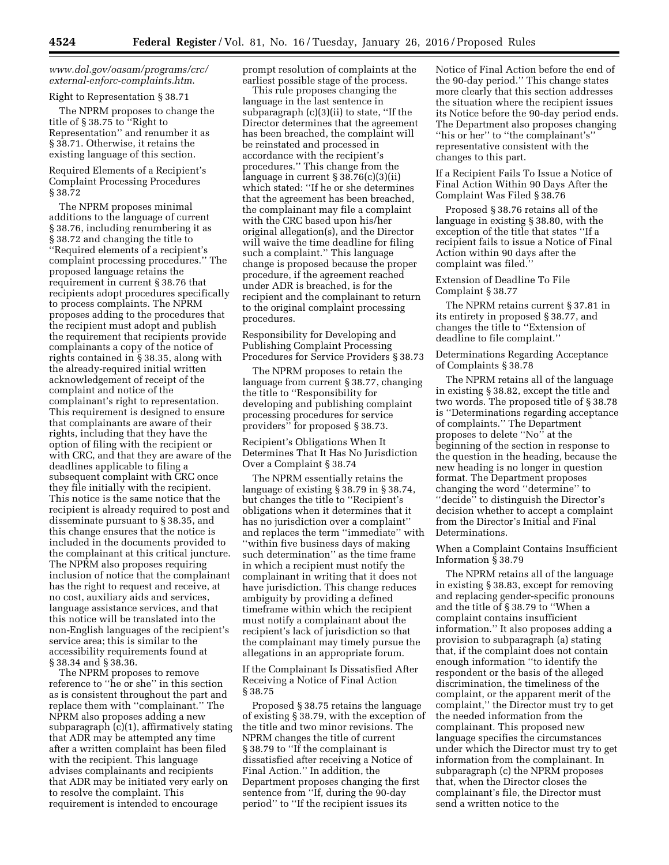# *[www.dol.gov/oasam/programs/crc/](http://www.dol.gov/oasam/programs/crc/external-enforc-complaints.htm) [external-enforc-complaints.htm](http://www.dol.gov/oasam/programs/crc/external-enforc-complaints.htm)*.

### Right to Representation § 38.71

The NPRM proposes to change the title of § 38.75 to ''Right to Representation'' and renumber it as § 38.71. Otherwise, it retains the existing language of this section.

# Required Elements of a Recipient's Complaint Processing Procedures § 38.72

The NPRM proposes minimal additions to the language of current § 38.76, including renumbering it as § 38.72 and changing the title to ''Required elements of a recipient's complaint processing procedures.'' The proposed language retains the requirement in current § 38.76 that recipients adopt procedures specifically to process complaints. The NPRM proposes adding to the procedures that the recipient must adopt and publish the requirement that recipients provide complainants a copy of the notice of rights contained in § 38.35, along with the already-required initial written acknowledgement of receipt of the complaint and notice of the complainant's right to representation. This requirement is designed to ensure that complainants are aware of their rights, including that they have the option of filing with the recipient or with CRC, and that they are aware of the deadlines applicable to filing a subsequent complaint with CRC once they file initially with the recipient. This notice is the same notice that the recipient is already required to post and disseminate pursuant to § 38.35, and this change ensures that the notice is included in the documents provided to the complainant at this critical juncture. The NPRM also proposes requiring inclusion of notice that the complainant has the right to request and receive, at no cost, auxiliary aids and services, language assistance services, and that this notice will be translated into the non-English languages of the recipient's service area; this is similar to the accessibility requirements found at § 38.34 and § 38.36.

The NPRM proposes to remove reference to ''he or she'' in this section as is consistent throughout the part and replace them with ''complainant.'' The NPRM also proposes adding a new subparagraph (c)(1), affirmatively stating that ADR may be attempted any time after a written complaint has been filed with the recipient. This language advises complainants and recipients that ADR may be initiated very early on to resolve the complaint. This requirement is intended to encourage

prompt resolution of complaints at the earliest possible stage of the process.

This rule proposes changing the language in the last sentence in subparagraph (c)(3)(ii) to state, ''If the Director determines that the agreement has been breached, the complaint will be reinstated and processed in accordance with the recipient's procedures.'' This change from the language in current § 38.76(c)(3)(ii) which stated: ''If he or she determines that the agreement has been breached, the complainant may file a complaint with the CRC based upon his/her original allegation(s), and the Director will waive the time deadline for filing such a complaint.'' This language change is proposed because the proper procedure, if the agreement reached under ADR is breached, is for the recipient and the complainant to return to the original complaint processing procedures.

### Responsibility for Developing and Publishing Complaint Processing Procedures for Service Providers § 38.73

The NPRM proposes to retain the language from current § 38.77, changing the title to ''Responsibility for developing and publishing complaint processing procedures for service providers'' for proposed § 38.73.

Recipient's Obligations When It Determines That It Has No Jurisdiction Over a Complaint § 38.74

The NPRM essentially retains the language of existing § 38.79 in § 38.74, but changes the title to ''Recipient's obligations when it determines that it has no jurisdiction over a complaint'' and replaces the term ''immediate'' with ''within five business days of making such determination'' as the time frame in which a recipient must notify the complainant in writing that it does not have jurisdiction. This change reduces ambiguity by providing a defined timeframe within which the recipient must notify a complainant about the recipient's lack of jurisdiction so that the complainant may timely pursue the allegations in an appropriate forum.

### If the Complainant Is Dissatisfied After Receiving a Notice of Final Action § 38.75

Proposed § 38.75 retains the language of existing § 38.79, with the exception of the title and two minor revisions. The NPRM changes the title of current § 38.79 to ''If the complainant is dissatisfied after receiving a Notice of Final Action.'' In addition, the Department proposes changing the first sentence from ''If, during the 90-day period'' to ''If the recipient issues its

Notice of Final Action before the end of the 90-day period.'' This change states more clearly that this section addresses the situation where the recipient issues its Notice before the 90-day period ends. The Department also proposes changing ''his or her'' to ''the complainant's'' representative consistent with the changes to this part.

If a Recipient Fails To Issue a Notice of Final Action Within 90 Days After the Complaint Was Filed § 38.76

Proposed § 38.76 retains all of the language in existing § 38.80, with the exception of the title that states ''If a recipient fails to issue a Notice of Final Action within 90 days after the complaint was filed.''

## Extension of Deadline To File Complaint § 38.77

The NPRM retains current § 37.81 in its entirety in proposed § 38.77, and changes the title to ''Extension of deadline to file complaint.''

## Determinations Regarding Acceptance of Complaints § 38.78

The NPRM retains all of the language in existing § 38.82, except the title and two words. The proposed title of § 38.78 is ''Determinations regarding acceptance of complaints.'' The Department proposes to delete ''No'' at the beginning of the section in response to the question in the heading, because the new heading is no longer in question format. The Department proposes changing the word ''determine'' to ''decide'' to distinguish the Director's decision whether to accept a complaint from the Director's Initial and Final Determinations.

## When a Complaint Contains Insufficient Information § 38.79

The NPRM retains all of the language in existing § 38.83, except for removing and replacing gender-specific pronouns and the title of § 38.79 to ''When a complaint contains insufficient information.'' It also proposes adding a provision to subparagraph (a) stating that, if the complaint does not contain enough information ''to identify the respondent or the basis of the alleged discrimination, the timeliness of the complaint, or the apparent merit of the complaint,'' the Director must try to get the needed information from the complainant. This proposed new language specifies the circumstances under which the Director must try to get information from the complainant. In subparagraph (c) the NPRM proposes that, when the Director closes the complainant's file, the Director must send a written notice to the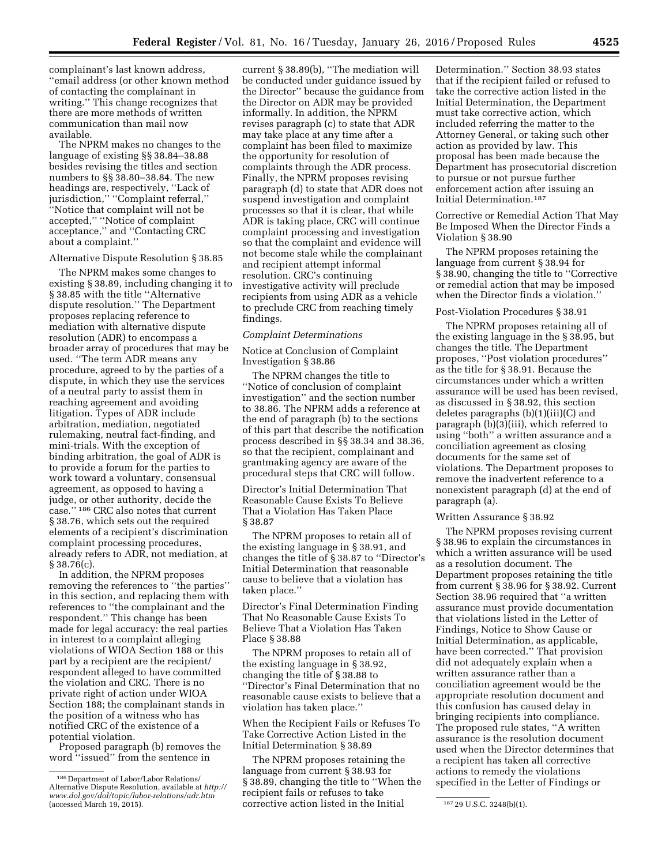complainant's last known address, ''email address (or other known method of contacting the complainant in writing.'' This change recognizes that there are more methods of written communication than mail now available.

The NPRM makes no changes to the language of existing §§ 38.84–38.88 besides revising the titles and section numbers to §§ 38.80–38.84. The new headings are, respectively, ''Lack of jurisdiction," "Complaint referral," ''Notice that complaint will not be accepted,'' ''Notice of complaint acceptance,'' and ''Contacting CRC about a complaint.''

#### Alternative Dispute Resolution § 38.85

The NPRM makes some changes to existing § 38.89, including changing it to § 38.85 with the title "Alternative dispute resolution.'' The Department proposes replacing reference to mediation with alternative dispute resolution (ADR) to encompass a broader array of procedures that may be used. ''The term ADR means any procedure, agreed to by the parties of a dispute, in which they use the services of a neutral party to assist them in reaching agreement and avoiding litigation. Types of ADR include arbitration, mediation, negotiated rulemaking, neutral fact-finding, and mini-trials. With the exception of binding arbitration, the goal of ADR is to provide a forum for the parties to work toward a voluntary, consensual agreement, as opposed to having a judge, or other authority, decide the case.'' 186 CRC also notes that current § 38.76, which sets out the required elements of a recipient's discrimination complaint processing procedures, already refers to ADR, not mediation, at § 38.76(c).

In addition, the NPRM proposes removing the references to ''the parties'' in this section, and replacing them with references to ''the complainant and the respondent.'' This change has been made for legal accuracy: the real parties in interest to a complaint alleging violations of WIOA Section 188 or this part by a recipient are the recipient/ respondent alleged to have committed the violation and CRC. There is no private right of action under WIOA Section 188; the complainant stands in the position of a witness who has notified CRC of the existence of a potential violation.

Proposed paragraph (b) removes the word ''issued'' from the sentence in

current § 38.89(b), ''The mediation will be conducted under guidance issued by the Director'' because the guidance from the Director on ADR may be provided informally. In addition, the NPRM revises paragraph (c) to state that ADR may take place at any time after a complaint has been filed to maximize the opportunity for resolution of complaints through the ADR process. Finally, the NPRM proposes revising paragraph (d) to state that ADR does not suspend investigation and complaint processes so that it is clear, that while ADR is taking place, CRC will continue complaint processing and investigation so that the complaint and evidence will not become stale while the complainant and recipient attempt informal resolution. CRC's continuing investigative activity will preclude recipients from using ADR as a vehicle to preclude CRC from reaching timely findings.

#### *Complaint Determinations*

Notice at Conclusion of Complaint Investigation § 38.86

The NPRM changes the title to ''Notice of conclusion of complaint investigation'' and the section number to 38.86. The NPRM adds a reference at the end of paragraph (b) to the sections of this part that describe the notification process described in §§ 38.34 and 38.36, so that the recipient, complainant and grantmaking agency are aware of the procedural steps that CRC will follow.

Director's Initial Determination That Reasonable Cause Exists To Believe That a Violation Has Taken Place § 38.87

The NPRM proposes to retain all of the existing language in § 38.91, and changes the title of § 38.87 to ''Director's Initial Determination that reasonable cause to believe that a violation has taken place.''

Director's Final Determination Finding That No Reasonable Cause Exists To Believe That a Violation Has Taken Place § 38.88

The NPRM proposes to retain all of the existing language in § 38.92, changing the title of § 38.88 to ''Director's Final Determination that no reasonable cause exists to believe that a violation has taken place.''

When the Recipient Fails or Refuses To Take Corrective Action Listed in the Initial Determination § 38.89

(accessed March 19, 2015). The corrective action listed in the Initial and  $18729$  U.S.C. 3248(b)(1). The NPRM proposes retaining the language from current § 38.93 for § 38.89, changing the title to ''When the recipient fails or refuses to take

Determination.'' Section 38.93 states that if the recipient failed or refused to take the corrective action listed in the Initial Determination, the Department must take corrective action, which included referring the matter to the Attorney General, or taking such other action as provided by law. This proposal has been made because the Department has prosecutorial discretion to pursue or not pursue further enforcement action after issuing an Initial Determination.187

Corrective or Remedial Action That May Be Imposed When the Director Finds a Violation § 38.90

The NPRM proposes retaining the language from current § 38.94 for § 38.90, changing the title to ''Corrective or remedial action that may be imposed when the Director finds a violation.''

#### Post-Violation Procedures § 38.91

The NPRM proposes retaining all of the existing language in the § 38.95, but changes the title. The Department proposes, ''Post violation procedures'' as the title for § 38.91. Because the circumstances under which a written assurance will be used has been revised, as discussed in § 38.92, this section deletes paragraphs (b)(1)(iii)(C) and paragraph (b)(3)(iii), which referred to using ''both'' a written assurance and a conciliation agreement as closing documents for the same set of violations. The Department proposes to remove the inadvertent reference to a nonexistent paragraph (d) at the end of paragraph (a).

#### Written Assurance § 38.92

The NPRM proposes revising current § 38.96 to explain the circumstances in which a written assurance will be used as a resolution document. The Department proposes retaining the title from current § 38.96 for § 38.92. Current Section 38.96 required that ''a written assurance must provide documentation that violations listed in the Letter of Findings, Notice to Show Cause or Initial Determination, as applicable, have been corrected.'' That provision did not adequately explain when a written assurance rather than a conciliation agreement would be the appropriate resolution document and this confusion has caused delay in bringing recipients into compliance. The proposed rule states, ''A written assurance is the resolution document used when the Director determines that a recipient has taken all corrective actions to remedy the violations specified in the Letter of Findings or

<sup>186</sup> Department of Labor/Labor Relations/ Alternative Dispute Resolution, available at *[http://](http://www.dol.gov/dol/topic/labor-relations/adr.htm) [www.dol.gov/dol/topic/labor-relations/adr.htm](http://www.dol.gov/dol/topic/labor-relations/adr.htm)*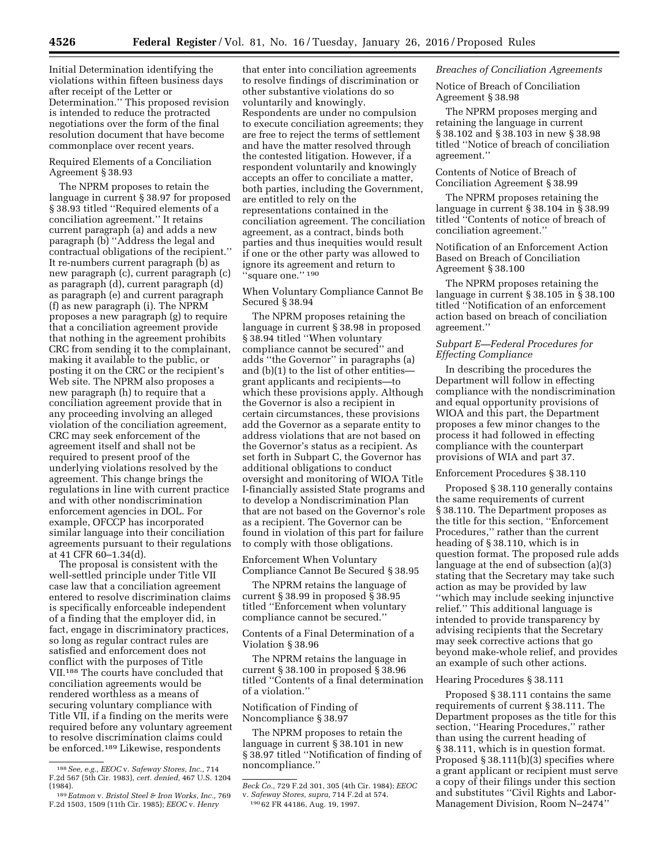Initial Determination identifying the violations within fifteen business days after receipt of the Letter or Determination.'' This proposed revision is intended to reduce the protracted negotiations over the form of the final resolution document that have become commonplace over recent years.

# Required Elements of a Conciliation Agreement § 38.93

The NPRM proposes to retain the language in current § 38.97 for proposed § 38.93 titled ''Required elements of a conciliation agreement.'' It retains current paragraph (a) and adds a new paragraph (b) ''Address the legal and contractual obligations of the recipient.'' It re-numbers current paragraph (b) as new paragraph (c), current paragraph (c) as paragraph (d), current paragraph (d) as paragraph (e) and current paragraph (f) as new paragraph (i). The NPRM proposes a new paragraph (g) to require that a conciliation agreement provide that nothing in the agreement prohibits CRC from sending it to the complainant, making it available to the public, or posting it on the CRC or the recipient's Web site. The NPRM also proposes a new paragraph (h) to require that a conciliation agreement provide that in any proceeding involving an alleged violation of the conciliation agreement, CRC may seek enforcement of the agreement itself and shall not be required to present proof of the underlying violations resolved by the agreement. This change brings the regulations in line with current practice and with other nondiscrimination enforcement agencies in DOL. For example, OFCCP has incorporated similar language into their conciliation agreements pursuant to their regulations at 41 CFR 60–1.34(d).

The proposal is consistent with the well-settled principle under Title VII case law that a conciliation agreement entered to resolve discrimination claims is specifically enforceable independent of a finding that the employer did, in fact, engage in discriminatory practices, so long as regular contract rules are satisfied and enforcement does not conflict with the purposes of Title VII.188 The courts have concluded that conciliation agreements would be rendered worthless as a means of securing voluntary compliance with Title VII, if a finding on the merits were required before any voluntary agreement to resolve discrimination claims could be enforced.189 Likewise, respondents

that enter into conciliation agreements to resolve findings of discrimination or other substantive violations do so voluntarily and knowingly. Respondents are under no compulsion to execute conciliation agreements; they are free to reject the terms of settlement and have the matter resolved through the contested litigation. However, if a respondent voluntarily and knowingly accepts an offer to conciliate a matter, both parties, including the Government, are entitled to rely on the representations contained in the conciliation agreement. The conciliation agreement, as a contract, binds both parties and thus inequities would result if one or the other party was allowed to ignore its agreement and return to "square one." 190

### When Voluntary Compliance Cannot Be Secured § 38.94

The NPRM proposes retaining the language in current § 38.98 in proposed § 38.94 titled ''When voluntary compliance cannot be secured'' and adds ''the Governor'' in paragraphs (a) and (b)(1) to the list of other entities grant applicants and recipients—to which these provisions apply. Although the Governor is also a recipient in certain circumstances, these provisions add the Governor as a separate entity to address violations that are not based on the Governor's status as a recipient. As set forth in Subpart C, the Governor has additional obligations to conduct oversight and monitoring of WIOA Title I-financially assisted State programs and to develop a Nondiscrimination Plan that are not based on the Governor's role as a recipient. The Governor can be found in violation of this part for failure to comply with those obligations.

Enforcement When Voluntary Compliance Cannot Be Secured § 38.95

The NPRM retains the language of current § 38.99 in proposed § 38.95 titled ''Enforcement when voluntary compliance cannot be secured.''

Contents of a Final Determination of a Violation § 38.96

The NPRM retains the language in current § 38.100 in proposed § 38.96 titled ''Contents of a final determination of a violation.''

## Notification of Finding of Noncompliance § 38.97

The NPRM proposes to retain the language in current § 38.101 in new § 38.97 titled ''Notification of finding of noncompliance.''

## *Breaches of Conciliation Agreements*

Notice of Breach of Conciliation Agreement § 38.98

The NPRM proposes merging and retaining the language in current § 38.102 and § 38.103 in new § 38.98 titled ''Notice of breach of conciliation agreement.''

Contents of Notice of Breach of Conciliation Agreement § 38.99

The NPRM proposes retaining the language in current § 38.104 in § 38.99 titled ''Contents of notice of breach of conciliation agreement.''

Notification of an Enforcement Action Based on Breach of Conciliation Agreement § 38.100

The NPRM proposes retaining the language in current § 38.105 in § 38.100 titled ''Notification of an enforcement action based on breach of conciliation agreement.''

### *Subpart E—Federal Procedures for Effecting Compliance*

In describing the procedures the Department will follow in effecting compliance with the nondiscrimination and equal opportunity provisions of WIOA and this part, the Department proposes a few minor changes to the process it had followed in effecting compliance with the counterpart provisions of WIA and part 37.

#### Enforcement Procedures § 38.110

Proposed § 38.110 generally contains the same requirements of current § 38.110. The Department proposes as the title for this section, ''Enforcement Procedures,'' rather than the current heading of § 38.110, which is in question format. The proposed rule adds language at the end of subsection (a)(3) stating that the Secretary may take such action as may be provided by law ''which may include seeking injunctive relief.'' This additional language is intended to provide transparency by advising recipients that the Secretary may seek corrective actions that go beyond make-whole relief, and provides an example of such other actions.

#### Hearing Procedures § 38.111

Proposed § 38.111 contains the same requirements of current § 38.111. The Department proposes as the title for this section, ''Hearing Procedures,'' rather than using the current heading of § 38.111, which is in question format. Proposed § 38.111(b)(3) specifies where a grant applicant or recipient must serve a copy of their filings under this section and substitutes ''Civil Rights and Labor-Management Division, Room N–2474''

<sup>188</sup>*See, e.g., EEOC* v. *Safeway Stores, Inc.,* 714 F.2d 567 (5th Cir. 1983), *cert. denied,* 467 U.S. 1204

<sup>(1984). 189</sup>*Eatmon* v. *Bristol Steel & Iron Works, Inc.,* <sup>769</sup> F.2d 1503, 1509 (11th Cir. 1985); *EEOC* v. *Henry* 

*Beck Co.,* 729 F.2d 301, 305 (4th Cir. 1984); *EEOC*  v. *Safeway Stores, supra,* 714 F.2d at 574. 190 62 FR 44186, Aug. 19, 1997.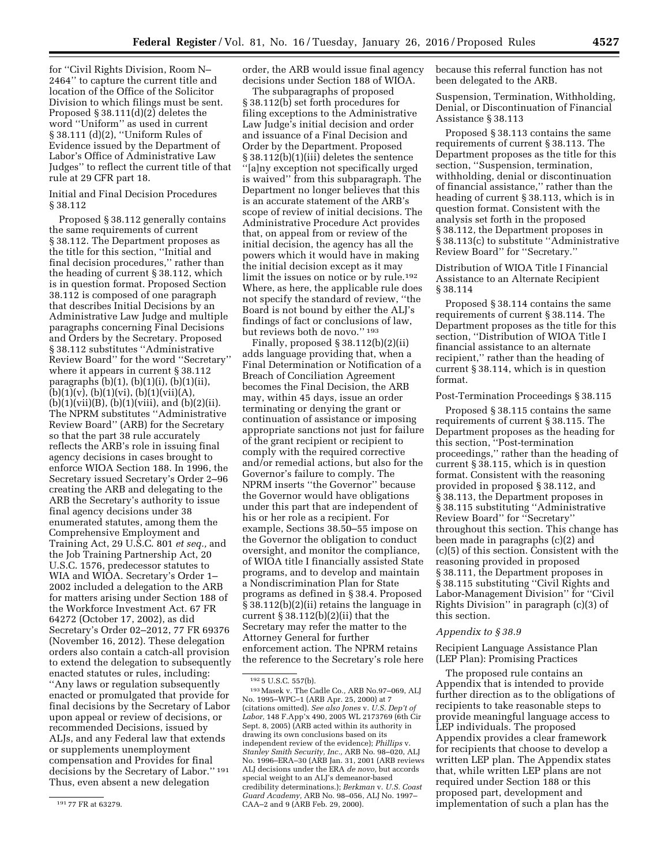for ''Civil Rights Division, Room N– 2464'' to capture the current title and location of the Office of the Solicitor Division to which filings must be sent. Proposed § 38.111(d)(2) deletes the word ''Uniform'' as used in current § 38.111 (d)(2), ''Uniform Rules of Evidence issued by the Department of Labor's Office of Administrative Law Judges'' to reflect the current title of that rule at 29 CFR part 18.

### Initial and Final Decision Procedures § 38.112

Proposed § 38.112 generally contains the same requirements of current § 38.112. The Department proposes as the title for this section, ''Initial and final decision procedures,'' rather than the heading of current § 38.112, which is in question format. Proposed Section 38.112 is composed of one paragraph that describes Initial Decisions by an Administrative Law Judge and multiple paragraphs concerning Final Decisions and Orders by the Secretary. Proposed § 38.112 substitutes ''Administrative Review Board'' for the word ''Secretary'' where it appears in current § 38.112 paragraphs (b)(1), (b)(1)(i), (b)(1)(ii),  $(b)(1)(v), (b)(1)(vi), (b)(1)(vii)(A),$  $(b)(1)(vii)(B), (b)(1)(viii), and (b)(2)(ii).$ The NPRM substitutes ''Administrative Review Board'' (ARB) for the Secretary so that the part 38 rule accurately reflects the ARB's role in issuing final agency decisions in cases brought to enforce WIOA Section 188. In 1996, the Secretary issued Secretary's Order 2–96 creating the ARB and delegating to the ARB the Secretary's authority to issue final agency decisions under 38 enumerated statutes, among them the Comprehensive Employment and Training Act, 29 U.S.C. 801 *et seq.,* and the Job Training Partnership Act, 20 U.S.C. 1576, predecessor statutes to WIA and WIOA. Secretary's Order 1– 2002 included a delegation to the ARB for matters arising under Section 188 of the Workforce Investment Act. 67 FR 64272 (October 17, 2002), as did Secretary's Order 02–2012, 77 FR 69376 (November 16, 2012). These delegation orders also contain a catch-all provision to extend the delegation to subsequently enacted statutes or rules, including: ''Any laws or regulation subsequently enacted or promulgated that provide for final decisions by the Secretary of Labor upon appeal or review of decisions, or recommended Decisions, issued by ALJs, and any Federal law that extends or supplements unemployment compensation and Provides for final decisions by the Secretary of Labor.'' 191 Thus, even absent a new delegation

order, the ARB would issue final agency decisions under Section 188 of WIOA.

The subparagraphs of proposed § 38.112(b) set forth procedures for filing exceptions to the Administrative Law Judge's initial decision and order and issuance of a Final Decision and Order by the Department. Proposed § 38.112(b)(1)(iii) deletes the sentence ''[a]ny exception not specifically urged is waived'' from this subparagraph. The Department no longer believes that this is an accurate statement of the ARB's scope of review of initial decisions. The Administrative Procedure Act provides that, on appeal from or review of the initial decision, the agency has all the powers which it would have in making the initial decision except as it may limit the issues on notice or by rule.192 Where, as here, the applicable rule does not specify the standard of review, ''the Board is not bound by either the ALJ's findings of fact or conclusions of law, but reviews both de novo.'' 193

Finally, proposed § 38.112(b)(2)(ii) adds language providing that, when a Final Determination or Notification of a Breach of Conciliation Agreement becomes the Final Decision, the ARB may, within 45 days, issue an order terminating or denying the grant or continuation of assistance or imposing appropriate sanctions not just for failure of the grant recipient or recipient to comply with the required corrective and/or remedial actions, but also for the Governor's failure to comply. The NPRM inserts ''the Governor'' because the Governor would have obligations under this part that are independent of his or her role as a recipient. For example, Sections 38.50–55 impose on the Governor the obligation to conduct oversight, and monitor the compliance, of WIOA title I financially assisted State programs, and to develop and maintain a Nondiscrimination Plan for State programs as defined in § 38.4. Proposed § 38.112(b)(2)(ii) retains the language in current  $\S 38.112(b)(2)(ii)$  that the Secretary may refer the matter to the Attorney General for further enforcement action. The NPRM retains the reference to the Secretary's role here

because this referral function has not been delegated to the ARB.

Suspension, Termination, Withholding, Denial, or Discontinuation of Financial Assistance § 38.113

Proposed § 38.113 contains the same requirements of current § 38.113. The Department proposes as the title for this section, ''Suspension, termination, withholding, denial or discontinuation of financial assistance,'' rather than the heading of current § 38.113, which is in question format. Consistent with the analysis set forth in the proposed § 38.112, the Department proposes in § 38.113(c) to substitute "Administrative Review Board'' for ''Secretary.''

Distribution of WIOA Title I Financial Assistance to an Alternate Recipient § 38.114

Proposed § 38.114 contains the same requirements of current § 38.114. The Department proposes as the title for this section, ''Distribution of WIOA Title I financial assistance to an alternate recipient,'' rather than the heading of current § 38.114, which is in question format.

### Post-Termination Proceedings § 38.115

Proposed § 38.115 contains the same requirements of current § 38.115. The Department proposes as the heading for this section, ''Post-termination proceedings,'' rather than the heading of current § 38.115, which is in question format. Consistent with the reasoning provided in proposed § 38.112, and § 38.113, the Department proposes in § 38.115 substituting ''Administrative Review Board'' for ''Secretary'' throughout this section. This change has been made in paragraphs (c)(2) and (c)(5) of this section. Consistent with the reasoning provided in proposed § 38.111, the Department proposes in § 38.115 substituting "Civil Rights and Labor-Management Division'' for ''Civil Rights Division'' in paragraph (c)(3) of this section.

### *Appendix to § 38.9*

Recipient Language Assistance Plan (LEP Plan): Promising Practices

The proposed rule contains an Appendix that is intended to provide further direction as to the obligations of recipients to take reasonable steps to provide meaningful language access to LEP individuals. The proposed Appendix provides a clear framework for recipients that choose to develop a written LEP plan. The Appendix states that, while written LEP plans are not required under Section 188 or this proposed part, development and implementation of such a plan has the

<sup>191</sup> 77 FR at 63279.

<sup>192</sup> 5 U.S.C. 557(b).

<sup>193</sup>Masek v. The Cadle Co*.,* ARB No.97–069, ALJ No. 1995–WPC–1 (ARB Apr. 25, 2000) at 7 (citations omitted). *See also Jones* v. *U.S. Dep't of Labor,* 148 F.App'x 490, 2005 WL 2173769 (6th Cir Sept. 8, 2005) (ARB acted within its authority in drawing its own conclusions based on its independent review of the evidence); *Phillips* v. *Stanley Smith Security, Inc.,* ARB No. 98–020, ALJ No. 1996–ERA–30 (ARB Jan. 31, 2001 (ARB reviews ALJ decisions under the ERA *de novo,* but accords special weight to an ALJ's demeanor-based credibility determinations.); *Berkman* v. *U.S. Coast Guard Academy,* ARB No. 98–056, ALJ No. 1997– CAA–2 and 9 (ARB Feb. 29, 2000).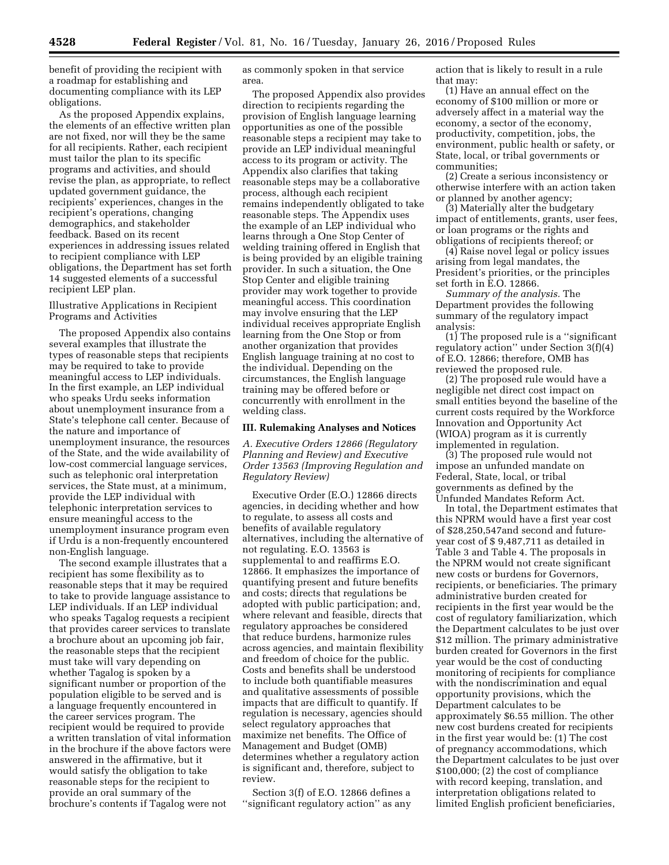benefit of providing the recipient with a roadmap for establishing and documenting compliance with its LEP obligations.

As the proposed Appendix explains, the elements of an effective written plan are not fixed, nor will they be the same for all recipients. Rather, each recipient must tailor the plan to its specific programs and activities, and should revise the plan, as appropriate, to reflect updated government guidance, the recipients' experiences, changes in the recipient's operations, changing demographics, and stakeholder feedback. Based on its recent experiences in addressing issues related to recipient compliance with LEP obligations, the Department has set forth 14 suggested elements of a successful recipient LEP plan.

### Illustrative Applications in Recipient Programs and Activities

The proposed Appendix also contains several examples that illustrate the types of reasonable steps that recipients may be required to take to provide meaningful access to LEP individuals. In the first example, an LEP individual who speaks Urdu seeks information about unemployment insurance from a State's telephone call center. Because of the nature and importance of unemployment insurance, the resources of the State, and the wide availability of low-cost commercial language services, such as telephonic oral interpretation services, the State must, at a minimum, provide the LEP individual with telephonic interpretation services to ensure meaningful access to the unemployment insurance program even if Urdu is a non-frequently encountered non-English language.

The second example illustrates that a recipient has some flexibility as to reasonable steps that it may be required to take to provide language assistance to LEP individuals. If an LEP individual who speaks Tagalog requests a recipient that provides career services to translate a brochure about an upcoming job fair, the reasonable steps that the recipient must take will vary depending on whether Tagalog is spoken by a significant number or proportion of the population eligible to be served and is a language frequently encountered in the career services program. The recipient would be required to provide a written translation of vital information in the brochure if the above factors were answered in the affirmative, but it would satisfy the obligation to take reasonable steps for the recipient to provide an oral summary of the brochure's contents if Tagalog were not

as commonly spoken in that service area.

The proposed Appendix also provides direction to recipients regarding the provision of English language learning opportunities as one of the possible reasonable steps a recipient may take to provide an LEP individual meaningful access to its program or activity. The Appendix also clarifies that taking reasonable steps may be a collaborative process, although each recipient remains independently obligated to take reasonable steps. The Appendix uses the example of an LEP individual who learns through a One Stop Center of welding training offered in English that is being provided by an eligible training provider. In such a situation, the One Stop Center and eligible training provider may work together to provide meaningful access. This coordination may involve ensuring that the LEP individual receives appropriate English learning from the One Stop or from another organization that provides English language training at no cost to the individual. Depending on the circumstances, the English language training may be offered before or concurrently with enrollment in the welding class.

#### **III. Rulemaking Analyses and Notices**

*A. Executive Orders 12866 (Regulatory Planning and Review) and Executive Order 13563 (Improving Regulation and Regulatory Review)* 

Executive Order (E.O.) 12866 directs agencies, in deciding whether and how to regulate, to assess all costs and benefits of available regulatory alternatives, including the alternative of not regulating. E.O. 13563 is supplemental to and reaffirms E.O. 12866. It emphasizes the importance of quantifying present and future benefits and costs; directs that regulations be adopted with public participation; and, where relevant and feasible, directs that regulatory approaches be considered that reduce burdens, harmonize rules across agencies, and maintain flexibility and freedom of choice for the public. Costs and benefits shall be understood to include both quantifiable measures and qualitative assessments of possible impacts that are difficult to quantify. If regulation is necessary, agencies should select regulatory approaches that maximize net benefits. The Office of Management and Budget (OMB) determines whether a regulatory action is significant and, therefore, subject to review.

Section 3(f) of E.O. 12866 defines a ''significant regulatory action'' as any action that is likely to result in a rule that may:

(1) Have an annual effect on the economy of \$100 million or more or adversely affect in a material way the economy, a sector of the economy, productivity, competition, jobs, the environment, public health or safety, or State, local, or tribal governments or communities;

(2) Create a serious inconsistency or otherwise interfere with an action taken or planned by another agency;

(3) Materially alter the budgetary impact of entitlements, grants, user fees, or loan programs or the rights and obligations of recipients thereof; or

(4) Raise novel legal or policy issues arising from legal mandates, the President's priorities, or the principles set forth in E.O. 12866.

*Summary of the analysis.* The Department provides the following summary of the regulatory impact analysis:

(1) The proposed rule is a ''significant regulatory action'' under Section 3(f)(4) of E.O. 12866; therefore, OMB has reviewed the proposed rule.

(2) The proposed rule would have a negligible net direct cost impact on small entities beyond the baseline of the current costs required by the Workforce Innovation and Opportunity Act (WIOA) program as it is currently implemented in regulation.

(3) The proposed rule would not impose an unfunded mandate on Federal, State, local, or tribal governments as defined by the Unfunded Mandates Reform Act.

In total, the Department estimates that this NPRM would have a first year cost of \$28,250,547and second and futureyear cost of \$ 9,487,711 as detailed in Table 3 and Table 4. The proposals in the NPRM would not create significant new costs or burdens for Governors, recipients, or beneficiaries. The primary administrative burden created for recipients in the first year would be the cost of regulatory familiarization, which the Department calculates to be just over \$12 million. The primary administrative burden created for Governors in the first year would be the cost of conducting monitoring of recipients for compliance with the nondiscrimination and equal opportunity provisions, which the Department calculates to be approximately \$6.55 million. The other new cost burdens created for recipients in the first year would be: (1) The cost of pregnancy accommodations, which the Department calculates to be just over \$100,000; (2) the cost of compliance with record keeping, translation, and interpretation obligations related to limited English proficient beneficiaries,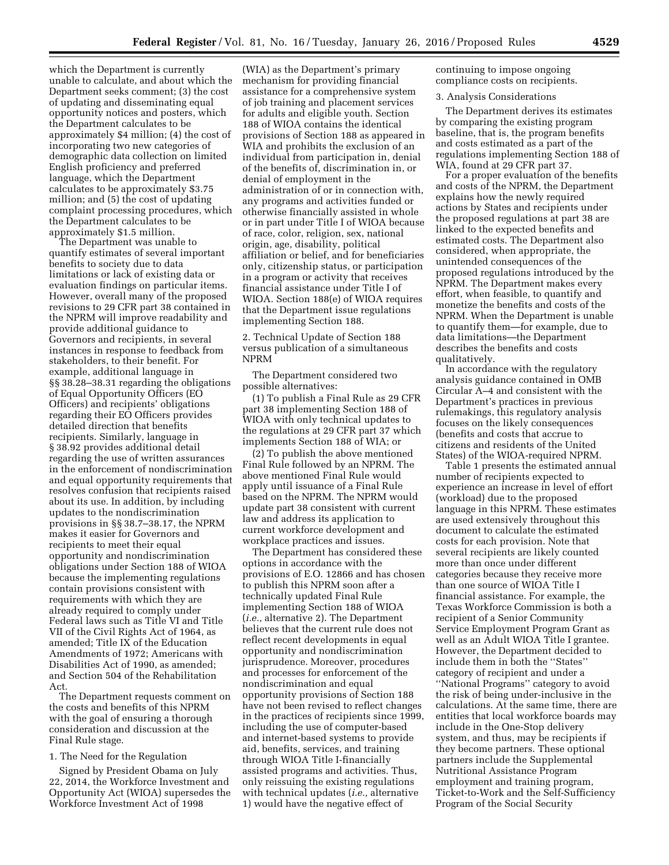which the Department is currently unable to calculate, and about which the Department seeks comment; (3) the cost of updating and disseminating equal opportunity notices and posters, which the Department calculates to be approximately \$4 million; (4) the cost of incorporating two new categories of demographic data collection on limited English proficiency and preferred language, which the Department calculates to be approximately \$3.75 million; and (5) the cost of updating complaint processing procedures, which the Department calculates to be approximately \$1.5 million.

The Department was unable to quantify estimates of several important benefits to society due to data limitations or lack of existing data or evaluation findings on particular items. However, overall many of the proposed revisions to 29 CFR part 38 contained in the NPRM will improve readability and provide additional guidance to Governors and recipients, in several instances in response to feedback from stakeholders, to their benefit. For example, additional language in §§ 38.28–38.31 regarding the obligations of Equal Opportunity Officers (EO Officers) and recipients' obligations regarding their EO Officers provides detailed direction that benefits recipients. Similarly, language in § 38.92 provides additional detail regarding the use of written assurances in the enforcement of nondiscrimination and equal opportunity requirements that resolves confusion that recipients raised about its use. In addition, by including updates to the nondiscrimination provisions in §§ 38.7–38.17, the NPRM makes it easier for Governors and recipients to meet their equal opportunity and nondiscrimination obligations under Section 188 of WIOA because the implementing regulations contain provisions consistent with requirements with which they are already required to comply under Federal laws such as Title VI and Title VII of the Civil Rights Act of 1964, as amended; Title IX of the Education Amendments of 1972; Americans with Disabilities Act of 1990, as amended; and Section 504 of the Rehabilitation Act.

The Department requests comment on the costs and benefits of this NPRM with the goal of ensuring a thorough consideration and discussion at the Final Rule stage.

#### 1. The Need for the Regulation

Signed by President Obama on July 22, 2014, the Workforce Investment and Opportunity Act (WIOA) supersedes the Workforce Investment Act of 1998

(WIA) as the Department's primary mechanism for providing financial assistance for a comprehensive system of job training and placement services for adults and eligible youth. Section 188 of WIOA contains the identical provisions of Section 188 as appeared in WIA and prohibits the exclusion of an individual from participation in, denial of the benefits of, discrimination in, or denial of employment in the administration of or in connection with, any programs and activities funded or otherwise financially assisted in whole or in part under Title I of WIOA because of race, color, religion, sex, national origin, age, disability, political affiliation or belief, and for beneficiaries only, citizenship status, or participation in a program or activity that receives financial assistance under Title I of WIOA. Section 188(e) of WIOA requires that the Department issue regulations implementing Section 188.

2. Technical Update of Section 188 versus publication of a simultaneous NPRM

The Department considered two possible alternatives:

(1) To publish a Final Rule as 29 CFR part 38 implementing Section 188 of WIOA with only technical updates to the regulations at 29 CFR part 37 which implements Section 188 of WIA; or

(2) To publish the above mentioned Final Rule followed by an NPRM. The above mentioned Final Rule would apply until issuance of a Final Rule based on the NPRM. The NPRM would update part 38 consistent with current law and address its application to current workforce development and workplace practices and issues.

The Department has considered these options in accordance with the provisions of E.O. 12866 and has chosen to publish this NPRM soon after a technically updated Final Rule implementing Section 188 of WIOA (*i.e.,* alternative 2). The Department believes that the current rule does not reflect recent developments in equal opportunity and nondiscrimination jurisprudence. Moreover, procedures and processes for enforcement of the nondiscrimination and equal opportunity provisions of Section 188 have not been revised to reflect changes in the practices of recipients since 1999, including the use of computer-based and internet-based systems to provide aid, benefits, services, and training through WIOA Title I-financially assisted programs and activities. Thus, only reissuing the existing regulations with technical updates (*i.e.,* alternative 1) would have the negative effect of

continuing to impose ongoing compliance costs on recipients.

#### 3. Analysis Considerations

The Department derives its estimates by comparing the existing program baseline, that is, the program benefits and costs estimated as a part of the regulations implementing Section 188 of WIA, found at 29 CFR part 37.

For a proper evaluation of the benefits and costs of the NPRM, the Department explains how the newly required actions by States and recipients under the proposed regulations at part 38 are linked to the expected benefits and estimated costs. The Department also considered, when appropriate, the unintended consequences of the proposed regulations introduced by the NPRM. The Department makes every effort, when feasible, to quantify and monetize the benefits and costs of the NPRM. When the Department is unable to quantify them—for example, due to data limitations—the Department describes the benefits and costs qualitatively.

In accordance with the regulatory analysis guidance contained in OMB Circular A–4 and consistent with the Department's practices in previous rulemakings, this regulatory analysis focuses on the likely consequences (benefits and costs that accrue to citizens and residents of the United States) of the WIOA-required NPRM.

Table 1 presents the estimated annual number of recipients expected to experience an increase in level of effort (workload) due to the proposed language in this NPRM. These estimates are used extensively throughout this document to calculate the estimated costs for each provision. Note that several recipients are likely counted more than once under different categories because they receive more than one source of WIOA Title I financial assistance. For example, the Texas Workforce Commission is both a recipient of a Senior Community Service Employment Program Grant as well as an Adult WIOA Title I grantee. However, the Department decided to include them in both the ''States'' category of recipient and under a ''National Programs'' category to avoid the risk of being under-inclusive in the calculations. At the same time, there are entities that local workforce boards may include in the One-Stop delivery system, and thus, may be recipients if they become partners. These optional partners include the Supplemental Nutritional Assistance Program employment and training program, Ticket-to-Work and the Self-Sufficiency Program of the Social Security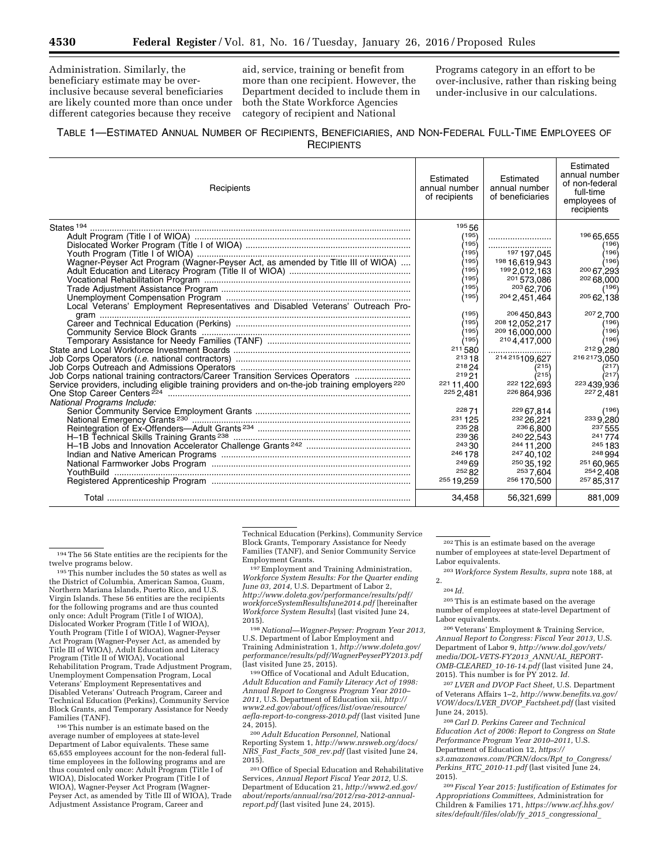Administration. Similarly, the beneficiary estimate may be overinclusive because several beneficiaries are likely counted more than once under different categories because they receive

aid, service, training or benefit from more than one recipient. However, the Department decided to include them in both the State Workforce Agencies category of recipient and National

Programs category in an effort to be over-inclusive, rather than risking being under-inclusive in our calculations.

# TABLE 1—ESTIMATED ANNUAL NUMBER OF RECIPIENTS, BENEFICIARIES, AND NON-FEDERAL FULL-TIME EMPLOYEES OF **RECIPIENTS**

| Recipients                                                                                                               | Estimated<br>annual number<br>of recipients | Estimated<br>annual number<br>of beneficiaries | Estimated<br>annual number<br>of non-federal<br>full-time<br>employees of<br>recipients |
|--------------------------------------------------------------------------------------------------------------------------|---------------------------------------------|------------------------------------------------|-----------------------------------------------------------------------------------------|
|                                                                                                                          | 19556                                       |                                                |                                                                                         |
|                                                                                                                          | /195                                        |                                                | 196 65,655                                                                              |
|                                                                                                                          | 195                                         |                                                | (196)                                                                                   |
|                                                                                                                          | ∕195∖                                       | 197,045                                        | ∕196)                                                                                   |
| Wagner-Peyser Act Program (Wagner-Peyser Act, as amended by Title III of WIOA)                                           | (195)                                       | 198 16,619,943                                 | (196)                                                                                   |
|                                                                                                                          | 195)                                        | 199 2.012.163                                  | 200 67,293                                                                              |
|                                                                                                                          | 195)                                        | 201573.086                                     | 202 68,000                                                                              |
|                                                                                                                          | (195)                                       | 20362.706                                      | (196)                                                                                   |
|                                                                                                                          | 195)                                        | 204 2.451.464                                  | 20562,138                                                                               |
|                                                                                                                          | (195)                                       |                                                |                                                                                         |
|                                                                                                                          | 195)                                        | 206 450,843<br>208 12,052,217                  | 207 2.700<br>(196)                                                                      |
|                                                                                                                          | 195)                                        | 209 16,000,000                                 | 196∫                                                                                    |
|                                                                                                                          | /195)                                       | 2104,417,000                                   | (196)                                                                                   |
|                                                                                                                          | 211,580                                     |                                                | 2129,280                                                                                |
|                                                                                                                          | 21318                                       | 214 215 109.627                                | 216 2173,050                                                                            |
| Job Corps Outreach and Admissions Operators <b>Manual Accord Corps Outreach Admissions Operators Manual Accord Corps</b> | 218 24                                      | (215)                                          | (217)                                                                                   |
| Job Corps national training contractors/Career Transition Services Operators                                             | 219 21                                      | (215)                                          | (217)                                                                                   |
| Service providers, including eligible training providers and on-the-job training employers <sup>220</sup>                | 221 11.400                                  | 222 122,693                                    | 223 439,936                                                                             |
|                                                                                                                          | 225 2,481                                   | 226 864,936                                    | 227 2,481                                                                               |
| National Programs Include:                                                                                               |                                             |                                                |                                                                                         |
|                                                                                                                          | 22871                                       | 229 67,814                                     | (196)                                                                                   |
|                                                                                                                          | 231 1 25                                    | 232 26.221                                     | 233 9.280                                                                               |
|                                                                                                                          | 235 28                                      | 236 6,800                                      | 237 555                                                                                 |
|                                                                                                                          | 23936                                       | 240 22.543                                     | 241774                                                                                  |
|                                                                                                                          | 243,30<br>246 178                           | 244 11, 200                                    | 245 183                                                                                 |
|                                                                                                                          | 24969                                       | 24740.102<br>250 35.192                        | 248 994<br>251 60.965                                                                   |
| YouthBuild                                                                                                               | 25282                                       | 2537.604                                       | 254 2.408                                                                               |
|                                                                                                                          | 255 19.259                                  | 256 170,500                                    | 257 85.317                                                                              |
|                                                                                                                          | 34,458                                      | 56,321,699                                     | 881,009                                                                                 |

 $^{\rm 194}$  The 56 State entities are the recipients for the twelve programs below.

 $195$  This number includes the 50 states as well as the District of Columbia, American Samoa, Guam, Northern Mariana Islands, Puerto Rico, and U.S. Virgin Islands. These 56 entities are the recipients for the following programs and are thus counted only once: Adult Program (Title I of WIOA), Dislocated Worker Program (Title I of WIOA), Youth Program (Title I of WIOA), Wagner-Peyser Act Program (Wagner-Peyser Act, as amended by Title III of WIOA), Adult Education and Literacy Program (Title II of WIOA), Vocational Rehabilitation Program, Trade Adjustment Program, Unemployment Compensation Program, Local Veterans' Employment Representatives and Disabled Veterans' Outreach Program, Career and Technical Education (Perkins), Community Service Block Grants, and Temporary Assistance for Needy Families (TANF).

196This number is an estimate based on the average number of employees at state-level Department of Labor equivalents. These same 65,655 employees account for the non-federal fulltime employees in the following programs and are thus counted only once: Adult Program (Title I of WIOA), Dislocated Worker Program (Title I of WIOA), Wagner-Peyser Act Program (Wagner-Peyser Act, as amended by Title III of WIOA), Trade Adjustment Assistance Program, Career and

Technical Education (Perkins), Community Service Block Grants, Temporary Assistance for Needy Families (TANF), and Senior Community Service

Employment Grants.<br><sup>197</sup> Employment and Training Administration, *Workforce System Results: For the Quarter ending June 03, 2014,* U.S. Department of Labor 2, *[http://www.doleta.gov/performance/results/pdf/](http://www.doleta.gov/performance/results/pdf/workforceSystemResultsJune2014.pdf) [workforceSystemResultsJune2014.pdf](http://www.doleta.gov/performance/results/pdf/workforceSystemResultsJune2014.pdf)* [hereinafter *Workforce System Results*] (last visited June 24, 2015). 198*National—Wagner-Peyser: Program Year 2013,* 

U.S. Department of Labor Employment and Training Administration 1, *[http://www.doleta.gov/](http://www.doleta.gov/performance/results/pdf/WagnerPeyserPY2013.pdf) [performance/results/pdf/WagnerPeyserPY2013.pdf](http://www.doleta.gov/performance/results/pdf/WagnerPeyserPY2013.pdf)* 

<sup>199</sup> Office of Vocational and Adult Education, *Adult Education and Family Literacy Act of 1998: Annual Report to Congress Program Year 2010– 2011,* U.S. Department of Education xii, *[http://](http://www2.ed.gov/about/offices/list/ovae/resource/aefla-report-to-congress-2010.pdf) [www2.ed.gov/about/offices/list/ovae/resource/](http://www2.ed.gov/about/offices/list/ovae/resource/aefla-report-to-congress-2010.pdf) [aefla-report-to-congress-2010.pdf](http://www2.ed.gov/about/offices/list/ovae/resource/aefla-report-to-congress-2010.pdf)* (last visited June

24, 2015). 200*Adult Education Personnel,* National Reporting System 1, *[http://www.nrsweb.org/docs/](http://www.nrsweb.org/docs/NRS_Fast_Facts_508_rev.pdf) NRS*\_*Fast*\_*Facts*\_*508*\_*[rev.pdf](http://www.nrsweb.org/docs/NRS_Fast_Facts_508_rev.pdf)* (last visited June 24, 2015).

201Office of Special Education and Rehabilitative Services, *Annual Report Fiscal Year 2012,* U.S. Department of Education 21, *[http://www2.ed.gov/](http://www2.ed.gov/about/reports/annual/rsa/2012/rsa-2012-annual-report.pdf) [about/reports/annual/rsa/2012/rsa-2012-annual](http://www2.ed.gov/about/reports/annual/rsa/2012/rsa-2012-annual-report.pdf)[report.pdf](http://www2.ed.gov/about/reports/annual/rsa/2012/rsa-2012-annual-report.pdf)* (last visited June 24, 2015).

202This is an estimate based on the average number of employees at state-level Department of Labor equivalents.

203*Workforce System Results, supra* note 188, at 2.

205This is an estimate based on the average number of employees at state-level Department of Labor equivalents.

206 Veterans' Employment & Training Service, *Annual Report to Congress: Fiscal Year 2013,* U.S. Department of Labor 9, *[http://www.dol.gov/vets/](http://www.dol.gov/vets/media/DOL-VETS-FY2013_ANNUAL_REPORT-OMB-CLEARED_10-16-14.pdf) [media/DOL-VETS-FY2013](http://www.dol.gov/vets/media/DOL-VETS-FY2013_ANNUAL_REPORT-OMB-CLEARED_10-16-14.pdf)*\_*ANNUAL*\_*REPORT-[OMB-CLEARED](http://www.dol.gov/vets/media/DOL-VETS-FY2013_ANNUAL_REPORT-OMB-CLEARED_10-16-14.pdf)*\_*10-16-14.pdf* (last visited June 24, 2015). This number is for PY 2012. *Id.* 

207 *LVER and DVOP Fact Sheet,* U.S. Department of Veterans Affairs 1–2, *[http://www.benefits.va.gov/](http://www.benefits.va.gov/VOW/docs/LVER_DVOP_Factsheet.pdf) [VOW/docs/LVER](http://www.benefits.va.gov/VOW/docs/LVER_DVOP_Factsheet.pdf)*\_*DVOP*\_*Factsheet.pdf* (last visited June 24, 2015).

208*Carl D. Perkins Career and Technical Education Act of 2006: Report to Congress on State Performance Program Year 2010–2011,* U.S. Department of Education 12, *[https://](https://s3.amazonaws.com/PCRN/docs/Rpt_to_Congress/Perkins_RTC_2010-11.pdf) [s3.amazonaws.com/PCRN/docs/Rpt](https://s3.amazonaws.com/PCRN/docs/Rpt_to_Congress/Perkins_RTC_2010-11.pdf)*\_*to*\_*Congress/ Perkins*\_*RTC*\_*[2010-11.pdf](https://s3.amazonaws.com/PCRN/docs/Rpt_to_Congress/Perkins_RTC_2010-11.pdf)* (last visited June 24, 2015).

209 *Fiscal Year 2015: Justification of Estimates for Appropriations Committees,* Administration for Children & Families 171, *[https://www.acf.hhs.gov/](https://www.acf.hhs.gov/sites/default/files/olab/fy_2015_congressional_budget_justification.pdf)  [sites/default/files/olab/fy](https://www.acf.hhs.gov/sites/default/files/olab/fy_2015_congressional_budget_justification.pdf)*\_*2015*\_*congressional*\_

<sup>204</sup> *Id.*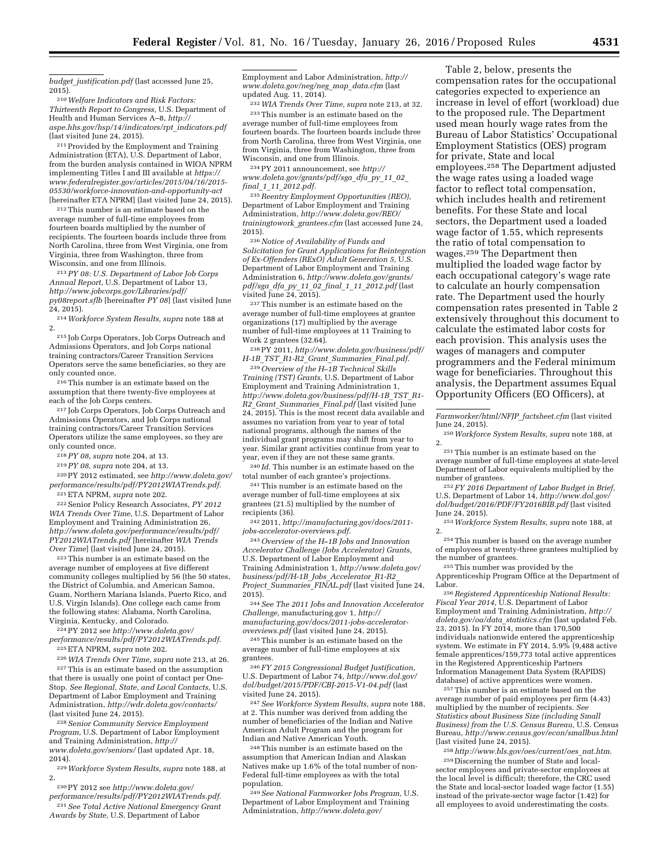*budget*\_*[justification.pdf](https://www.acf.hhs.gov/sites/default/files/olab/fy_2015_congressional_budget_justification.pdf)* (last accessed June 25, 2015).

210*Welfare Indicators and Risk Factors: Thirteenth Report to Congress,* U.S. Department of Health and Human Services A–8, *[http://](http://aspe.hhs.gov/hsp/14/indicators/rpt_indicators.pdf) [aspe.hhs.gov/hsp/14/indicators/rpt](http://aspe.hhs.gov/hsp/14/indicators/rpt_indicators.pdf)*\_*indicators.pdf*  (last visited June 24, 2015).

211Provided by the Employment and Training Administration (ETA), U.S. Department of Labor, from the burden analysis contained in WIOA NPRM implementing Titles I and III available at *[https://](https://www.federalregister.gov/articles/2015/04/16/2015-05530/workforce-innovation-and-opportunity-act) [www.federalregister.gov/articles/2015/04/16/2015-](https://www.federalregister.gov/articles/2015/04/16/2015-05530/workforce-innovation-and-opportunity-act) [05530/workforce-innovation-and-opportunity-act](https://www.federalregister.gov/articles/2015/04/16/2015-05530/workforce-innovation-and-opportunity-act)*  [hereinafter ETA NPRM] (last visited June 24, 2015).

212This number is an estimate based on the average number of full-time employees from fourteen boards multiplied by the number of recipients. The fourteen boards include three from North Carolina, three from West Virginia, one from Virginia, three from Washington, three from Wisconsin, and one from Illinois.

213*PY 08: U.S. Department of Labor Job Corps Annual Report,* U.S. Department of Labor 13, *[http://www.jobcorps.gov/Libraries/pdf/](http://www.jobcorps.gov/Libraries/pdf/py08report.sflb) [py08report.sflb](http://www.jobcorps.gov/Libraries/pdf/py08report.sflb)* [hereinafter *PY 08*] (last visited June 24, 2015).

214*Workforce System Results, supra* note 188 at 2.

215 Job Corps Operators, Job Corps Outreach and Admissions Operators, and Job Corps national training contractors/Career Transition Services Operators serve the same beneficiaries, so they are only counted once.

216This number is an estimate based on the assumption that there twenty-five employees at each of the Job Corps centers.

217 Job Corps Operators, Job Corps Outreach and Admissions Operators, and Job Corps national training contractors/Career Transition Services Operators utilize the same employees, so they are only counted once.

218*PY 08, supra* note 204, at 13.

219*PY 08, supra* note 204, at 13.

220PY 2012 estimated, see *[http://www.doleta.gov/](http://www.doleta.gov/performance/results/pdf/PY2012WIATrends.pdf) [performance/results/pdf/PY2012WIATrends.pdf.](http://www.doleta.gov/performance/results/pdf/PY2012WIATrends.pdf)* 

221ETA NPRM, *supra* note 202. 222Senior Policy Research Associates, *PY 2012 WIA Trends Over Time,* U.S. Department of Labor Employment and Training Administration 26, *[http://www.doleta.gov/performance/results/pdf/](http://www.doleta.gov/performance/results/pdf/PY2012WIATrends.pdf) [PY2012WIATrends.pdf](http://www.doleta.gov/performance/results/pdf/PY2012WIATrends.pdf)* [hereinafter *WIA Trends Over Time*] (last visited June 24, 2015).

223This number is an estimate based on the average number of employees at five different community colleges multiplied by 56 (the 50 states, the District of Columbia, and American Samoa, Guam, Northern Mariana Islands, Puerto Rico, and U.S. Virgin Islands). One college each came from the following states: Alabama, North Carolina, Virginia, Kentucky, and Colorado.

224PY 2012 see *[http://www.doleta.gov/](http://www.doleta.gov/performance/results/pdf/PY2012WIATrends.pdf)*

*[performance/results/pdf/PY2012WIATrends.pdf.](http://www.doleta.gov/performance/results/pdf/PY2012WIATrends.pdf)*  225ETA NPRM, *supra* note 202.

226*WIA Trends Over Time, supra* note 213, at 26.

227This is an estimate based on the assumption that there is usually one point of contact per One-Stop. *See Regional, State, and Local Contacts,* U.S. Department of Labor Employment and Training Administration, *<http://wdr.doleta.gov/contacts/>* (last visited June 24, 2015).

228*Senior Community Service Employment Program,* U.S. Department of Labor Employment and Training Administration, *[http://](http://www.doleta.gov/seniors/) [www.doleta.gov/seniors/](http://www.doleta.gov/seniors/)* (last updated Apr. 18, 2014).

229*Workforce System Results, supra* note 188, at 2.

230PY 2012 see *[http://www.doleta.gov/](http://www.doleta.gov/performance/results/pdf/PY2012WIATrends.pdf)*

*Awards by State,* U.S. Department of Labor

*[performance/results/pdf/PY2012WIATrends.pdf.](http://www.doleta.gov/performance/results/pdf/PY2012WIATrends.pdf)*  231*See Total Active National Emergency Grant* 

Employment and Labor Administration, *[http://](http://www.doleta.gov/neg/neg_map_data.cfm) [www.doleta.gov/neg/neg](http://www.doleta.gov/neg/neg_map_data.cfm)*\_*map*\_*data.cfm* (last updated Aug. 11, 2014).

232*WIA Trends Over Time, supra* note 213, at 32. 233This number is an estimate based on the average number of full-time employees from fourteen boards. The fourteen boards include three from North Carolina, three from West Virginia, one from Virginia, three from Washington, three from Wisconsin, and one from Illinois.

234PY 2011 announcement, see *[http://](http://www.doleta.gov/grants/pdf/sga_dfa_py_11_02_final_1_11_2012.pdf) [www.doleta.gov/grants/pdf/sga](http://www.doleta.gov/grants/pdf/sga_dfa_py_11_02_final_1_11_2012.pdf)*\_*dfa*\_*py*\_*11*\_*02*\_ *final*\_*1*\_*11*\_*[2012.pdf.](http://www.doleta.gov/grants/pdf/sga_dfa_py_11_02_final_1_11_2012.pdf)* 

235*Reentry Employment Opportunities (REO),*  Department of Labor Employment and Training Administration, *[http://www.doleta.gov/REO/](http://www.doleta.gov/REO/trainingtowork_grantees.cfm) [trainingtowork](http://www.doleta.gov/REO/trainingtowork_grantees.cfm)*\_*grantees.cfm* (last accessed June 24, 2015).

236*Notice of Availability of Funds and Solicitation for Grant Applications for Reintegration of Ex-Offenders (RExO) Adult Generation 5,* U.S. Department of Labor Employment and Training Administration 6, *[http://www.doleta.gov/grants/](http://www.doleta.gov/grants/pdf/sga_dfa_py_11_02_final_1_11_2012.pdf) pdf/sga*\_*dfa*\_*py*\_*11*\_*02*\_*final*\_*1*\_*11*\_*[2012.pdf](http://www.doleta.gov/grants/pdf/sga_dfa_py_11_02_final_1_11_2012.pdf)* (last visited June 24, 2015).

237This number is an estimate based on the average number of full-time employees at grantee organizations (17) multiplied by the average number of full-time employees at 11 Training to Work 2 grantees (32.64).

238PY 2011, *[http://www.doleta.gov/business/pdf/](http://www.doleta.gov/business/pdf/H-1B_TST_R1-R2_Grant_Summaries_Final.pdf) H-1B*\_*TST*\_*R1-R2*\_*Grant*\_*[Summaries](http://www.doleta.gov/business/pdf/H-1B_TST_R1-R2_Grant_Summaries_Final.pdf)*\_*Final.pdf.* 

239*Overview of the H–1B Technical Skills Training (TST) Grants,* U.S. Department of Labor Employment and Training Administration 1, *[http://www.doleta.gov/business/pdf/H-1B](http://www.doleta.gov/business/pdf/H-1B_TST_R1-R2_Grant_Summaries_Final.pdf)*\_*TST*\_*R1- R2*\_*Grant*\_*[Summaries](http://www.doleta.gov/business/pdf/H-1B_TST_R1-R2_Grant_Summaries_Final.pdf)*\_*Final.pdf* (last visited June  $24, 2015$ . This is the most recent data available and assumes no variation from year to year of total national programs, although the names of the individual grant programs may shift from year to year. Similar grant activities continue from year to year, even if they are not these same grants.

240 *Id.* This number is an estimate based on the total number of each grantee's projections.

241This number is an estimate based on the average number of full-time employees at six grantees (21.5) multiplied by the number of recipients (36).

242 2011, *[http://manufacturing.gov/docs/2011](http://manufacturing.gov/docs/2011-jobs-accelerator-overviews.pdf) [jobs-accelerator-overviews.pdf.](http://manufacturing.gov/docs/2011-jobs-accelerator-overviews.pdf)* 

243*Overview of the H–1B Jobs and Innovation Accelerator Challenge (Jobs Accelerator) Grants,*  U.S. Department of Labor Employment and Training Administration 1, *[http://www.doleta.gov/](http://www.doleta.gov/business/pdf/H-1B_Jobs_Accelerator_R1-R2_Project_Summaries_FINAL.pdf) [business/pdf/H-1B](http://www.doleta.gov/business/pdf/H-1B_Jobs_Accelerator_R1-R2_Project_Summaries_FINAL.pdf)*\_*Jobs*\_*Accelerator*\_*R1-R2*\_ *Project*\_*[Summaries](http://www.doleta.gov/business/pdf/H-1B_Jobs_Accelerator_R1-R2_Project_Summaries_FINAL.pdf)*\_*FINAL.pdf* (last visited June 24, 2015).

244*See The 2011 Jobs and Innovation Accelerator Challenge,* manufacturing.gov 1, *[http://](http://manufacturing.gov/docs/2011-jobs-accelerator-overviews.pdf) [manufacturing.gov/docs/2011-jobs-accelerator](http://manufacturing.gov/docs/2011-jobs-accelerator-overviews.pdf)[overviews.pdf](http://manufacturing.gov/docs/2011-jobs-accelerator-overviews.pdf)* (last visited June 24, 2015).

245This number is an estimate based on the average number of full-time employees at six grantees.

246 *FY 2015 Congressional Budget Justification,*  U.S. Department of Labor 74, *[http://www.dol.gov/](http://www.dol.gov/dol/budget/2015/PDF/CBJ-2015-V1-04.pdf) [dol/budget/2015/PDF/CBJ-2015-V1-04.pdf](http://www.dol.gov/dol/budget/2015/PDF/CBJ-2015-V1-04.pdf)* (last visited June 24, 2015).

247*See Workforce System Results, supra* note 188, at 2. This number was derived from adding the number of beneficiaries of the Indian and Native American Adult Program and the program for Indian and Native American Youth.

248This number is an estimate based on the assumption that American Indian and Alaskan Natives make up 1.6% of the total number of non-Federal full-time employees as with the total population.

249*See National Farmworker Jobs Program,* U.S. Department of Labor Employment and Training Administration, *[http://www.doleta.gov/](http://www.doleta.gov/Farmworker/html/NFJP_factsheet.cfm)*

Table 2, below, presents the compensation rates for the occupational categories expected to experience an increase in level of effort (workload) due to the proposed rule. The Department used mean hourly wage rates from the Bureau of Labor Statistics' Occupational Employment Statistics (OES) program for private, State and local employees.258 The Department adjusted the wage rates using a loaded wage factor to reflect total compensation, which includes health and retirement benefits. For these State and local sectors, the Department used a loaded wage factor of 1.55, which represents the ratio of total compensation to wages.259 The Department then multiplied the loaded wage factor by each occupational category's wage rate to calculate an hourly compensation rate. The Department used the hourly compensation rates presented in Table 2 extensively throughout this document to calculate the estimated labor costs for each provision. This analysis uses the wages of managers and computer programmers and the Federal minimum wage for beneficiaries. Throughout this analysis, the Department assumes Equal Opportunity Officers (EO Officers), at

*[Farmworker/html/NFJP](http://www.doleta.gov/Farmworker/html/NFJP_factsheet.cfm)*\_*factsheet.cfm* (last visited June 24, 2015). 250*Workforce System Results, supra* note 188, at

2. 251This number is an estimate based on the average number of full-time employees at state-level Department of Labor equivalents multiplied by the

<sup>252</sup> *FY* 2016 Department of Labor Budget in Brief, U.S. Department of Labor 14, *[http://www.dol.gov/](http://www.dol.gov/dol/budget/2016/PDF/FY2016BIB.pdf) [dol/budget/2016/PDF/FY2016BIB.pdf](http://www.dol.gov/dol/budget/2016/PDF/FY2016BIB.pdf)* (last visited

June 24, 2015). 253*Workforce System Results, supra* note 188, at

2. 254This number is based on the average number of employees at twenty-three grantees multiplied by

<sup>255</sup>This number was provided by the Apprenticeship Program Office at the Department of

Labor.<br><sup>256</sup> Registered Apprenticeship National Results:<br>*Fiscal Year 2014,* U.S. Department of Labor Employment and Training Administration, *[http://](http://doleta.gov/oa/data_statistics.cfm) [doleta.gov/oa/data](http://doleta.gov/oa/data_statistics.cfm)*\_*statistics.cfm* (last updated Feb. 23, 2015). In FY 2014, more than 170,500 individuals nationwide entered the apprenticeship system. We estimate in FY 2014, 5.9% (9,488 active female apprentices/159,773 total active apprentices in the Registered Apprenticeship Partners Information Management Data System (RAPIDS) database) of active apprentices were women.

257This number is an estimate based on the average number of paid employees per firm (4.43) multiplied by the number of recipients. *See Statistics about Business Size (including Small Business) from the U.S. Census Bureau,* U.S. Census Bureau, *<http://www.census.gov/econ/smallbus.html>* (last visited June 24, 2015).

258*[http://www.bls.gov/oes/current/oes](http://www.bls.gov/oes/current/oes_nat.htm)*\_*nat.htm*. 259 Discerning the number of State and localsector employees and private-sector employees at the local level is difficult; therefore, the CRC used the State and local-sector loaded wage factor (1.55) instead of the private-sector wage factor (1.42) for all employees to avoid underestimating the costs.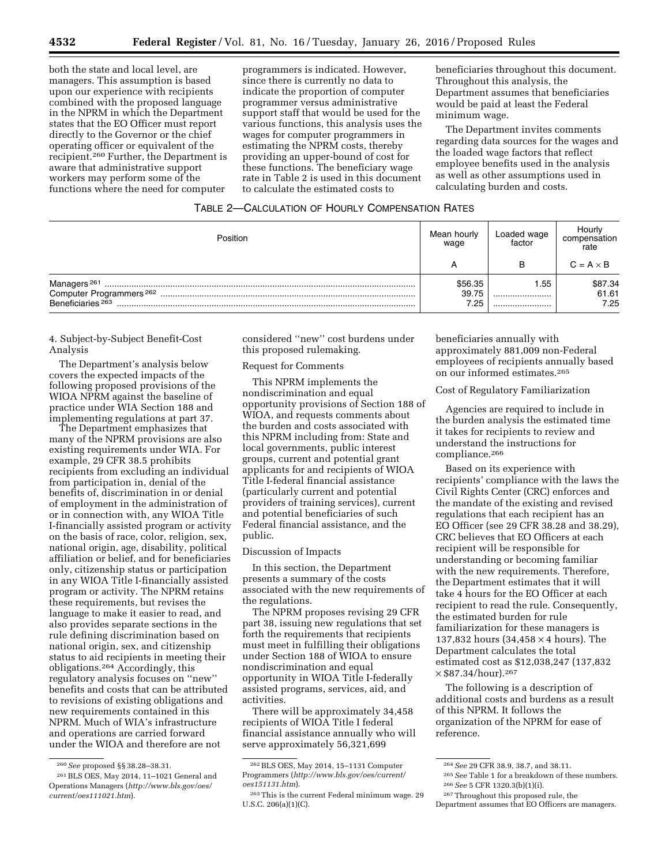both the state and local level, are managers. This assumption is based upon our experience with recipients combined with the proposed language in the NPRM in which the Department states that the EO Officer must report directly to the Governor or the chief operating officer or equivalent of the recipient.260 Further, the Department is aware that administrative support workers may perform some of the functions where the need for computer

programmers is indicated. However, since there is currently no data to indicate the proportion of computer programmer versus administrative support staff that would be used for the various functions, this analysis uses the wages for computer programmers in estimating the NPRM costs, thereby providing an upper-bound of cost for these functions. The beneficiary wage rate in Table 2 is used in this document to calculate the estimated costs to

beneficiaries throughout this document. Throughout this analysis, the Department assumes that beneficiaries would be paid at least the Federal minimum wage.

The Department invites comments regarding data sources for the wages and the loaded wage factors that reflect employee benefits used in the analysis as well as other assumptions used in calculating burden and costs.

## TABLE 2—CALCULATION OF HOURLY COMPENSATION RATES

| Position                     | Mean hourly<br>wage      | Loaded wage<br>factor | Hourly<br>compensation<br>rate |
|------------------------------|--------------------------|-----------------------|--------------------------------|
|                              |                          | в                     | $C = A \times B$               |
| Beneficiaries <sup>263</sup> | \$56.35<br>39.75<br>7.25 | 55.،<br><br>          | \$87.34<br>61.61<br>7.25       |

# 4. Subject-by-Subject Benefit-Cost Analysis

The Department's analysis below covers the expected impacts of the following proposed provisions of the WIOA NPRM against the baseline of practice under WIA Section 188 and implementing regulations at part 37.

The Department emphasizes that many of the NPRM provisions are also existing requirements under WIA. For example, 29 CFR 38.5 prohibits recipients from excluding an individual from participation in, denial of the benefits of, discrimination in or denial of employment in the administration of or in connection with, any WIOA Title I-financially assisted program or activity on the basis of race, color, religion, sex, national origin, age, disability, political affiliation or belief, and for beneficiaries only, citizenship status or participation in any WIOA Title I-financially assisted program or activity. The NPRM retains these requirements, but revises the language to make it easier to read, and also provides separate sections in the rule defining discrimination based on national origin, sex, and citizenship status to aid recipients in meeting their obligations.264 Accordingly, this regulatory analysis focuses on ''new'' benefits and costs that can be attributed to revisions of existing obligations and new requirements contained in this NPRM. Much of WIA's infrastructure and operations are carried forward under the WIOA and therefore are not

considered ''new'' cost burdens under this proposed rulemaking.

# Request for Comments

This NPRM implements the nondiscrimination and equal opportunity provisions of Section 188 of WIOA, and requests comments about the burden and costs associated with this NPRM including from: State and local governments, public interest groups, current and potential grant applicants for and recipients of WIOA Title I-federal financial assistance (particularly current and potential providers of training services), current and potential beneficiaries of such Federal financial assistance, and the public.

#### Discussion of Impacts

In this section, the Department presents a summary of the costs associated with the new requirements of the regulations.

The NPRM proposes revising 29 CFR part 38, issuing new regulations that set forth the requirements that recipients must meet in fulfilling their obligations under Section 188 of WIOA to ensure nondiscrimination and equal opportunity in WIOA Title I-federally assisted programs, services, aid, and activities.

There will be approximately 34,458 recipients of WIOA Title I federal financial assistance annually who will serve approximately 56,321,699

beneficiaries annually with approximately 881,009 non-Federal employees of recipients annually based on our informed estimates.265

#### Cost of Regulatory Familiarization

Agencies are required to include in the burden analysis the estimated time it takes for recipients to review and understand the instructions for compliance.266

Based on its experience with recipients' compliance with the laws the Civil Rights Center (CRC) enforces and the mandate of the existing and revised regulations that each recipient has an EO Officer (see 29 CFR 38.28 and 38.29), CRC believes that EO Officers at each recipient will be responsible for understanding or becoming familiar with the new requirements. Therefore, the Department estimates that it will take 4 hours for the EO Officer at each recipient to read the rule. Consequently, the estimated burden for rule familiarization for these managers is 137,832 hours (34,458 × 4 hours). The Department calculates the total estimated cost as \$12,038,247 (137,832  $\times$  \$87.34/hour).<sup>267</sup>

The following is a description of additional costs and burdens as a result of this NPRM. It follows the organization of the NPRM for ease of reference.

<sup>260</sup>*See* proposed §§ 38.28–38.31.

<sup>261</sup>BLS OES, May 2014, 11–1021 General and Operations Managers (*[http://www.bls.gov/oes/](http://www.bls.gov/oes/current/oes111021.htm) [current/oes111021.htm](http://www.bls.gov/oes/current/oes111021.htm)*).

<sup>262</sup>BLS OES, May 2014, 15–1131 Computer Programmers (*[http://www.bls.gov/oes/current/](http://www.bls.gov/oes/current/oes151131.htm) [oes151131.htm](http://www.bls.gov/oes/current/oes151131.htm)*).

<sup>263</sup>This is the current Federal minimum wage. 29 U.S.C. 206(a)(1)(C).

<sup>264</sup>*See* 29 CFR 38.9, 38.7, and 38.11.

<sup>265</sup>*See* Table 1 for a breakdown of these numbers. 266*See* 5 CFR 1320.3(b)(1)(i).

<sup>267</sup>Throughout this proposed rule, the

Department assumes that EO Officers are managers.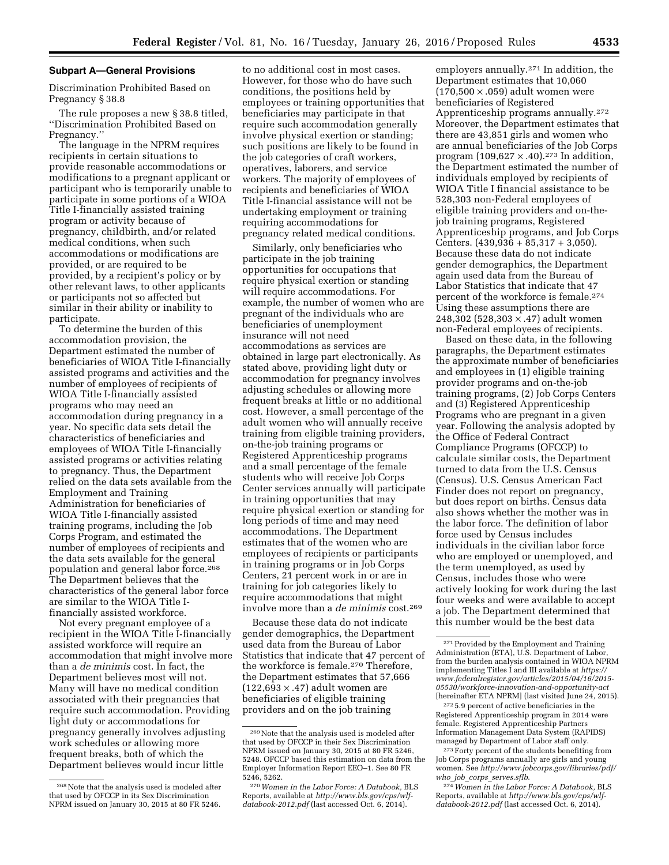#### **Subpart A—General Provisions**

Discrimination Prohibited Based on Pregnancy § 38.8

The rule proposes a new § 38.8 titled, ''Discrimination Prohibited Based on Pregnancy.''

The language in the NPRM requires recipients in certain situations to provide reasonable accommodations or modifications to a pregnant applicant or participant who is temporarily unable to participate in some portions of a WIOA Title I-financially assisted training program or activity because of pregnancy, childbirth, and/or related medical conditions, when such accommodations or modifications are provided, or are required to be provided, by a recipient's policy or by other relevant laws, to other applicants or participants not so affected but similar in their ability or inability to participate.

To determine the burden of this accommodation provision, the Department estimated the number of beneficiaries of WIOA Title I-financially assisted programs and activities and the number of employees of recipients of WIOA Title I-financially assisted programs who may need an accommodation during pregnancy in a year. No specific data sets detail the characteristics of beneficiaries and employees of WIOA Title I-financially assisted programs or activities relating to pregnancy. Thus, the Department relied on the data sets available from the Employment and Training Administration for beneficiaries of WIOA Title I-financially assisted training programs, including the Job Corps Program, and estimated the number of employees of recipients and the data sets available for the general population and general labor force.268 The Department believes that the characteristics of the general labor force are similar to the WIOA Title Ifinancially assisted workforce.

Not every pregnant employee of a recipient in the WIOA Title I-financially assisted workforce will require an accommodation that might involve more than a *de minimis* cost. In fact, the Department believes most will not. Many will have no medical condition associated with their pregnancies that require such accommodation. Providing light duty or accommodations for pregnancy generally involves adjusting work schedules or allowing more frequent breaks, both of which the Department believes would incur little

to no additional cost in most cases. However, for those who do have such conditions, the positions held by employees or training opportunities that beneficiaries may participate in that require such accommodation generally involve physical exertion or standing; such positions are likely to be found in the job categories of craft workers, operatives, laborers, and service workers. The majority of employees of recipients and beneficiaries of WIOA Title I-financial assistance will not be undertaking employment or training requiring accommodations for pregnancy related medical conditions.

Similarly, only beneficiaries who participate in the job training opportunities for occupations that require physical exertion or standing will require accommodations. For example, the number of women who are pregnant of the individuals who are beneficiaries of unemployment insurance will not need accommodations as services are obtained in large part electronically. As stated above, providing light duty or accommodation for pregnancy involves adjusting schedules or allowing more frequent breaks at little or no additional cost. However, a small percentage of the adult women who will annually receive training from eligible training providers, on-the-job training programs or Registered Apprenticeship programs and a small percentage of the female students who will receive Job Corps Center services annually will participate in training opportunities that may require physical exertion or standing for long periods of time and may need accommodations. The Department estimates that of the women who are employees of recipients or participants in training programs or in Job Corps Centers, 21 percent work in or are in training for job categories likely to require accommodations that might involve more than a *de minimis* cost.269

Because these data do not indicate gender demographics, the Department used data from the Bureau of Labor Statistics that indicate that 47 percent of the workforce is female.<sup>270</sup> Therefore, the Department estimates that 57,666  $(122,693 \times .47)$  adult women are beneficiaries of eligible training providers and on the job training

employers annually.271 In addition, the Department estimates that 10,060  $(170,500 \times 0.059)$  adult women were beneficiaries of Registered Apprenticeship programs annually.272 Moreover, the Department estimates that there are 43,851 girls and women who are annual beneficiaries of the Job Corps program (109,627  $\times$  .40).<sup>273</sup> In addition, the Department estimated the number of individuals employed by recipients of WIOA Title I financial assistance to be 528,303 non-Federal employees of eligible training providers and on-thejob training programs, Registered Apprenticeship programs, and Job Corps Centers.  $(439,936 + 85,317 + 3,050)$ . Because these data do not indicate gender demographics, the Department again used data from the Bureau of Labor Statistics that indicate that 47 percent of the workforce is female.274 Using these assumptions there are 248,302 (528,303 × .47) adult women non-Federal employees of recipients.

Based on these data, in the following paragraphs, the Department estimates the approximate number of beneficiaries and employees in (1) eligible training provider programs and on-the-job training programs, (2) Job Corps Centers and (3) Registered Apprenticeship Programs who are pregnant in a given year. Following the analysis adopted by the Office of Federal Contract Compliance Programs (OFCCP) to calculate similar costs, the Department turned to data from the U.S. Census (Census). U.S. Census American Fact Finder does not report on pregnancy, but does report on births. Census data also shows whether the mother was in the labor force. The definition of labor force used by Census includes individuals in the civilian labor force who are employed or unemployed, and the term unemployed, as used by Census, includes those who were actively looking for work during the last four weeks and were available to accept a job. The Department determined that this number would be the best data

272 5.9 percent of active beneficiaries in the Registered Apprenticeship program in 2014 were female. Registered Apprenticeship Partners Information Management Data System (RAPIDS) managed by Department of Labor staff only.

273Forty percent of the students benefiting from Job Corps programs annually are girls and young women. See *[http://www.jobcorps.gov/libraries/pdf/](http://www.jobcorps.gov/libraries/pdf/who_job_corps_serves.sflb) who*\_*job*\_*corps*\_*[serves.sflb](http://www.jobcorps.gov/libraries/pdf/who_job_corps_serves.sflb)*.

274*Women in the Labor Force: A Databook,* BLS Reports, available at *[http://www.bls.gov/cps/wlf](http://www.bls.gov/cps/wlf-databook-2012.pdf)[databook-2012.pdf](http://www.bls.gov/cps/wlf-databook-2012.pdf)* (last accessed Oct. 6, 2014).

<sup>268</sup>Note that the analysis used is modeled after that used by OFCCP in its Sex Discrimination NPRM issued on January 30, 2015 at 80 FR 5246.

<sup>269</sup>Note that the analysis used is modeled after that used by OFCCP in their Sex Discrimination NPRM issued on January 30, 2015 at 80 FR 5246, 5248. OFCCP based this estimation on data from the Employer Information Report EEO–1. See 80 FR 5246, 5262.

<sup>270</sup>*Women in the Labor Force: A Databook,* BLS Reports, available at *[http://www.bls.gov/cps/wlf](http://www.bls.gov/cps/wlf-databook-2012.pdf)[databook-2012.pdf](http://www.bls.gov/cps/wlf-databook-2012.pdf)* (last accessed Oct. 6, 2014).

<sup>271</sup>Provided by the Employment and Training Administration (ETA), U.S. Department of Labor, from the burden analysis contained in WIOA NPRM implementing Titles I and III available at *[https://](https://www.federalregister.gov/articles/2015/04/16/2015-05530/workforce-innovation-and-opportunity-act) [www.federalregister.gov/articles/2015/04/16/2015-](https://www.federalregister.gov/articles/2015/04/16/2015-05530/workforce-innovation-and-opportunity-act) [05530/workforce-innovation-and-opportunity-act](https://www.federalregister.gov/articles/2015/04/16/2015-05530/workforce-innovation-and-opportunity-act)*  [hereinafter ETA NPRM] (last visited June 24, 2015).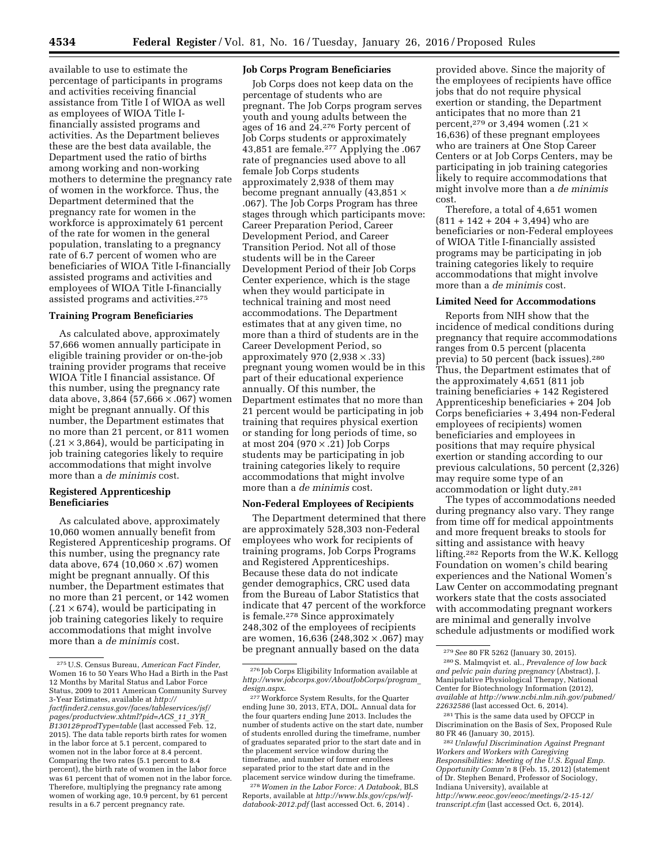available to use to estimate the percentage of participants in programs and activities receiving financial assistance from Title I of WIOA as well as employees of WIOA Title Ifinancially assisted programs and activities. As the Department believes these are the best data available, the Department used the ratio of births among working and non-working mothers to determine the pregnancy rate of women in the workforce. Thus, the Department determined that the pregnancy rate for women in the workforce is approximately 61 percent of the rate for women in the general population, translating to a pregnancy rate of 6.7 percent of women who are beneficiaries of WIOA Title I-financially assisted programs and activities and employees of WIOA Title I-financially assisted programs and activities.275

#### **Training Program Beneficiaries**

As calculated above, approximately 57,666 women annually participate in eligible training provider or on-the-job training provider programs that receive WIOA Title I financial assistance. Of this number, using the pregnancy rate data above, 3,864 (57,666  $\times$  .067) women might be pregnant annually. Of this number, the Department estimates that no more than 21 percent, or 811 women  $(.21 \times 3,864)$ , would be participating in job training categories likely to require accommodations that might involve more than a *de minimis* cost.

### **Registered Apprenticeship Beneficiaries**

As calculated above, approximately 10,060 women annually benefit from Registered Apprenticeship programs. Of this number, using the pregnancy rate data above, 674 (10,060  $\times$  .67) women might be pregnant annually. Of this number, the Department estimates that no more than 21 percent, or 142 women  $(.21 \times 674)$ , would be participating in job training categories likely to require accommodations that might involve more than a *de minimis* cost.

## **Job Corps Program Beneficiaries**

Job Corps does not keep data on the percentage of students who are pregnant. The Job Corps program serves youth and young adults between the ages of 16 and 24.276 Forty percent of Job Corps students or approximately 43,851 are female.277 Applying the .067 rate of pregnancies used above to all female Job Corps students approximately 2,938 of them may become pregnant annually (43,851 × .067). The Job Corps Program has three stages through which participants move: Career Preparation Period, Career Development Period, and Career Transition Period. Not all of those students will be in the Career Development Period of their Job Corps Center experience, which is the stage when they would participate in technical training and most need accommodations. The Department estimates that at any given time, no more than a third of students are in the Career Development Period, so approximately 970  $(2,938 \times .33)$ pregnant young women would be in this part of their educational experience annually. Of this number, the Department estimates that no more than 21 percent would be participating in job training that requires physical exertion or standing for long periods of time, so at most 204 (970 × .21) Job Corps students may be participating in job training categories likely to require accommodations that might involve more than a *de minimis* cost.

## **Non-Federal Employees of Recipients**

The Department determined that there are approximately 528,303 non-Federal employees who work for recipients of training programs, Job Corps Programs and Registered Apprenticeships. Because these data do not indicate gender demographics, CRC used data from the Bureau of Labor Statistics that indicate that 47 percent of the workforce is female.278 Since approximately 248,302 of the employees of recipients are women, 16,636 (248,302  $\times$  .067) may be pregnant annually based on the data

278*Women in the Labor Force: A Databook,* BLS Reports, available at *[http://www.bls.gov/cps/wlf](http://www.bls.gov/cps/wlf-databook-2012.pdf)[databook-2012.pdf](http://www.bls.gov/cps/wlf-databook-2012.pdf)* (last accessed Oct. 6, 2014) .

provided above. Since the majority of the employees of recipients have office jobs that do not require physical exertion or standing, the Department anticipates that no more than 21 percent,<sup>279</sup> or 3,494 women (.21  $\times$ 16,636) of these pregnant employees who are trainers at One Stop Career Centers or at Job Corps Centers, may be participating in job training categories likely to require accommodations that might involve more than a *de minimis*  cost.

Therefore, a total of 4,651 women (811 + 142 + 204 + 3,494) who are beneficiaries or non-Federal employees of WIOA Title I-financially assisted programs may be participating in job training categories likely to require accommodations that might involve more than a *de minimis* cost.

#### **Limited Need for Accommodations**

Reports from NIH show that the incidence of medical conditions during pregnancy that require accommodations ranges from 0.5 percent (placenta previa) to 50 percent (back issues).280 Thus, the Department estimates that of the approximately 4,651 (811 job training beneficiaries + 142 Registered Apprenticeship beneficiaries + 204 Job Corps beneficiaries + 3,494 non-Federal employees of recipients) women beneficiaries and employees in positions that may require physical exertion or standing according to our previous calculations, 50 percent (2,326) may require some type of an accommodation or light duty.281

The types of accommodations needed during pregnancy also vary. They range from time off for medical appointments and more frequent breaks to stools for sitting and assistance with heavy lifting.282 Reports from the W.K. Kellogg Foundation on women's child bearing experiences and the National Women's Law Center on accommodating pregnant workers state that the costs associated with accommodating pregnant workers are minimal and generally involve schedule adjustments or modified work

281This is the same data used by OFCCP in Discrimination on the Basis of Sex, Proposed Rule 80 FR 46 (January 30, 2015).

<sup>275</sup>U.S. Census Bureau, *American Fact Finder,*  Women 16 to 50 Years Who Had a Birth in the Past 12 Months by Marital Status and Labor Force Status, 2009 to 2011 American Community Survey 3-Year Estimates, available at *[http://](http://factfinder2.census.gov/faces/tableservices/jsf/pages/productview.xhtml?pid=ACS_11_3YR_B13012&prodType=table) [factfinder2.census.gov/faces/tableservices/jsf/](http://factfinder2.census.gov/faces/tableservices/jsf/pages/productview.xhtml?pid=ACS_11_3YR_B13012&prodType=table) [pages/productview.xhtml?pid=ACS](http://factfinder2.census.gov/faces/tableservices/jsf/pages/productview.xhtml?pid=ACS_11_3YR_B13012&prodType=table)*\_*11*\_*3YR*\_ *[B13012&prodType=table](http://factfinder2.census.gov/faces/tableservices/jsf/pages/productview.xhtml?pid=ACS_11_3YR_B13012&prodType=table)* (last accessed Feb. 12, 2015). The data table reports birth rates for women in the labor force at 5.1 percent, compared to women not in the labor force at 8.4 percent. Comparing the two rates (5.1 percent to 8.4 percent), the birth rate of women in the labor force was 61 percent that of women not in the labor force. Therefore, multiplying the pregnancy rate among women of working age, 10.9 percent, by 61 percent results in a 6.7 percent pregnancy rate.

<sup>276</sup> Job Corps Eligibility Information available at *[http://www.jobcorps.gov/AboutJobCorps/program](http://www.jobcorps.gov/AboutJobCorps/program_design.aspx)*\_ *[design.aspx](http://www.jobcorps.gov/AboutJobCorps/program_design.aspx)*.

<sup>277</sup>Workforce System Results, for the Quarter ending June 30, 2013, ETA, DOL. Annual data for the four quarters ending June 2013. Includes the number of students active on the start date, number of students enrolled during the timeframe, number of graduates separated prior to the start date and in the placement service window during the timeframe, and number of former enrollees separated prior to the start date and in the placement service window during the timeframe.

<sup>279</sup>*See* 80 FR 5262 (January 30, 2015).

<sup>280</sup>S. Malmqvist et. al., *Prevalence of low back and pelvic pain during pregnancy* (Abstract), J. Manipulative Physiological Therapy, National Center for Biotechnology Information (2012), *available at [http://www.ncbi.nlm.nih.gov/pubmed/](http://www.ncbi.nlm.nih.gov/pubmed/22632586) [22632586](http://www.ncbi.nlm.nih.gov/pubmed/22632586)* (last accessed Oct. 6, 2014).

<sup>282</sup>*Unlawful Discrimination Against Pregnant Workers and Workers with Caregiving Responsibilities: Meeting of the U.S. Equal Emp. Opportunity Comm'n* 8 (Feb. 15, 2012) (statement of Dr. Stephen Benard, Professor of Sociology, Indiana University), available at *[http://www.eeoc.gov/eeoc/meetings/2-15-12/](http://www.eeoc.gov/eeoc/meetings/2-15-12/transcript.cfm) [transcript.cfm](http://www.eeoc.gov/eeoc/meetings/2-15-12/transcript.cfm)* (last accessed Oct. 6, 2014).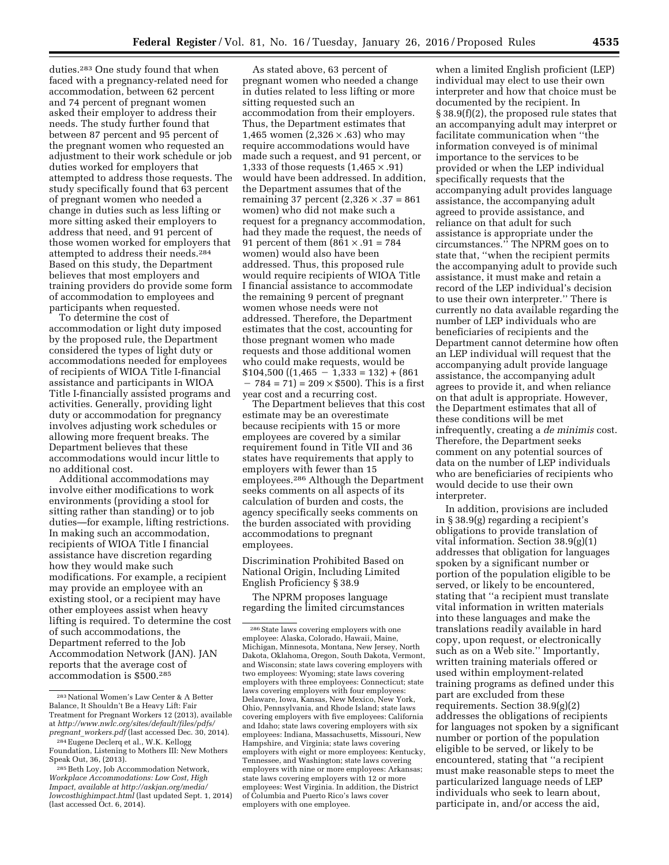duties.283 One study found that when faced with a pregnancy-related need for accommodation, between 62 percent and 74 percent of pregnant women asked their employer to address their needs. The study further found that between 87 percent and 95 percent of the pregnant women who requested an adjustment to their work schedule or job duties worked for employers that attempted to address those requests. The study specifically found that 63 percent of pregnant women who needed a change in duties such as less lifting or more sitting asked their employers to address that need, and 91 percent of those women worked for employers that attempted to address their needs.284 Based on this study, the Department believes that most employers and training providers do provide some form of accommodation to employees and participants when requested.

To determine the cost of accommodation or light duty imposed by the proposed rule, the Department considered the types of light duty or accommodations needed for employees of recipients of WIOA Title I-financial assistance and participants in WIOA Title I-financially assisted programs and activities. Generally, providing light duty or accommodation for pregnancy involves adjusting work schedules or allowing more frequent breaks. The Department believes that these accommodations would incur little to no additional cost.

Additional accommodations may involve either modifications to work environments (providing a stool for sitting rather than standing) or to job duties—for example, lifting restrictions. In making such an accommodation, recipients of WIOA Title I financial assistance have discretion regarding how they would make such modifications. For example, a recipient may provide an employee with an existing stool, or a recipient may have other employees assist when heavy lifting is required. To determine the cost of such accommodations, the Department referred to the Job Accommodation Network (JAN). JAN reports that the average cost of accommodation is \$500.285

As stated above, 63 percent of pregnant women who needed a change in duties related to less lifting or more sitting requested such an accommodation from their employers. Thus, the Department estimates that 1,465 women  $(2,326 \times .63)$  who may require accommodations would have made such a request, and 91 percent, or 1,333 of those requests  $(1,465 \times .91)$ would have been addressed. In addition, the Department assumes that of the remaining 37 percent (2,326 × .37 = 861 women) who did not make such a request for a pregnancy accommodation, had they made the request, the needs of 91 percent of them  $(861 \times .91 = 784)$ women) would also have been addressed. Thus, this proposed rule would require recipients of WIOA Title I financial assistance to accommodate the remaining 9 percent of pregnant women whose needs were not addressed. Therefore, the Department estimates that the cost, accounting for those pregnant women who made requests and those additional women who could make requests, would be  $$104,500 ((1,465 - 1,333 - 132) + (861$  $-784 = 71$  = 209  $\times$  \$500). This is a first year cost and a recurring cost.

The Department believes that this cost estimate may be an overestimate because recipients with 15 or more employees are covered by a similar requirement found in Title VII and 36 states have requirements that apply to employers with fewer than 15 employees.286 Although the Department seeks comments on all aspects of its calculation of burden and costs, the agency specifically seeks comments on the burden associated with providing accommodations to pregnant employees.

Discrimination Prohibited Based on National Origin, Including Limited English Proficiency § 38.9

The NPRM proposes language regarding the limited circumstances

when a limited English proficient (LEP) individual may elect to use their own interpreter and how that choice must be documented by the recipient. In § 38.9(f)(2), the proposed rule states that an accompanying adult may interpret or facilitate communication when ''the information conveyed is of minimal importance to the services to be provided or when the LEP individual specifically requests that the accompanying adult provides language assistance, the accompanying adult agreed to provide assistance, and reliance on that adult for such assistance is appropriate under the circumstances.'' The NPRM goes on to state that, ''when the recipient permits the accompanying adult to provide such assistance, it must make and retain a record of the LEP individual's decision to use their own interpreter.'' There is currently no data available regarding the number of LEP individuals who are beneficiaries of recipients and the Department cannot determine how often an LEP individual will request that the accompanying adult provide language assistance, the accompanying adult agrees to provide it, and when reliance on that adult is appropriate. However, the Department estimates that all of these conditions will be met infrequently, creating a *de minimis* cost. Therefore, the Department seeks comment on any potential sources of data on the number of LEP individuals who are beneficiaries of recipients who would decide to use their own interpreter.

In addition, provisions are included in § 38.9(g) regarding a recipient's obligations to provide translation of vital information. Section 38.9(g)(1) addresses that obligation for languages spoken by a significant number or portion of the population eligible to be served, or likely to be encountered, stating that ''a recipient must translate vital information in written materials into these languages and make the translations readily available in hard copy, upon request, or electronically such as on a Web site.'' Importantly, written training materials offered or used within employment-related training programs as defined under this part are excluded from these requirements. Section 38.9(g)(2) addresses the obligations of recipients for languages not spoken by a significant number or portion of the population eligible to be served, or likely to be encountered, stating that ''a recipient must make reasonable steps to meet the particularized language needs of LEP individuals who seek to learn about, participate in, and/or access the aid,

<sup>283</sup>National Women's Law Center & A Better Balance, It Shouldn't Be a Heavy Lift: Fair Treatment for Pregnant Workers 12 (2013), available at *[http://www.nwlc.org/sites/default/files/pdfs/](http://www.nwlc.org/sites/default/files/pdfs/pregnant_workers.pdf) pregnant*\_*[workers.pdf](http://www.nwlc.org/sites/default/files/pdfs/pregnant_workers.pdf)* (last accessed Dec. 30, 2014).

<sup>284</sup>Eugene Declerq et al., W.K. Kellogg Foundation, Listening to Mothers III: New Mothers Speak Out, 36, (2013).

<sup>285</sup>Beth Loy, Job Accommodation Network, *Workplace Accommodations: Low Cost, High Impact, available at [http://askjan.org/media/](http://askjan.org/media/lowcosthighimpact.html) [lowcosthighimpact.html](http://askjan.org/media/lowcosthighimpact.html)* (last updated Sept. 1, 2014) (last accessed Oct. 6, 2014).

<sup>286</sup>State laws covering employers with one employee: Alaska, Colorado, Hawaii, Maine, Michigan, Minnesota, Montana, New Jersey, North Dakota, Oklahoma, Oregon, South Dakota, Vermont, and Wisconsin; state laws covering employers with two employees: Wyoming; state laws covering employers with three employees: Connecticut; state laws covering employers with four employees: Delaware, Iowa, Kansas, New Mexico, New York, Ohio, Pennsylvania, and Rhode Island; state laws covering employers with five employees: California and Idaho; state laws covering employers with six employees: Indiana, Massachusetts, Missouri, New Hampshire, and Virginia; state laws covering employers with eight or more employees: Kentucky, Tennessee, and Washington; state laws covering employers with nine or more employees: Arkansas; state laws covering employers with 12 or more employees: West Virginia. In addition, the District of Columbia and Puerto Rico's laws cover employers with one employee.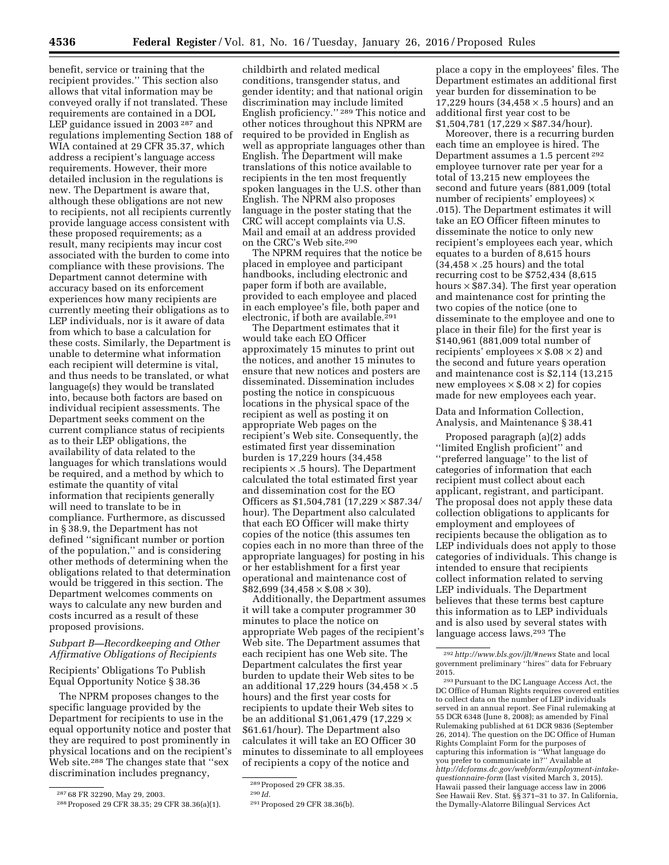benefit, service or training that the recipient provides.'' This section also allows that vital information may be conveyed orally if not translated. These requirements are contained in a DOL LEP guidance issued in 2003<sup>287</sup> and regulations implementing Section 188 of WIA contained at 29 CFR 35.37, which address a recipient's language access requirements. However, their more detailed inclusion in the regulations is new. The Department is aware that, although these obligations are not new to recipients, not all recipients currently provide language access consistent with these proposed requirements; as a result, many recipients may incur cost associated with the burden to come into compliance with these provisions. The Department cannot determine with accuracy based on its enforcement experiences how many recipients are currently meeting their obligations as to LEP individuals, nor is it aware of data from which to base a calculation for these costs. Similarly, the Department is unable to determine what information each recipient will determine is vital, and thus needs to be translated, or what language(s) they would be translated into, because both factors are based on individual recipient assessments. The Department seeks comment on the current compliance status of recipients as to their LEP obligations, the availability of data related to the languages for which translations would be required, and a method by which to estimate the quantity of vital information that recipients generally will need to translate to be in compliance. Furthermore, as discussed in § 38.9, the Department has not defined ''significant number or portion of the population,'' and is considering other methods of determining when the obligations related to that determination would be triggered in this section. The Department welcomes comments on ways to calculate any new burden and costs incurred as a result of these proposed provisions.

# *Subpart B—Recordkeeping and Other Affirmative Obligations of Recipients*

Recipients' Obligations To Publish Equal Opportunity Notice § 38.36

The NPRM proposes changes to the specific language provided by the Department for recipients to use in the equal opportunity notice and poster that they are required to post prominently in physical locations and on the recipient's Web site.288 The changes state that ''sex discrimination includes pregnancy,

childbirth and related medical conditions, transgender status, and gender identity; and that national origin discrimination may include limited English proficiency.'' 289 This notice and other notices throughout this NPRM are required to be provided in English as well as appropriate languages other than English. The Department will make translations of this notice available to recipients in the ten most frequently spoken languages in the U.S. other than English. The NPRM also proposes language in the poster stating that the CRC will accept complaints via U.S. Mail and email at an address provided on the CRC's Web site.290

The NPRM requires that the notice be placed in employee and participant handbooks, including electronic and paper form if both are available, provided to each employee and placed in each employee's file, both paper and electronic, if both are available.<sup>291</sup>

The Department estimates that it would take each EO Officer approximately 15 minutes to print out the notices, and another 15 minutes to ensure that new notices and posters are disseminated. Dissemination includes posting the notice in conspicuous locations in the physical space of the recipient as well as posting it on appropriate Web pages on the recipient's Web site. Consequently, the estimated first year dissemination burden is 17,229 hours (34,458 recipients  $\times$  .5 hours). The Department calculated the total estimated first year and dissemination cost for the EO Officers as \$1,504,781 (17,229 × \$87.34/ hour). The Department also calculated that each EO Officer will make thirty copies of the notice (this assumes ten copies each in no more than three of the appropriate languages) for posting in his or her establishment for a first year operational and maintenance cost of  $$82,699$  (34,458  $\times$  \$.08  $\times$  30).

Additionally, the Department assumes it will take a computer programmer 30 minutes to place the notice on appropriate Web pages of the recipient's Web site. The Department assumes that each recipient has one Web site. The Department calculates the first year burden to update their Web sites to be an additional 17,229 hours  $(34,458 \times .5$ hours) and the first year costs for recipients to update their Web sites to be an additional \$1,061,479 (17,229 × \$61.61/hour). The Department also calculates it will take an EO Officer 30 minutes to disseminate to all employees of recipients a copy of the notice and

place a copy in the employees' files. The Department estimates an additional first year burden for dissemination to be 17,229 hours (34,458 × .5 hours) and an additional first year cost to be  $$1,504,781$  (17,229  $\times$  \$87.34/hour).

Moreover, there is a recurring burden each time an employee is hired. The Department assumes a 1.5 percent 292 employee turnover rate per year for a total of 13,215 new employees the second and future years (881,009 (total number of recipients' employees) × .015). The Department estimates it will take an EO Officer fifteen minutes to disseminate the notice to only new recipient's employees each year, which equates to a burden of 8,615 hours  $(34,458 \times .25 \text{ hours})$  and the total recurring cost to be \$752,434 (8,615 hours  $\times$  \$87.34). The first year operation and maintenance cost for printing the two copies of the notice (one to disseminate to the employee and one to place in their file) for the first year is \$140,961 (881,009 total number of recipients' employees  $\times$  \$.08  $\times$  2) and the second and future years operation and maintenance cost is \$2,114 (13,215 new employees  $\times$  \$.08  $\times$  2) for copies made for new employees each year.

Data and Information Collection, Analysis, and Maintenance § 38.41

Proposed paragraph (a)(2) adds ''limited English proficient'' and ''preferred language'' to the list of categories of information that each recipient must collect about each applicant, registrant, and participant. The proposal does not apply these data collection obligations to applicants for employment and employees of recipients because the obligation as to LEP individuals does not apply to those categories of individuals. This change is intended to ensure that recipients collect information related to serving LEP individuals. The Department believes that these terms best capture this information as to LEP individuals and is also used by several states with language access laws.293 The

<sup>287</sup> 68 FR 32290, May 29, 2003.

<sup>288</sup>Proposed 29 CFR 38.35; 29 CFR 38.36(a)(1).

<sup>289</sup>Proposed 29 CFR 38.35.

<sup>290</sup> *Id.* 

<sup>291</sup>Proposed 29 CFR 38.36(b).

<sup>292</sup>*<http://www.bls.gov/jlt/#news>*State and local government preliminary ''hires'' data for February 2015.

<sup>293</sup>Pursuant to the DC Language Access Act, the DC Office of Human Rights requires covered entities to collect data on the number of LEP individuals served in an annual report. See Final rulemaking at 55 DCR 6348 (June 8, 2008); as amended by Final Rulemaking published at 61 DCR 9836 (September 26, 2014). The question on the DC Office of Human Rights Complaint Form for the purposes of capturing this information is ''What language do you prefer to communicate in?'' Available at *[http://dcforms.dc.gov/webform/employment-intake](http://dcforms.dc.gov/webform/employment-intake-questionnaire-form)[questionnaire-form](http://dcforms.dc.gov/webform/employment-intake-questionnaire-form)* (last visited March 3, 2015). Hawaii passed their language access law in 2006 See Hawaii Rev. Stat. §§ 371–31 to 37. In California, the Dymally-Alatorre Bilingual Services Act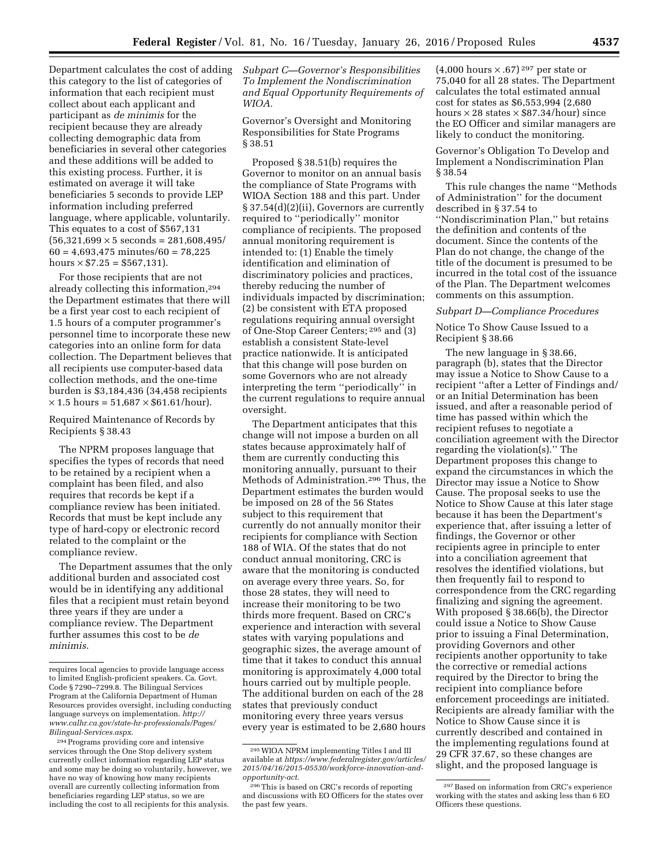Department calculates the cost of adding this category to the list of categories of information that each recipient must collect about each applicant and participant as *de minimis* for the recipient because they are already collecting demographic data from beneficiaries in several other categories and these additions will be added to this existing process. Further, it is estimated on average it will take beneficiaries 5 seconds to provide LEP information including preferred language, where applicable, voluntarily. This equates to a cost of \$567,131  $(56,321,699 \times 5$  seconds = 281,608,495/  $60 = 4,693,475$  minutes/ $60 = 78,225$ hours  $\times$  \$7.25 = \$567,131).

For those recipients that are not already collecting this information,294 the Department estimates that there will be a first year cost to each recipient of 1.5 hours of a computer programmer's personnel time to incorporate these new categories into an online form for data collection. The Department believes that all recipients use computer-based data collection methods, and the one-time burden is \$3,184,436 (34,458 recipients  $\times$  1.5 hours = 51,687  $\times$  \$61.61/hour).

# Required Maintenance of Records by Recipients § 38.43

The NPRM proposes language that specifies the types of records that need to be retained by a recipient when a complaint has been filed, and also requires that records be kept if a compliance review has been initiated. Records that must be kept include any type of hard-copy or electronic record related to the complaint or the compliance review.

The Department assumes that the only additional burden and associated cost would be in identifying any additional files that a recipient must retain beyond three years if they are under a compliance review. The Department further assumes this cost to be *de minimis*.

*Subpart C—Governor's Responsibilities To Implement the Nondiscrimination and Equal Opportunity Requirements of WIOA.* 

Governor's Oversight and Monitoring Responsibilities for State Programs § 38.51

Proposed § 38.51(b) requires the Governor to monitor on an annual basis the compliance of State Programs with WIOA Section 188 and this part. Under § 37.54(d)(2)(ii), Governors are currently required to ''periodically'' monitor compliance of recipients. The proposed annual monitoring requirement is intended to: (1) Enable the timely identification and elimination of discriminatory policies and practices, thereby reducing the number of individuals impacted by discrimination; (2) be consistent with ETA proposed regulations requiring annual oversight of One-Stop Career Centers; 295 and (3) establish a consistent State-level practice nationwide. It is anticipated that this change will pose burden on some Governors who are not already interpreting the term ''periodically'' in the current regulations to require annual oversight.

The Department anticipates that this change will not impose a burden on all states because approximately half of them are currently conducting this monitoring annually, pursuant to their Methods of Administration.296 Thus, the Department estimates the burden would be imposed on 28 of the 56 States subject to this requirement that currently do not annually monitor their recipients for compliance with Section 188 of WIA. Of the states that do not conduct annual monitoring, CRC is aware that the monitoring is conducted on average every three years. So, for those 28 states, they will need to increase their monitoring to be two thirds more frequent. Based on CRC's experience and interaction with several states with varying populations and geographic sizes, the average amount of time that it takes to conduct this annual monitoring is approximately 4,000 total hours carried out by multiple people. The additional burden on each of the 28 states that previously conduct monitoring every three years versus every year is estimated to be 2,680 hours

 $(4,000 \text{ hours} \times .67)^{297}$  per state or 75,040 for all 28 states. The Department calculates the total estimated annual cost for states as \$6,553,994 (2,680 hours  $\times$  28 states  $\times$  \$87.34/hour) since the EO Officer and similar managers are likely to conduct the monitoring.

Governor's Obligation To Develop and Implement a Nondiscrimination Plan § 38.54

This rule changes the name ''Methods of Administration'' for the document described in § 37.54 to ''Nondiscrimination Plan,'' but retains the definition and contents of the document. Since the contents of the Plan do not change, the change of the title of the document is presumed to be incurred in the total cost of the issuance of the Plan. The Department welcomes comments on this assumption.

#### *Subpart D—Compliance Procedures*

Notice To Show Cause Issued to a Recipient § 38.66

The new language in § 38.66, paragraph (b), states that the Director may issue a Notice to Show Cause to a recipient ''after a Letter of Findings and/ or an Initial Determination has been issued, and after a reasonable period of time has passed within which the recipient refuses to negotiate a conciliation agreement with the Director regarding the violation(s).'' The Department proposes this change to expand the circumstances in which the Director may issue a Notice to Show Cause. The proposal seeks to use the Notice to Show Cause at this later stage because it has been the Department's experience that, after issuing a letter of findings, the Governor or other recipients agree in principle to enter into a conciliation agreement that resolves the identified violations, but then frequently fail to respond to correspondence from the CRC regarding finalizing and signing the agreement. With proposed § 38.66(b), the Director could issue a Notice to Show Cause prior to issuing a Final Determination, providing Governors and other recipients another opportunity to take the corrective or remedial actions required by the Director to bring the recipient into compliance before enforcement proceedings are initiated. Recipients are already familiar with the Notice to Show Cause since it is currently described and contained in the implementing regulations found at 29 CFR 37.67, so these changes are slight, and the proposed language is

requires local agencies to provide language access to limited English-proficient speakers. Ca. Govt. Code § 7290–7299.8. The Bilingual Services Program at the California Department of Human Resources provides oversight, including conducting language surveys on implementation. *[http://](http://www.calhr.ca.gov/state-hr-professionals/Pages/Bilingual-Services.aspx) [www.calhr.ca.gov/state-hr-professionals/Pages/](http://www.calhr.ca.gov/state-hr-professionals/Pages/Bilingual-Services.aspx) [Bilingual-Services.aspx](http://www.calhr.ca.gov/state-hr-professionals/Pages/Bilingual-Services.aspx)*.

<sup>294</sup>Programs providing core and intensive services through the One Stop delivery system currently collect information regarding LEP status and some may be doing so voluntarily, however, we have no way of knowing how many recipients overall are currently collecting information from beneficiaries regarding LEP status, so we are including the cost to all recipients for this analysis.

<sup>295</sup>WIOA NPRM implementing Titles I and III available at *[https://www.federalregister.gov/articles/](https://www.federalregister.gov/articles/2015/04/16/2015-05530/workforce-innovation-and-opportunity-act)  [2015/04/16/2015-05530/workforce-innovation-and](https://www.federalregister.gov/articles/2015/04/16/2015-05530/workforce-innovation-and-opportunity-act)[opportunity-act](https://www.federalregister.gov/articles/2015/04/16/2015-05530/workforce-innovation-and-opportunity-act)*.

<sup>296</sup>This is based on CRC's records of reporting and discussions with EO Officers for the states over the past few years.

<sup>297</sup>Based on information from CRC's experience working with the states and asking less than 6 EO Officers these questions.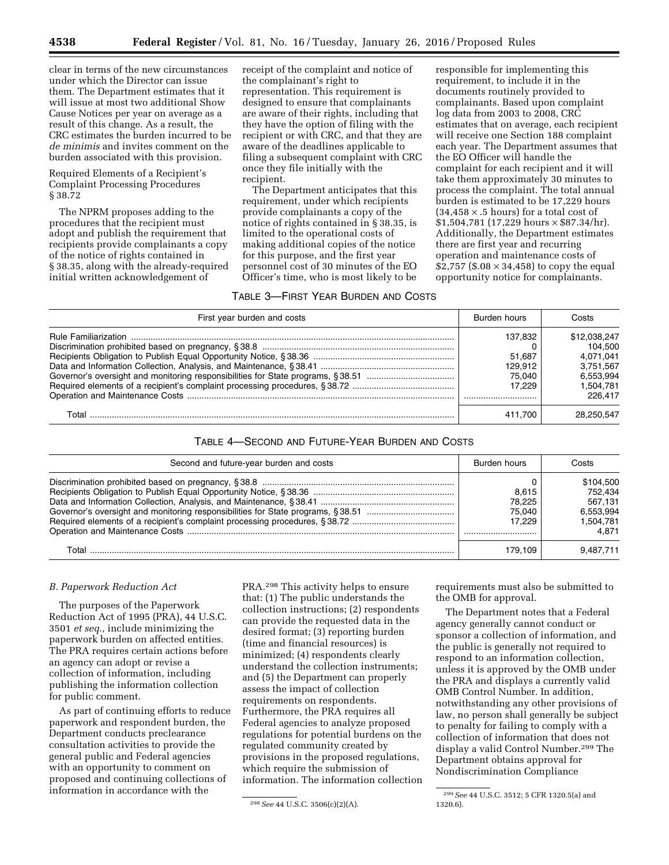clear in terms of the new circumstances under which the Director can issue them. The Department estimates that it will issue at most two additional Show Cause Notices per year on average as a result of this change. As a result, the CRC estimates the burden incurred to be *de minimis* and invites comment on the burden associated with this provision.

Required Elements of a Recipient's Complaint Processing Procedures § 38.72

The NPRM proposes adding to the procedures that the recipient must adopt and publish the requirement that recipients provide complainants a copy of the notice of rights contained in § 38.35, along with the already-required initial written acknowledgement of

receipt of the complaint and notice of the complainant's right to representation. This requirement is designed to ensure that complainants are aware of their rights, including that they have the option of filing with the recipient or with CRC, and that they are aware of the deadlines applicable to filing a subsequent complaint with CRC once they file initially with the recipient.

The Department anticipates that this requirement, under which recipients provide complainants a copy of the notice of rights contained in § 38.35, is limited to the operational costs of making additional copies of the notice for this purpose, and the first year personnel cost of 30 minutes of the EO Officer's time, who is most likely to be

# TABLE 3—FIRST YEAR BURDEN AND COSTS

responsible for implementing this requirement, to include it in the documents routinely provided to complainants. Based upon complaint log data from 2003 to 2008, CRC estimates that on average, each recipient will receive one Section 188 complaint each year. The Department assumes that the EO Officer will handle the complaint for each recipient and it will take them approximately 30 minutes to process the complaint. The total annual burden is estimated to be 17,229 hours  $(34, 458 \times .5 \text{ hours})$  for a total cost of \$1,504,781 (17,229 hours × \$87.34/hr). Additionally, the Department estimates there are first year and recurring operation and maintenance costs of \$2,757 (\$.08  $\times$  34,458) to copy the equal opportunity notice for complainants.

| First year burden and costs | Burden hours | Costs        |
|-----------------------------|--------------|--------------|
|                             | 137,832      | \$12,038,247 |
|                             |              | 104.500      |
|                             | 51.687       | 4.071.041    |
|                             | 129.912      | 3.751.567    |
|                             | 75.040       | 6.553.994    |
|                             | 17.229       | 1.504.781    |
|                             |              | 226.417      |
| ГоtаI                       | 411.700      | 28.250.547   |

# TABLE 4—SECOND AND FUTURE-YEAR BURDEN AND COSTS

| Second and future-year burden and costs | Burden hours                        | Costs                                                     |
|-----------------------------------------|-------------------------------------|-----------------------------------------------------------|
|                                         | 8.615<br>78.225<br>75.040<br>17.229 | \$104.500<br>752.434<br>567.131<br>6.553.994<br>1.504.781 |
|                                         |                                     | 4.871                                                     |
|                                         | 179.109                             | 9.487.711                                                 |

### *B. Paperwork Reduction Act*

The purposes of the Paperwork Reduction Act of 1995 (PRA), 44 U.S.C. 3501 *et seq.,* include minimizing the paperwork burden on affected entities. The PRA requires certain actions before an agency can adopt or revise a collection of information, including publishing the information collection for public comment.

As part of continuing efforts to reduce paperwork and respondent burden, the Department conducts preclearance consultation activities to provide the general public and Federal agencies with an opportunity to comment on proposed and continuing collections of information in accordance with the

PRA.298 This activity helps to ensure that: (1) The public understands the collection instructions; (2) respondents can provide the requested data in the desired format; (3) reporting burden (time and financial resources) is minimized; (4) respondents clearly understand the collection instruments; and (5) the Department can properly assess the impact of collection requirements on respondents. Furthermore, the PRA requires all Federal agencies to analyze proposed regulations for potential burdens on the regulated community created by provisions in the proposed regulations, which require the submission of information. The information collection requirements must also be submitted to the OMB for approval.

The Department notes that a Federal agency generally cannot conduct or sponsor a collection of information, and the public is generally not required to respond to an information collection, unless it is approved by the OMB under the PRA and displays a currently valid OMB Control Number. In addition, notwithstanding any other provisions of law, no person shall generally be subject to penalty for failing to comply with a collection of information that does not display a valid Control Number.299 The Department obtains approval for Nondiscrimination Compliance

<sup>298</sup>*See* 44 U.S.C. 3506(c)(2)(A).

<sup>299</sup>*See* 44 U.S.C. 3512; 5 CFR 1320.5(a) and 1320.6).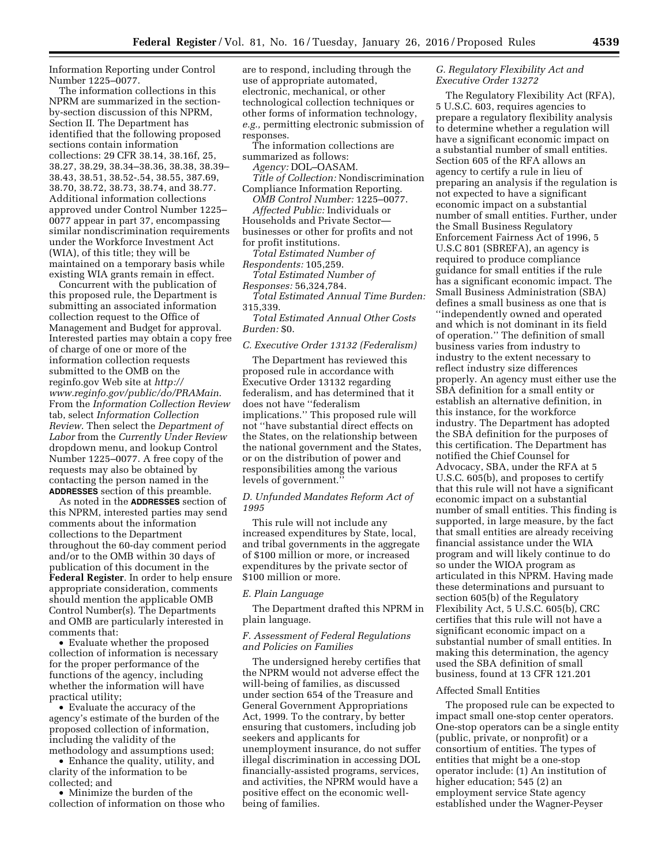Information Reporting under Control Number 1225–0077.

The information collections in this NPRM are summarized in the sectionby-section discussion of this NPRM, Section II. The Department has identified that the following proposed sections contain information collections: 29 CFR 38.14, 38.16f, 25, 38.27, 38.29, 38.34–38.36, 38.38, 38.39– 38.43, 38.51, 38.52-.54, 38.55, 387.69, 38.70, 38.72, 38.73, 38.74, and 38.77. Additional information collections approved under Control Number 1225– 0077 appear in part 37, encompassing similar nondiscrimination requirements under the Workforce Investment Act (WIA), of this title; they will be maintained on a temporary basis while existing WIA grants remain in effect.

Concurrent with the publication of this proposed rule, the Department is submitting an associated information collection request to the Office of Management and Budget for approval. Interested parties may obtain a copy free of charge of one or more of the information collection requests submitted to the OMB on the reginfo.gov Web site at *[http://](http://www.reginfo.gov/public/do/PRAMain) [www.reginfo.gov/public/do/PRAMain](http://www.reginfo.gov/public/do/PRAMain)*. From the *Information Collection Review*  tab, select *Information Collection Review*. Then select the *Department of Labor* from the *Currently Under Review*  dropdown menu, and lookup Control Number 1225–0077. A free copy of the requests may also be obtained by contacting the person named in the **ADDRESSES** section of this preamble.

As noted in the **ADDRESSES** section of this NPRM, interested parties may send comments about the information collections to the Department throughout the 60-day comment period and/or to the OMB within 30 days of publication of this document in the **Federal Register**. In order to help ensure appropriate consideration, comments should mention the applicable OMB Control Number(s). The Departments and OMB are particularly interested in comments that:

• Evaluate whether the proposed collection of information is necessary for the proper performance of the functions of the agency, including whether the information will have practical utility;

• Evaluate the accuracy of the agency's estimate of the burden of the proposed collection of information, including the validity of the methodology and assumptions used;

• Enhance the quality, utility, and clarity of the information to be collected; and

• Minimize the burden of the collection of information on those who are to respond, including through the use of appropriate automated, electronic, mechanical, or other technological collection techniques or other forms of information technology, *e.g.,* permitting electronic submission of responses.

The information collections are summarized as follows:

*Agency:* DOL–OASAM.

*Title of Collection:* Nondiscrimination Compliance Information Reporting.

*OMB Control Number:* 1225–0077. *Affected Public:* Individuals or Households and Private Sector businesses or other for profits and not for profit institutions.

*Total Estimated Number of Respondents:* 105,259.

*Total Estimated Number of Responses:* 56,324,784.

*Total Estimated Annual Time Burden:*  315,339.

*Total Estimated Annual Other Costs Burden:* \$0.

## *C. Executive Order 13132 (Federalism)*

The Department has reviewed this proposed rule in accordance with Executive Order 13132 regarding federalism, and has determined that it does not have ''federalism implications.'' This proposed rule will not ''have substantial direct effects on the States, on the relationship between the national government and the States, or on the distribution of power and responsibilities among the various levels of government.''

# *D. Unfunded Mandates Reform Act of 1995*

This rule will not include any increased expenditures by State, local, and tribal governments in the aggregate of \$100 million or more, or increased expenditures by the private sector of \$100 million or more.

### *E. Plain Language*

The Department drafted this NPRM in plain language.

# *F. Assessment of Federal Regulations and Policies on Families*

The undersigned hereby certifies that the NPRM would not adverse effect the will-being of families, as discussed under section 654 of the Treasure and General Government Appropriations Act, 1999. To the contrary, by better ensuring that customers, including job seekers and applicants for unemployment insurance, do not suffer illegal discrimination in accessing DOL financially-assisted programs, services, and activities, the NPRM would have a positive effect on the economic wellbeing of families.

# *G. Regulatory Flexibility Act and Executive Order 13272*

The Regulatory Flexibility Act (RFA), 5 U.S.C. 603, requires agencies to prepare a regulatory flexibility analysis to determine whether a regulation will have a significant economic impact on a substantial number of small entities. Section 605 of the RFA allows an agency to certify a rule in lieu of preparing an analysis if the regulation is not expected to have a significant economic impact on a substantial number of small entities. Further, under the Small Business Regulatory Enforcement Fairness Act of 1996, 5 U.S.C 801 (SBREFA), an agency is required to produce compliance guidance for small entities if the rule has a significant economic impact. The Small Business Administration (SBA) defines a small business as one that is ''independently owned and operated and which is not dominant in its field of operation.'' The definition of small business varies from industry to industry to the extent necessary to reflect industry size differences properly. An agency must either use the SBA definition for a small entity or establish an alternative definition, in this instance, for the workforce industry. The Department has adopted the SBA definition for the purposes of this certification. The Department has notified the Chief Counsel for Advocacy, SBA, under the RFA at 5 U.S.C. 605(b), and proposes to certify that this rule will not have a significant economic impact on a substantial number of small entities. This finding is supported, in large measure, by the fact that small entities are already receiving financial assistance under the WIA program and will likely continue to do so under the WIOA program as articulated in this NPRM. Having made these determinations and pursuant to section 605(b) of the Regulatory Flexibility Act, 5 U.S.C. 605(b), CRC certifies that this rule will not have a significant economic impact on a substantial number of small entities. In making this determination, the agency used the SBA definition of small business, found at 13 CFR 121.201

#### Affected Small Entities

The proposed rule can be expected to impact small one-stop center operators. One-stop operators can be a single entity (public, private, or nonprofit) or a consortium of entities. The types of entities that might be a one-stop operator include: (1) An institution of higher education; 545 (2) an employment service State agency established under the Wagner-Peyser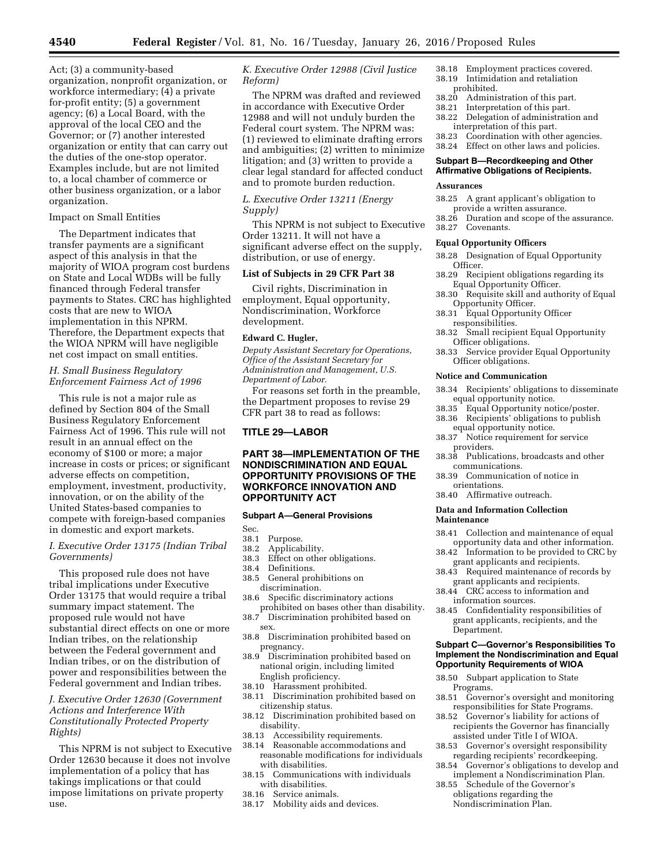Act; (3) a community-based organization, nonprofit organization, or workforce intermediary; (4) a private for-profit entity; (5) a government agency; (6) a Local Board, with the approval of the local CEO and the Governor; or (7) another interested organization or entity that can carry out the duties of the one-stop operator. Examples include, but are not limited to, a local chamber of commerce or other business organization, or a labor organization.

### Impact on Small Entities

The Department indicates that transfer payments are a significant aspect of this analysis in that the majority of WIOA program cost burdens on State and Local WDBs will be fully financed through Federal transfer payments to States. CRC has highlighted costs that are new to WIOA implementation in this NPRM. Therefore, the Department expects that the WIOA NPRM will have negligible net cost impact on small entities.

# *H. Small Business Regulatory Enforcement Fairness Act of 1996*

This rule is not a major rule as defined by Section 804 of the Small Business Regulatory Enforcement Fairness Act of 1996. This rule will not result in an annual effect on the economy of \$100 or more; a major increase in costs or prices; or significant adverse effects on competition, employment, investment, productivity, innovation, or on the ability of the United States-based companies to compete with foreign-based companies in domestic and export markets.

# *I. Executive Order 13175 (Indian Tribal Governments)*

This proposed rule does not have tribal implications under Executive Order 13175 that would require a tribal summary impact statement. The proposed rule would not have substantial direct effects on one or more Indian tribes, on the relationship between the Federal government and Indian tribes, or on the distribution of power and responsibilities between the Federal government and Indian tribes.

# *J. Executive Order 12630 (Government Actions and Interference With Constitutionally Protected Property Rights)*

This NPRM is not subject to Executive Order 12630 because it does not involve implementation of a policy that has takings implications or that could impose limitations on private property use.

# *K. Executive Order 12988 (Civil Justice Reform)*

The NPRM was drafted and reviewed in accordance with Executive Order 12988 and will not unduly burden the Federal court system. The NPRM was: (1) reviewed to eliminate drafting errors and ambiguities; (2) written to minimize litigation; and (3) written to provide a clear legal standard for affected conduct and to promote burden reduction.

*L. Executive Order 13211 (Energy Supply)* 

This NPRM is not subject to Executive Order 13211. It will not have a significant adverse effect on the supply, distribution, or use of energy.

# **List of Subjects in 29 CFR Part 38**

Civil rights, Discrimination in employment, Equal opportunity, Nondiscrimination, Workforce development.

#### **Edward C. Hugler,**

*Deputy Assistant Secretary for Operations, Office of the Assistant Secretary for Administration and Management, U.S. Department of Labor.* 

For reasons set forth in the preamble, the Department proposes to revise 29 CFR part 38 to read as follows:

# **TITLE 29—LABOR**

# **PART 38—IMPLEMENTATION OF THE NONDISCRIMINATION AND EQUAL OPPORTUNITY PROVISIONS OF THE WORKFORCE INNOVATION AND OPPORTUNITY ACT**

### **Subpart A—General Provisions**

Sec.<br>38.1

- 38.1 Purpose.
- 38.2 Applicability.<br>38.3 Effect on other
- 38.3 Effect on other obligations.<br>38.4 Definitions
- 38.4 Definitions.<br>38.5 General pro
- General prohibitions on discrimination.
- 38.6 Specific discriminatory actions prohibited on bases other than disability.
- 38.7 Discrimination prohibited based on sex.
- 38.8 Discrimination prohibited based on pregnancy.
- 38.9 Discrimination prohibited based on national origin, including limited English proficiency.
- 38.10 Harassment prohibited.
- 38.11 Discrimination prohibited based on citizenship status.
- 38.12 Discrimination prohibited based on disability.
- 38.13 Accessibility requirements.
- 38.14 Reasonable accommodations and reasonable modifications for individuals with disabilities.
- 38.15 Communications with individuals with disabilities.
- 38.16 Service animals.<br>38.17 Mobility aids an
- Mobility aids and devices.
- 38.18 Employment practices covered. 38.19 Intimidation and retaliation
- prohibited.
- 38.20 Administration of this part.
- 38.21 Interpretation of this part.
- 38.22 Delegation of administration and interpretation of this part.

38.23 Coordination with other agencies. 38.24 Effect on other laws and policies.

### **Subpart B—Recordkeeping and Other Affirmative Obligations of Recipients.**

## **Assurances**

- 38.25 A grant applicant's obligation to provide a written assurance.
- 38.26 Duration and scope of the assurance.
- 38.27 Covenants.

# **Equal Opportunity Officers**

- 38.28 Designation of Equal Opportunity Officer.
- 38.29 Recipient obligations regarding its Equal Opportunity Officer.
- 38.30 Requisite skill and authority of Equal Opportunity Officer.
- 38.31 Equal Opportunity Officer responsibilities.
- 38.32 Small recipient Equal Opportunity Officer obligations.
- 38.33 Service provider Equal Opportunity Officer obligations.

#### **Notice and Communication**

- 38.34 Recipients' obligations to disseminate equal opportunity notice.<br>38.35 Equal Opportunity not
- Equal Opportunity notice/poster. 38.36 Recipients' obligations to publish
- equal opportunity notice. 38.37 Notice requirement for service
- providers.
- 38.38 Publications, broadcasts and other communications.
- 38.39 Communication of notice in orientations.
- 38.40 Affirmative outreach.

### **Data and Information Collection Maintenance**

- 38.41 Collection and maintenance of equal opportunity data and other information.
- 38.42 Information to be provided to CRC by grant applicants and recipients.
- 38.43 Required maintenance of records by grant applicants and recipients.
- 38.44 CRC access to information and information sources.
- 38.45 Confidentiality responsibilities of grant applicants, recipients, and the Department.

#### **Subpart C—Governor's Responsibilities To Implement the Nondiscrimination and Equal Opportunity Requirements of WIOA**

- 38.50 Subpart application to State Programs.
- 38.51 Governor's oversight and monitoring responsibilities for State Programs.
- 38.52 Governor's liability for actions of recipients the Governor has financially assisted under Title I of WIOA.
- 38.53 Governor's oversight responsibility regarding recipients' recordkeeping.
- 38.54 Governor's obligations to develop and implement a Nondiscrimination Plan.
- 38.55 Schedule of the Governor's obligations regarding the Nondiscrimination Plan.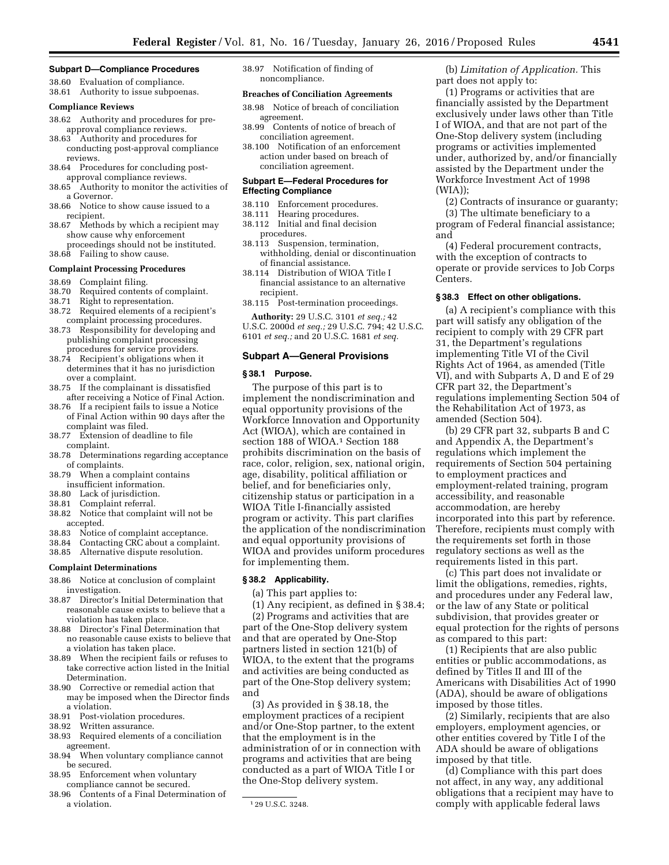#### **Subpart D—Compliance Procedures**

38.60 Evaluation of compliance. 38.61 Authority to issue subpoenas.

## **Compliance Reviews**

- 38.62 Authority and procedures for preapproval compliance reviews.
- 38.63 Authority and procedures for conducting post-approval compliance reviews.
- 38.64 Procedures for concluding postapproval compliance reviews.
- 38.65 Authority to monitor the activities of a Governor.
- 38.66 Notice to show cause issued to a recipient.
- 38.67 Methods by which a recipient may show cause why enforcement proceedings should not be instituted. 38.68 Failing to show cause.

#### **Complaint Processing Procedures**

- 38.69 Complaint filing.
- 38.70 Required contents of complaint.
- 
- 38.71 Right to representation. Required elements of a recipient's complaint processing procedures.
- 38.73 Responsibility for developing and publishing complaint processing procedures for service providers.
- 38.74 Recipient's obligations when it determines that it has no jurisdiction over a complaint.
- 38.75 If the complainant is dissatisfied after receiving a Notice of Final Action.
- 38.76 If a recipient fails to issue a Notice of Final Action within 90 days after the complaint was filed.
- 38.77 Extension of deadline to file complaint.
- 38.78 Determinations regarding acceptance of complaints.
- 38.79 When a complaint contains insufficient information.
- 38.80 Lack of jurisdiction.
- 
- 38.81 Complaint referral.<br>38.82 Notice that compla Notice that complaint will not be accepted.
- 38.83 Notice of complaint acceptance.
- 38.84 Contacting CRC about a complaint.
- 38.85 Alternative dispute resolution.

#### **Complaint Determinations**

- 38.86 Notice at conclusion of complaint investigation.
- 38.87 Director's Initial Determination that reasonable cause exists to believe that a violation has taken place.
- 38.88 Director's Final Determination that no reasonable cause exists to believe that a violation has taken place.
- 38.89 When the recipient fails or refuses to take corrective action listed in the Initial Determination.
- 38.90 Corrective or remedial action that may be imposed when the Director finds
- a violation.<br>38.91 Post-vio 38.91 Post-violation procedures.<br>38.92 Written assurance.
- Written assurance.
- 38.93 Required elements of a conciliation agreement.
- 38.94 When voluntary compliance cannot be secured.
- 38.95 Enforcement when voluntary compliance cannot be secured.
- 38.96 Contents of a Final Determination of a violation.

38.97 Notification of finding of noncompliance.

#### **Breaches of Conciliation Agreements**

- 38.98 Notice of breach of conciliation agreement.
- 38.99 Contents of notice of breach of conciliation agreement.
- 38.100 Notification of an enforcement action under based on breach of conciliation agreement.

#### **Subpart E—Federal Procedures for Effecting Compliance**

- 38.110 Enforcement procedures.<br>38.111 Hearing procedures.
- Hearing procedures.
- 38.112 Initial and final decision procedures.
- 38.113 Suspension, termination, withholding, denial or discontinuation of financial assistance.
- 38.114 Distribution of WIOA Title I financial assistance to an alternative
- recipient.

38.115 Post-termination proceedings.

**Authority:** 29 U.S.C. 3101 *et seq.;* 42 U.S.C. 2000d *et seq.;* 29 U.S.C. 794; 42 U.S.C. 6101 *et seq.;* and 20 U.S.C. 1681 *et seq.* 

#### **Subpart A—General Provisions**

#### **§ 38.1 Purpose.**

The purpose of this part is to implement the nondiscrimination and equal opportunity provisions of the Workforce Innovation and Opportunity Act (WIOA), which are contained in section 188 of WIOA.<sup>1</sup> Section 188 prohibits discrimination on the basis of race, color, religion, sex, national origin, age, disability, political affiliation or belief, and for beneficiaries only, citizenship status or participation in a WIOA Title I-financially assisted program or activity. This part clarifies the application of the nondiscrimination and equal opportunity provisions of WIOA and provides uniform procedures for implementing them.

### **§ 38.2 Applicability.**

(a) This part applies to:

(1) Any recipient, as defined in § 38.4; (2) Programs and activities that are

part of the One-Stop delivery system and that are operated by One-Stop partners listed in section 121(b) of WIOA, to the extent that the programs and activities are being conducted as part of the One-Stop delivery system; and

(3) As provided in § 38.18, the employment practices of a recipient and/or One-Stop partner, to the extent that the employment is in the administration of or in connection with programs and activities that are being conducted as a part of WIOA Title I or the One-Stop delivery system.

(b) *Limitation of Application.* This part does not apply to:

(1) Programs or activities that are financially assisted by the Department exclusively under laws other than Title I of WIOA, and that are not part of the One-Stop delivery system (including programs or activities implemented under, authorized by, and/or financially assisted by the Department under the Workforce Investment Act of 1998 (WIA));

(2) Contracts of insurance or guaranty;

(3) The ultimate beneficiary to a program of Federal financial assistance; and

(4) Federal procurement contracts, with the exception of contracts to operate or provide services to Job Corps Centers.

### **§ 38.3 Effect on other obligations.**

(a) A recipient's compliance with this part will satisfy any obligation of the recipient to comply with 29 CFR part 31, the Department's regulations implementing Title VI of the Civil Rights Act of 1964, as amended (Title VI), and with Subparts A, D and E of 29 CFR part 32, the Department's regulations implementing Section 504 of the Rehabilitation Act of 1973, as amended (Section 504).

(b) 29 CFR part 32, subparts B and C and Appendix A, the Department's regulations which implement the requirements of Section 504 pertaining to employment practices and employment-related training, program accessibility, and reasonable accommodation, are hereby incorporated into this part by reference. Therefore, recipients must comply with the requirements set forth in those regulatory sections as well as the requirements listed in this part.

(c) This part does not invalidate or limit the obligations, remedies, rights, and procedures under any Federal law, or the law of any State or political subdivision, that provides greater or equal protection for the rights of persons as compared to this part:

(1) Recipients that are also public entities or public accommodations, as defined by Titles II and III of the Americans with Disabilities Act of 1990 (ADA), should be aware of obligations imposed by those titles.

(2) Similarly, recipients that are also employers, employment agencies, or other entities covered by Title I of the ADA should be aware of obligations imposed by that title.

(d) Compliance with this part does not affect, in any way, any additional obligations that a recipient may have to comply with applicable federal laws

<sup>1</sup> 29 U.S.C. 3248*.*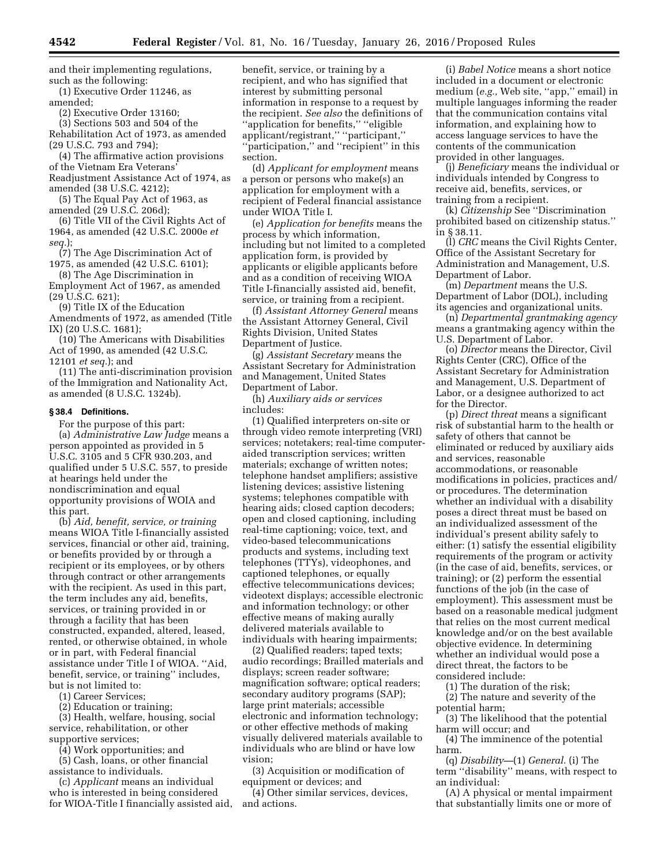and their implementing regulations, such as the following: (1) Executive Order 11246, as

amended;

(2) Executive Order 13160;

(3) Sections 503 and 504 of the Rehabilitation Act of 1973, as amended

(29 U.S.C. 793 and 794); (4) The affirmative action provisions

of the Vietnam Era Veterans'

Readjustment Assistance Act of 1974, as amended (38 U.S.C. 4212);

(5) The Equal Pay Act of 1963, as amended (29 U.S.C. 206d);

(6) Title VII of the Civil Rights Act of 1964, as amended (42 U.S.C. 2000e *et seq.*);

(7) The Age Discrimination Act of 1975, as amended (42 U.S.C. 6101);

(8) The Age Discrimination in Employment Act of 1967, as amended

(29 U.S.C. 621);

(9) Title IX of the Education Amendments of 1972, as amended (Title IX) (20 U.S.C. 1681);

(10) The Americans with Disabilities Act of 1990, as amended (42 U.S.C. 12101 *et seq.*); and

(11) The anti-discrimination provision of the Immigration and Nationality Act, as amended (8 U.S.C. 1324b).

#### **§ 38.4 Definitions.**

For the purpose of this part:

(a) *Administrative Law Judge* means a person appointed as provided in 5 U.S.C. 3105 and 5 CFR 930.203, and qualified under 5 U.S.C. 557, to preside at hearings held under the nondiscrimination and equal opportunity provisions of WOIA and this part.

(b) *Aid, benefit, service, or training*  means WIOA Title I-financially assisted services, financial or other aid, training, or benefits provided by or through a recipient or its employees, or by others through contract or other arrangements with the recipient. As used in this part, the term includes any aid, benefits, services, or training provided in or through a facility that has been constructed, expanded, altered, leased, rented, or otherwise obtained, in whole or in part, with Federal financial assistance under Title I of WIOA. ''Aid, benefit, service, or training'' includes, but is not limited to:

(1) Career Services;

(2) Education or training;

(3) Health, welfare, housing, social service, rehabilitation, or other supportive services;

(4) Work opportunities; and (5) Cash, loans, or other financial

assistance to individuals.

(c) *Applicant* means an individual who is interested in being considered for WIOA-Title I financially assisted aid, benefit, service, or training by a recipient, and who has signified that interest by submitting personal information in response to a request by the recipient. *See also* the definitions of ''application for benefits,'' ''eligible applicant/registrant,'' ''participant,'' ''participation,'' and ''recipient'' in this section.

(d) *Applicant for employment* means a person or persons who make(s) an application for employment with a recipient of Federal financial assistance under WIOA Title I.

(e) *Application for benefits* means the process by which information, including but not limited to a completed application form, is provided by applicants or eligible applicants before and as a condition of receiving WIOA Title I-financially assisted aid, benefit, service, or training from a recipient.

(f) *Assistant Attorney General* means the Assistant Attorney General, Civil Rights Division, United States Department of Justice.

(g) *Assistant Secretary* means the Assistant Secretary for Administration and Management, United States Department of Labor.

(h) *Auxiliary aids or services*  includes:

(1) Qualified interpreters on-site or through video remote interpreting (VRI) services; notetakers; real-time computeraided transcription services; written materials; exchange of written notes; telephone handset amplifiers; assistive listening devices; assistive listening systems; telephones compatible with hearing aids; closed caption decoders; open and closed captioning, including real-time captioning; voice, text, and video-based telecommunications products and systems, including text telephones (TTYs), videophones, and captioned telephones, or equally effective telecommunications devices; videotext displays; accessible electronic and information technology; or other effective means of making aurally delivered materials available to individuals with hearing impairments;

(2) Qualified readers; taped texts; audio recordings; Brailled materials and displays; screen reader software; magnification software; optical readers; secondary auditory programs (SAP); large print materials; accessible electronic and information technology; or other effective methods of making visually delivered materials available to individuals who are blind or have low vision;

(3) Acquisition or modification of equipment or devices; and

(4) Other similar services, devices, and actions.

(i) *Babel Notice* means a short notice included in a document or electronic medium (*e.g.,* Web site, ''app,'' email) in multiple languages informing the reader that the communication contains vital information, and explaining how to access language services to have the contents of the communication provided in other languages.

(j) *Beneficiary* means the individual or individuals intended by Congress to receive aid, benefits, services, or training from a recipient.

(k) *Citizenship* See ''Discrimination prohibited based on citizenship status.'' in § 38.11.

(l) *CRC* means the Civil Rights Center, Office of the Assistant Secretary for Administration and Management, U.S. Department of Labor.

(m) *Department* means the U.S. Department of Labor (DOL), including its agencies and organizational units.

(n) *Departmental grantmaking agency*  means a grantmaking agency within the U.S. Department of Labor.

(o) *Director* means the Director, Civil Rights Center (CRC), Office of the Assistant Secretary for Administration and Management, U.S. Department of Labor, or a designee authorized to act for the Director.

(p) *Direct threat* means a significant risk of substantial harm to the health or safety of others that cannot be eliminated or reduced by auxiliary aids and services, reasonable accommodations, or reasonable modifications in policies, practices and/ or procedures. The determination whether an individual with a disability poses a direct threat must be based on an individualized assessment of the individual's present ability safely to either: (1) satisfy the essential eligibility requirements of the program or activity (in the case of aid, benefits, services, or training); or (2) perform the essential functions of the job (in the case of employment). This assessment must be based on a reasonable medical judgment that relies on the most current medical knowledge and/or on the best available objective evidence. In determining whether an individual would pose a direct threat, the factors to be considered include:

(1) The duration of the risk;

(2) The nature and severity of the potential harm;

(3) The likelihood that the potential harm will occur; and

(4) The imminence of the potential harm.

(q) *Disability—*(1) *General.* (i) The term ''disability'' means, with respect to an individual:

(A) A physical or mental impairment that substantially limits one or more of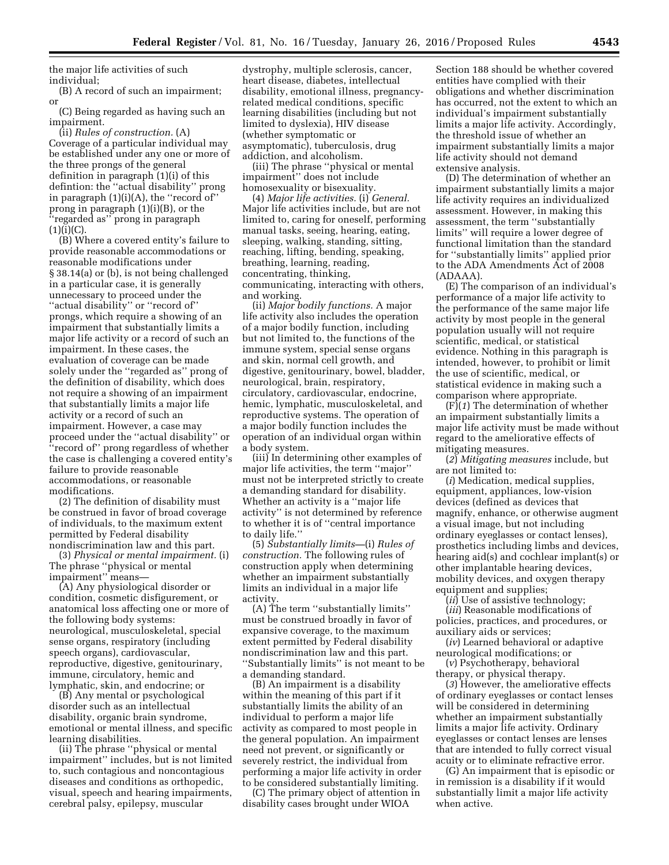the major life activities of such individual;

(B) A record of such an impairment; or

(C) Being regarded as having such an impairment.

(ii) *Rules of construction.* (A) Coverage of a particular individual may be established under any one or more of the three prongs of the general definition in paragraph (1)(i) of this defintion: the ''actual disability'' prong in paragraph  $(1)(i)(A)$ , the "record of" prong in paragraph (1)(i)(B), or the ''regarded as'' prong in paragraph  $(1)(i)(C)$ .

(B) Where a covered entity's failure to provide reasonable accommodations or reasonable modifications under § 38.14(a) or (b), is not being challenged in a particular case, it is generally unnecessary to proceed under the ''actual disability'' or ''record of'' prongs, which require a showing of an impairment that substantially limits a major life activity or a record of such an impairment. In these cases, the evaluation of coverage can be made solely under the ''regarded as'' prong of the definition of disability, which does not require a showing of an impairment that substantially limits a major life activity or a record of such an impairment. However, a case may proceed under the ''actual disability'' or ''record of'' prong regardless of whether the case is challenging a covered entity's failure to provide reasonable accommodations, or reasonable modifications.

(2) The definition of disability must be construed in favor of broad coverage of individuals, to the maximum extent permitted by Federal disability nondiscrimination law and this part.

(3) *Physical or mental impairment.* (i) The phrase ''physical or mental impairment'' means—

(A) Any physiological disorder or condition, cosmetic disfigurement, or anatomical loss affecting one or more of the following body systems: neurological, musculoskeletal, special sense organs, respiratory (including speech organs), cardiovascular, reproductive, digestive, genitourinary, immune, circulatory, hemic and lymphatic, skin, and endocrine; or

(B) Any mental or psychological disorder such as an intellectual disability, organic brain syndrome, emotional or mental illness, and specific learning disabilities.

(ii) The phrase ''physical or mental impairment'' includes, but is not limited to, such contagious and noncontagious diseases and conditions as orthopedic, visual, speech and hearing impairments, cerebral palsy, epilepsy, muscular

dystrophy, multiple sclerosis, cancer, heart disease, diabetes, intellectual disability, emotional illness, pregnancyrelated medical conditions, specific learning disabilities (including but not limited to dyslexia), HIV disease (whether symptomatic or asymptomatic), tuberculosis, drug addiction, and alcoholism.

(iii) The phrase ''physical or mental impairment'' does not include homosexuality or bisexuality.

(4) *Major life activities.* (i) *General.*  Major life activities include, but are not limited to, caring for oneself, performing manual tasks, seeing, hearing, eating, sleeping, walking, standing, sitting, reaching, lifting, bending, speaking, breathing, learning, reading, concentrating, thinking, communicating, interacting with others, and working.

(ii) *Major bodily functions.* A major life activity also includes the operation of a major bodily function, including but not limited to, the functions of the immune system, special sense organs and skin, normal cell growth, and digestive, genitourinary, bowel, bladder, neurological, brain, respiratory, circulatory, cardiovascular, endocrine, hemic, lymphatic, musculoskeletal, and reproductive systems. The operation of a major bodily function includes the operation of an individual organ within a body system.

(iii) In determining other examples of major life activities, the term ''major'' must not be interpreted strictly to create a demanding standard for disability. Whether an activity is a ''major life activity'' is not determined by reference to whether it is of ''central importance to daily life.''

(5) *Substantially limits—*(i) *Rules of construction.* The following rules of construction apply when determining whether an impairment substantially limits an individual in a major life activity.

(A) The term ''substantially limits'' must be construed broadly in favor of expansive coverage, to the maximum extent permitted by Federal disability nondiscrimination law and this part. ''Substantially limits'' is not meant to be a demanding standard.

(B) An impairment is a disability within the meaning of this part if it substantially limits the ability of an individual to perform a major life activity as compared to most people in the general population. An impairment need not prevent, or significantly or severely restrict, the individual from performing a major life activity in order to be considered substantially limiting.

(C) The primary object of attention in disability cases brought under WIOA

Section 188 should be whether covered entities have complied with their obligations and whether discrimination has occurred, not the extent to which an individual's impairment substantially limits a major life activity. Accordingly, the threshold issue of whether an impairment substantially limits a major life activity should not demand extensive analysis.

(D) The determination of whether an impairment substantially limits a major life activity requires an individualized assessment. However, in making this assessment, the term ''substantially limits'' will require a lower degree of functional limitation than the standard for ''substantially limits'' applied prior to the ADA Amendments Act of 2008 (ADAAA).

(E) The comparison of an individual's performance of a major life activity to the performance of the same major life activity by most people in the general population usually will not require scientific, medical, or statistical evidence. Nothing in this paragraph is intended, however, to prohibit or limit the use of scientific, medical, or statistical evidence in making such a comparison where appropriate.

(F)(*1*) The determination of whether an impairment substantially limits a major life activity must be made without regard to the ameliorative effects of mitigating measures.

(*2*) *Mitigating measures* include, but are not limited to:

(*i*) Medication, medical supplies, equipment, appliances, low-vision devices (defined as devices that magnify, enhance, or otherwise augment a visual image, but not including ordinary eyeglasses or contact lenses), prosthetics including limbs and devices, hearing aid(s) and cochlear implant(s) or other implantable hearing devices, mobility devices, and oxygen therapy equipment and supplies;

(*ii*) Use of assistive technology;

(*iii*) Reasonable modifications of policies, practices, and procedures, or auxiliary aids or services;

(*iv*) Learned behavioral or adaptive neurological modifications; or

(*v*) Psychotherapy, behavioral therapy, or physical therapy.

(*3*) However, the ameliorative effects of ordinary eyeglasses or contact lenses will be considered in determining whether an impairment substantially limits a major life activity. Ordinary eyeglasses or contact lenses are lenses that are intended to fully correct visual acuity or to eliminate refractive error.

(G) An impairment that is episodic or in remission is a disability if it would substantially limit a major life activity when active.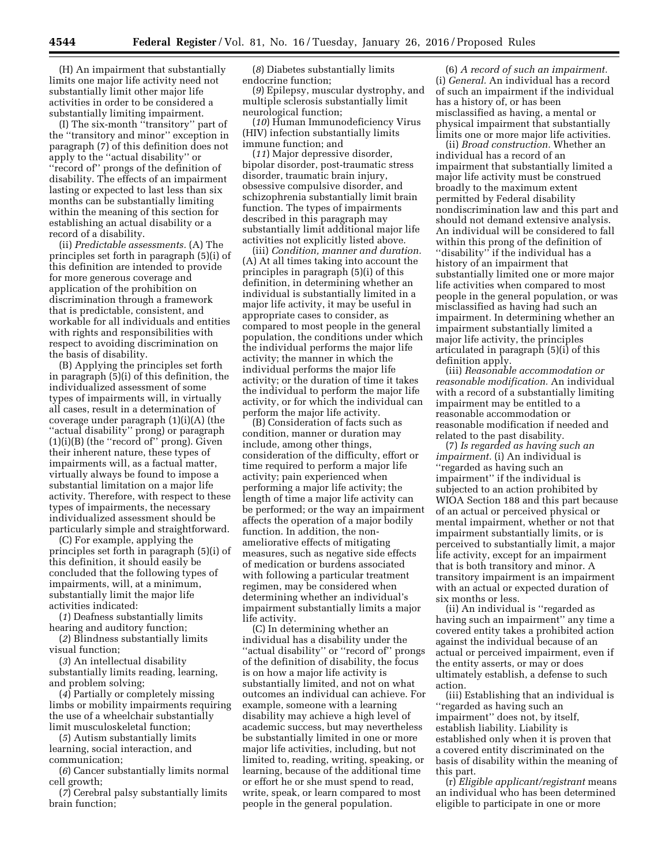(H) An impairment that substantially limits one major life activity need not substantially limit other major life activities in order to be considered a substantially limiting impairment.

(I) The six-month ''transitory'' part of the ''transitory and minor'' exception in paragraph (7) of this definition does not apply to the ''actual disability'' or ''record of'' prongs of the definition of disability. The effects of an impairment lasting or expected to last less than six months can be substantially limiting within the meaning of this section for establishing an actual disability or a record of a disability.

(ii) *Predictable assessments.* (A) The principles set forth in paragraph (5)(i) of this definition are intended to provide for more generous coverage and application of the prohibition on discrimination through a framework that is predictable, consistent, and workable for all individuals and entities with rights and responsibilities with respect to avoiding discrimination on the basis of disability.

(B) Applying the principles set forth in paragraph (5)(i) of this definition, the individualized assessment of some types of impairments will, in virtually all cases, result in a determination of coverage under paragraph (1)(i)(A) (the ''actual disability'' prong) or paragraph (1)(i)(B) (the ''record of'' prong). Given their inherent nature, these types of impairments will, as a factual matter, virtually always be found to impose a substantial limitation on a major life activity. Therefore, with respect to these types of impairments, the necessary individualized assessment should be particularly simple and straightforward.

(C) For example, applying the principles set forth in paragraph (5)(i) of this definition, it should easily be concluded that the following types of impairments, will, at a minimum, substantially limit the major life activities indicated:

(*1*) Deafness substantially limits hearing and auditory function;

(*2*) Blindness substantially limits visual function;

(*3*) An intellectual disability substantially limits reading, learning, and problem solving;

(*4*) Partially or completely missing limbs or mobility impairments requiring the use of a wheelchair substantially limit musculoskeletal function;

(*5*) Autism substantially limits learning, social interaction, and communication;

(*6*) Cancer substantially limits normal cell growth;

(*7*) Cerebral palsy substantially limits brain function;

(*8*) Diabetes substantially limits endocrine function;

(*9*) Epilepsy, muscular dystrophy, and multiple sclerosis substantially limit neurological function;

(*10*) Human Immunodeficiency Virus (HIV) infection substantially limits immune function; and

(*11*) Major depressive disorder, bipolar disorder, post-traumatic stress disorder, traumatic brain injury, obsessive compulsive disorder, and schizophrenia substantially limit brain function. The types of impairments described in this paragraph may substantially limit additional major life activities not explicitly listed above.

(iii) *Condition, manner and duration.*  (A) At all times taking into account the principles in paragraph (5)(i) of this definition, in determining whether an individual is substantially limited in a major life activity, it may be useful in appropriate cases to consider, as compared to most people in the general population, the conditions under which the individual performs the major life activity; the manner in which the individual performs the major life activity; or the duration of time it takes the individual to perform the major life activity, or for which the individual can perform the major life activity.

(B) Consideration of facts such as condition, manner or duration may include, among other things, consideration of the difficulty, effort or time required to perform a major life activity; pain experienced when performing a major life activity; the length of time a major life activity can be performed; or the way an impairment affects the operation of a major bodily function. In addition, the nonameliorative effects of mitigating measures, such as negative side effects of medication or burdens associated with following a particular treatment regimen, may be considered when determining whether an individual's impairment substantially limits a major life activity.

(C) In determining whether an individual has a disability under the ''actual disability'' or ''record of'' prongs of the definition of disability, the focus is on how a major life activity is substantially limited, and not on what outcomes an individual can achieve. For example, someone with a learning disability may achieve a high level of academic success, but may nevertheless be substantially limited in one or more major life activities, including, but not limited to, reading, writing, speaking, or learning, because of the additional time or effort he or she must spend to read, write, speak, or learn compared to most people in the general population.

(6) *A record of such an impairment.*  (i) *General.* An individual has a record of such an impairment if the individual has a history of, or has been misclassified as having, a mental or physical impairment that substantially limits one or more major life activities.

(ii) *Broad construction.* Whether an individual has a record of an impairment that substantially limited a major life activity must be construed broadly to the maximum extent permitted by Federal disability nondiscrimination law and this part and should not demand extensive analysis. An individual will be considered to fall within this prong of the definition of ''disability'' if the individual has a history of an impairment that substantially limited one or more major life activities when compared to most people in the general population, or was misclassified as having had such an impairment. In determining whether an impairment substantially limited a major life activity, the principles articulated in paragraph (5)(i) of this definition apply.

(iii) *Reasonable accommodation or reasonable modification.* An individual with a record of a substantially limiting impairment may be entitled to a reasonable accommodation or reasonable modification if needed and related to the past disability.

(7) *Is regarded as having such an impairment.* (i) An individual is ''regarded as having such an impairment'' if the individual is subjected to an action prohibited by WIOA Section 188 and this part because of an actual or perceived physical or mental impairment, whether or not that impairment substantially limits, or is perceived to substantially limit, a major life activity, except for an impairment that is both transitory and minor. A transitory impairment is an impairment with an actual or expected duration of six months or less.

(ii) An individual is ''regarded as having such an impairment'' any time a covered entity takes a prohibited action against the individual because of an actual or perceived impairment, even if the entity asserts, or may or does ultimately establish, a defense to such action.

(iii) Establishing that an individual is ''regarded as having such an impairment'' does not, by itself, establish liability. Liability is established only when it is proven that a covered entity discriminated on the basis of disability within the meaning of this part.

(r) *Eligible applicant/registrant* means an individual who has been determined eligible to participate in one or more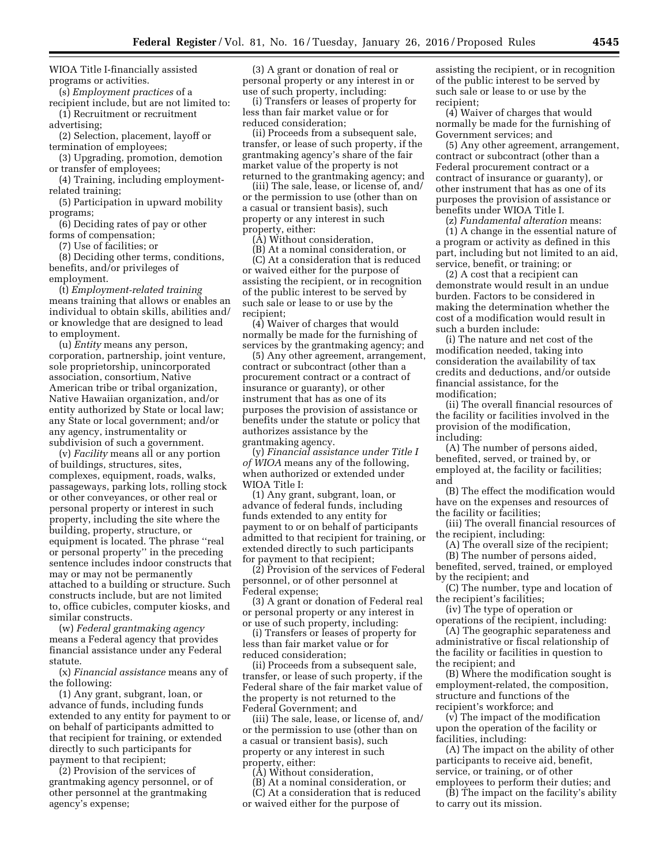WIOA Title I-financially assisted programs or activities.

(s) *Employment practices* of a recipient include, but are not limited to:

(1) Recruitment or recruitment advertising;

(2) Selection, placement, layoff or termination of employees;

(3) Upgrading, promotion, demotion or transfer of employees;

(4) Training, including employmentrelated training;

(5) Participation in upward mobility programs;

(6) Deciding rates of pay or other forms of compensation;

(7) Use of facilities; or

(8) Deciding other terms, conditions, benefits, and/or privileges of employment.

(t) *Employment-related training*  means training that allows or enables an individual to obtain skills, abilities and/ or knowledge that are designed to lead to employment.

(u) *Entity* means any person, corporation, partnership, joint venture, sole proprietorship, unincorporated association, consortium, Native American tribe or tribal organization, Native Hawaiian organization, and/or entity authorized by State or local law; any State or local government; and/or any agency, instrumentality or subdivision of such a government.

(v) *Facility* means all or any portion of buildings, structures, sites, complexes, equipment, roads, walks, passageways, parking lots, rolling stock or other conveyances, or other real or personal property or interest in such property, including the site where the building, property, structure, or equipment is located. The phrase ''real or personal property'' in the preceding sentence includes indoor constructs that may or may not be permanently attached to a building or structure. Such constructs include, but are not limited to, office cubicles, computer kiosks, and similar constructs.

(w) *Federal grantmaking agency*  means a Federal agency that provides financial assistance under any Federal statute.

(x) *Financial assistance* means any of the following:

(1) Any grant, subgrant, loan, or advance of funds, including funds extended to any entity for payment to or on behalf of participants admitted to that recipient for training, or extended directly to such participants for payment to that recipient;

(2) Provision of the services of grantmaking agency personnel, or of other personnel at the grantmaking agency's expense;

(3) A grant or donation of real or personal property or any interest in or use of such property, including:

(i) Transfers or leases of property for less than fair market value or for reduced consideration;

(ii) Proceeds from a subsequent sale, transfer, or lease of such property, if the grantmaking agency's share of the fair market value of the property is not returned to the grantmaking agency; and

(iii) The sale, lease, or license of, and/ or the permission to use (other than on a casual or transient basis), such property or any interest in such property, either:

(A) Without consideration,

(B) At a nominal consideration, or (C) At a consideration that is reduced or waived either for the purpose of assisting the recipient, or in recognition of the public interest to be served by such sale or lease to or use by the recipient;

(4) Waiver of charges that would normally be made for the furnishing of services by the grantmaking agency; and

(5) Any other agreement, arrangement, contract or subcontract (other than a procurement contract or a contract of insurance or guaranty), or other instrument that has as one of its purposes the provision of assistance or benefits under the statute or policy that authorizes assistance by the grantmaking agency.

(y) *Financial assistance under Title I of WIOA* means any of the following, when authorized or extended under WIOA Title I:

(1) Any grant, subgrant, loan, or advance of federal funds, including funds extended to any entity for payment to or on behalf of participants admitted to that recipient for training, or extended directly to such participants for payment to that recipient;

(2) Provision of the services of Federal personnel, or of other personnel at Federal expense;

(3) A grant or donation of Federal real or personal property or any interest in or use of such property, including:

(i) Transfers or leases of property for less than fair market value or for reduced consideration;

(ii) Proceeds from a subsequent sale, transfer, or lease of such property, if the Federal share of the fair market value of the property is not returned to the Federal Government; and

(iii) The sale, lease, or license of, and/ or the permission to use (other than on a casual or transient basis), such property or any interest in such property, either:

(A) Without consideration,

(B) At a nominal consideration, or

(C) At a consideration that is reduced or waived either for the purpose of

assisting the recipient, or in recognition of the public interest to be served by such sale or lease to or use by the recipient;

(4) Waiver of charges that would normally be made for the furnishing of Government services; and

(5) Any other agreement, arrangement, contract or subcontract (other than a Federal procurement contract or a contract of insurance or guaranty), or other instrument that has as one of its purposes the provision of assistance or benefits under WIOA Title I.

(z) *Fundamental alteration* means:

(1) A change in the essential nature of a program or activity as defined in this part, including but not limited to an aid, service, benefit, or training; or

(2) A cost that a recipient can demonstrate would result in an undue burden. Factors to be considered in making the determination whether the cost of a modification would result in such a burden include:

(i) The nature and net cost of the modification needed, taking into consideration the availability of tax credits and deductions, and/or outside financial assistance, for the modification;

(ii) The overall financial resources of the facility or facilities involved in the provision of the modification, including:

(A) The number of persons aided, benefited, served, or trained by, or employed at, the facility or facilities; and

(B) The effect the modification would have on the expenses and resources of the facility or facilities;

(iii) The overall financial resources of the recipient, including:

(A) The overall size of the recipient;

(B) The number of persons aided, benefited, served, trained, or employed by the recipient; and

(C) The number, type and location of the recipient's facilities;

(iv) The type of operation or

operations of the recipient, including: (A) The geographic separateness and administrative or fiscal relationship of the facility or facilities in question to the recipient; and

(B) Where the modification sought is employment-related, the composition, structure and functions of the recipient's workforce; and

(v) The impact of the modification upon the operation of the facility or facilities, including:

(A) The impact on the ability of other participants to receive aid, benefit, service, or training, or of other employees to perform their duties; and

(B) The impact on the facility's ability to carry out its mission.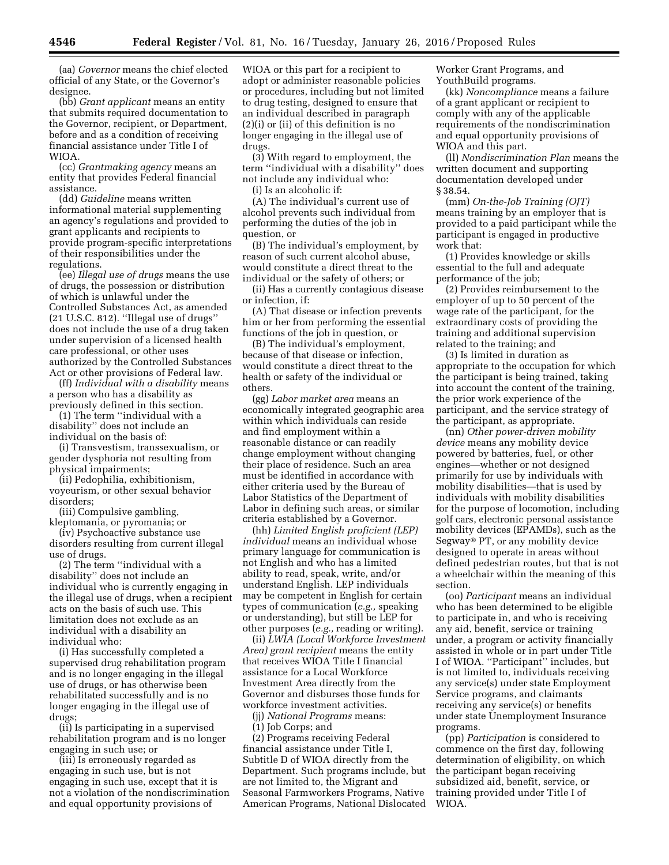(aa) *Governor* means the chief elected official of any State, or the Governor's designee.

(bb) *Grant applicant* means an entity that submits required documentation to the Governor, recipient, or Department, before and as a condition of receiving financial assistance under Title I of WIOA.

(cc) *Grantmaking agency* means an entity that provides Federal financial assistance.

(dd) *Guideline* means written informational material supplementing an agency's regulations and provided to grant applicants and recipients to provide program-specific interpretations of their responsibilities under the regulations.

(ee) *Illegal use of drugs* means the use of drugs, the possession or distribution of which is unlawful under the Controlled Substances Act, as amended (21 U.S.C. 812). ''Illegal use of drugs'' does not include the use of a drug taken under supervision of a licensed health care professional, or other uses authorized by the Controlled Substances Act or other provisions of Federal law.

(ff) *Individual with a disability* means a person who has a disability as previously defined in this section.

(1) The term ''individual with a disability'' does not include an individual on the basis of:

(i) Transvestism, transsexualism, or gender dysphoria not resulting from physical impairments;

(ii) Pedophilia, exhibitionism, voyeurism, or other sexual behavior disorders;

(iii) Compulsive gambling, kleptomania, or pyromania; or

(iv) Psychoactive substance use disorders resulting from current illegal use of drugs.

(2) The term ''individual with a disability'' does not include an individual who is currently engaging in the illegal use of drugs, when a recipient acts on the basis of such use. This limitation does not exclude as an individual with a disability an individual who:

(i) Has successfully completed a supervised drug rehabilitation program and is no longer engaging in the illegal use of drugs, or has otherwise been rehabilitated successfully and is no longer engaging in the illegal use of drugs;

(ii) Is participating in a supervised rehabilitation program and is no longer engaging in such use; or

(iii) Is erroneously regarded as engaging in such use, but is not engaging in such use, except that it is not a violation of the nondiscrimination and equal opportunity provisions of

WIOA or this part for a recipient to adopt or administer reasonable policies or procedures, including but not limited to drug testing, designed to ensure that an individual described in paragraph (2)(i) or (ii) of this definition is no longer engaging in the illegal use of drugs.

(3) With regard to employment, the term ''individual with a disability'' does not include any individual who:

(i) Is an alcoholic if:

(A) The individual's current use of alcohol prevents such individual from performing the duties of the job in question, or

(B) The individual's employment, by reason of such current alcohol abuse, would constitute a direct threat to the individual or the safety of others; or

(ii) Has a currently contagious disease or infection, if:

(A) That disease or infection prevents him or her from performing the essential functions of the job in question, or

(B) The individual's employment, because of that disease or infection, would constitute a direct threat to the health or safety of the individual or others.

(gg) *Labor market area* means an economically integrated geographic area within which individuals can reside and find employment within a reasonable distance or can readily change employment without changing their place of residence. Such an area must be identified in accordance with either criteria used by the Bureau of Labor Statistics of the Department of Labor in defining such areas, or similar criteria established by a Governor.

(hh) *Limited English proficient (LEP) individual* means an individual whose primary language for communication is not English and who has a limited ability to read, speak, write, and/or understand English. LEP individuals may be competent in English for certain types of communication (*e.g.,* speaking or understanding), but still be LEP for other purposes (*e.g.,* reading or writing).

(ii) *LWIA (Local Workforce Investment Area) grant recipient* means the entity that receives WIOA Title I financial assistance for a Local Workforce Investment Area directly from the Governor and disburses those funds for workforce investment activities.

(jj) *National Programs* means:

(1) Job Corps; and

(2) Programs receiving Federal financial assistance under Title I, Subtitle D of WIOA directly from the Department. Such programs include, but are not limited to, the Migrant and Seasonal Farmworkers Programs, Native American Programs, National Dislocated

Worker Grant Programs, and YouthBuild programs.

(kk) *Noncompliance* means a failure of a grant applicant or recipient to comply with any of the applicable requirements of the nondiscrimination and equal opportunity provisions of WIOA and this part.

(ll) *Nondiscrimination Plan* means the written document and supporting documentation developed under § 38.54.

(mm) *On-the-Job Training (OJT)*  means training by an employer that is provided to a paid participant while the participant is engaged in productive work that:

(1) Provides knowledge or skills essential to the full and adequate performance of the job;

(2) Provides reimbursement to the employer of up to 50 percent of the wage rate of the participant, for the extraordinary costs of providing the training and additional supervision related to the training; and

(3) Is limited in duration as appropriate to the occupation for which the participant is being trained, taking into account the content of the training, the prior work experience of the participant, and the service strategy of the participant, as appropriate.

(nn) *Other power-driven mobility device* means any mobility device powered by batteries, fuel, or other engines—whether or not designed primarily for use by individuals with mobility disabilities—that is used by individuals with mobility disabilities for the purpose of locomotion, including golf cars, electronic personal assistance mobility devices (EPAMDs), such as the Segway® PT, or any mobility device designed to operate in areas without defined pedestrian routes, but that is not a wheelchair within the meaning of this section.

(oo) *Participant* means an individual who has been determined to be eligible to participate in, and who is receiving any aid, benefit, service or training under, a program or activity financially assisted in whole or in part under Title I of WIOA. ''Participant'' includes, but is not limited to, individuals receiving any service(s) under state Employment Service programs, and claimants receiving any service(s) or benefits under state Unemployment Insurance programs.

(pp) *Participation* is considered to commence on the first day, following determination of eligibility, on which the participant began receiving subsidized aid, benefit, service, or training provided under Title I of WIOA.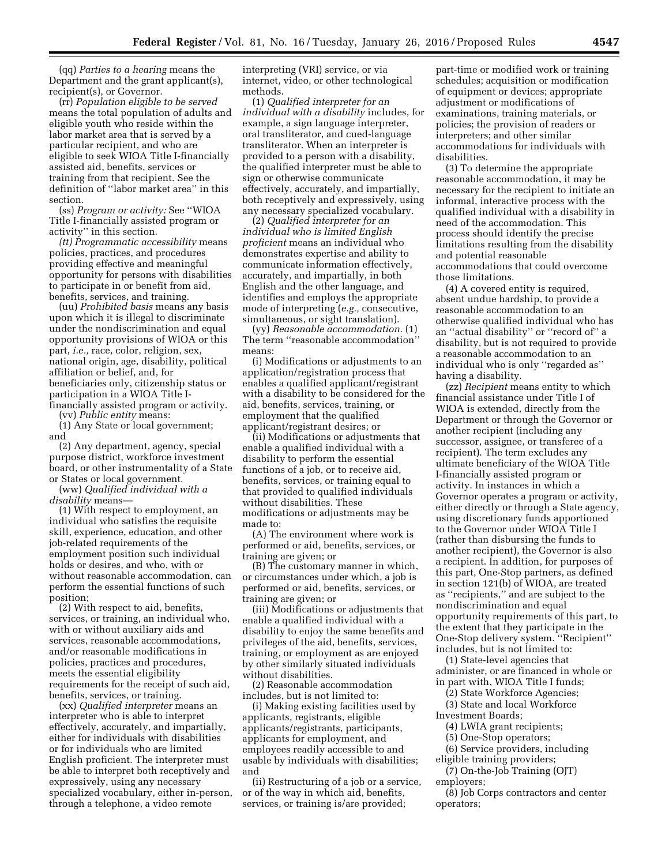(qq) *Parties to a hearing* means the Department and the grant applicant(s), recipient(s), or Governor.

(rr) *Population eligible to be served*  means the total population of adults and eligible youth who reside within the labor market area that is served by a particular recipient, and who are eligible to seek WIOA Title I-financially assisted aid, benefits, services or training from that recipient. See the definition of ''labor market area'' in this section.

(ss) *Program or activity:* See ''WIOA Title I-financially assisted program or activity'' in this section.

*(tt) Programmatic accessibility* means policies, practices, and procedures providing effective and meaningful opportunity for persons with disabilities to participate in or benefit from aid, benefits, services, and training.

(uu) *Prohibited basis* means any basis upon which it is illegal to discriminate under the nondiscrimination and equal opportunity provisions of WIOA or this part, *i.e.,* race, color, religion, sex, national origin, age, disability, political affiliation or belief, and, for beneficiaries only, citizenship status or participation in a WIOA Title Ifinancially assisted program or activity.

(vv) *Public entity* means:

(1) Any State or local government; and

(2) Any department, agency, special purpose district, workforce investment board, or other instrumentality of a State or States or local government.

(ww) *Qualified individual with a disability* means—

(1) With respect to employment, an individual who satisfies the requisite skill, experience, education, and other job-related requirements of the employment position such individual holds or desires, and who, with or without reasonable accommodation, can perform the essential functions of such position;

(2) With respect to aid, benefits, services, or training, an individual who, with or without auxiliary aids and services, reasonable accommodations, and/or reasonable modifications in policies, practices and procedures, meets the essential eligibility requirements for the receipt of such aid, benefits, services, or training.

(xx) *Qualified interpreter* means an interpreter who is able to interpret effectively, accurately, and impartially, either for individuals with disabilities or for individuals who are limited English proficient. The interpreter must be able to interpret both receptively and expressively, using any necessary specialized vocabulary, either in-person, through a telephone, a video remote

interpreting (VRI) service, or via internet, video, or other technological methods.

(1) *Qualified interpreter for an individual with a disability* includes, for example, a sign language interpreter, oral transliterator, and cued-language transliterator. When an interpreter is provided to a person with a disability, the qualified interpreter must be able to sign or otherwise communicate effectively, accurately, and impartially, both receptively and expressively, using any necessary specialized vocabulary.

(2) *Qualified interpreter for an individual who is limited English proficient* means an individual who demonstrates expertise and ability to communicate information effectively, accurately, and impartially, in both English and the other language, and identifies and employs the appropriate mode of interpreting (*e.g.,* consecutive, simultaneous, or sight translation).

(yy) *Reasonable accommodation.* (1) The term ''reasonable accommodation'' means:

(i) Modifications or adjustments to an application/registration process that enables a qualified applicant/registrant with a disability to be considered for the aid, benefits, services, training, or employment that the qualified applicant/registrant desires; or

(ii) Modifications or adjustments that enable a qualified individual with a disability to perform the essential functions of a job, or to receive aid, benefits, services, or training equal to that provided to qualified individuals without disabilities. These modifications or adjustments may be made to:

(A) The environment where work is performed or aid, benefits, services, or training are given; or

(B) The customary manner in which, or circumstances under which, a job is performed or aid, benefits, services, or training are given; or

(iii) Modifications or adjustments that enable a qualified individual with a disability to enjoy the same benefits and privileges of the aid, benefits, services, training, or employment as are enjoyed by other similarly situated individuals without disabilities.

(2) Reasonable accommodation includes, but is not limited to:

(i) Making existing facilities used by applicants, registrants, eligible applicants/registrants, participants, applicants for employment, and employees readily accessible to and usable by individuals with disabilities; and

(ii) Restructuring of a job or a service, or of the way in which aid, benefits, services, or training is/are provided;

part-time or modified work or training schedules; acquisition or modification of equipment or devices; appropriate adjustment or modifications of examinations, training materials, or policies; the provision of readers or interpreters; and other similar accommodations for individuals with disabilities.

(3) To determine the appropriate reasonable accommodation, it may be necessary for the recipient to initiate an informal, interactive process with the qualified individual with a disability in need of the accommodation. This process should identify the precise limitations resulting from the disability and potential reasonable accommodations that could overcome those limitations.

(4) A covered entity is required, absent undue hardship, to provide a reasonable accommodation to an otherwise qualified individual who has an ''actual disability'' or ''record of'' a disability, but is not required to provide a reasonable accommodation to an individual who is only "regarded as" having a disability.

(zz) *Recipient* means entity to which financial assistance under Title I of WIOA is extended, directly from the Department or through the Governor or another recipient (including any successor, assignee, or transferee of a recipient). The term excludes any ultimate beneficiary of the WIOA Title I-financially assisted program or activity. In instances in which a Governor operates a program or activity, either directly or through a State agency, using discretionary funds apportioned to the Governor under WIOA Title I (rather than disbursing the funds to another recipient), the Governor is also a recipient. In addition, for purposes of this part, One-Stop partners, as defined in section 121(b) of WIOA, are treated as ''recipients,'' and are subject to the nondiscrimination and equal opportunity requirements of this part, to the extent that they participate in the One-Stop delivery system. ''Recipient'' includes, but is not limited to:

(1) State-level agencies that administer, or are financed in whole or in part with, WIOA Title I funds;

(2) State Workforce Agencies;

(3) State and local Workforce Investment Boards;

- (4) LWIA grant recipients;
- (5) One-Stop operators;
- (6) Service providers, including eligible training providers;

(7) On-the-Job Training (OJT) employers;

(8) Job Corps contractors and center operators;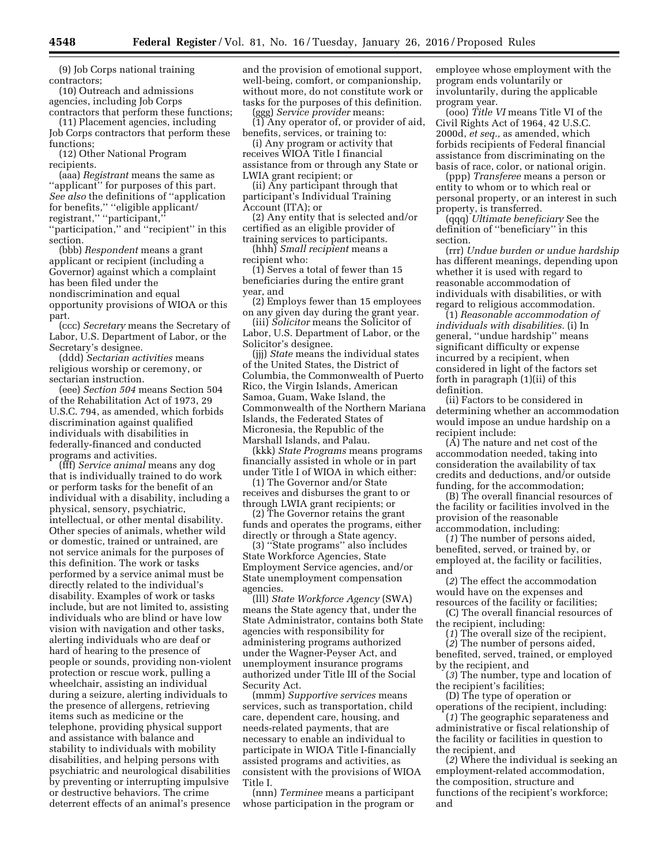(9) Job Corps national training contractors;

(10) Outreach and admissions agencies, including Job Corps contractors that perform these functions;

(11) Placement agencies, including Job Corps contractors that perform these functions;

(12) Other National Program recipients.

(aaa) *Registrant* means the same as ''applicant'' for purposes of this part. *See also* the definitions of ''application for benefits,'' ''eligible applicant/ registrant,'' ''participant,''

"participation," and "recipient" in this section.

(bbb) *Respondent* means a grant applicant or recipient (including a Governor) against which a complaint has been filed under the nondiscrimination and equal opportunity provisions of WIOA or this part.

(ccc) *Secretary* means the Secretary of Labor, U.S. Department of Labor, or the Secretary's designee.

(ddd) *Sectarian activities* means religious worship or ceremony, or sectarian instruction.

(eee) *Section 504* means Section 504 of the Rehabilitation Act of 1973, 29 U.S.C. 794, as amended, which forbids discrimination against qualified individuals with disabilities in federally-financed and conducted programs and activities.

(fff) *Service animal* means any dog that is individually trained to do work or perform tasks for the benefit of an individual with a disability, including a physical, sensory, psychiatric, intellectual, or other mental disability. Other species of animals, whether wild or domestic, trained or untrained, are not service animals for the purposes of this definition. The work or tasks performed by a service animal must be directly related to the individual's disability. Examples of work or tasks include, but are not limited to, assisting individuals who are blind or have low vision with navigation and other tasks, alerting individuals who are deaf or hard of hearing to the presence of people or sounds, providing non-violent protection or rescue work, pulling a wheelchair, assisting an individual during a seizure, alerting individuals to the presence of allergens, retrieving items such as medicine or the telephone, providing physical support and assistance with balance and stability to individuals with mobility disabilities, and helping persons with psychiatric and neurological disabilities by preventing or interrupting impulsive or destructive behaviors. The crime deterrent effects of an animal's presence

and the provision of emotional support, well-being, comfort, or companionship, without more, do not constitute work or tasks for the purposes of this definition. (ggg) *Service provider* means:

(1) Any operator of, or provider of aid, benefits, services, or training to:

(i) Any program or activity that receives WIOA Title I financial assistance from or through any State or LWIA grant recipient; or

(ii) Any participant through that participant's Individual Training Account (ITA); or

(2) Any entity that is selected and/or certified as an eligible provider of training services to participants.

(hhh) *Small recipient* means a recipient who:

(1) Serves a total of fewer than 15 beneficiaries during the entire grant year, and

(2) Employs fewer than 15 employees on any given day during the grant year.

(iii) *Solicitor* means the Solicitor of Labor, U.S. Department of Labor, or the Solicitor's designee.

(jjj) *State* means the individual states of the United States, the District of Columbia, the Commonwealth of Puerto Rico, the Virgin Islands, American Samoa, Guam, Wake Island, the Commonwealth of the Northern Mariana Islands, the Federated States of Micronesia, the Republic of the Marshall Islands, and Palau.

(kkk) *State Programs* means programs financially assisted in whole or in part under Title I of WIOA in which either:

(1) The Governor and/or State receives and disburses the grant to or through LWIA grant recipients; or

(2) The Governor retains the grant funds and operates the programs, either directly or through a State agency.

(3) ''State programs'' also includes State Workforce Agencies, State Employment Service agencies, and/or State unemployment compensation agencies.

(lll) *State Workforce Agency* (SWA) means the State agency that, under the State Administrator, contains both State agencies with responsibility for administering programs authorized under the Wagner-Peyser Act, and unemployment insurance programs authorized under Title III of the Social Security Act.

(mmm) *Supportive services* means services, such as transportation, child care, dependent care, housing, and needs-related payments, that are necessary to enable an individual to participate in WIOA Title I-financially assisted programs and activities, as consistent with the provisions of WIOA Title I.

(nnn) *Terminee* means a participant whose participation in the program or employee whose employment with the program ends voluntarily or involuntarily, during the applicable program year.

(ooo) *Title VI* means Title VI of the Civil Rights Act of 1964, 42 U.S.C. 2000d, *et seq.,* as amended, which forbids recipients of Federal financial assistance from discriminating on the basis of race, color, or national origin.

(ppp) *Transferee* means a person or entity to whom or to which real or personal property, or an interest in such property, is transferred.

(qqq) *Ultimate beneficiary* See the definition of ''beneficiary'' in this section.

(rrr) *Undue burden or undue hardship*  has different meanings, depending upon whether it is used with regard to reasonable accommodation of individuals with disabilities, or with regard to religious accommodation.

(1) *Reasonable accommodation of individuals with disabilities.* (i) In general, ''undue hardship'' means significant difficulty or expense incurred by a recipient, when considered in light of the factors set forth in paragraph (1)(ii) of this definition.

(ii) Factors to be considered in determining whether an accommodation would impose an undue hardship on a recipient include:

(A) The nature and net cost of the accommodation needed, taking into consideration the availability of tax credits and deductions, and/or outside funding, for the accommodation;

(B) The overall financial resources of the facility or facilities involved in the provision of the reasonable accommodation, including:

(*1*) The number of persons aided, benefited, served, or trained by, or employed at, the facility or facilities, and

(*2*) The effect the accommodation would have on the expenses and

resources of the facility or facilities; (C) The overall financial resources of the recipient, including:

(*1*) The overall size of the recipient,

(*2*) The number of persons aided,

benefited, served, trained, or employed by the recipient, and

(*3*) The number, type and location of the recipient's facilities;

(D) The type of operation or operations of the recipient, including:

(*1*) The geographic separateness and administrative or fiscal relationship of the facility or facilities in question to the recipient, and

(*2*) Where the individual is seeking an employment-related accommodation, the composition, structure and functions of the recipient's workforce; and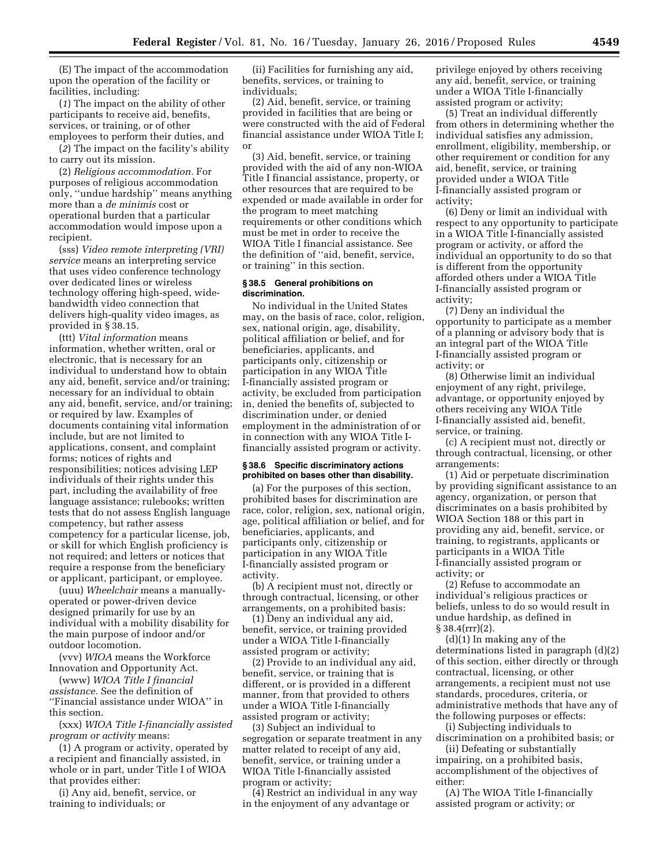(E) The impact of the accommodation upon the operation of the facility or facilities, including:

(*1*) The impact on the ability of other participants to receive aid, benefits, services, or training, or of other employees to perform their duties, and

(*2*) The impact on the facility's ability to carry out its mission.

(2) *Religious accommodation.* For purposes of religious accommodation only, ''undue hardship'' means anything more than a *de minimis* cost or operational burden that a particular accommodation would impose upon a recipient.

(sss) *Video remote interpreting (VRI) service* means an interpreting service that uses video conference technology over dedicated lines or wireless technology offering high-speed, widebandwidth video connection that delivers high-quality video images, as provided in § 38.15.

(ttt) *Vital information* means information, whether written, oral or electronic, that is necessary for an individual to understand how to obtain any aid, benefit, service and/or training; necessary for an individual to obtain any aid, benefit, service, and/or training; or required by law. Examples of documents containing vital information include, but are not limited to applications, consent, and complaint forms; notices of rights and responsibilities; notices advising LEP individuals of their rights under this part, including the availability of free language assistance; rulebooks; written tests that do not assess English language competency, but rather assess competency for a particular license, job, or skill for which English proficiency is not required; and letters or notices that require a response from the beneficiary or applicant, participant, or employee.

(uuu) *Wheelchair* means a manuallyoperated or power-driven device designed primarily for use by an individual with a mobility disability for the main purpose of indoor and/or outdoor locomotion.

(vvv) *WIOA* means the Workforce Innovation and Opportunity Act.

(www) *WIOA Title I financial assistance.* See the definition of ''Financial assistance under WIOA'' in this section.

(xxx) *WIOA Title I-financially assisted program or activity* means:

(1) A program or activity, operated by a recipient and financially assisted, in whole or in part, under Title I of WIOA that provides either:

(i) Any aid, benefit, service, or training to individuals; or

(ii) Facilities for furnishing any aid, benefits, services, or training to individuals;

(2) Aid, benefit, service, or training provided in facilities that are being or were constructed with the aid of Federal financial assistance under WIOA Title I; or

(3) Aid, benefit, service, or training provided with the aid of any non-WIOA Title I financial assistance, property, or other resources that are required to be expended or made available in order for the program to meet matching requirements or other conditions which must be met in order to receive the WIOA Title I financial assistance. See the definition of ''aid, benefit, service, or training'' in this section.

### **§ 38.5 General prohibitions on discrimination.**

No individual in the United States may, on the basis of race, color, religion, sex, national origin, age, disability, political affiliation or belief, and for beneficiaries, applicants, and participants only, citizenship or participation in any WIOA Title I-financially assisted program or activity, be excluded from participation in, denied the benefits of, subjected to discrimination under, or denied employment in the administration of or in connection with any WIOA Title Ifinancially assisted program or activity.

### **§ 38.6 Specific discriminatory actions prohibited on bases other than disability.**

(a) For the purposes of this section, prohibited bases for discrimination are race, color, religion, sex, national origin, age, political affiliation or belief, and for beneficiaries, applicants, and participants only, citizenship or participation in any WIOA Title I-financially assisted program or activity.

(b) A recipient must not, directly or through contractual, licensing, or other arrangements, on a prohibited basis:

(1) Deny an individual any aid, benefit, service, or training provided under a WIOA Title I-financially assisted program or activity;

(2) Provide to an individual any aid, benefit, service, or training that is different, or is provided in a different manner, from that provided to others under a WIOA Title I-financially assisted program or activity;

(3) Subject an individual to segregation or separate treatment in any matter related to receipt of any aid, benefit, service, or training under a WIOA Title I-financially assisted program or activity;

(4) Restrict an individual in any way in the enjoyment of any advantage or

privilege enjoyed by others receiving any aid, benefit, service, or training under a WIOA Title I-financially assisted program or activity;

(5) Treat an individual differently from others in determining whether the individual satisfies any admission, enrollment, eligibility, membership, or other requirement or condition for any aid, benefit, service, or training provided under a WIOA Title I-financially assisted program or activity;

(6) Deny or limit an individual with respect to any opportunity to participate in a WIOA Title I-financially assisted program or activity, or afford the individual an opportunity to do so that is different from the opportunity afforded others under a WIOA Title I-financially assisted program or activity;

(7) Deny an individual the opportunity to participate as a member of a planning or advisory body that is an integral part of the WIOA Title I-financially assisted program or activity; or

(8) Otherwise limit an individual enjoyment of any right, privilege, advantage, or opportunity enjoyed by others receiving any WIOA Title I-financially assisted aid, benefit, service, or training.

(c) A recipient must not, directly or through contractual, licensing, or other arrangements:

(1) Aid or perpetuate discrimination by providing significant assistance to an agency, organization, or person that discriminates on a basis prohibited by WIOA Section 188 or this part in providing any aid, benefit, service, or training, to registrants, applicants or participants in a WIOA Title I-financially assisted program or activity; or

(2) Refuse to accommodate an individual's religious practices or beliefs, unless to do so would result in undue hardship, as defined in  $§ 38.4(rrr)(2).$ 

(d)(1) In making any of the determinations listed in paragraph (d)(2) of this section, either directly or through contractual, licensing, or other arrangements, a recipient must not use standards, procedures, criteria, or administrative methods that have any of the following purposes or effects:

(i) Subjecting individuals to discrimination on a prohibited basis; or

(ii) Defeating or substantially impairing, on a prohibited basis, accomplishment of the objectives of either:

(A) The WIOA Title I-financially assisted program or activity; or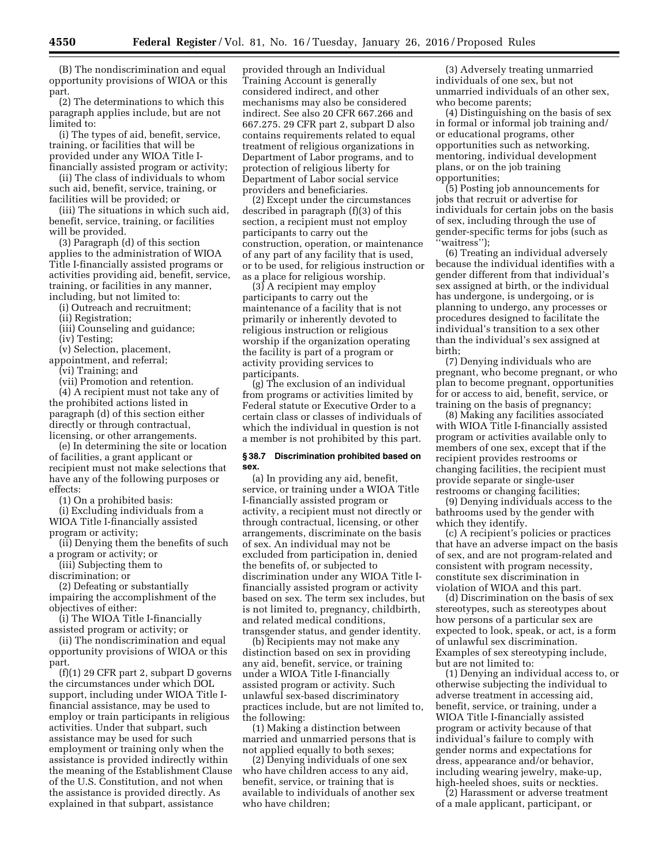(B) The nondiscrimination and equal opportunity provisions of WIOA or this part.

(2) The determinations to which this paragraph applies include, but are not limited to:

(i) The types of aid, benefit, service, training, or facilities that will be provided under any WIOA Title Ifinancially assisted program or activity;

(ii) The class of individuals to whom such aid, benefit, service, training, or facilities will be provided; or

(iii) The situations in which such aid, benefit, service, training, or facilities will be provided.

(3) Paragraph (d) of this section applies to the administration of WIOA Title I-financially assisted programs or activities providing aid, benefit, service, training, or facilities in any manner, including, but not limited to:

(i) Outreach and recruitment;

(ii) Registration;

(iii) Counseling and guidance;

(iv) Testing;

(v) Selection, placement,

appointment, and referral;

(vi) Training; and

(vii) Promotion and retention. (4) A recipient must not take any of the prohibited actions listed in paragraph (d) of this section either directly or through contractual,

licensing, or other arrangements. (e) In determining the site or location of facilities, a grant applicant or recipient must not make selections that

have any of the following purposes or effects:

(1) On a prohibited basis:

(i) Excluding individuals from a WIOA Title I-financially assisted program or activity;

(ii) Denying them the benefits of such a program or activity; or

(iii) Subjecting them to

discrimination; or

(2) Defeating or substantially impairing the accomplishment of the objectives of either:

(i) The WIOA Title I-financially assisted program or activity; or

(ii) The nondiscrimination and equal opportunity provisions of WIOA or this part.

(f)(1) 29 CFR part 2, subpart D governs the circumstances under which DOL support, including under WIOA Title Ifinancial assistance, may be used to employ or train participants in religious activities. Under that subpart, such assistance may be used for such employment or training only when the assistance is provided indirectly within the meaning of the Establishment Clause of the U.S. Constitution, and not when the assistance is provided directly. As explained in that subpart, assistance

provided through an Individual Training Account is generally considered indirect, and other mechanisms may also be considered indirect. See also 20 CFR 667.266 and 667.275. 29 CFR part 2, subpart D also contains requirements related to equal treatment of religious organizations in Department of Labor programs, and to protection of religious liberty for Department of Labor social service providers and beneficiaries.

(2) Except under the circumstances described in paragraph (f)(3) of this section, a recipient must not employ participants to carry out the construction, operation, or maintenance of any part of any facility that is used, or to be used, for religious instruction or as a place for religious worship.

(3) A recipient may employ participants to carry out the maintenance of a facility that is not primarily or inherently devoted to religious instruction or religious worship if the organization operating the facility is part of a program or activity providing services to participants.

(g) The exclusion of an individual from programs or activities limited by Federal statute or Executive Order to a certain class or classes of individuals of which the individual in question is not a member is not prohibited by this part.

### **§ 38.7 Discrimination prohibited based on sex.**

(a) In providing any aid, benefit, service, or training under a WIOA Title I-financially assisted program or activity, a recipient must not directly or through contractual, licensing, or other arrangements, discriminate on the basis of sex. An individual may not be excluded from participation in, denied the benefits of, or subjected to discrimination under any WIOA Title Ifinancially assisted program or activity based on sex. The term sex includes, but is not limited to, pregnancy, childbirth, and related medical conditions, transgender status, and gender identity.

(b) Recipients may not make any distinction based on sex in providing any aid, benefit, service, or training under a WIOA Title I-financially assisted program or activity. Such unlawful sex-based discriminatory practices include, but are not limited to, the following:

(1) Making a distinction between married and unmarried persons that is not applied equally to both sexes;

(2) Denying individuals of one sex who have children access to any aid, benefit, service, or training that is available to individuals of another sex who have children;

(3) Adversely treating unmarried individuals of one sex, but not unmarried individuals of an other sex, who become parents;

(4) Distinguishing on the basis of sex in formal or informal job training and/ or educational programs, other opportunities such as networking, mentoring, individual development plans, or on the job training opportunities;

(5) Posting job announcements for jobs that recruit or advertise for individuals for certain jobs on the basis of sex, including through the use of gender-specific terms for jobs (such as 'waitress'');

(6) Treating an individual adversely because the individual identifies with a gender different from that individual's sex assigned at birth, or the individual has undergone, is undergoing, or is planning to undergo, any processes or procedures designed to facilitate the individual's transition to a sex other than the individual's sex assigned at birth;

(7) Denying individuals who are pregnant, who become pregnant, or who plan to become pregnant, opportunities for or access to aid, benefit, service, or training on the basis of pregnancy;

(8) Making any facilities associated with WIOA Title I-financially assisted program or activities available only to members of one sex, except that if the recipient provides restrooms or changing facilities, the recipient must provide separate or single-user restrooms or changing facilities;

(9) Denying individuals access to the bathrooms used by the gender with which they identify.

(c) A recipient's policies or practices that have an adverse impact on the basis of sex, and are not program-related and consistent with program necessity, constitute sex discrimination in violation of WIOA and this part.

(d) Discrimination on the basis of sex stereotypes, such as stereotypes about how persons of a particular sex are expected to look, speak, or act, is a form of unlawful sex discrimination. Examples of sex stereotyping include, but are not limited to:

(1) Denying an individual access to, or otherwise subjecting the individual to adverse treatment in accessing aid, benefit, service, or training, under a WIOA Title I-financially assisted program or activity because of that individual's failure to comply with gender norms and expectations for dress, appearance and/or behavior, including wearing jewelry, make-up, high-heeled shoes, suits or neckties.

(2) Harassment or adverse treatment of a male applicant, participant, or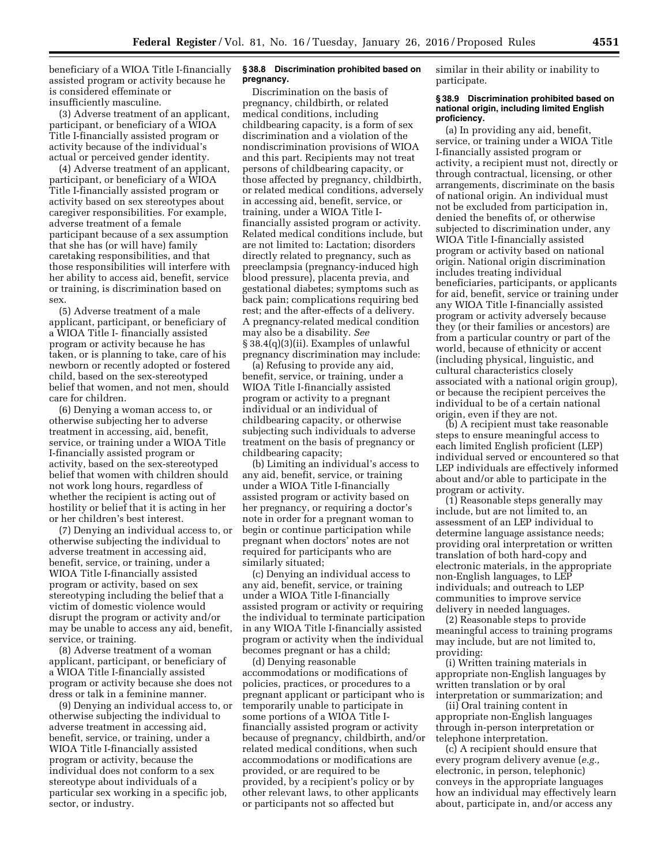beneficiary of a WIOA Title I-financially assisted program or activity because he is considered effeminate or insufficiently masculine.

(3) Adverse treatment of an applicant, participant, or beneficiary of a WIOA Title I-financially assisted program or activity because of the individual's actual or perceived gender identity.

(4) Adverse treatment of an applicant, participant, or beneficiary of a WIOA Title I-financially assisted program or activity based on sex stereotypes about caregiver responsibilities. For example, adverse treatment of a female participant because of a sex assumption that she has (or will have) family caretaking responsibilities, and that those responsibilities will interfere with her ability to access aid, benefit, service or training, is discrimination based on sex.

(5) Adverse treatment of a male applicant, participant, or beneficiary of a WIOA Title I- financially assisted program or activity because he has taken, or is planning to take, care of his newborn or recently adopted or fostered child, based on the sex-stereotyped belief that women, and not men, should care for children.

(6) Denying a woman access to, or otherwise subjecting her to adverse treatment in accessing, aid, benefit, service, or training under a WIOA Title I-financially assisted program or activity, based on the sex-stereotyped belief that women with children should not work long hours, regardless of whether the recipient is acting out of hostility or belief that it is acting in her or her children's best interest.

(7) Denying an individual access to, or otherwise subjecting the individual to adverse treatment in accessing aid, benefit, service, or training, under a WIOA Title I-financially assisted program or activity, based on sex stereotyping including the belief that a victim of domestic violence would disrupt the program or activity and/or may be unable to access any aid, benefit, service, or training.

(8) Adverse treatment of a woman applicant, participant, or beneficiary of a WIOA Title I-financially assisted program or activity because she does not dress or talk in a feminine manner.

(9) Denying an individual access to, or otherwise subjecting the individual to adverse treatment in accessing aid, benefit, service, or training, under a WIOA Title I-financially assisted program or activity, because the individual does not conform to a sex stereotype about individuals of a particular sex working in a specific job, sector, or industry.

### **§ 38.8 Discrimination prohibited based on pregnancy.**

Discrimination on the basis of pregnancy, childbirth, or related medical conditions, including childbearing capacity, is a form of sex discrimination and a violation of the nondiscrimination provisions of WIOA and this part. Recipients may not treat persons of childbearing capacity, or those affected by pregnancy, childbirth, or related medical conditions, adversely in accessing aid, benefit, service, or training, under a WIOA Title Ifinancially assisted program or activity. Related medical conditions include, but are not limited to: Lactation; disorders directly related to pregnancy, such as preeclampsia (pregnancy-induced high blood pressure), placenta previa, and gestational diabetes; symptoms such as back pain; complications requiring bed rest; and the after-effects of a delivery. A pregnancy-related medical condition may also be a disability. *See*  § 38.4(q)(3)(ii). Examples of unlawful pregnancy discrimination may include:

(a) Refusing to provide any aid, benefit, service, or training, under a WIOA Title I-financially assisted program or activity to a pregnant individual or an individual of childbearing capacity, or otherwise subjecting such individuals to adverse treatment on the basis of pregnancy or childbearing capacity;

(b) Limiting an individual's access to any aid, benefit, service, or training under a WIOA Title I-financially assisted program or activity based on her pregnancy, or requiring a doctor's note in order for a pregnant woman to begin or continue participation while pregnant when doctors' notes are not required for participants who are similarly situated;

(c) Denying an individual access to any aid, benefit, service, or training under a WIOA Title I-financially assisted program or activity or requiring the individual to terminate participation in any WIOA Title I-financially assisted program or activity when the individual becomes pregnant or has a child;

(d) Denying reasonable accommodations or modifications of policies, practices, or procedures to a pregnant applicant or participant who is temporarily unable to participate in some portions of a WIOA Title Ifinancially assisted program or activity because of pregnancy, childbirth, and/or related medical conditions, when such accommodations or modifications are provided, or are required to be provided, by a recipient's policy or by other relevant laws, to other applicants or participants not so affected but

similar in their ability or inability to participate.

### **§ 38.9 Discrimination prohibited based on national origin, including limited English proficiency.**

(a) In providing any aid, benefit, service, or training under a WIOA Title I-financially assisted program or activity, a recipient must not, directly or through contractual, licensing, or other arrangements, discriminate on the basis of national origin. An individual must not be excluded from participation in, denied the benefits of, or otherwise subjected to discrimination under, any WIOA Title I-financially assisted program or activity based on national origin. National origin discrimination includes treating individual beneficiaries, participants, or applicants for aid, benefit, service or training under any WIOA Title I-financially assisted program or activity adversely because they (or their families or ancestors) are from a particular country or part of the world, because of ethnicity or accent (including physical, linguistic, and cultural characteristics closely associated with a national origin group), or because the recipient perceives the individual to be of a certain national origin, even if they are not.

(b) A recipient must take reasonable steps to ensure meaningful access to each limited English proficient (LEP) individual served or encountered so that LEP individuals are effectively informed about and/or able to participate in the program or activity.

(1) Reasonable steps generally may include, but are not limited to, an assessment of an LEP individual to determine language assistance needs; providing oral interpretation or written translation of both hard-copy and electronic materials, in the appropriate non-English languages, to LEP individuals; and outreach to LEP communities to improve service delivery in needed languages.

(2) Reasonable steps to provide meaningful access to training programs may include, but are not limited to, providing:

(i) Written training materials in appropriate non-English languages by written translation or by oral interpretation or summarization; and

(ii) Oral training content in appropriate non-English languages through in-person interpretation or telephone interpretation.

(c) A recipient should ensure that every program delivery avenue (*e.g.,*  electronic, in person, telephonic) conveys in the appropriate languages how an individual may effectively learn about, participate in, and/or access any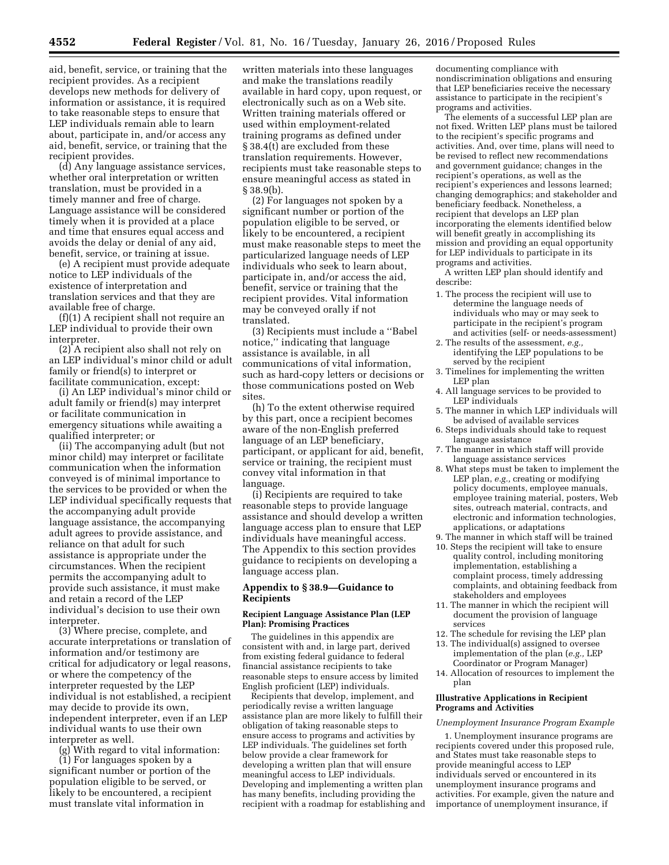aid, benefit, service, or training that the recipient provides. As a recipient develops new methods for delivery of information or assistance, it is required to take reasonable steps to ensure that LEP individuals remain able to learn about, participate in, and/or access any aid, benefit, service, or training that the recipient provides.

(d) Any language assistance services, whether oral interpretation or written translation, must be provided in a timely manner and free of charge. Language assistance will be considered timely when it is provided at a place and time that ensures equal access and avoids the delay or denial of any aid, benefit, service, or training at issue.

(e) A recipient must provide adequate notice to LEP individuals of the existence of interpretation and translation services and that they are available free of charge.

(f)(1) A recipient shall not require an LEP individual to provide their own interpreter.

(2) A recipient also shall not rely on an LEP individual's minor child or adult family or friend(s) to interpret or facilitate communication, except:

(i) An LEP individual's minor child or adult family or friend(s) may interpret or facilitate communication in emergency situations while awaiting a qualified interpreter; or

(ii) The accompanying adult (but not minor child) may interpret or facilitate communication when the information conveyed is of minimal importance to the services to be provided or when the LEP individual specifically requests that the accompanying adult provide language assistance, the accompanying adult agrees to provide assistance, and reliance on that adult for such assistance is appropriate under the circumstances. When the recipient permits the accompanying adult to provide such assistance, it must make and retain a record of the LEP individual's decision to use their own interpreter.

(3) Where precise, complete, and accurate interpretations or translation of information and/or testimony are critical for adjudicatory or legal reasons, or where the competency of the interpreter requested by the LEP individual is not established, a recipient may decide to provide its own, independent interpreter, even if an LEP individual wants to use their own interpreter as well.

(g) With regard to vital information: (1) For languages spoken by a significant number or portion of the population eligible to be served, or likely to be encountered, a recipient must translate vital information in

written materials into these languages and make the translations readily available in hard copy, upon request, or electronically such as on a Web site. Written training materials offered or used within employment-related training programs as defined under § 38.4(t) are excluded from these translation requirements. However, recipients must take reasonable steps to ensure meaningful access as stated in § 38.9(b).

(2) For languages not spoken by a significant number or portion of the population eligible to be served, or likely to be encountered, a recipient must make reasonable steps to meet the particularized language needs of LEP individuals who seek to learn about, participate in, and/or access the aid, benefit, service or training that the recipient provides. Vital information may be conveyed orally if not translated.

(3) Recipients must include a ''Babel notice,'' indicating that language assistance is available, in all communications of vital information, such as hard-copy letters or decisions or those communications posted on Web sites

(h) To the extent otherwise required by this part, once a recipient becomes aware of the non-English preferred language of an LEP beneficiary, participant, or applicant for aid, benefit, service or training, the recipient must convey vital information in that language.

(i) Recipients are required to take reasonable steps to provide language assistance and should develop a written language access plan to ensure that LEP individuals have meaningful access. The Appendix to this section provides guidance to recipients on developing a language access plan.

# **Appendix to § 38.9—Guidance to Recipients**

#### **Recipient Language Assistance Plan (LEP Plan): Promising Practices**

The guidelines in this appendix are consistent with and, in large part, derived from existing federal guidance to federal financial assistance recipients to take reasonable steps to ensure access by limited English proficient (LEP) individuals.

Recipients that develop, implement, and periodically revise a written language assistance plan are more likely to fulfill their obligation of taking reasonable steps to ensure access to programs and activities by LEP individuals. The guidelines set forth below provide a clear framework for developing a written plan that will ensure meaningful access to LEP individuals. Developing and implementing a written plan has many benefits, including providing the recipient with a roadmap for establishing and

documenting compliance with nondiscrimination obligations and ensuring that LEP beneficiaries receive the necessary assistance to participate in the recipient's programs and activities.

The elements of a successful LEP plan are not fixed. Written LEP plans must be tailored to the recipient's specific programs and activities. And, over time, plans will need to be revised to reflect new recommendations and government guidance; changes in the recipient's operations, as well as the recipient's experiences and lessons learned; changing demographics; and stakeholder and beneficiary feedback. Nonetheless, a recipient that develops an LEP plan incorporating the elements identified below will benefit greatly in accomplishing its mission and providing an equal opportunity for LEP individuals to participate in its programs and activities.

A written LEP plan should identify and describe:

- 1. The process the recipient will use to determine the language needs of individuals who may or may seek to participate in the recipient's program and activities (self- or needs-assessment)
- 2. The results of the assessment, *e.g.,*  identifying the LEP populations to be served by the recipient
- 3. Timelines for implementing the written LEP plan
- 4. All language services to be provided to LEP individuals
- 5. The manner in which LEP individuals will be advised of available services
- 6. Steps individuals should take to request language assistance
- 7. The manner in which staff will provide language assistance services
- 8. What steps must be taken to implement the LEP plan, *e.g.*, creating or modifying policy documents, employee manuals, employee training material, posters, Web sites, outreach material, contracts, and electronic and information technologies, applications, or adaptations
- 9. The manner in which staff will be trained
- 10. Steps the recipient will take to ensure quality control, including monitoring implementation, establishing a complaint process, timely addressing complaints, and obtaining feedback from stakeholders and employees
- 11. The manner in which the recipient will document the provision of language services
- 12. The schedule for revising the LEP plan
- 13. The individual(s) assigned to oversee implementation of the plan (*e.g.,* LEP Coordinator or Program Manager)
- 14. Allocation of resources to implement the plan

## **Illustrative Applications in Recipient Programs and Activities**

#### *Unemployment Insurance Program Example*

1. Unemployment insurance programs are recipients covered under this proposed rule, and States must take reasonable steps to provide meaningful access to LEP individuals served or encountered in its unemployment insurance programs and activities. For example, given the nature and importance of unemployment insurance, if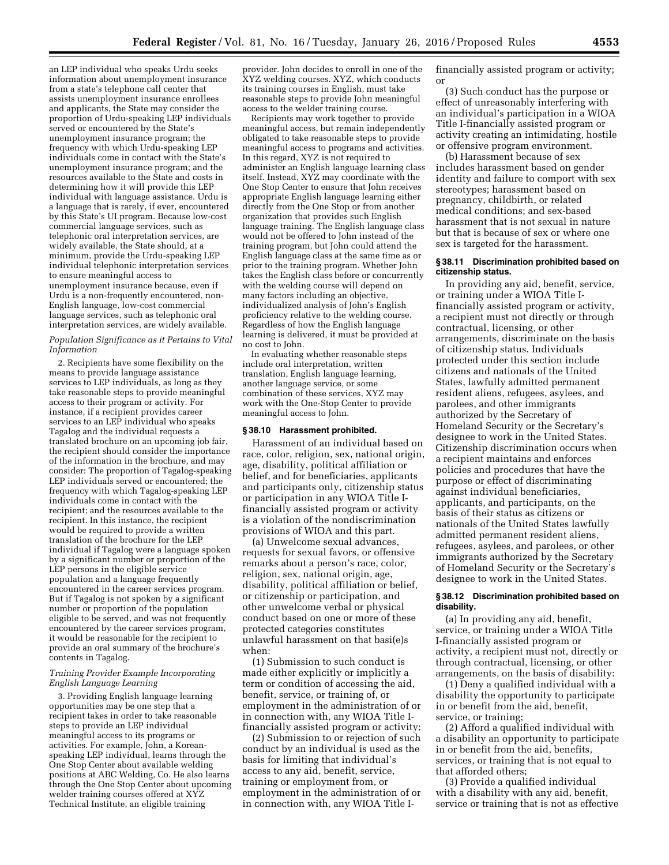an LEP individual who speaks Urdu seeks information about unemployment insurance from a state's telephone call center that assists unemployment insurance enrollees and applicants, the State may consider the proportion of Urdu-speaking LEP individuals served or encountered by the State's unemployment insurance program; the frequency with which Urdu-speaking LEP individuals come in contact with the State's unemployment insurance program; and the resources available to the State and costs in determining how it will provide this LEP individual with language assistance. Urdu is a language that is rarely, if ever, encountered by this State's UI program. Because low-cost commercial language services, such as telephonic oral interpretation services, are widely available, the State should, at a minimum, provide the Urdu-speaking LEP individual telephonic interpretation services to ensure meaningful access to unemployment insurance because, even if Urdu is a non-frequently encountered, non-English language, low-cost commercial language services, such as telephonic oral interpretation services, are widely available.

### *Population Significance as it Pertains to Vital Information*

2. Recipients have some flexibility on the means to provide language assistance services to LEP individuals, as long as they take reasonable steps to provide meaningful access to their program or activity. For instance, if a recipient provides career services to an LEP individual who speaks Tagalog and the individual requests a translated brochure on an upcoming job fair, the recipient should consider the importance of the information in the brochure, and may consider: The proportion of Tagalog-speaking LEP individuals served or encountered; the frequency with which Tagalog-speaking LEP individuals come in contact with the recipient; and the resources available to the recipient. In this instance, the recipient would be required to provide a written translation of the brochure for the LEP individual if Tagalog were a language spoken by a significant number or proportion of the LEP persons in the eligible service population and a language frequently encountered in the career services program. But if Tagalog is not spoken by a significant number or proportion of the population eligible to be served, and was not frequently encountered by the career services program, it would be reasonable for the recipient to provide an oral summary of the brochure's contents in Tagalog.

### *Training Provider Example Incorporating English Language Learning*

3. Providing English language learning opportunities may be one step that a recipient takes in order to take reasonable steps to provide an LEP individual meaningful access to its programs or activities. For example, John, a Koreanspeaking LEP individual, learns through the One Stop Center about available welding positions at ABC Welding, Co. He also learns through the One Stop Center about upcoming welder training courses offered at XYZ Technical Institute, an eligible training

provider. John decides to enroll in one of the XYZ welding courses. XYZ, which conducts its training courses in English, must take reasonable steps to provide John meaningful access to the welder training course.

Recipients may work together to provide meaningful access, but remain independently obligated to take reasonable steps to provide meaningful access to programs and activities. In this regard, XYZ is not required to administer an English language learning class itself. Instead, XYZ may coordinate with the One Stop Center to ensure that John receives appropriate English language learning either directly from the One Stop or from another organization that provides such English language training. The English language class would not be offered to John instead of the training program, but John could attend the English language class at the same time as or prior to the training program. Whether John takes the English class before or concurrently with the welding course will depend on many factors including an objective, individualized analysis of John's English proficiency relative to the welding course. Regardless of how the English language learning is delivered, it must be provided at no cost to John.

In evaluating whether reasonable steps include oral interpretation, written translation, English language learning, another language service, or some combination of these services, XYZ may work with the One-Stop Center to provide meaningful access to John.

## **§ 38.10 Harassment prohibited.**

Harassment of an individual based on race, color, religion, sex, national origin, age, disability, political affiliation or belief, and for beneficiaries, applicants and participants only, citizenship status or participation in any WIOA Title Ifinancially assisted program or activity is a violation of the nondiscrimination provisions of WIOA and this part.

(a) Unwelcome sexual advances, requests for sexual favors, or offensive remarks about a person's race, color, religion, sex, national origin, age, disability, political affiliation or belief, or citizenship or participation, and other unwelcome verbal or physical conduct based on one or more of these protected categories constitutes unlawful harassment on that basi(e)s when:

(1) Submission to such conduct is made either explicitly or implicitly a term or condition of accessing the aid, benefit, service, or training of, or employment in the administration of or in connection with, any WIOA Title Ifinancially assisted program or activity;

(2) Submission to or rejection of such conduct by an individual is used as the basis for limiting that individual's access to any aid, benefit, service, training or employment from, or employment in the administration of or in connection with, any WIOA Title I-

financially assisted program or activity; or

(3) Such conduct has the purpose or effect of unreasonably interfering with an individual's participation in a WIOA Title I-financially assisted program or activity creating an intimidating, hostile or offensive program environment.

(b) Harassment because of sex includes harassment based on gender identity and failure to comport with sex stereotypes; harassment based on pregnancy, childbirth, or related medical conditions; and sex-based harassment that is not sexual in nature but that is because of sex or where one sex is targeted for the harassment.

#### **§ 38.11 Discrimination prohibited based on citizenship status.**

In providing any aid, benefit, service, or training under a WIOA Title Ifinancially assisted program or activity, a recipient must not directly or through contractual, licensing, or other arrangements, discriminate on the basis of citizenship status. Individuals protected under this section include citizens and nationals of the United States, lawfully admitted permanent resident aliens, refugees, asylees, and parolees, and other immigrants authorized by the Secretary of Homeland Security or the Secretary's designee to work in the United States. Citizenship discrimination occurs when a recipient maintains and enforces policies and procedures that have the purpose or effect of discriminating against individual beneficiaries, applicants, and participants, on the basis of their status as citizens or nationals of the United States lawfully admitted permanent resident aliens, refugees, asylees, and parolees, or other immigrants authorized by the Secretary of Homeland Security or the Secretary's designee to work in the United States.

### **§ 38.12 Discrimination prohibited based on disability.**

(a) In providing any aid, benefit, service, or training under a WIOA Title I-financially assisted program or activity, a recipient must not, directly or through contractual, licensing, or other arrangements, on the basis of disability:

(1) Deny a qualified individual with a disability the opportunity to participate in or benefit from the aid, benefit, service, or training;

(2) Afford a qualified individual with a disability an opportunity to participate in or benefit from the aid, benefits, services, or training that is not equal to that afforded others;

(3) Provide a qualified individual with a disability with any aid, benefit, service or training that is not as effective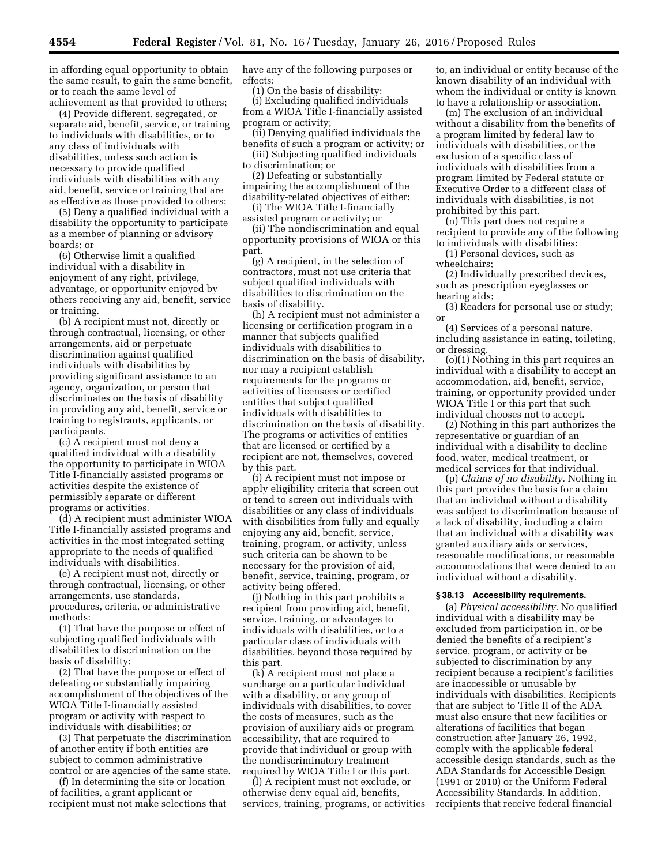in affording equal opportunity to obtain the same result, to gain the same benefit, or to reach the same level of achievement as that provided to others;

(4) Provide different, segregated, or separate aid, benefit, service, or training to individuals with disabilities, or to any class of individuals with disabilities, unless such action is necessary to provide qualified individuals with disabilities with any aid, benefit, service or training that are as effective as those provided to others;

(5) Deny a qualified individual with a disability the opportunity to participate as a member of planning or advisory boards; or

(6) Otherwise limit a qualified individual with a disability in enjoyment of any right, privilege, advantage, or opportunity enjoyed by others receiving any aid, benefit, service or training.

(b) A recipient must not, directly or through contractual, licensing, or other arrangements, aid or perpetuate discrimination against qualified individuals with disabilities by providing significant assistance to an agency, organization, or person that discriminates on the basis of disability in providing any aid, benefit, service or training to registrants, applicants, or participants.

(c) A recipient must not deny a qualified individual with a disability the opportunity to participate in WIOA Title I-financially assisted programs or activities despite the existence of permissibly separate or different programs or activities.

(d) A recipient must administer WIOA Title I-financially assisted programs and activities in the most integrated setting appropriate to the needs of qualified individuals with disabilities.

(e) A recipient must not, directly or through contractual, licensing, or other arrangements, use standards, procedures, criteria, or administrative methods:

(1) That have the purpose or effect of subjecting qualified individuals with disabilities to discrimination on the basis of disability;

(2) That have the purpose or effect of defeating or substantially impairing accomplishment of the objectives of the WIOA Title I-financially assisted program or activity with respect to individuals with disabilities; or

(3) That perpetuate the discrimination of another entity if both entities are subject to common administrative control or are agencies of the same state.

(f) In determining the site or location of facilities, a grant applicant or recipient must not make selections that have any of the following purposes or effects:

(1) On the basis of disability:

(i) Excluding qualified individuals from a WIOA Title I-financially assisted program or activity;

(ii) Denying qualified individuals the benefits of such a program or activity; or (iii) Subjecting qualified individuals

to discrimination; or (2) Defeating or substantially impairing the accomplishment of the

disability-related objectives of either: (i) The WIOA Title I-financially

assisted program or activity; or

(ii) The nondiscrimination and equal opportunity provisions of WIOA or this part.

(g) A recipient, in the selection of contractors, must not use criteria that subject qualified individuals with disabilities to discrimination on the basis of disability.

(h) A recipient must not administer a licensing or certification program in a manner that subjects qualified individuals with disabilities to discrimination on the basis of disability, nor may a recipient establish requirements for the programs or activities of licensees or certified entities that subject qualified individuals with disabilities to discrimination on the basis of disability. The programs or activities of entities that are licensed or certified by a recipient are not, themselves, covered by this part.

(i) A recipient must not impose or apply eligibility criteria that screen out or tend to screen out individuals with disabilities or any class of individuals with disabilities from fully and equally enjoying any aid, benefit, service, training, program, or activity, unless such criteria can be shown to be necessary for the provision of aid, benefit, service, training, program, or activity being offered.

(j) Nothing in this part prohibits a recipient from providing aid, benefit, service, training, or advantages to individuals with disabilities, or to a particular class of individuals with disabilities, beyond those required by this part.

(k) A recipient must not place a surcharge on a particular individual with a disability, or any group of individuals with disabilities, to cover the costs of measures, such as the provision of auxiliary aids or program accessibility, that are required to provide that individual or group with the nondiscriminatory treatment required by WIOA Title I or this part.

(l) A recipient must not exclude, or otherwise deny equal aid, benefits, services, training, programs, or activities to, an individual or entity because of the known disability of an individual with whom the individual or entity is known to have a relationship or association.

(m) The exclusion of an individual without a disability from the benefits of a program limited by federal law to individuals with disabilities, or the exclusion of a specific class of individuals with disabilities from a program limited by Federal statute or Executive Order to a different class of individuals with disabilities, is not prohibited by this part.

(n) This part does not require a recipient to provide any of the following to individuals with disabilities:

(1) Personal devices, such as wheelchairs;

(2) Individually prescribed devices, such as prescription eyeglasses or hearing aids;

(3) Readers for personal use or study; or

(4) Services of a personal nature, including assistance in eating, toileting, or dressing.

(o)(1) Nothing in this part requires an individual with a disability to accept an accommodation, aid, benefit, service, training, or opportunity provided under WIOA Title I or this part that such individual chooses not to accept.

(2) Nothing in this part authorizes the representative or guardian of an individual with a disability to decline food, water, medical treatment, or medical services for that individual.

(p) *Claims of no disability.* Nothing in this part provides the basis for a claim that an individual without a disability was subject to discrimination because of a lack of disability, including a claim that an individual with a disability was granted auxiliary aids or services, reasonable modifications, or reasonable accommodations that were denied to an individual without a disability.

## **§ 38.13 Accessibility requirements.**

(a) *Physical accessibility.* No qualified individual with a disability may be excluded from participation in, or be denied the benefits of a recipient's service, program, or activity or be subjected to discrimination by any recipient because a recipient's facilities are inaccessible or unusable by individuals with disabilities. Recipients that are subject to Title II of the ADA must also ensure that new facilities or alterations of facilities that began construction after January 26, 1992, comply with the applicable federal accessible design standards, such as the ADA Standards for Accessible Design (1991 or 2010) or the Uniform Federal Accessibility Standards. In addition, recipients that receive federal financial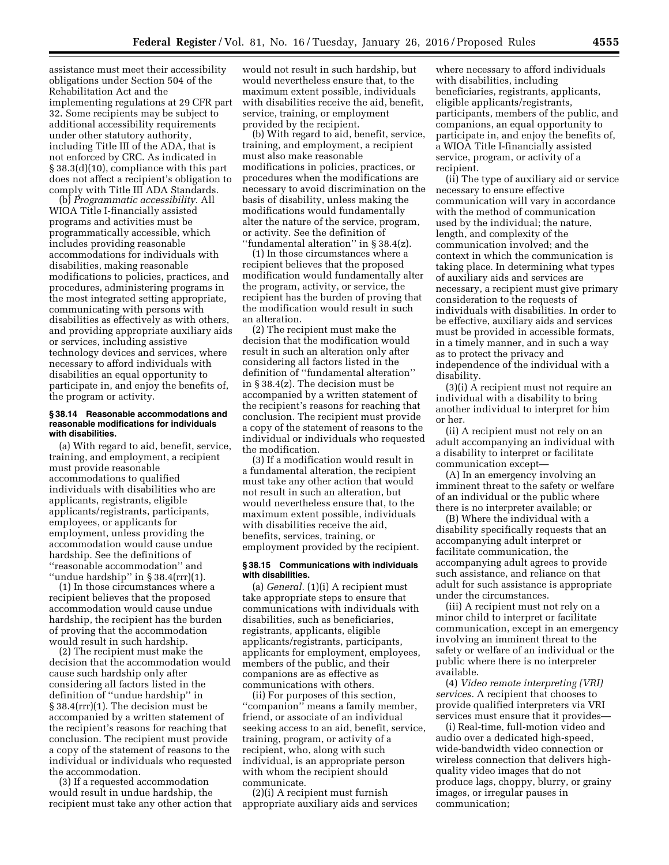assistance must meet their accessibility obligations under Section 504 of the Rehabilitation Act and the implementing regulations at 29 CFR part 32. Some recipients may be subject to additional accessibility requirements under other statutory authority, including Title III of the ADA, that is not enforced by CRC. As indicated in § 38.3(d)(10), compliance with this part does not affect a recipient's obligation to comply with Title III ADA Standards.

(b) *Programmatic accessibility.* All WIOA Title I-financially assisted programs and activities must be programmatically accessible, which includes providing reasonable accommodations for individuals with disabilities, making reasonable modifications to policies, practices, and procedures, administering programs in the most integrated setting appropriate, communicating with persons with disabilities as effectively as with others, and providing appropriate auxiliary aids or services, including assistive technology devices and services, where necessary to afford individuals with disabilities an equal opportunity to participate in, and enjoy the benefits of, the program or activity.

#### **§ 38.14 Reasonable accommodations and reasonable modifications for individuals with disabilities.**

(a) With regard to aid, benefit, service, training, and employment, a recipient must provide reasonable accommodations to qualified individuals with disabilities who are applicants, registrants, eligible applicants/registrants, participants, employees, or applicants for employment, unless providing the accommodation would cause undue hardship. See the definitions of ''reasonable accommodation'' and ''undue hardship'' in § 38.4(rrr)(1).

(1) In those circumstances where a recipient believes that the proposed accommodation would cause undue hardship, the recipient has the burden of proving that the accommodation would result in such hardship.

(2) The recipient must make the decision that the accommodation would cause such hardship only after considering all factors listed in the definition of ''undue hardship'' in § 38.4(rrr)(1). The decision must be accompanied by a written statement of the recipient's reasons for reaching that conclusion. The recipient must provide a copy of the statement of reasons to the individual or individuals who requested the accommodation.

(3) If a requested accommodation would result in undue hardship, the recipient must take any other action that

would not result in such hardship, but would nevertheless ensure that, to the maximum extent possible, individuals with disabilities receive the aid, benefit, service, training, or employment provided by the recipient.

(b) With regard to aid, benefit, service, training, and employment, a recipient must also make reasonable modifications in policies, practices, or procedures when the modifications are necessary to avoid discrimination on the basis of disability, unless making the modifications would fundamentally alter the nature of the service, program, or activity. See the definition of ''fundamental alteration'' in § 38.4(z).

(1) In those circumstances where a recipient believes that the proposed modification would fundamentally alter the program, activity, or service, the recipient has the burden of proving that the modification would result in such an alteration.

(2) The recipient must make the decision that the modification would result in such an alteration only after considering all factors listed in the definition of ''fundamental alteration'' in § 38.4(z). The decision must be accompanied by a written statement of the recipient's reasons for reaching that conclusion. The recipient must provide a copy of the statement of reasons to the individual or individuals who requested the modification.

(3) If a modification would result in a fundamental alteration, the recipient must take any other action that would not result in such an alteration, but would nevertheless ensure that, to the maximum extent possible, individuals with disabilities receive the aid, benefits, services, training, or employment provided by the recipient.

#### **§ 38.15 Communications with individuals with disabilities.**

(a) *General.* (1)(i) A recipient must take appropriate steps to ensure that communications with individuals with disabilities, such as beneficiaries, registrants, applicants, eligible applicants/registrants, participants, applicants for employment, employees, members of the public, and their companions are as effective as communications with others.

(ii) For purposes of this section, "companion" means a family member, friend, or associate of an individual seeking access to an aid, benefit, service, training, program, or activity of a recipient, who, along with such individual, is an appropriate person with whom the recipient should communicate.

(2)(i) A recipient must furnish appropriate auxiliary aids and services

where necessary to afford individuals with disabilities, including beneficiaries, registrants, applicants, eligible applicants/registrants, participants, members of the public, and companions, an equal opportunity to participate in, and enjoy the benefits of, a WIOA Title I-financially assisted service, program, or activity of a recipient.

(ii) The type of auxiliary aid or service necessary to ensure effective communication will vary in accordance with the method of communication used by the individual; the nature, length, and complexity of the communication involved; and the context in which the communication is taking place. In determining what types of auxiliary aids and services are necessary, a recipient must give primary consideration to the requests of individuals with disabilities. In order to be effective, auxiliary aids and services must be provided in accessible formats, in a timely manner, and in such a way as to protect the privacy and independence of the individual with a disability.

(3)(i) A recipient must not require an individual with a disability to bring another individual to interpret for him or her.

(ii) A recipient must not rely on an adult accompanying an individual with a disability to interpret or facilitate communication except—

(A) In an emergency involving an imminent threat to the safety or welfare of an individual or the public where there is no interpreter available; or

(B) Where the individual with a disability specifically requests that an accompanying adult interpret or facilitate communication, the accompanying adult agrees to provide such assistance, and reliance on that adult for such assistance is appropriate under the circumstances.

(iii) A recipient must not rely on a minor child to interpret or facilitate communication, except in an emergency involving an imminent threat to the safety or welfare of an individual or the public where there is no interpreter available.

(4) *Video remote interpreting (VRI) services.* A recipient that chooses to provide qualified interpreters via VRI services must ensure that it provides—

(i) Real-time, full-motion video and audio over a dedicated high-speed, wide-bandwidth video connection or wireless connection that delivers highquality video images that do not produce lags, choppy, blurry, or grainy images, or irregular pauses in communication;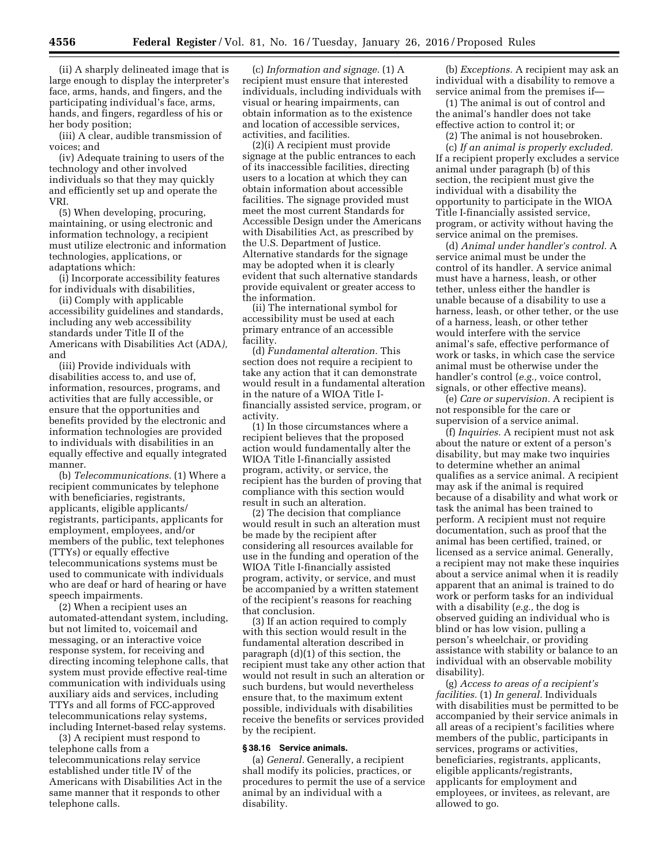(ii) A sharply delineated image that is large enough to display the interpreter's face, arms, hands, and fingers, and the participating individual's face, arms, hands, and fingers, regardless of his or her body position;

(iii) A clear, audible transmission of voices; and

(iv) Adequate training to users of the technology and other involved individuals so that they may quickly and efficiently set up and operate the VRI.

(5) When developing, procuring, maintaining, or using electronic and information technology, a recipient must utilize electronic and information technologies, applications, or adaptations which:

(i) Incorporate accessibility features for individuals with disabilities,

(ii) Comply with applicable accessibility guidelines and standards, including any web accessibility standards under Title II of the Americans with Disabilities Act (ADA*),*  and

(iii) Provide individuals with disabilities access to, and use of, information, resources, programs, and activities that are fully accessible, or ensure that the opportunities and benefits provided by the electronic and information technologies are provided to individuals with disabilities in an equally effective and equally integrated manner.

(b) *Telecommunications.* (1) Where a recipient communicates by telephone with beneficiaries, registrants, applicants, eligible applicants/ registrants, participants, applicants for employment, employees, and/or members of the public, text telephones (TTYs) or equally effective telecommunications systems must be used to communicate with individuals who are deaf or hard of hearing or have speech impairments.

(2) When a recipient uses an automated-attendant system, including, but not limited to, voicemail and messaging, or an interactive voice response system, for receiving and directing incoming telephone calls, that system must provide effective real-time communication with individuals using auxiliary aids and services, including TTYs and all forms of FCC-approved telecommunications relay systems, including Internet-based relay systems.

(3) A recipient must respond to telephone calls from a telecommunications relay service established under title IV of the Americans with Disabilities Act in the same manner that it responds to other telephone calls.

(c) *Information and signage.* (1) A recipient must ensure that interested individuals, including individuals with visual or hearing impairments, can obtain information as to the existence and location of accessible services, activities, and facilities.

(2)(i) A recipient must provide signage at the public entrances to each of its inaccessible facilities, directing users to a location at which they can obtain information about accessible facilities. The signage provided must meet the most current Standards for Accessible Design under the Americans with Disabilities Act, as prescribed by the U.S. Department of Justice. Alternative standards for the signage may be adopted when it is clearly evident that such alternative standards provide equivalent or greater access to the information.

(ii) The international symbol for accessibility must be used at each primary entrance of an accessible facility.

(d) *Fundamental alteration.* This section does not require a recipient to take any action that it can demonstrate would result in a fundamental alteration in the nature of a WIOA Title Ifinancially assisted service, program, or activity.

(1) In those circumstances where a recipient believes that the proposed action would fundamentally alter the WIOA Title I-financially assisted program, activity, or service, the recipient has the burden of proving that compliance with this section would result in such an alteration.

(2) The decision that compliance would result in such an alteration must be made by the recipient after considering all resources available for use in the funding and operation of the WIOA Title I-financially assisted program, activity, or service, and must be accompanied by a written statement of the recipient's reasons for reaching that conclusion.

(3) If an action required to comply with this section would result in the fundamental alteration described in paragraph (d)(1) of this section, the recipient must take any other action that would not result in such an alteration or such burdens, but would nevertheless ensure that, to the maximum extent possible, individuals with disabilities receive the benefits or services provided by the recipient.

# **§ 38.16 Service animals.**

(a) *General.* Generally, a recipient shall modify its policies, practices, or procedures to permit the use of a service animal by an individual with a disability.

(b) *Exceptions.* A recipient may ask an individual with a disability to remove a service animal from the premises if—

(1) The animal is out of control and the animal's handler does not take effective action to control it; or

(2) The animal is not housebroken. (c) *If an animal is properly excluded.*  If a recipient properly excludes a service animal under paragraph (b) of this section, the recipient must give the individual with a disability the opportunity to participate in the WIOA Title I-financially assisted service, program, or activity without having the service animal on the premises.

(d) *Animal under handler's control.* A service animal must be under the control of its handler. A service animal must have a harness, leash, or other tether, unless either the handler is unable because of a disability to use a harness, leash, or other tether, or the use of a harness, leash, or other tether would interfere with the service animal's safe, effective performance of work or tasks, in which case the service animal must be otherwise under the handler's control (*e.g.,* voice control, signals, or other effective means).

(e) *Care or supervision.* A recipient is not responsible for the care or supervision of a service animal.

(f) *Inquiries.* A recipient must not ask about the nature or extent of a person's disability, but may make two inquiries to determine whether an animal qualifies as a service animal. A recipient may ask if the animal is required because of a disability and what work or task the animal has been trained to perform. A recipient must not require documentation, such as proof that the animal has been certified, trained, or licensed as a service animal. Generally, a recipient may not make these inquiries about a service animal when it is readily apparent that an animal is trained to do work or perform tasks for an individual with a disability (*e.g.,* the dog is observed guiding an individual who is blind or has low vision, pulling a person's wheelchair, or providing assistance with stability or balance to an individual with an observable mobility disability).

(g) *Access to areas of a recipient's facilities.* (1) *In general.* Individuals with disabilities must be permitted to be accompanied by their service animals in all areas of a recipient's facilities where members of the public, participants in services, programs or activities, beneficiaries, registrants, applicants, eligible applicants/registrants, applicants for employment and employees, or invitees, as relevant, are allowed to go.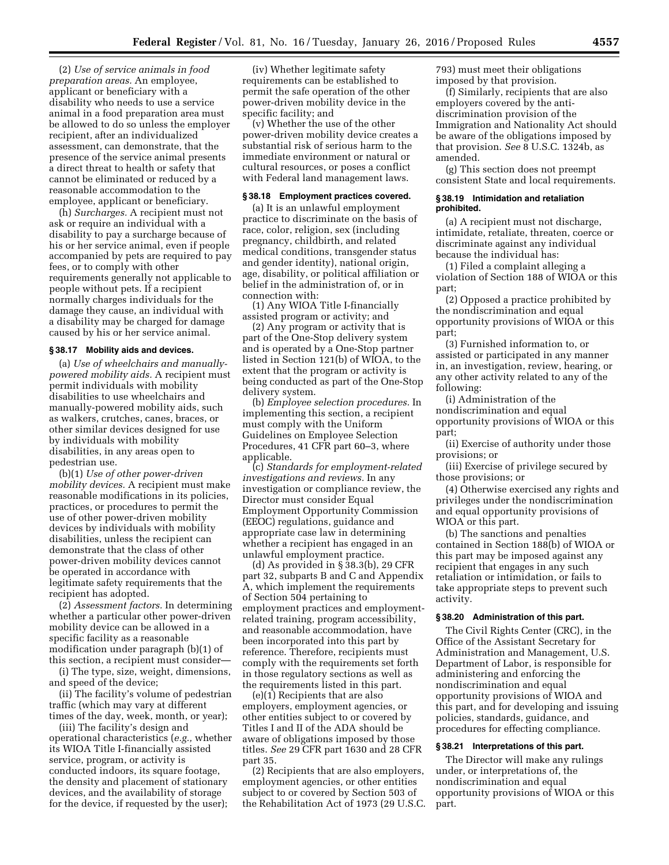(2) *Use of service animals in food preparation areas.* An employee, applicant or beneficiary with a disability who needs to use a service animal in a food preparation area must be allowed to do so unless the employer recipient, after an individualized assessment, can demonstrate, that the presence of the service animal presents a direct threat to health or safety that cannot be eliminated or reduced by a reasonable accommodation to the employee, applicant or beneficiary.

(h) *Surcharges.* A recipient must not ask or require an individual with a disability to pay a surcharge because of his or her service animal, even if people accompanied by pets are required to pay fees, or to comply with other requirements generally not applicable to people without pets. If a recipient normally charges individuals for the damage they cause, an individual with a disability may be charged for damage caused by his or her service animal.

## **§ 38.17 Mobility aids and devices.**

(a) *Use of wheelchairs and manuallypowered mobility aids.* A recipient must permit individuals with mobility disabilities to use wheelchairs and manually-powered mobility aids, such as walkers, crutches, canes, braces, or other similar devices designed for use by individuals with mobility disabilities, in any areas open to pedestrian use.

(b)(1) *Use of other power-driven mobility devices.* A recipient must make reasonable modifications in its policies, practices, or procedures to permit the use of other power-driven mobility devices by individuals with mobility disabilities, unless the recipient can demonstrate that the class of other power-driven mobility devices cannot be operated in accordance with legitimate safety requirements that the recipient has adopted.

(2) *Assessment factors.* In determining whether a particular other power-driven mobility device can be allowed in a specific facility as a reasonable modification under paragraph (b)(1) of this section, a recipient must consider—

(i) The type, size, weight, dimensions, and speed of the device;

(ii) The facility's volume of pedestrian traffic (which may vary at different times of the day, week, month, or year);

(iii) The facility's design and operational characteristics (*e.g.,* whether its WIOA Title I-financially assisted service, program, or activity is conducted indoors, its square footage, the density and placement of stationary devices, and the availability of storage for the device, if requested by the user);

(iv) Whether legitimate safety requirements can be established to permit the safe operation of the other power-driven mobility device in the specific facility; and

(v) Whether the use of the other power-driven mobility device creates a substantial risk of serious harm to the immediate environment or natural or cultural resources, or poses a conflict with Federal land management laws.

### **§ 38.18 Employment practices covered.**

(a) It is an unlawful employment practice to discriminate on the basis of race, color, religion, sex (including pregnancy, childbirth, and related medical conditions, transgender status and gender identity), national origin, age, disability, or political affiliation or belief in the administration of, or in connection with:

(1) Any WIOA Title I-financially assisted program or activity; and

(2) Any program or activity that is part of the One-Stop delivery system and is operated by a One-Stop partner listed in Section 121(b) of WIOA, to the extent that the program or activity is being conducted as part of the One-Stop delivery system.

(b) *Employee selection procedures.* In implementing this section, a recipient must comply with the Uniform Guidelines on Employee Selection Procedures, 41 CFR part 60–3, where applicable.

(c) *Standards for employment-related investigations and reviews.* In any investigation or compliance review, the Director must consider Equal Employment Opportunity Commission (EEOC) regulations, guidance and appropriate case law in determining whether a recipient has engaged in an unlawful employment practice.

(d) As provided in § 38.3(b), 29 CFR part 32, subparts B and C and Appendix A, which implement the requirements of Section 504 pertaining to employment practices and employmentrelated training, program accessibility, and reasonable accommodation, have been incorporated into this part by reference. Therefore, recipients must comply with the requirements set forth in those regulatory sections as well as the requirements listed in this part.

(e)(1) Recipients that are also employers, employment agencies, or other entities subject to or covered by Titles I and II of the ADA should be aware of obligations imposed by those titles. *See* 29 CFR part 1630 and 28 CFR part 35.

(2) Recipients that are also employers, employment agencies, or other entities subject to or covered by Section 503 of the Rehabilitation Act of 1973 (29 U.S.C. 793) must meet their obligations imposed by that provision.

(f) Similarly, recipients that are also employers covered by the antidiscrimination provision of the Immigration and Nationality Act should be aware of the obligations imposed by that provision. *See* 8 U.S.C. 1324b, as amended.

(g) This section does not preempt consistent State and local requirements.

#### **§ 38.19 Intimidation and retaliation prohibited.**

(a) A recipient must not discharge, intimidate, retaliate, threaten, coerce or discriminate against any individual because the individual has:

(1) Filed a complaint alleging a violation of Section 188 of WIOA or this part;

(2) Opposed a practice prohibited by the nondiscrimination and equal opportunity provisions of WIOA or this part;

(3) Furnished information to, or assisted or participated in any manner in, an investigation, review, hearing, or any other activity related to any of the following:

(i) Administration of the nondiscrimination and equal opportunity provisions of WIOA or this part;

(ii) Exercise of authority under those provisions; or

(iii) Exercise of privilege secured by those provisions; or

(4) Otherwise exercised any rights and privileges under the nondiscrimination and equal opportunity provisions of WIOA or this part.

(b) The sanctions and penalties contained in Section 188(b) of WIOA or this part may be imposed against any recipient that engages in any such retaliation or intimidation, or fails to take appropriate steps to prevent such activity.

### **§ 38.20 Administration of this part.**

The Civil Rights Center (CRC), in the Office of the Assistant Secretary for Administration and Management, U.S. Department of Labor, is responsible for administering and enforcing the nondiscrimination and equal opportunity provisions of WIOA and this part, and for developing and issuing policies, standards, guidance, and procedures for effecting compliance.

#### **§ 38.21 Interpretations of this part.**

The Director will make any rulings under, or interpretations of, the nondiscrimination and equal opportunity provisions of WIOA or this part.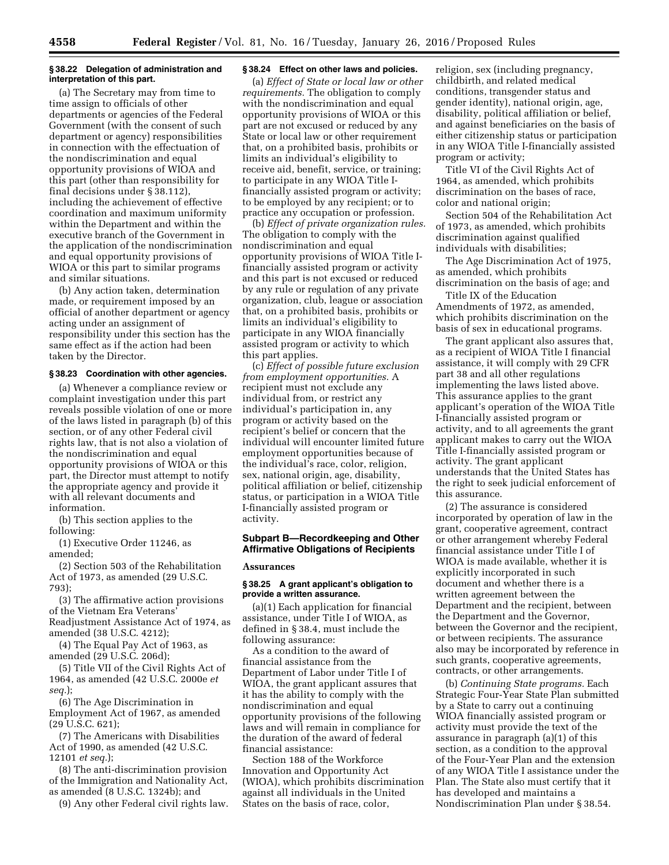### **§ 38.22 Delegation of administration and interpretation of this part.**

(a) The Secretary may from time to time assign to officials of other departments or agencies of the Federal Government (with the consent of such department or agency) responsibilities in connection with the effectuation of the nondiscrimination and equal opportunity provisions of WIOA and this part (other than responsibility for final decisions under § 38.112), including the achievement of effective coordination and maximum uniformity within the Department and within the executive branch of the Government in the application of the nondiscrimination and equal opportunity provisions of WIOA or this part to similar programs and similar situations.

(b) Any action taken, determination made, or requirement imposed by an official of another department or agency acting under an assignment of responsibility under this section has the same effect as if the action had been taken by the Director.

#### **§ 38.23 Coordination with other agencies.**

(a) Whenever a compliance review or complaint investigation under this part reveals possible violation of one or more of the laws listed in paragraph (b) of this section, or of any other Federal civil rights law, that is not also a violation of the nondiscrimination and equal opportunity provisions of WIOA or this part, the Director must attempt to notify the appropriate agency and provide it with all relevant documents and information.

(b) This section applies to the following:

(1) Executive Order 11246, as amended;

(2) Section 503 of the Rehabilitation Act of 1973, as amended (29 U.S.C. 793);

(3) The affirmative action provisions of the Vietnam Era Veterans' Readjustment Assistance Act of 1974, as amended (38 U.S.C. 4212);

(4) The Equal Pay Act of 1963, as amended (29 U.S.C. 206d);

(5) Title VII of the Civil Rights Act of 1964, as amended (42 U.S.C. 2000e *et seq.*);

(6) The Age Discrimination in Employment Act of 1967, as amended (29 U.S.C. 621);

(7) The Americans with Disabilities Act of 1990, as amended (42 U.S.C. 12101 *et seq.*);

(8) The anti-discrimination provision of the Immigration and Nationality Act, as amended (8 U.S.C. 1324b); and

(9) Any other Federal civil rights law.

# **§ 38.24 Effect on other laws and policies.**

(a) *Effect of State or local law or other requirements.* The obligation to comply with the nondiscrimination and equal opportunity provisions of WIOA or this part are not excused or reduced by any State or local law or other requirement that, on a prohibited basis, prohibits or limits an individual's eligibility to receive aid, benefit, service, or training; to participate in any WIOA Title Ifinancially assisted program or activity; to be employed by any recipient; or to practice any occupation or profession.

(b) *Effect of private organization rules.*  The obligation to comply with the nondiscrimination and equal opportunity provisions of WIOA Title Ifinancially assisted program or activity and this part is not excused or reduced by any rule or regulation of any private organization, club, league or association that, on a prohibited basis, prohibits or limits an individual's eligibility to participate in any WIOA financially assisted program or activity to which this part applies.

(c) *Effect of possible future exclusion from employment opportunities.* A recipient must not exclude any individual from, or restrict any individual's participation in, any program or activity based on the recipient's belief or concern that the individual will encounter limited future employment opportunities because of the individual's race, color, religion, sex, national origin, age, disability, political affiliation or belief, citizenship status, or participation in a WIOA Title I-financially assisted program or activity.

# **Subpart B—Recordkeeping and Other Affirmative Obligations of Recipients**

#### **Assurances**

### **§ 38.25 A grant applicant's obligation to provide a written assurance.**

(a)(1) Each application for financial assistance, under Title I of WIOA, as defined in § 38.4, must include the following assurance:

As a condition to the award of financial assistance from the Department of Labor under Title I of WIOA, the grant applicant assures that it has the ability to comply with the nondiscrimination and equal opportunity provisions of the following laws and will remain in compliance for the duration of the award of federal financial assistance:

Section 188 of the Workforce Innovation and Opportunity Act (WIOA), which prohibits discrimination against all individuals in the United States on the basis of race, color,

religion, sex (including pregnancy, childbirth, and related medical conditions, transgender status and gender identity), national origin, age, disability, political affiliation or belief, and against beneficiaries on the basis of either citizenship status or participation in any WIOA Title I-financially assisted program or activity;

Title VI of the Civil Rights Act of 1964, as amended, which prohibits discrimination on the bases of race, color and national origin;

Section 504 of the Rehabilitation Act of 1973, as amended, which prohibits discrimination against qualified individuals with disabilities;

The Age Discrimination Act of 1975, as amended, which prohibits discrimination on the basis of age; and

Title IX of the Education Amendments of 1972, as amended, which prohibits discrimination on the basis of sex in educational programs.

The grant applicant also assures that, as a recipient of WIOA Title I financial assistance, it will comply with 29 CFR part 38 and all other regulations implementing the laws listed above. This assurance applies to the grant applicant's operation of the WIOA Title I-financially assisted program or activity, and to all agreements the grant applicant makes to carry out the WIOA Title I-financially assisted program or activity. The grant applicant understands that the United States has the right to seek judicial enforcement of this assurance.

(2) The assurance is considered incorporated by operation of law in the grant, cooperative agreement, contract or other arrangement whereby Federal financial assistance under Title I of WIOA is made available, whether it is explicitly incorporated in such document and whether there is a written agreement between the Department and the recipient, between the Department and the Governor, between the Governor and the recipient, or between recipients. The assurance also may be incorporated by reference in such grants, cooperative agreements, contracts, or other arrangements.

(b) *Continuing State programs.* Each Strategic Four-Year State Plan submitted by a State to carry out a continuing WIOA financially assisted program or activity must provide the text of the assurance in paragraph (a)(1) of this section, as a condition to the approval of the Four-Year Plan and the extension of any WIOA Title I assistance under the Plan. The State also must certify that it has developed and maintains a Nondiscrimination Plan under § 38.54.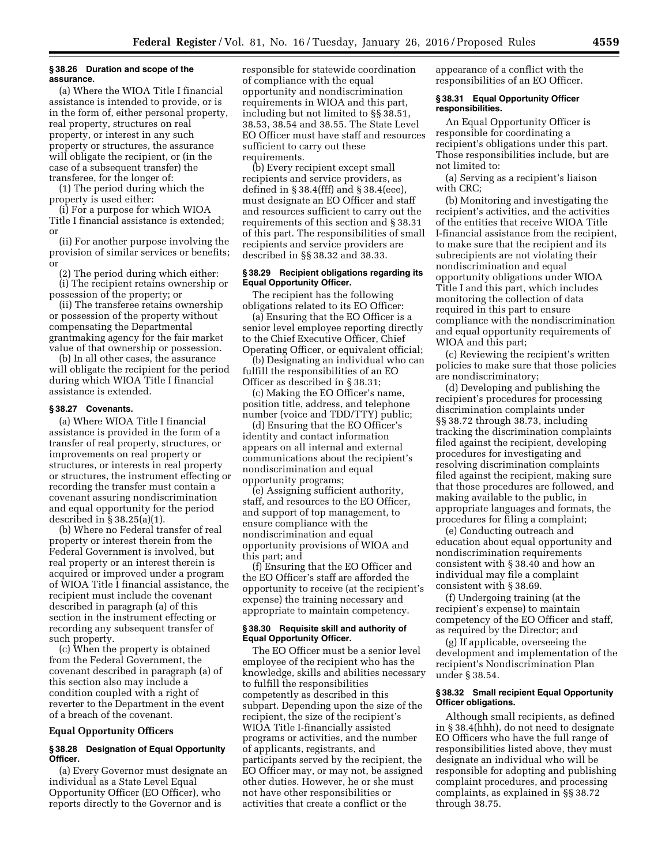#### **§ 38.26 Duration and scope of the assurance.**

(a) Where the WIOA Title I financial assistance is intended to provide, or is in the form of, either personal property, real property, structures on real property, or interest in any such property or structures, the assurance will obligate the recipient, or (in the case of a subsequent transfer) the transferee, for the longer of:

(1) The period during which the property is used either:

(i) For a purpose for which WIOA Title I financial assistance is extended; or

(ii) For another purpose involving the provision of similar services or benefits; or

(2) The period during which either: (i) The recipient retains ownership or

possession of the property; or (ii) The transferee retains ownership or possession of the property without compensating the Departmental grantmaking agency for the fair market value of that ownership or possession.

(b) In all other cases, the assurance will obligate the recipient for the period during which WIOA Title I financial assistance is extended.

### **§ 38.27 Covenants.**

(a) Where WIOA Title I financial assistance is provided in the form of a transfer of real property, structures, or improvements on real property or structures, or interests in real property or structures, the instrument effecting or recording the transfer must contain a covenant assuring nondiscrimination and equal opportunity for the period described in § 38.25(a)(1).

(b) Where no Federal transfer of real property or interest therein from the Federal Government is involved, but real property or an interest therein is acquired or improved under a program of WIOA Title I financial assistance, the recipient must include the covenant described in paragraph (a) of this section in the instrument effecting or recording any subsequent transfer of such property.

(c) When the property is obtained from the Federal Government, the covenant described in paragraph (a) of this section also may include a condition coupled with a right of reverter to the Department in the event of a breach of the covenant.

#### **Equal Opportunity Officers**

## **§ 38.28 Designation of Equal Opportunity Officer.**

(a) Every Governor must designate an individual as a State Level Equal Opportunity Officer (EO Officer), who reports directly to the Governor and is

responsible for statewide coordination of compliance with the equal opportunity and nondiscrimination requirements in WIOA and this part, including but not limited to §§ 38.51, 38.53, 38.54 and 38.55. The State Level EO Officer must have staff and resources sufficient to carry out these requirements.

(b) Every recipient except small recipients and service providers, as defined in § 38.4(fff) and § 38.4(eee), must designate an EO Officer and staff and resources sufficient to carry out the requirements of this section and § 38.31 of this part. The responsibilities of small recipients and service providers are described in §§ 38.32 and 38.33.

### **§ 38.29 Recipient obligations regarding its Equal Opportunity Officer.**

The recipient has the following obligations related to its EO Officer:

(a) Ensuring that the EO Officer is a senior level employee reporting directly to the Chief Executive Officer, Chief Operating Officer, or equivalent official;

(b) Designating an individual who can fulfill the responsibilities of an EO Officer as described in § 38.31;

(c) Making the EO Officer's name, position title, address, and telephone number (voice and TDD/TTY) public;

(d) Ensuring that the EO Officer's identity and contact information appears on all internal and external communications about the recipient's nondiscrimination and equal opportunity programs;

(e) Assigning sufficient authority, staff, and resources to the EO Officer, and support of top management, to ensure compliance with the nondiscrimination and equal opportunity provisions of WIOA and this part; and

(f) Ensuring that the EO Officer and the EO Officer's staff are afforded the opportunity to receive (at the recipient's expense) the training necessary and appropriate to maintain competency.

### **§ 38.30 Requisite skill and authority of Equal Opportunity Officer.**

The EO Officer must be a senior level employee of the recipient who has the knowledge, skills and abilities necessary to fulfill the responsibilities competently as described in this subpart. Depending upon the size of the recipient, the size of the recipient's WIOA Title I-financially assisted programs or activities, and the number of applicants, registrants, and participants served by the recipient, the EO Officer may, or may not, be assigned other duties. However, he or she must not have other responsibilities or activities that create a conflict or the

appearance of a conflict with the responsibilities of an EO Officer.

#### **§ 38.31 Equal Opportunity Officer responsibilities.**

An Equal Opportunity Officer is responsible for coordinating a recipient's obligations under this part. Those responsibilities include, but are not limited to:

(a) Serving as a recipient's liaison with CRC;

(b) Monitoring and investigating the recipient's activities, and the activities of the entities that receive WIOA Title I-financial assistance from the recipient, to make sure that the recipient and its subrecipients are not violating their nondiscrimination and equal opportunity obligations under WIOA Title I and this part, which includes monitoring the collection of data required in this part to ensure compliance with the nondiscrimination and equal opportunity requirements of WIOA and this part;

(c) Reviewing the recipient's written policies to make sure that those policies are nondiscriminatory;

(d) Developing and publishing the recipient's procedures for processing discrimination complaints under §§ 38.72 through 38.73, including tracking the discrimination complaints filed against the recipient, developing procedures for investigating and resolving discrimination complaints filed against the recipient, making sure that those procedures are followed, and making available to the public, in appropriate languages and formats, the procedures for filing a complaint;

(e) Conducting outreach and education about equal opportunity and nondiscrimination requirements consistent with § 38.40 and how an individual may file a complaint consistent with § 38.69.

(f) Undergoing training (at the recipient's expense) to maintain competency of the EO Officer and staff, as required by the Director; and

(g) If applicable, overseeing the development and implementation of the recipient's Nondiscrimination Plan under § 38.54.

## **§ 38.32 Small recipient Equal Opportunity Officer obligations.**

Although small recipients, as defined in § 38.4(hhh), do not need to designate EO Officers who have the full range of responsibilities listed above, they must designate an individual who will be responsible for adopting and publishing complaint procedures, and processing complaints, as explained in §§ 38.72 through 38.75.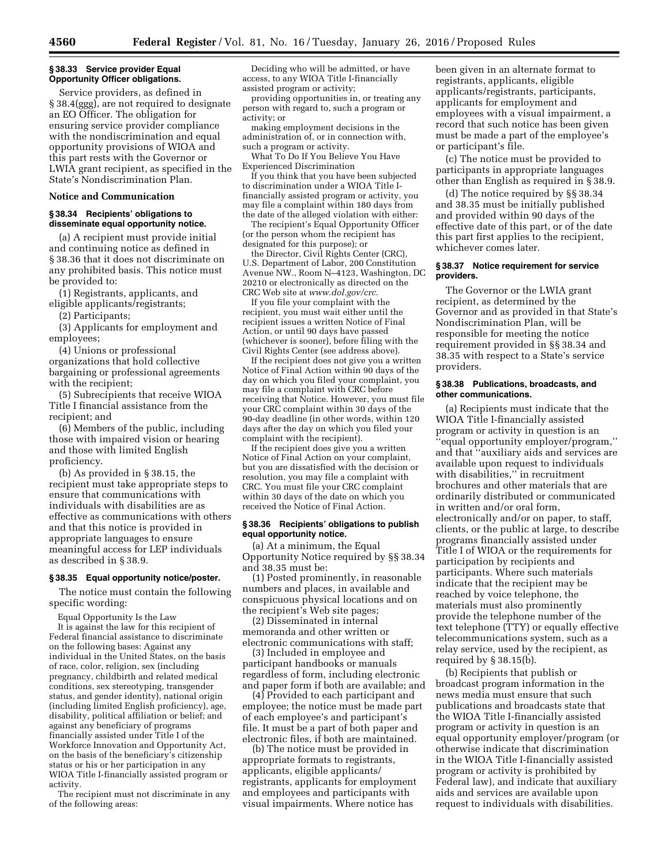# **§ 38.33 Service provider Equal Opportunity Officer obligations.**

Service providers, as defined in § 38.4(ggg), are not required to designate an EO Officer. The obligation for ensuring service provider compliance with the nondiscrimination and equal opportunity provisions of WIOA and this part rests with the Governor or LWIA grant recipient, as specified in the State's Nondiscrimination Plan.

### **Notice and Communication**

### **§ 38.34 Recipients' obligations to disseminate equal opportunity notice.**

(a) A recipient must provide initial and continuing notice as defined in § 38.36 that it does not discriminate on any prohibited basis. This notice must be provided to:

(1) Registrants, applicants, and eligible applicants/registrants;

(2) Participants;

(3) Applicants for employment and employees;

(4) Unions or professional organizations that hold collective bargaining or professional agreements with the recipient;

(5) Subrecipients that receive WIOA Title I financial assistance from the recipient; and

(6) Members of the public, including those with impaired vision or hearing and those with limited English proficiency.

(b) As provided in § 38.15, the recipient must take appropriate steps to ensure that communications with individuals with disabilities are as effective as communications with others and that this notice is provided in appropriate languages to ensure meaningful access for LEP individuals as described in § 38.9.

#### **§ 38.35 Equal opportunity notice/poster.**

The notice must contain the following specific wording:

Equal Opportunity Is the Law It is against the law for this recipient of Federal financial assistance to discriminate on the following bases: Against any individual in the United States, on the basis of race, color, religion, sex (including pregnancy, childbirth and related medical conditions, sex stereotyping, transgender status, and gender identity), national origin (including limited English proficiency), age, disability, political affiliation or belief; and against any beneficiary of programs financially assisted under Title I of the Workforce Innovation and Opportunity Act, on the basis of the beneficiary's citizenship status or his or her participation in any WIOA Title I-financially assisted program or activity.

The recipient must not discriminate in any of the following areas:

Deciding who will be admitted, or have access, to any WIOA Title I-financially assisted program or activity;

providing opportunities in, or treating any person with regard to, such a program or activity; or

making employment decisions in the administration of, or in connection with, such a program or activity.

What To Do If You Believe You Have Experienced Discrimination

If you think that you have been subjected to discrimination under a WIOA Title Ifinancially assisted program or activity, you may file a complaint within 180 days from the date of the alleged violation with either:

The recipient's Equal Opportunity Officer (or the person whom the recipient has designated for this purpose); or

the Director, Civil Rights Center (CRC), U.S. Department of Labor, 200 Constitution Avenue NW., Room N–4123, Washington, DC 20210 or electronically as directed on the CRC Web site at *[www.dol.gov/crc](http://www.dol.gov/crc)*.

If you file your complaint with the recipient, you must wait either until the recipient issues a written Notice of Final Action, or until 90 days have passed (whichever is sooner), before filing with the Civil Rights Center (see address above).

If the recipient does not give you a written Notice of Final Action within 90 days of the day on which you filed your complaint, you may file a complaint with CRC before receiving that Notice. However, you must file your CRC complaint within 30 days of the 90-day deadline (in other words, within 120 days after the day on which you filed your complaint with the recipient).

If the recipient does give you a written Notice of Final Action on your complaint, but you are dissatisfied with the decision or resolution, you may file a complaint with CRC. You must file your CRC complaint within 30 days of the date on which you received the Notice of Final Action.

### **§ 38.36 Recipients' obligations to publish equal opportunity notice.**

(a) At a minimum, the Equal Opportunity Notice required by §§ 38.34 and 38.35 must be:

(1) Posted prominently, in reasonable numbers and places, in available and conspicuous physical locations and on the recipient's Web site pages;

(2) Disseminated in internal memoranda and other written or electronic communications with staff;

(3) Included in employee and participant handbooks or manuals regardless of form, including electronic and paper form if both are available; and

(4) Provided to each participant and employee; the notice must be made part of each employee's and participant's file. It must be a part of both paper and electronic files, if both are maintained.

(b) The notice must be provided in appropriate formats to registrants, applicants, eligible applicants/ registrants, applicants for employment and employees and participants with visual impairments. Where notice has

been given in an alternate format to registrants, applicants, eligible applicants/registrants, participants, applicants for employment and employees with a visual impairment, a record that such notice has been given must be made a part of the employee's or participant's file.

(c) The notice must be provided to participants in appropriate languages other than English as required in § 38.9.

(d) The notice required by §§ 38.34 and 38.35 must be initially published and provided within 90 days of the effective date of this part, or of the date this part first applies to the recipient, whichever comes later.

### **§ 38.37 Notice requirement for service providers.**

The Governor or the LWIA grant recipient, as determined by the Governor and as provided in that State's Nondiscrimination Plan, will be responsible for meeting the notice requirement provided in §§ 38.34 and 38.35 with respect to a State's service providers.

### **§ 38.38 Publications, broadcasts, and other communications.**

(a) Recipients must indicate that the WIOA Title I-financially assisted program or activity in question is an ''equal opportunity employer/program,'' and that ''auxiliary aids and services are available upon request to individuals with disabilities,'' in recruitment brochures and other materials that are ordinarily distributed or communicated in written and/or oral form, electronically and/or on paper, to staff, clients, or the public at large, to describe programs financially assisted under Title I of WIOA or the requirements for participation by recipients and participants. Where such materials indicate that the recipient may be reached by voice telephone, the materials must also prominently provide the telephone number of the text telephone (TTY) or equally effective telecommunications system, such as a relay service, used by the recipient, as required by § 38.15(b).

(b) Recipients that publish or broadcast program information in the news media must ensure that such publications and broadcasts state that the WIOA Title I-financially assisted program or activity in question is an equal opportunity employer/program (or otherwise indicate that discrimination in the WIOA Title I-financially assisted program or activity is prohibited by Federal law), and indicate that auxiliary aids and services are available upon request to individuals with disabilities.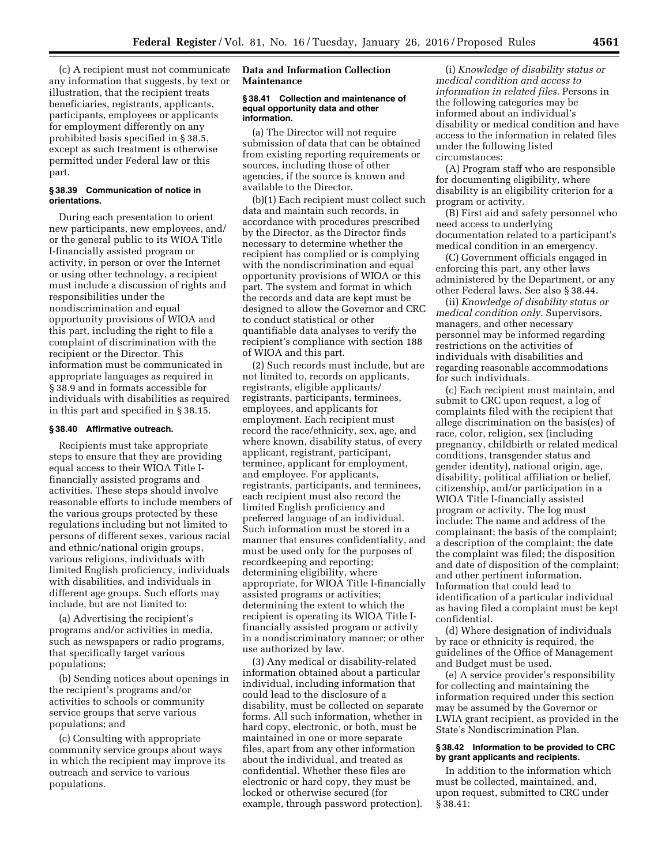(c) A recipient must not communicate any information that suggests, by text or illustration, that the recipient treats beneficiaries, registrants, applicants, participants, employees or applicants for employment differently on any prohibited basis specified in § 38.5, except as such treatment is otherwise permitted under Federal law or this part.

# **§ 38.39 Communication of notice in orientations.**

During each presentation to orient new participants, new employees, and/ or the general public to its WIOA Title I-financially assisted program or activity, in person or over the Internet or using other technology, a recipient must include a discussion of rights and responsibilities under the nondiscrimination and equal opportunity provisions of WIOA and this part, including the right to file a complaint of discrimination with the recipient or the Director. This information must be communicated in appropriate languages as required in § 38.9 and in formats accessible for individuals with disabilities as required in this part and specified in § 38.15.

#### **§ 38.40 Affirmative outreach.**

Recipients must take appropriate steps to ensure that they are providing equal access to their WIOA Title Ifinancially assisted programs and activities. These steps should involve reasonable efforts to include members of the various groups protected by these regulations including but not limited to persons of different sexes, various racial and ethnic/national origin groups, various religions, individuals with limited English proficiency, individuals with disabilities, and individuals in different age groups. Such efforts may include, but are not limited to:

(a) Advertising the recipient's programs and/or activities in media, such as newspapers or radio programs, that specifically target various populations;

(b) Sending notices about openings in the recipient's programs and/or activities to schools or community service groups that serve various populations; and

(c) Consulting with appropriate community service groups about ways in which the recipient may improve its outreach and service to various populations.

## **Data and Information Collection Maintenance**

#### **§ 38.41 Collection and maintenance of equal opportunity data and other information.**

(a) The Director will not require submission of data that can be obtained from existing reporting requirements or sources, including those of other agencies, if the source is known and available to the Director.

(b)(1) Each recipient must collect such data and maintain such records, in accordance with procedures prescribed by the Director, as the Director finds necessary to determine whether the recipient has complied or is complying with the nondiscrimination and equal opportunity provisions of WIOA or this part. The system and format in which the records and data are kept must be designed to allow the Governor and CRC to conduct statistical or other quantifiable data analyses to verify the recipient's compliance with section 188 of WIOA and this part.

(2) Such records must include, but are not limited to, records on applicants, registrants, eligible applicants/ registrants, participants, terminees, employees, and applicants for employment. Each recipient must record the race/ethnicity, sex, age, and where known, disability status, of every applicant, registrant, participant, terminee, applicant for employment, and employee. For applicants, registrants, participants, and terminees, each recipient must also record the limited English proficiency and preferred language of an individual. Such information must be stored in a manner that ensures confidentiality, and must be used only for the purposes of recordkeeping and reporting; determining eligibility, where appropriate, for WIOA Title I-financially assisted programs or activities; determining the extent to which the recipient is operating its WIOA Title Ifinancially assisted program or activity in a nondiscriminatory manner; or other use authorized by law.

(3) Any medical or disability-related information obtained about a particular individual, including information that could lead to the disclosure of a disability, must be collected on separate forms. All such information, whether in hard copy, electronic, or both, must be maintained in one or more separate files, apart from any other information about the individual, and treated as confidential. Whether these files are electronic or hard copy, they must be locked or otherwise secured (for example, through password protection).

(i) *Knowledge of disability status or medical condition and access to information in related files.* Persons in the following categories may be informed about an individual's disability or medical condition and have access to the information in related files under the following listed circumstances:

(A) Program staff who are responsible for documenting eligibility, where disability is an eligibility criterion for a program or activity.

(B) First aid and safety personnel who need access to underlying documentation related to a participant's medical condition in an emergency.

(C) Government officials engaged in enforcing this part, any other laws administered by the Department, or any other Federal laws. See also § 38.44.

(ii) *Knowledge of disability status or medical condition only.* Supervisors, managers, and other necessary personnel may be informed regarding restrictions on the activities of individuals with disabilities and regarding reasonable accommodations for such individuals.

(c) Each recipient must maintain, and submit to CRC upon request, a log of complaints filed with the recipient that allege discrimination on the basis(es) of race, color, religion, sex (including pregnancy, childbirth or related medical conditions, transgender status and gender identity), national origin, age, disability, political affiliation or belief, citizenship, and/or participation in a WIOA Title I-financially assisted program or activity. The log must include: The name and address of the complainant; the basis of the complaint; a description of the complaint; the date the complaint was filed; the disposition and date of disposition of the complaint; and other pertinent information. Information that could lead to identification of a particular individual as having filed a complaint must be kept confidential.

(d) Where designation of individuals by race or ethnicity is required, the guidelines of the Office of Management and Budget must be used.

(e) A service provider's responsibility for collecting and maintaining the information required under this section may be assumed by the Governor or LWIA grant recipient, as provided in the State's Nondiscrimination Plan.

# **§ 38.42 Information to be provided to CRC by grant applicants and recipients.**

In addition to the information which must be collected, maintained, and, upon request, submitted to CRC under § 38.41: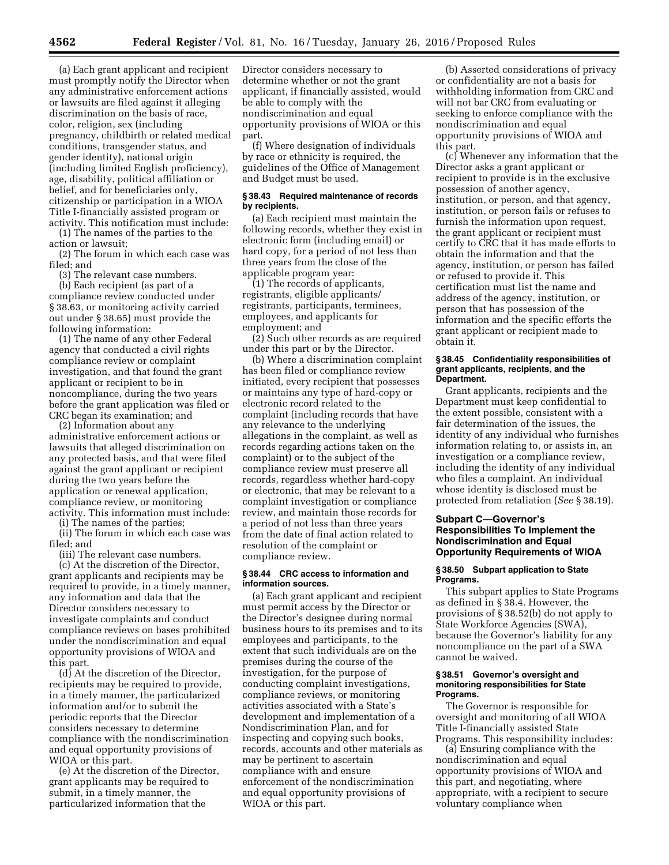(a) Each grant applicant and recipient must promptly notify the Director when any administrative enforcement actions or lawsuits are filed against it alleging discrimination on the basis of race, color, religion, sex (including pregnancy, childbirth or related medical conditions, transgender status, and gender identity), national origin (including limited English proficiency), age, disability, political affiliation or belief, and for beneficiaries only, citizenship or participation in a WIOA Title I-financially assisted program or activity. This notification must include:

(1) The names of the parties to the action or lawsuit;

(2) The forum in which each case was filed; and

(3) The relevant case numbers.

(b) Each recipient (as part of a compliance review conducted under § 38.63, or monitoring activity carried out under § 38.65) must provide the following information:

(1) The name of any other Federal agency that conducted a civil rights compliance review or complaint investigation, and that found the grant applicant or recipient to be in noncompliance, during the two years before the grant application was filed or CRC began its examination; and

(2) Information about any administrative enforcement actions or lawsuits that alleged discrimination on any protected basis, and that were filed against the grant applicant or recipient during the two years before the application or renewal application, compliance review, or monitoring activity. This information must include:

(i) The names of the parties;

(ii) The forum in which each case was filed; and

(iii) The relevant case numbers.

(c) At the discretion of the Director, grant applicants and recipients may be required to provide, in a timely manner, any information and data that the Director considers necessary to investigate complaints and conduct compliance reviews on bases prohibited under the nondiscrimination and equal opportunity provisions of WIOA and this part.

(d) At the discretion of the Director, recipients may be required to provide, in a timely manner, the particularized information and/or to submit the periodic reports that the Director considers necessary to determine compliance with the nondiscrimination and equal opportunity provisions of WIOA or this part.

(e) At the discretion of the Director, grant applicants may be required to submit, in a timely manner, the particularized information that the

Director considers necessary to determine whether or not the grant applicant, if financially assisted, would be able to comply with the nondiscrimination and equal opportunity provisions of WIOA or this part.

(f) Where designation of individuals by race or ethnicity is required, the guidelines of the Office of Management and Budget must be used.

#### **§ 38.43 Required maintenance of records by recipients.**

(a) Each recipient must maintain the following records, whether they exist in electronic form (including email) or hard copy, for a period of not less than three years from the close of the applicable program year:

(1) The records of applicants, registrants, eligible applicants/ registrants, participants, terminees, employees, and applicants for employment; and

(2) Such other records as are required under this part or by the Director.

(b) Where a discrimination complaint has been filed or compliance review initiated, every recipient that possesses or maintains any type of hard-copy or electronic record related to the complaint (including records that have any relevance to the underlying allegations in the complaint, as well as records regarding actions taken on the complaint) or to the subject of the compliance review must preserve all records, regardless whether hard-copy or electronic, that may be relevant to a complaint investigation or compliance review, and maintain those records for a period of not less than three years from the date of final action related to resolution of the complaint or compliance review.

### **§ 38.44 CRC access to information and information sources.**

(a) Each grant applicant and recipient must permit access by the Director or the Director's designee during normal business hours to its premises and to its employees and participants, to the extent that such individuals are on the premises during the course of the investigation, for the purpose of conducting complaint investigations, compliance reviews, or monitoring activities associated with a State's development and implementation of a Nondiscrimination Plan, and for inspecting and copying such books, records, accounts and other materials as may be pertinent to ascertain compliance with and ensure enforcement of the nondiscrimination and equal opportunity provisions of WIOA or this part.

(b) Asserted considerations of privacy or confidentiality are not a basis for withholding information from CRC and will not bar CRC from evaluating or seeking to enforce compliance with the nondiscrimination and equal opportunity provisions of WIOA and this part.

(c) Whenever any information that the Director asks a grant applicant or recipient to provide is in the exclusive possession of another agency, institution, or person, and that agency, institution, or person fails or refuses to furnish the information upon request, the grant applicant or recipient must certify to CRC that it has made efforts to obtain the information and that the agency, institution, or person has failed or refused to provide it. This certification must list the name and address of the agency, institution, or person that has possession of the information and the specific efforts the grant applicant or recipient made to obtain it.

#### **§ 38.45 Confidentiality responsibilities of grant applicants, recipients, and the Department.**

Grant applicants, recipients and the Department must keep confidential to the extent possible, consistent with a fair determination of the issues, the identity of any individual who furnishes information relating to, or assists in, an investigation or a compliance review, including the identity of any individual who files a complaint. An individual whose identity is disclosed must be protected from retaliation (*See* § 38.19).

# **Subpart C—Governor's Responsibilities To Implement the Nondiscrimination and Equal Opportunity Requirements of WIOA**

### **§ 38.50 Subpart application to State Programs.**

This subpart applies to State Programs as defined in § 38.4. However, the provisions of § 38.52(b) do not apply to State Workforce Agencies (SWA), because the Governor's liability for any noncompliance on the part of a SWA cannot be waived.

### **§ 38.51 Governor's oversight and monitoring responsibilities for State Programs.**

The Governor is responsible for oversight and monitoring of all WIOA Title I-financially assisted State Programs. This responsibility includes:

(a) Ensuring compliance with the nondiscrimination and equal opportunity provisions of WIOA and this part, and negotiating, where appropriate, with a recipient to secure voluntary compliance when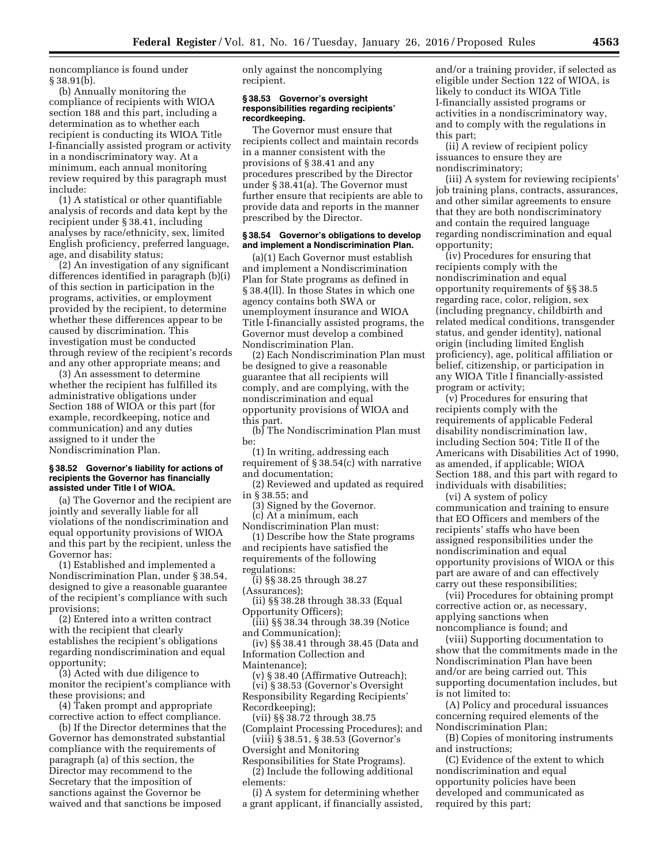noncompliance is found under  $§ 38.91(b).$ 

(b) Annually monitoring the compliance of recipients with WIOA section 188 and this part, including a determination as to whether each recipient is conducting its WIOA Title I-financially assisted program or activity in a nondiscriminatory way. At a minimum, each annual monitoring review required by this paragraph must include:

(1) A statistical or other quantifiable analysis of records and data kept by the recipient under § 38.41, including analyses by race/ethnicity, sex, limited English proficiency, preferred language, age, and disability status;

(2) An investigation of any significant differences identified in paragraph (b)(i) of this section in participation in the programs, activities, or employment provided by the recipient, to determine whether these differences appear to be caused by discrimination. This investigation must be conducted through review of the recipient's records and any other appropriate means; and

(3) An assessment to determine whether the recipient has fulfilled its administrative obligations under Section 188 of WIOA or this part (for example, recordkeeping, notice and communication) and any duties assigned to it under the Nondiscrimination Plan.

### **§ 38.52 Governor's liability for actions of recipients the Governor has financially assisted under Title I of WIOA.**

(a) The Governor and the recipient are jointly and severally liable for all violations of the nondiscrimination and equal opportunity provisions of WIOA and this part by the recipient, unless the Governor has:

(1) Established and implemented a Nondiscrimination Plan, under § 38.54, designed to give a reasonable guarantee of the recipient's compliance with such provisions;

(2) Entered into a written contract with the recipient that clearly establishes the recipient's obligations regarding nondiscrimination and equal opportunity;

(3) Acted with due diligence to monitor the recipient's compliance with these provisions; and

(4) Taken prompt and appropriate corrective action to effect compliance.

(b) If the Director determines that the Governor has demonstrated substantial compliance with the requirements of paragraph (a) of this section, the Director may recommend to the Secretary that the imposition of sanctions against the Governor be waived and that sanctions be imposed

only against the noncomplying recipient.

#### **§ 38.53 Governor's oversight responsibilities regarding recipients' recordkeeping.**

The Governor must ensure that recipients collect and maintain records in a manner consistent with the provisions of § 38.41 and any procedures prescribed by the Director under § 38.41(a). The Governor must further ensure that recipients are able to provide data and reports in the manner prescribed by the Director.

#### **§ 38.54 Governor's obligations to develop and implement a Nondiscrimination Plan.**

(a)(1) Each Governor must establish and implement a Nondiscrimination Plan for State programs as defined in § 38.4(ll). In those States in which one agency contains both SWA or unemployment insurance and WIOA Title I-financially assisted programs, the Governor must develop a combined Nondiscrimination Plan.

(2) Each Nondiscrimination Plan must be designed to give a reasonable guarantee that all recipients will comply, and are complying, with the nondiscrimination and equal opportunity provisions of WIOA and this part.

(b) The Nondiscrimination Plan must be:

(1) In writing, addressing each requirement of § 38.54(c) with narrative and documentation;

(2) Reviewed and updated as required in § 38.55; and

(3) Signed by the Governor.

(c) At a minimum, each

Nondiscrimination Plan must: (1) Describe how the State programs and recipients have satisfied the requirements of the following

regulations: (i) §§ 38.25 through 38.27 (Assurances);

(ii) §§ 38.28 through 38.33 (Equal Opportunity Officers);

(iii) §§ 38.34 through 38.39 (Notice and Communication);

(iv) §§ 38.41 through 38.45 (Data and Information Collection and

Maintenance);

(v) § 38.40 (Affirmative Outreach);

(vi) § 38.53 (Governor's Oversight Responsibility Regarding Recipients' Recordkeeping);

(vii) §§ 38.72 through 38.75

(Complaint Processing Procedures); and (viii) § 38.51, § 38.53 (Governor's

Oversight and Monitoring

Responsibilities for State Programs). (2) Include the following additional elements:

(i) A system for determining whether a grant applicant, if financially assisted, and/or a training provider, if selected as eligible under Section 122 of WIOA, is likely to conduct its WIOA Title I-financially assisted programs or activities in a nondiscriminatory way, and to comply with the regulations in this part;

(ii) A review of recipient policy issuances to ensure they are nondiscriminatory;

(iii) A system for reviewing recipients' job training plans, contracts, assurances, and other similar agreements to ensure that they are both nondiscriminatory and contain the required language regarding nondiscrimination and equal opportunity;

(iv) Procedures for ensuring that recipients comply with the nondiscrimination and equal opportunity requirements of §§ 38.5 regarding race, color, religion, sex (including pregnancy, childbirth and related medical conditions, transgender status, and gender identity), national origin (including limited English proficiency), age, political affiliation or belief, citizenship, or participation in any WIOA Title I financially-assisted program or activity;

(v) Procedures for ensuring that recipients comply with the requirements of applicable Federal disability nondiscrimination law, including Section 504; Title II of the Americans with Disabilities Act of 1990, as amended, if applicable; WIOA Section 188, and this part with regard to individuals with disabilities;

(vi) A system of policy communication and training to ensure that EO Officers and members of the recipients' staffs who have been assigned responsibilities under the nondiscrimination and equal opportunity provisions of WIOA or this part are aware of and can effectively carry out these responsibilities;

(vii) Procedures for obtaining prompt corrective action or, as necessary, applying sanctions when noncompliance is found; and

(viii) Supporting documentation to show that the commitments made in the Nondiscrimination Plan have been and/or are being carried out. This supporting documentation includes, but is not limited to:

(A) Policy and procedural issuances concerning required elements of the Nondiscrimination Plan;

(B) Copies of monitoring instruments and instructions;

(C) Evidence of the extent to which nondiscrimination and equal opportunity policies have been developed and communicated as required by this part;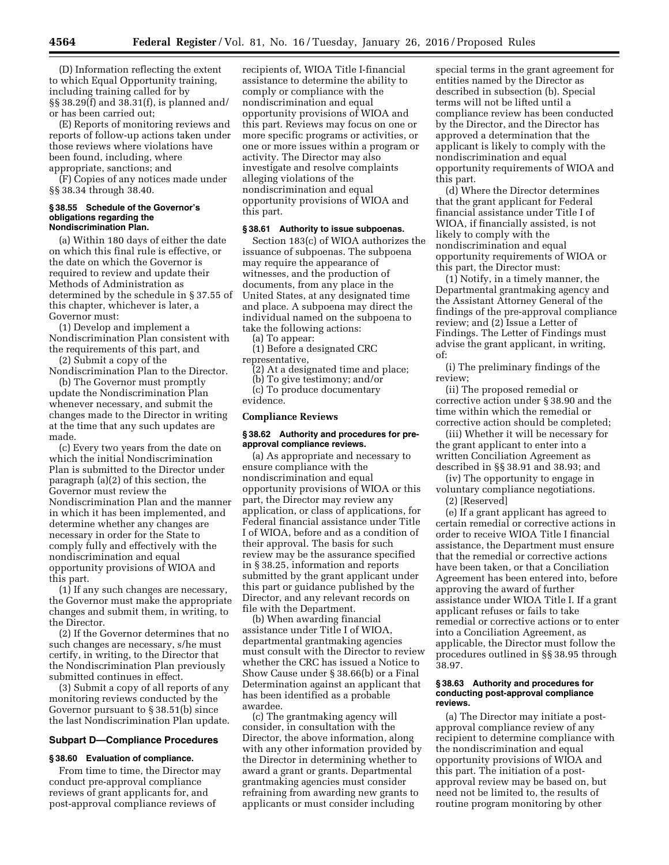(D) Information reflecting the extent to which Equal Opportunity training, including training called for by §§ 38.29(f) and 38.31(f), is planned and/ or has been carried out;

(E) Reports of monitoring reviews and reports of follow-up actions taken under those reviews where violations have been found, including, where appropriate, sanctions; and

(F) Copies of any notices made under §§ 38.34 through 38.40.

#### **§ 38.55 Schedule of the Governor's obligations regarding the Nondiscrimination Plan.**

(a) Within 180 days of either the date on which this final rule is effective, or the date on which the Governor is required to review and update their Methods of Administration as determined by the schedule in § 37.55 of this chapter, whichever is later, a Governor must:

(1) Develop and implement a Nondiscrimination Plan consistent with the requirements of this part, and

(2) Submit a copy of the Nondiscrimination Plan to the Director.

(b) The Governor must promptly update the Nondiscrimination Plan whenever necessary, and submit the changes made to the Director in writing at the time that any such updates are made.

(c) Every two years from the date on which the initial Nondiscrimination Plan is submitted to the Director under paragraph (a)(2) of this section, the Governor must review the Nondiscrimination Plan and the manner in which it has been implemented, and determine whether any changes are necessary in order for the State to comply fully and effectively with the nondiscrimination and equal opportunity provisions of WIOA and this part.

(1) If any such changes are necessary, the Governor must make the appropriate changes and submit them, in writing, to the Director.

(2) If the Governor determines that no such changes are necessary, s/he must certify, in writing, to the Director that the Nondiscrimination Plan previously submitted continues in effect.

(3) Submit a copy of all reports of any monitoring reviews conducted by the Governor pursuant to § 38.51(b) since the last Nondiscrimination Plan update.

## **Subpart D—Compliance Procedures**

## **§ 38.60 Evaluation of compliance.**

From time to time, the Director may conduct pre-approval compliance reviews of grant applicants for, and post-approval compliance reviews of

recipients of, WIOA Title I-financial assistance to determine the ability to comply or compliance with the nondiscrimination and equal opportunity provisions of WIOA and this part. Reviews may focus on one or more specific programs or activities, or one or more issues within a program or activity. The Director may also investigate and resolve complaints alleging violations of the nondiscrimination and equal opportunity provisions of WIOA and this part.

#### **§ 38.61 Authority to issue subpoenas.**

Section 183(c) of WIOA authorizes the issuance of subpoenas. The subpoena may require the appearance of witnesses, and the production of documents, from any place in the United States, at any designated time and place. A subpoena may direct the individual named on the subpoena to take the following actions:

(a) To appear:

(1) Before a designated CRC representative,

(2) At a designated time and place;

(b) To give testimony; and/or

(c) To produce documentary evidence.

### **Compliance Reviews**

#### **§ 38.62 Authority and procedures for preapproval compliance reviews.**

(a) As appropriate and necessary to ensure compliance with the nondiscrimination and equal opportunity provisions of WIOA or this part, the Director may review any application, or class of applications, for Federal financial assistance under Title I of WIOA, before and as a condition of their approval. The basis for such review may be the assurance specified in § 38.25, information and reports submitted by the grant applicant under this part or guidance published by the Director, and any relevant records on file with the Department.

(b) When awarding financial assistance under Title I of WIOA, departmental grantmaking agencies must consult with the Director to review whether the CRC has issued a Notice to Show Cause under § 38.66(b) or a Final Determination against an applicant that has been identified as a probable awardee.

(c) The grantmaking agency will consider, in consultation with the Director, the above information, along with any other information provided by the Director in determining whether to award a grant or grants. Departmental grantmaking agencies must consider refraining from awarding new grants to applicants or must consider including

special terms in the grant agreement for entities named by the Director as described in subsection (b). Special terms will not be lifted until a compliance review has been conducted by the Director, and the Director has approved a determination that the applicant is likely to comply with the nondiscrimination and equal opportunity requirements of WIOA and this part.

(d) Where the Director determines that the grant applicant for Federal financial assistance under Title I of WIOA, if financially assisted, is not likely to comply with the nondiscrimination and equal opportunity requirements of WIOA or this part, the Director must:

(1) Notify, in a timely manner, the Departmental grantmaking agency and the Assistant Attorney General of the findings of the pre-approval compliance review; and (2) Issue a Letter of Findings. The Letter of Findings must advise the grant applicant, in writing, of:

(i) The preliminary findings of the review;

(ii) The proposed remedial or corrective action under § 38.90 and the time within which the remedial or corrective action should be completed;

(iii) Whether it will be necessary for the grant applicant to enter into a written Conciliation Agreement as described in §§ 38.91 and 38.93; and

(iv) The opportunity to engage in voluntary compliance negotiations.

(2) [Reserved]

(e) If a grant applicant has agreed to certain remedial or corrective actions in order to receive WIOA Title I financial assistance, the Department must ensure that the remedial or corrective actions have been taken, or that a Conciliation Agreement has been entered into, before approving the award of further assistance under WIOA Title I. If a grant applicant refuses or fails to take remedial or corrective actions or to enter into a Conciliation Agreement, as applicable, the Director must follow the procedures outlined in §§ 38.95 through 38.97.

### **§ 38.63 Authority and procedures for conducting post-approval compliance reviews.**

(a) The Director may initiate a postapproval compliance review of any recipient to determine compliance with the nondiscrimination and equal opportunity provisions of WIOA and this part. The initiation of a postapproval review may be based on, but need not be limited to, the results of routine program monitoring by other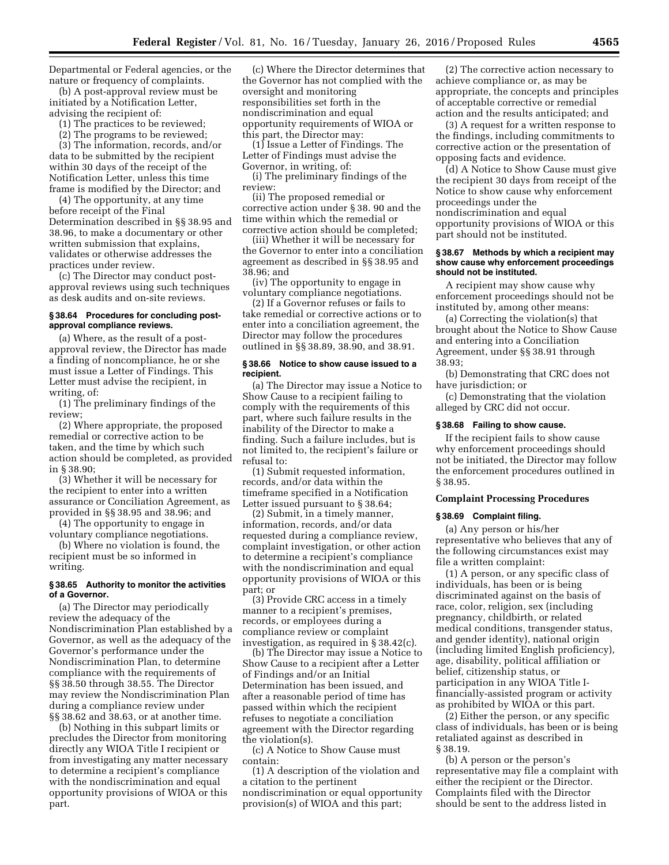Departmental or Federal agencies, or the nature or frequency of complaints.

(b) A post-approval review must be initiated by a Notification Letter, advising the recipient of:

(1) The practices to be reviewed;

(2) The programs to be reviewed;

(3) The information, records, and/or data to be submitted by the recipient within 30 days of the receipt of the Notification Letter, unless this time frame is modified by the Director; and

(4) The opportunity, at any time before receipt of the Final Determination described in §§ 38.95 and 38.96, to make a documentary or other written submission that explains, validates or otherwise addresses the practices under review.

(c) The Director may conduct postapproval reviews using such techniques as desk audits and on-site reviews.

### **§ 38.64 Procedures for concluding postapproval compliance reviews.**

(a) Where, as the result of a postapproval review, the Director has made a finding of noncompliance, he or she must issue a Letter of Findings. This Letter must advise the recipient, in writing, of:

(1) The preliminary findings of the review;

(2) Where appropriate, the proposed remedial or corrective action to be taken, and the time by which such action should be completed, as provided in § 38.90;

(3) Whether it will be necessary for the recipient to enter into a written assurance or Conciliation Agreement, as provided in §§ 38.95 and 38.96; and

(4) The opportunity to engage in voluntary compliance negotiations.

(b) Where no violation is found, the recipient must be so informed in writing.

### **§ 38.65 Authority to monitor the activities of a Governor.**

(a) The Director may periodically review the adequacy of the Nondiscrimination Plan established by a Governor, as well as the adequacy of the Governor's performance under the Nondiscrimination Plan, to determine compliance with the requirements of §§ 38.50 through 38.55. The Director may review the Nondiscrimination Plan during a compliance review under §§ 38.62 and 38.63, or at another time.

(b) Nothing in this subpart limits or precludes the Director from monitoring directly any WIOA Title I recipient or from investigating any matter necessary to determine a recipient's compliance with the nondiscrimination and equal opportunity provisions of WIOA or this part.

(c) Where the Director determines that the Governor has not complied with the oversight and monitoring responsibilities set forth in the nondiscrimination and equal opportunity requirements of WIOA or this part, the Director may:

(1) Issue a Letter of Findings. The Letter of Findings must advise the Governor, in writing, of:

(i) The preliminary findings of the review:

(ii) The proposed remedial or corrective action under § 38. 90 and the time within which the remedial or corrective action should be completed;

(iii) Whether it will be necessary for the Governor to enter into a conciliation agreement as described in §§ 38.95 and 38.96; and

(iv) The opportunity to engage in voluntary compliance negotiations.

(2) If a Governor refuses or fails to take remedial or corrective actions or to enter into a conciliation agreement, the Director may follow the procedures outlined in §§ 38.89, 38.90, and 38.91.

#### **§ 38.66 Notice to show cause issued to a recipient.**

(a) The Director may issue a Notice to Show Cause to a recipient failing to comply with the requirements of this part, where such failure results in the inability of the Director to make a finding. Such a failure includes, but is not limited to, the recipient's failure or refusal to:

(1) Submit requested information, records, and/or data within the timeframe specified in a Notification Letter issued pursuant to § 38.64;

(2) Submit, in a timely manner, information, records, and/or data requested during a compliance review, complaint investigation, or other action to determine a recipient's compliance with the nondiscrimination and equal opportunity provisions of WIOA or this part; or

(3) Provide CRC access in a timely manner to a recipient's premises, records, or employees during a compliance review or complaint investigation, as required in § 38.42(c).

(b) The Director may issue a Notice to Show Cause to a recipient after a Letter of Findings and/or an Initial Determination has been issued, and after a reasonable period of time has passed within which the recipient refuses to negotiate a conciliation agreement with the Director regarding the violation(s).

(c) A Notice to Show Cause must contain:

(1) A description of the violation and a citation to the pertinent nondiscrimination or equal opportunity provision(s) of WIOA and this part;

(2) The corrective action necessary to achieve compliance or, as may be appropriate, the concepts and principles of acceptable corrective or remedial action and the results anticipated; and

(3) A request for a written response to the findings, including commitments to corrective action or the presentation of opposing facts and evidence.

(d) A Notice to Show Cause must give the recipient 30 days from receipt of the Notice to show cause why enforcement proceedings under the nondiscrimination and equal opportunity provisions of WIOA or this part should not be instituted.

#### **§ 38.67 Methods by which a recipient may show cause why enforcement proceedings should not be instituted.**

A recipient may show cause why enforcement proceedings should not be instituted by, among other means:

(a) Correcting the violation(s) that brought about the Notice to Show Cause and entering into a Conciliation Agreement, under §§ 38.91 through 38.93;

(b) Demonstrating that CRC does not have jurisdiction; or

(c) Demonstrating that the violation alleged by CRC did not occur.

### **§ 38.68 Failing to show cause.**

If the recipient fails to show cause why enforcement proceedings should not be initiated, the Director may follow the enforcement procedures outlined in § 38.95.

## **Complaint Processing Procedures**

### **§ 38.69 Complaint filing.**

(a) Any person or his/her representative who believes that any of the following circumstances exist may file a written complaint:

(1) A person, or any specific class of individuals, has been or is being discriminated against on the basis of race, color, religion, sex (including pregnancy, childbirth, or related medical conditions, transgender status, and gender identity), national origin (including limited English proficiency), age, disability, political affiliation or belief, citizenship status, or participation in any WIOA Title Ifinancially-assisted program or activity as prohibited by WIOA or this part.

(2) Either the person, or any specific class of individuals, has been or is being retaliated against as described in § 38.19.

(b) A person or the person's representative may file a complaint with either the recipient or the Director. Complaints filed with the Director should be sent to the address listed in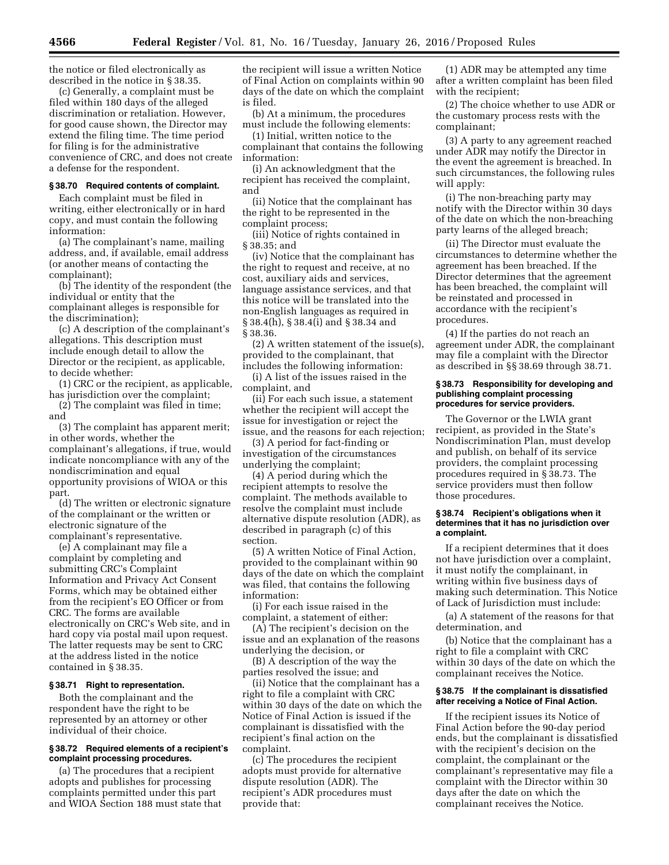the notice or filed electronically as described in the notice in § 38.35.

(c) Generally, a complaint must be filed within 180 days of the alleged discrimination or retaliation. However, for good cause shown, the Director may extend the filing time. The time period for filing is for the administrative convenience of CRC, and does not create a defense for the respondent.

### **§ 38.70 Required contents of complaint.**

Each complaint must be filed in writing, either electronically or in hard copy, and must contain the following information:

(a) The complainant's name, mailing address, and, if available, email address (or another means of contacting the complainant);

(b) The identity of the respondent (the individual or entity that the complainant alleges is responsible for the discrimination);

(c) A description of the complainant's allegations. This description must include enough detail to allow the Director or the recipient, as applicable, to decide whether:

(1) CRC or the recipient, as applicable, has jurisdiction over the complaint;

(2) The complaint was filed in time; and

(3) The complaint has apparent merit; in other words, whether the complainant's allegations, if true, would indicate noncompliance with any of the nondiscrimination and equal opportunity provisions of WIOA or this part.

(d) The written or electronic signature of the complainant or the written or electronic signature of the complainant's representative.

(e) A complainant may file a complaint by completing and submitting CRC's Complaint Information and Privacy Act Consent Forms, which may be obtained either from the recipient's EO Officer or from CRC. The forms are available electronically on CRC's Web site, and in hard copy via postal mail upon request. The latter requests may be sent to CRC at the address listed in the notice contained in § 38.35.

### **§ 38.71 Right to representation.**

Both the complainant and the respondent have the right to be represented by an attorney or other individual of their choice.

#### **§ 38.72 Required elements of a recipient's complaint processing procedures.**

(a) The procedures that a recipient adopts and publishes for processing complaints permitted under this part and WIOA Section 188 must state that the recipient will issue a written Notice of Final Action on complaints within 90 days of the date on which the complaint is filed.

(b) At a minimum, the procedures must include the following elements:

(1) Initial, written notice to the complainant that contains the following information:

(i) An acknowledgment that the recipient has received the complaint, and

(ii) Notice that the complainant has the right to be represented in the complaint process;

(iii) Notice of rights contained in § 38.35; and

(iv) Notice that the complainant has the right to request and receive, at no cost, auxiliary aids and services, language assistance services, and that this notice will be translated into the non-English languages as required in § 38.4(h), § 38.4(i) and § 38.34 and § 38.36.

(2) A written statement of the issue(s), provided to the complainant, that includes the following information:

(i) A list of the issues raised in the complaint, and

(ii) For each such issue, a statement whether the recipient will accept the issue for investigation or reject the issue, and the reasons for each rejection;

(3) A period for fact-finding or investigation of the circumstances underlying the complaint;

(4) A period during which the recipient attempts to resolve the complaint. The methods available to resolve the complaint must include alternative dispute resolution (ADR), as described in paragraph (c) of this section.

(5) A written Notice of Final Action, provided to the complainant within 90 days of the date on which the complaint was filed, that contains the following information:

(i) For each issue raised in the complaint, a statement of either:

(A) The recipient's decision on the issue and an explanation of the reasons underlying the decision, or

(B) A description of the way the parties resolved the issue; and

(ii) Notice that the complainant has a right to file a complaint with CRC within 30 days of the date on which the Notice of Final Action is issued if the complainant is dissatisfied with the recipient's final action on the complaint.

(c) The procedures the recipient adopts must provide for alternative dispute resolution (ADR). The recipient's ADR procedures must provide that:

(1) ADR may be attempted any time after a written complaint has been filed with the recipient;

(2) The choice whether to use ADR or the customary process rests with the complainant;

(3) A party to any agreement reached under ADR may notify the Director in the event the agreement is breached. In such circumstances, the following rules will apply:

(i) The non-breaching party may notify with the Director within 30 days of the date on which the non-breaching party learns of the alleged breach;

(ii) The Director must evaluate the circumstances to determine whether the agreement has been breached. If the Director determines that the agreement has been breached, the complaint will be reinstated and processed in accordance with the recipient's procedures.

(4) If the parties do not reach an agreement under ADR, the complainant may file a complaint with the Director as described in §§ 38.69 through 38.71.

### **§ 38.73 Responsibility for developing and publishing complaint processing procedures for service providers.**

The Governor or the LWIA grant recipient, as provided in the State's Nondiscrimination Plan, must develop and publish, on behalf of its service providers, the complaint processing procedures required in § 38.73. The service providers must then follow those procedures.

### **§ 38.74 Recipient's obligations when it determines that it has no jurisdiction over a complaint.**

If a recipient determines that it does not have jurisdiction over a complaint, it must notify the complainant, in writing within five business days of making such determination. This Notice of Lack of Jurisdiction must include:

(a) A statement of the reasons for that determination, and

(b) Notice that the complainant has a right to file a complaint with CRC within 30 days of the date on which the complainant receives the Notice.

### **§ 38.75 If the complainant is dissatisfied after receiving a Notice of Final Action.**

If the recipient issues its Notice of Final Action before the 90-day period ends, but the complainant is dissatisfied with the recipient's decision on the complaint, the complainant or the complainant's representative may file a complaint with the Director within 30 days after the date on which the complainant receives the Notice.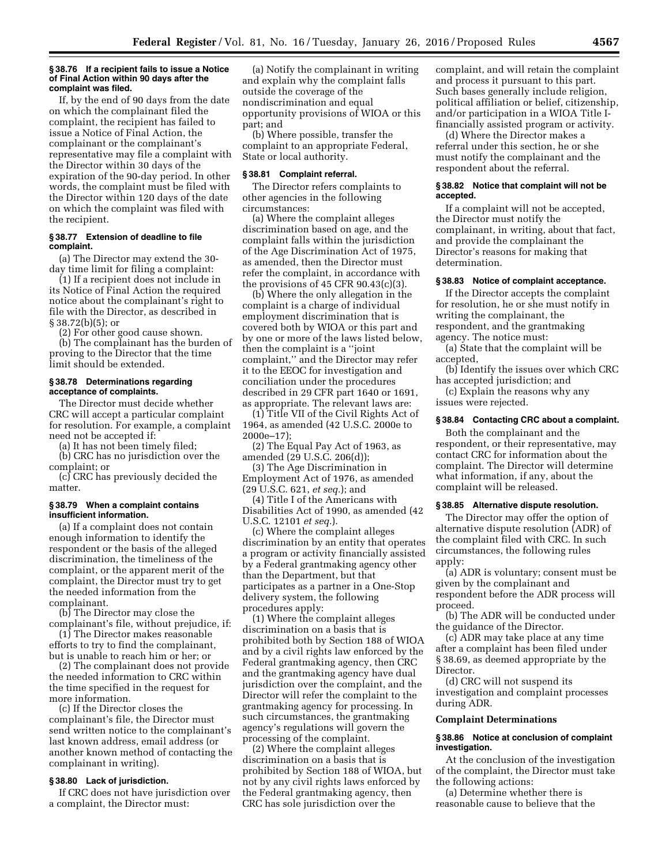#### **§ 38.76 If a recipient fails to issue a Notice of Final Action within 90 days after the complaint was filed.**

If, by the end of 90 days from the date on which the complainant filed the complaint, the recipient has failed to issue a Notice of Final Action, the complainant or the complainant's representative may file a complaint with the Director within 30 days of the expiration of the 90-day period. In other words, the complaint must be filed with the Director within 120 days of the date on which the complaint was filed with the recipient.

### **§ 38.77 Extension of deadline to file complaint.**

(a) The Director may extend the 30 day time limit for filing a complaint:

(1) If a recipient does not include in its Notice of Final Action the required notice about the complainant's right to file with the Director, as described in § 38.72(b)(5); or

(2) For other good cause shown.

(b) The complainant has the burden of proving to the Director that the time limit should be extended.

## **§ 38.78 Determinations regarding acceptance of complaints.**

The Director must decide whether CRC will accept a particular complaint for resolution. For example, a complaint need not be accepted if:

(a) It has not been timely filed;

(b) CRC has no jurisdiction over the complaint; or

(c) CRC has previously decided the matter.

### **§ 38.79 When a complaint contains insufficient information.**

(a) If a complaint does not contain enough information to identify the respondent or the basis of the alleged discrimination, the timeliness of the complaint, or the apparent merit of the complaint, the Director must try to get the needed information from the complainant.

(b) The Director may close the complainant's file, without prejudice, if:

(1) The Director makes reasonable efforts to try to find the complainant, but is unable to reach him or her; or

(2) The complainant does not provide the needed information to CRC within the time specified in the request for more information.

(c) If the Director closes the complainant's file, the Director must send written notice to the complainant's last known address, email address (or another known method of contacting the complainant in writing).

## **§ 38.80 Lack of jurisdiction.**

If CRC does not have jurisdiction over a complaint, the Director must:

(a) Notify the complainant in writing and explain why the complaint falls outside the coverage of the nondiscrimination and equal opportunity provisions of WIOA or this part; and

(b) Where possible, transfer the complaint to an appropriate Federal, State or local authority.

#### **§ 38.81 Complaint referral.**

The Director refers complaints to other agencies in the following circumstances:

(a) Where the complaint alleges discrimination based on age, and the complaint falls within the jurisdiction of the Age Discrimination Act of 1975, as amended, then the Director must refer the complaint, in accordance with the provisions of 45 CFR 90.43(c)(3).

(b) Where the only allegation in the complaint is a charge of individual employment discrimination that is covered both by WIOA or this part and by one or more of the laws listed below, then the complaint is a ''joint complaint,'' and the Director may refer it to the EEOC for investigation and conciliation under the procedures described in 29 CFR part 1640 or 1691, as appropriate. The relevant laws are:

(1) Title VII of the Civil Rights Act of 1964, as amended (42 U.S.C. 2000e to 2000e–17);

(2) The Equal Pay Act of 1963, as amended (29 U.S.C. 206(d));

(3) The Age Discrimination in Employment Act of 1976, as amended (29 U.S.C. 621, *et seq.*); and

(4) Title I of the Americans with Disabilities Act of 1990, as amended (42

U.S.C. 12101 *et seq.*).

(c) Where the complaint alleges discrimination by an entity that operates a program or activity financially assisted by a Federal grantmaking agency other than the Department, but that participates as a partner in a One-Stop delivery system, the following procedures apply:

(1) Where the complaint alleges discrimination on a basis that is prohibited both by Section 188 of WIOA and by a civil rights law enforced by the Federal grantmaking agency, then CRC and the grantmaking agency have dual jurisdiction over the complaint, and the Director will refer the complaint to the grantmaking agency for processing. In such circumstances, the grantmaking agency's regulations will govern the processing of the complaint.

(2) Where the complaint alleges discrimination on a basis that is prohibited by Section 188 of WIOA, but not by any civil rights laws enforced by the Federal grantmaking agency, then CRC has sole jurisdiction over the

complaint, and will retain the complaint and process it pursuant to this part. Such bases generally include religion, political affiliation or belief, citizenship, and/or participation in a WIOA Title Ifinancially assisted program or activity.

(d) Where the Director makes a referral under this section, he or she must notify the complainant and the respondent about the referral.

### **§ 38.82 Notice that complaint will not be accepted.**

If a complaint will not be accepted, the Director must notify the complainant, in writing, about that fact, and provide the complainant the Director's reasons for making that determination.

# **§ 38.83 Notice of complaint acceptance.**

If the Director accepts the complaint for resolution, he or she must notify in writing the complainant, the respondent, and the grantmaking agency. The notice must:

(a) State that the complaint will be accepted,

(b) Identify the issues over which CRC has accepted jurisdiction; and

(c) Explain the reasons why any issues were rejected.

# **§ 38.84 Contacting CRC about a complaint.**

Both the complainant and the respondent, or their representative, may contact CRC for information about the complaint. The Director will determine what information, if any, about the complaint will be released.

# **§ 38.85 Alternative dispute resolution.**

The Director may offer the option of alternative dispute resolution (ADR) of the complaint filed with CRC. In such circumstances, the following rules apply:

(a) ADR is voluntary; consent must be given by the complainant and respondent before the ADR process will proceed.

(b) The ADR will be conducted under the guidance of the Director.

(c) ADR may take place at any time after a complaint has been filed under § 38.69, as deemed appropriate by the Director.

(d) CRC will not suspend its investigation and complaint processes during ADR.

### **Complaint Determinations**

### **§ 38.86 Notice at conclusion of complaint investigation.**

At the conclusion of the investigation of the complaint, the Director must take the following actions:

(a) Determine whether there is reasonable cause to believe that the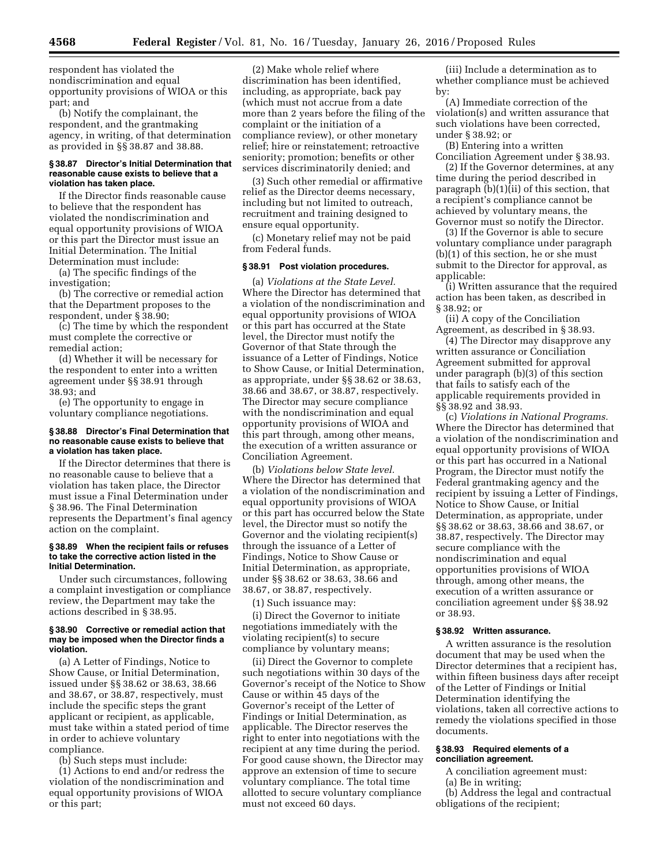respondent has violated the nondiscrimination and equal opportunity provisions of WIOA or this part; and

(b) Notify the complainant, the respondent, and the grantmaking agency, in writing, of that determination as provided in §§ 38.87 and 38.88.

#### **§ 38.87 Director's Initial Determination that reasonable cause exists to believe that a violation has taken place.**

If the Director finds reasonable cause to believe that the respondent has violated the nondiscrimination and equal opportunity provisions of WIOA or this part the Director must issue an Initial Determination. The Initial Determination must include:

(a) The specific findings of the investigation;

(b) The corrective or remedial action that the Department proposes to the respondent, under § 38.90;

(c) The time by which the respondent must complete the corrective or remedial action;

(d) Whether it will be necessary for the respondent to enter into a written agreement under §§ 38.91 through 38.93; and

(e) The opportunity to engage in voluntary compliance negotiations.

# **§ 38.88 Director's Final Determination that no reasonable cause exists to believe that a violation has taken place.**

If the Director determines that there is no reasonable cause to believe that a violation has taken place, the Director must issue a Final Determination under § 38.96. The Final Determination represents the Department's final agency action on the complaint.

#### **§ 38.89 When the recipient fails or refuses to take the corrective action listed in the Initial Determination.**

Under such circumstances, following a complaint investigation or compliance review, the Department may take the actions described in § 38.95.

### **§ 38.90 Corrective or remedial action that may be imposed when the Director finds a violation.**

(a) A Letter of Findings, Notice to Show Cause, or Initial Determination, issued under §§ 38.62 or 38.63, 38.66 and 38.67, or 38.87, respectively, must include the specific steps the grant applicant or recipient, as applicable, must take within a stated period of time in order to achieve voluntary compliance.

(b) Such steps must include:

(1) Actions to end and/or redress the violation of the nondiscrimination and equal opportunity provisions of WIOA or this part;

(2) Make whole relief where discrimination has been identified, including, as appropriate, back pay (which must not accrue from a date more than 2 years before the filing of the complaint or the initiation of a compliance review), or other monetary relief; hire or reinstatement; retroactive seniority; promotion; benefits or other services discriminatorily denied; and

(3) Such other remedial or affirmative relief as the Director deems necessary, including but not limited to outreach, recruitment and training designed to ensure equal opportunity.

(c) Monetary relief may not be paid from Federal funds.

#### **§ 38.91 Post violation procedures.**

(a) *Violations at the State Level.*  Where the Director has determined that a violation of the nondiscrimination and equal opportunity provisions of WIOA or this part has occurred at the State level, the Director must notify the Governor of that State through the issuance of a Letter of Findings, Notice to Show Cause, or Initial Determination, as appropriate, under §§ 38.62 or 38.63, 38.66 and 38.67, or 38.87, respectively. The Director may secure compliance with the nondiscrimination and equal opportunity provisions of WIOA and this part through, among other means, the execution of a written assurance or Conciliation Agreement.

(b) *Violations below State level.*  Where the Director has determined that a violation of the nondiscrimination and equal opportunity provisions of WIOA or this part has occurred below the State level, the Director must so notify the Governor and the violating recipient(s) through the issuance of a Letter of Findings, Notice to Show Cause or Initial Determination, as appropriate, under §§ 38.62 or 38.63, 38.66 and 38.67, or 38.87, respectively.

(1) Such issuance may:

(i) Direct the Governor to initiate negotiations immediately with the violating recipient(s) to secure compliance by voluntary means;

(ii) Direct the Governor to complete such negotiations within 30 days of the Governor's receipt of the Notice to Show Cause or within 45 days of the Governor's receipt of the Letter of Findings or Initial Determination, as applicable. The Director reserves the right to enter into negotiations with the recipient at any time during the period. For good cause shown, the Director may approve an extension of time to secure voluntary compliance. The total time allotted to secure voluntary compliance must not exceed 60 days.

(iii) Include a determination as to whether compliance must be achieved by:

(A) Immediate correction of the violation(s) and written assurance that such violations have been corrected, under § 38.92; or

(B) Entering into a written Conciliation Agreement under § 38.93.

(2) If the Governor determines, at any time during the period described in paragraph (b)(1)(ii) of this section, that a recipient's compliance cannot be achieved by voluntary means, the Governor must so notify the Director.

(3) If the Governor is able to secure voluntary compliance under paragraph (b)(1) of this section, he or she must submit to the Director for approval, as applicable:

(i) Written assurance that the required action has been taken, as described in § 38.92; or

(ii) A copy of the Conciliation Agreement, as described in § 38.93.

(4) The Director may disapprove any written assurance or Conciliation Agreement submitted for approval under paragraph (b)(3) of this section that fails to satisfy each of the applicable requirements provided in §§ 38.92 and 38.93.

(c) *Violations in National Programs.*  Where the Director has determined that a violation of the nondiscrimination and equal opportunity provisions of WIOA or this part has occurred in a National Program, the Director must notify the Federal grantmaking agency and the recipient by issuing a Letter of Findings, Notice to Show Cause, or Initial Determination, as appropriate, under §§ 38.62 or 38.63, 38.66 and 38.67, or 38.87, respectively. The Director may secure compliance with the nondiscrimination and equal opportunities provisions of WIOA through, among other means, the execution of a written assurance or conciliation agreement under §§ 38.92 or 38.93.

### **§ 38.92 Written assurance.**

A written assurance is the resolution document that may be used when the Director determines that a recipient has, within fifteen business days after receipt of the Letter of Findings or Initial Determination identifying the violations, taken all corrective actions to remedy the violations specified in those documents.

### **§ 38.93 Required elements of a conciliation agreement.**

- A conciliation agreement must:
- (a) Be in writing;
- (b) Address the legal and contractual obligations of the recipient;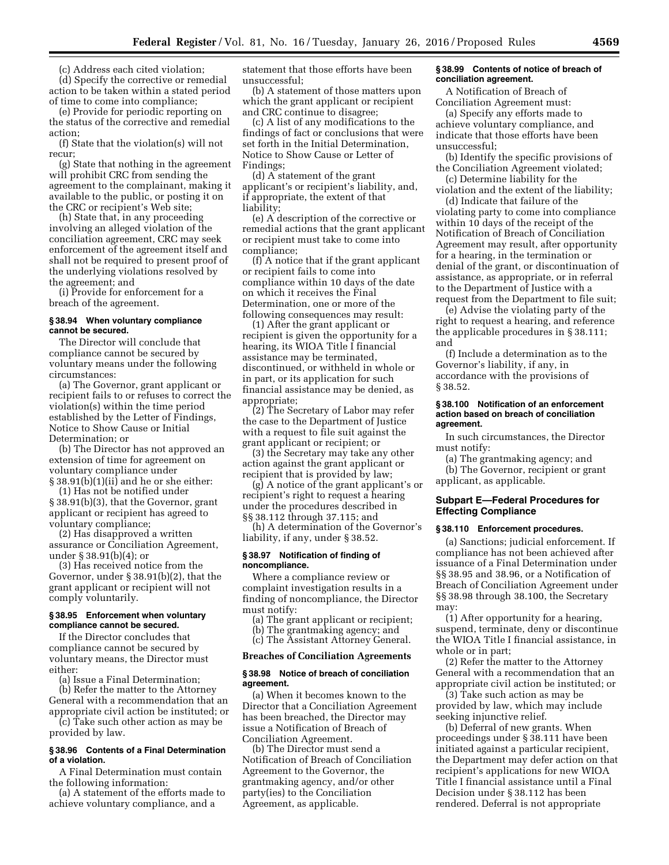(c) Address each cited violation;

(d) Specify the corrective or remedial action to be taken within a stated period of time to come into compliance;

(e) Provide for periodic reporting on the status of the corrective and remedial action;

(f) State that the violation(s) will not recur;

(g) State that nothing in the agreement will prohibit CRC from sending the agreement to the complainant, making it available to the public, or posting it on the CRC or recipient's Web site;

(h) State that, in any proceeding involving an alleged violation of the conciliation agreement, CRC may seek enforcement of the agreement itself and shall not be required to present proof of the underlying violations resolved by the agreement; and

(i) Provide for enforcement for a breach of the agreement.

## **§ 38.94 When voluntary compliance cannot be secured.**

The Director will conclude that compliance cannot be secured by voluntary means under the following circumstances:

(a) The Governor, grant applicant or recipient fails to or refuses to correct the violation(s) within the time period established by the Letter of Findings, Notice to Show Cause or Initial Determination; or

(b) The Director has not approved an extension of time for agreement on voluntary compliance under § 38.91(b)(1)(ii) and he or she either:

(1) Has not be notified under § 38.91(b)(3), that the Governor, grant applicant or recipient has agreed to voluntary compliance;

(2) Has disapproved a written assurance or Conciliation Agreement, under § 38.91(b)(4); or

(3) Has received notice from the Governor, under § 38.91(b)(2), that the grant applicant or recipient will not comply voluntarily.

# **§ 38.95 Enforcement when voluntary compliance cannot be secured.**

If the Director concludes that compliance cannot be secured by voluntary means, the Director must either:

(a) Issue a Final Determination;

(b) Refer the matter to the Attorney General with a recommendation that an appropriate civil action be instituted; or (c) Take such other action as may be provided by law.

## **§ 38.96 Contents of a Final Determination of a violation.**

A Final Determination must contain the following information:

(a) A statement of the efforts made to achieve voluntary compliance, and a

statement that those efforts have been unsuccessful;

(b) A statement of those matters upon which the grant applicant or recipient and CRC continue to disagree;

(c) A list of any modifications to the findings of fact or conclusions that were set forth in the Initial Determination, Notice to Show Cause or Letter of Findings;

(d) A statement of the grant applicant's or recipient's liability, and, if appropriate, the extent of that liability;

(e) A description of the corrective or remedial actions that the grant applicant or recipient must take to come into compliance;

(f) A notice that if the grant applicant or recipient fails to come into compliance within 10 days of the date on which it receives the Final Determination, one or more of the following consequences may result:

(1) After the grant applicant or recipient is given the opportunity for a hearing, its WIOA Title I financial assistance may be terminated, discontinued, or withheld in whole or in part, or its application for such financial assistance may be denied, as appropriate;

(2) The Secretary of Labor may refer the case to the Department of Justice with a request to file suit against the grant applicant or recipient; or

(3) the Secretary may take any other action against the grant applicant or recipient that is provided by law;

(g) A notice of the grant applicant's or recipient's right to request a hearing under the procedures described in §§ 38.112 through 37.115; and

(h) A determination of the Governor's liability, if any, under § 38.52.

#### **§ 38.97 Notification of finding of noncompliance.**

Where a compliance review or complaint investigation results in a finding of noncompliance, the Director must notify:

(a) The grant applicant or recipient;

- (b) The grantmaking agency; and
- (c) The Assistant Attorney General.

# **Breaches of Conciliation Agreements**

### **§ 38.98 Notice of breach of conciliation agreement.**

(a) When it becomes known to the Director that a Conciliation Agreement has been breached, the Director may issue a Notification of Breach of Conciliation Agreement.

(b) The Director must send a Notification of Breach of Conciliation Agreement to the Governor, the grantmaking agency, and/or other party(ies) to the Conciliation Agreement, as applicable.

#### **§ 38.99 Contents of notice of breach of conciliation agreement.**

A Notification of Breach of Conciliation Agreement must:

(a) Specify any efforts made to achieve voluntary compliance, and indicate that those efforts have been unsuccessful;

(b) Identify the specific provisions of the Conciliation Agreement violated;

(c) Determine liability for the violation and the extent of the liability;

(d) Indicate that failure of the violating party to come into compliance within 10 days of the receipt of the Notification of Breach of Conciliation Agreement may result, after opportunity for a hearing, in the termination or denial of the grant, or discontinuation of assistance, as appropriate, or in referral to the Department of Justice with a request from the Department to file suit;

(e) Advise the violating party of the right to request a hearing, and reference the applicable procedures in § 38.111; and

(f) Include a determination as to the Governor's liability, if any, in accordance with the provisions of § 38.52.

### **§ 38.100 Notification of an enforcement action based on breach of conciliation agreement.**

In such circumstances, the Director must notify:

(a) The grantmaking agency; and (b) The Governor, recipient or grant applicant, as applicable.

## **Subpart E—Federal Procedures for Effecting Compliance**

#### **§ 38.110 Enforcement procedures.**

(a) Sanctions; judicial enforcement. If compliance has not been achieved after issuance of a Final Determination under §§ 38.95 and 38.96, or a Notification of Breach of Conciliation Agreement under §§ 38.98 through 38.100, the Secretary may:

(1) After opportunity for a hearing, suspend, terminate, deny or discontinue the WIOA Title I financial assistance, in whole or in part;

(2) Refer the matter to the Attorney General with a recommendation that an appropriate civil action be instituted; or

(3) Take such action as may be provided by law, which may include seeking injunctive relief.

(b) Deferral of new grants. When proceedings under § 38.111 have been initiated against a particular recipient, the Department may defer action on that recipient's applications for new WIOA Title I financial assistance until a Final Decision under § 38.112 has been rendered. Deferral is not appropriate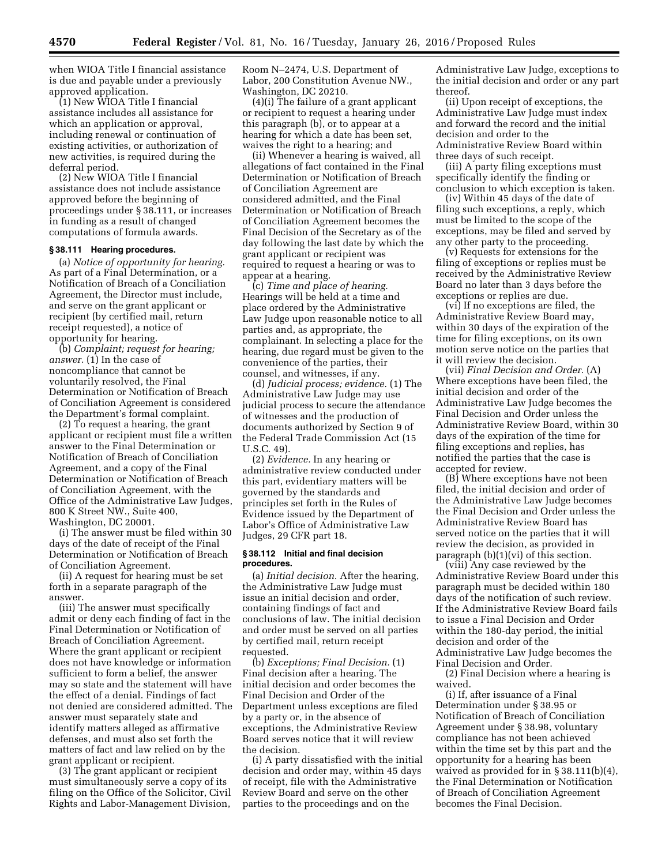when WIOA Title I financial assistance is due and payable under a previously approved application.

(1) New WIOA Title I financial assistance includes all assistance for which an application or approval, including renewal or continuation of existing activities, or authorization of new activities, is required during the deferral period.

(2) New WIOA Title I financial assistance does not include assistance approved before the beginning of proceedings under § 38.111, or increases in funding as a result of changed computations of formula awards.

# **§ 38.111 Hearing procedures.**

(a) *Notice of opportunity for hearing.*  As part of a Final Determination, or a Notification of Breach of a Conciliation Agreement, the Director must include, and serve on the grant applicant or recipient (by certified mail, return receipt requested), a notice of opportunity for hearing.

(b) *Complaint; request for hearing; answer.* (1) In the case of noncompliance that cannot be voluntarily resolved, the Final Determination or Notification of Breach of Conciliation Agreement is considered the Department's formal complaint.

(2) To request a hearing, the grant applicant or recipient must file a written answer to the Final Determination or Notification of Breach of Conciliation Agreement, and a copy of the Final Determination or Notification of Breach of Conciliation Agreement, with the Office of the Administrative Law Judges, 800 K Street NW., Suite 400, Washington, DC 20001.

(i) The answer must be filed within 30 days of the date of receipt of the Final Determination or Notification of Breach of Conciliation Agreement.

(ii) A request for hearing must be set forth in a separate paragraph of the answer.

(iii) The answer must specifically admit or deny each finding of fact in the Final Determination or Notification of Breach of Conciliation Agreement. Where the grant applicant or recipient does not have knowledge or information sufficient to form a belief, the answer may so state and the statement will have the effect of a denial. Findings of fact not denied are considered admitted. The answer must separately state and identify matters alleged as affirmative defenses, and must also set forth the matters of fact and law relied on by the grant applicant or recipient.

(3) The grant applicant or recipient must simultaneously serve a copy of its filing on the Office of the Solicitor, Civil Rights and Labor-Management Division,

Room N–2474, U.S. Department of Labor, 200 Constitution Avenue NW., Washington, DC 20210.

(4)(i) The failure of a grant applicant or recipient to request a hearing under this paragraph (b), or to appear at a hearing for which a date has been set, waives the right to a hearing; and

(ii) Whenever a hearing is waived, all allegations of fact contained in the Final Determination or Notification of Breach of Conciliation Agreement are considered admitted, and the Final Determination or Notification of Breach of Conciliation Agreement becomes the Final Decision of the Secretary as of the day following the last date by which the grant applicant or recipient was required to request a hearing or was to appear at a hearing.

(c) *Time and place of hearing.*  Hearings will be held at a time and place ordered by the Administrative Law Judge upon reasonable notice to all parties and, as appropriate, the complainant. In selecting a place for the hearing, due regard must be given to the convenience of the parties, their counsel, and witnesses, if any.

(d) *Judicial process; evidence.* (1) The Administrative Law Judge may use judicial process to secure the attendance of witnesses and the production of documents authorized by Section 9 of the Federal Trade Commission Act (15 U.S.C. 49).

(2) *Evidence.* In any hearing or administrative review conducted under this part, evidentiary matters will be governed by the standards and principles set forth in the Rules of Evidence issued by the Department of Labor's Office of Administrative Law Judges, 29 CFR part 18.

#### **§ 38.112 Initial and final decision procedures.**

(a) *Initial decision.* After the hearing, the Administrative Law Judge must issue an initial decision and order, containing findings of fact and conclusions of law. The initial decision and order must be served on all parties by certified mail, return receipt requested.

(b) *Exceptions; Final Decision.* (1) Final decision after a hearing. The initial decision and order becomes the Final Decision and Order of the Department unless exceptions are filed by a party or, in the absence of exceptions, the Administrative Review Board serves notice that it will review the decision.

(i) A party dissatisfied with the initial decision and order may, within 45 days of receipt, file with the Administrative Review Board and serve on the other parties to the proceedings and on the

Administrative Law Judge, exceptions to the initial decision and order or any part thereof.

(ii) Upon receipt of exceptions, the Administrative Law Judge must index and forward the record and the initial decision and order to the Administrative Review Board within three days of such receipt.

(iii) A party filing exceptions must specifically identify the finding or conclusion to which exception is taken.

(iv) Within 45 days of the date of filing such exceptions, a reply, which must be limited to the scope of the exceptions, may be filed and served by any other party to the proceeding.

(v) Requests for extensions for the filing of exceptions or replies must be received by the Administrative Review Board no later than 3 days before the exceptions or replies are due.

(vi) If no exceptions are filed, the Administrative Review Board may, within 30 days of the expiration of the time for filing exceptions, on its own motion serve notice on the parties that it will review the decision.

(vii) *Final Decision and Order.* (A) Where exceptions have been filed, the initial decision and order of the Administrative Law Judge becomes the Final Decision and Order unless the Administrative Review Board, within 30 days of the expiration of the time for filing exceptions and replies, has notified the parties that the case is accepted for review.

(B) Where exceptions have not been filed, the initial decision and order of the Administrative Law Judge becomes the Final Decision and Order unless the Administrative Review Board has served notice on the parties that it will review the decision, as provided in paragraph (b)(1)(vi) of this section.

(viii) Any case reviewed by the Administrative Review Board under this paragraph must be decided within 180 days of the notification of such review. If the Administrative Review Board fails to issue a Final Decision and Order within the 180-day period, the initial decision and order of the Administrative Law Judge becomes the Final Decision and Order.

(2) Final Decision where a hearing is waived.

(i) If, after issuance of a Final Determination under § 38.95 or Notification of Breach of Conciliation Agreement under § 38.98, voluntary compliance has not been achieved within the time set by this part and the opportunity for a hearing has been waived as provided for in § 38.111(b)(4), the Final Determination or Notification of Breach of Conciliation Agreement becomes the Final Decision.